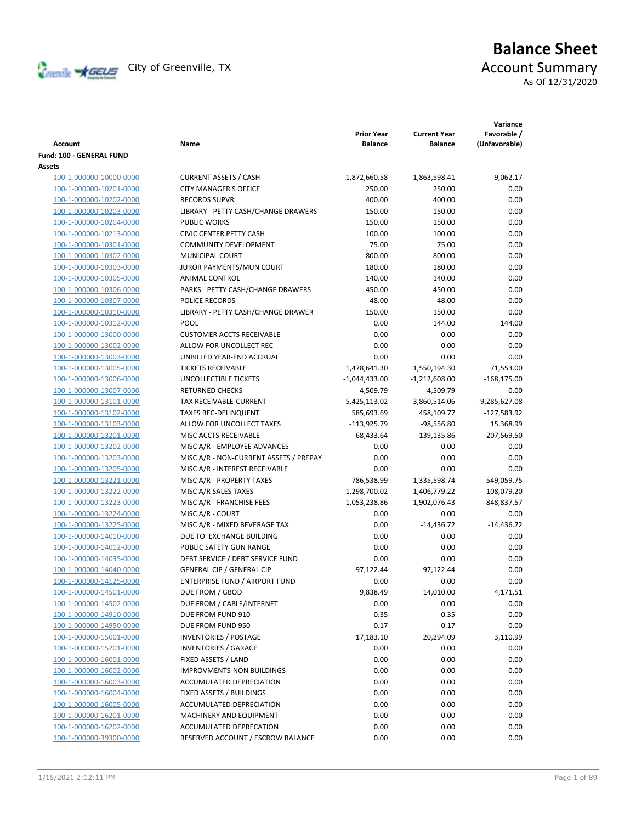

# **Balance Sheet** Creenville **X** GEUS</del> City of Greenville, TX **ACCOUNT** Summary As Of 12/31/2020

| <b>Account</b>           | Name                                   | <b>Prior Year</b><br><b>Balance</b> | <b>Current Year</b><br><b>Balance</b> | Variance<br>Favorable /<br>(Unfavorable) |
|--------------------------|----------------------------------------|-------------------------------------|---------------------------------------|------------------------------------------|
| Fund: 100 - GENERAL FUND |                                        |                                     |                                       |                                          |
| Assets                   |                                        |                                     |                                       |                                          |
| 100-1-000000-10000-0000  | <b>CURRENT ASSETS / CASH</b>           | 1,872,660.58                        | 1,863,598.41                          | $-9,062.17$                              |
| 100-1-000000-10201-0000  | <b>CITY MANAGER'S OFFICE</b>           | 250.00                              | 250.00                                | 0.00                                     |
| 100-1-000000-10202-0000  | <b>RECORDS SUPVR</b>                   | 400.00                              | 400.00                                | 0.00                                     |
| 100-1-000000-10203-0000  | LIBRARY - PETTY CASH/CHANGE DRAWERS    | 150.00                              | 150.00                                | 0.00                                     |
| 100-1-000000-10204-0000  | <b>PUBLIC WORKS</b>                    | 150.00                              | 150.00                                | 0.00                                     |
| 100-1-000000-10213-0000  | <b>CIVIC CENTER PETTY CASH</b>         | 100.00                              | 100.00                                | 0.00                                     |
| 100-1-000000-10301-0000  | <b>COMMUNITY DEVELOPMENT</b>           | 75.00                               | 75.00                                 | 0.00                                     |
| 100-1-000000-10302-0000  | MUNICIPAL COURT                        | 800.00                              | 800.00                                | 0.00                                     |
| 100-1-000000-10303-0000  | JUROR PAYMENTS/MUN COURT               | 180.00                              | 180.00                                | 0.00                                     |
| 100-1-000000-10305-0000  | ANIMAL CONTROL                         | 140.00                              | 140.00                                | 0.00                                     |
| 100-1-000000-10306-0000  | PARKS - PETTY CASH/CHANGE DRAWERS      | 450.00                              | 450.00                                | 0.00                                     |
| 100-1-000000-10307-0000  | POLICE RECORDS                         | 48.00                               | 48.00                                 | 0.00                                     |
| 100-1-000000-10310-0000  | LIBRARY - PETTY CASH/CHANGE DRAWER     | 150.00                              | 150.00                                | 0.00                                     |
| 100-1-000000-10312-0000  | <b>POOL</b>                            | 0.00                                | 144.00                                | 144.00                                   |
| 100-1-000000-13000-0000  | <b>CUSTOMER ACCTS RECEIVABLE</b>       | 0.00                                | 0.00                                  | 0.00                                     |
| 100-1-000000-13002-0000  | ALLOW FOR UNCOLLECT REC                | 0.00                                | 0.00                                  | 0.00                                     |
| 100-1-000000-13003-0000  | UNBILLED YEAR-END ACCRUAL              | 0.00                                | 0.00                                  | 0.00                                     |
| 100-1-000000-13005-0000  | <b>TICKETS RECEIVABLE</b>              | 1,478,641.30                        | 1,550,194.30                          | 71,553.00                                |
| 100-1-000000-13006-0000  | UNCOLLECTIBLE TICKETS                  | $-1,044,433.00$                     | $-1,212,608.00$                       | $-168,175.00$                            |
| 100-1-000000-13007-0000  | <b>RETURNED CHECKS</b>                 | 4,509.79                            | 4,509.79                              | 0.00                                     |
| 100-1-000000-13101-0000  | TAX RECEIVABLE-CURRENT                 | 5,425,113.02                        | $-3,860,514.06$                       | $-9,285,627.08$                          |
| 100-1-000000-13102-0000  | <b>TAXES REC-DELINQUENT</b>            | 585,693.69                          | 458,109.77                            | $-127,583.92$                            |
| 100-1-000000-13103-0000  | ALLOW FOR UNCOLLECT TAXES              | $-113,925.79$                       | $-98,556.80$                          | 15,368.99                                |
| 100-1-000000-13201-0000  | MISC ACCTS RECEIVABLE                  | 68,433.64                           | -139,135.86                           | -207,569.50                              |
| 100-1-000000-13202-0000  | MISC A/R - EMPLOYEE ADVANCES           | 0.00                                | 0.00                                  | 0.00                                     |
| 100-1-000000-13203-0000  | MISC A/R - NON-CURRENT ASSETS / PREPAY | 0.00                                | 0.00                                  | 0.00                                     |
| 100-1-000000-13205-0000  | MISC A/R - INTEREST RECEIVABLE         | 0.00                                | 0.00                                  | 0.00                                     |
| 100-1-000000-13221-0000  | MISC A/R - PROPERTY TAXES              | 786,538.99                          | 1,335,598.74                          | 549,059.75                               |
| 100-1-000000-13222-0000  | MISC A/R SALES TAXES                   | 1,298,700.02                        | 1,406,779.22                          | 108,079.20                               |
| 100-1-000000-13223-0000  | MISC A/R - FRANCHISE FEES              | 1,053,238.86                        | 1,902,076.43                          | 848,837.57                               |
| 100-1-000000-13224-0000  | MISC A/R - COURT                       | 0.00                                | 0.00                                  | 0.00                                     |
| 100-1-000000-13225-0000  | MISC A/R - MIXED BEVERAGE TAX          | 0.00                                | $-14,436.72$                          | $-14,436.72$                             |
| 100-1-000000-14010-0000  | DUE TO EXCHANGE BUILDING               | 0.00                                | 0.00                                  | 0.00                                     |
| 100-1-000000-14012-0000  | PUBLIC SAFETY GUN RANGE                | 0.00                                | 0.00                                  | 0.00                                     |
| 100-1-000000-14035-0000  | DEBT SERVICE / DEBT SERVICE FUND       | 0.00                                | 0.00                                  | 0.00                                     |
| 100-1-000000-14040-0000  | <b>GENERAL CIP / GENERAL CIP</b>       | $-97,122.44$                        | $-97,122.44$                          | 0.00                                     |
| 100-1-000000-14125-0000  | <b>ENTERPRISE FUND / AIRPORT FUND</b>  | 0.00                                | 0.00                                  | 0.00                                     |
| 100-1-000000-14501-0000  | DUE FROM / GBOD                        | 9,838.49                            | 14,010.00                             | 4,171.51                                 |
| 100-1-000000-14502-0000  | DUE FROM / CABLE/INTERNET              | 0.00                                | 0.00                                  | 0.00                                     |
| 100-1-000000-14910-0000  | DUE FROM FUND 910                      | 0.35                                | 0.35                                  | 0.00                                     |
| 100-1-000000-14950-0000  | DUE FROM FUND 950                      | $-0.17$                             | $-0.17$                               | 0.00                                     |
| 100-1-000000-15001-0000  | <b>INVENTORIES / POSTAGE</b>           | 17,183.10                           | 20,294.09                             | 3,110.99                                 |
| 100-1-000000-15201-0000  | <b>INVENTORIES / GARAGE</b>            | 0.00                                | 0.00                                  | 0.00                                     |
| 100-1-000000-16001-0000  | FIXED ASSETS / LAND                    | 0.00                                | 0.00                                  | 0.00                                     |
| 100-1-000000-16002-0000  | IMPROVMENTS-NON BUILDINGS              | 0.00                                | 0.00                                  | 0.00                                     |
| 100-1-000000-16003-0000  | ACCUMULATED DEPRECIATION               | 0.00                                | 0.00                                  | 0.00                                     |
| 100-1-000000-16004-0000  | FIXED ASSETS / BUILDINGS               | 0.00                                | 0.00                                  | 0.00                                     |
| 100-1-000000-16005-0000  | ACCUMULATED DEPRECIATION               | 0.00                                | 0.00                                  | 0.00                                     |
| 100-1-000000-16201-0000  | MACHINERY AND EQUIPMENT                | 0.00                                | 0.00                                  | 0.00                                     |
| 100-1-000000-16202-0000  | ACCUMULATED DEPRECATION                | 0.00                                | 0.00                                  | 0.00                                     |
| 100-1-000000-39300-0000  | RESERVED ACCOUNT / ESCROW BALANCE      | 0.00                                | 0.00                                  | 0.00                                     |
|                          |                                        |                                     |                                       |                                          |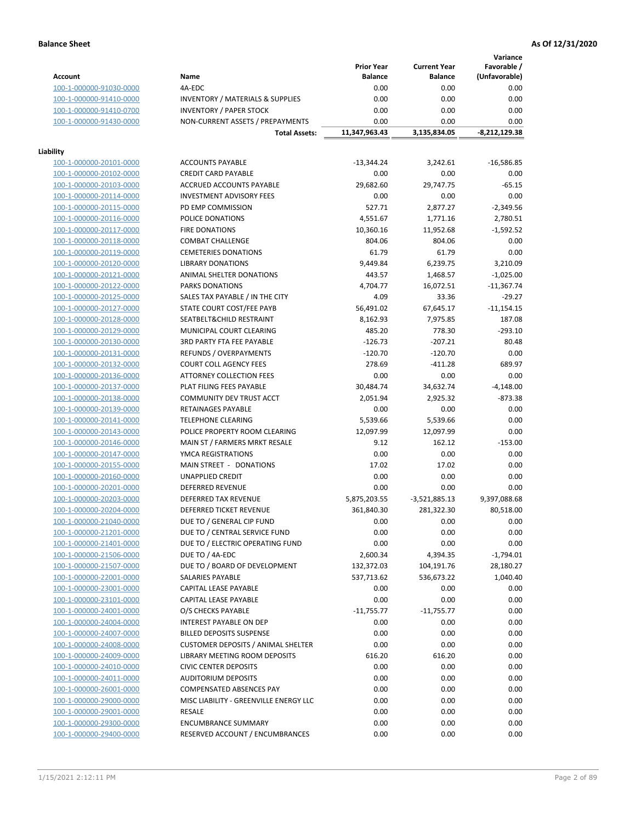**Variance**

|                         |                                             | <b>Prior Year</b> | <b>Current Year</b> | Favorable /   |
|-------------------------|---------------------------------------------|-------------------|---------------------|---------------|
| <b>Account</b>          | Name                                        | <b>Balance</b>    | <b>Balance</b>      | (Unfavorable) |
| 100-1-000000-91030-0000 | 4A-EDC                                      | 0.00              | 0.00                | 0.00          |
| 100-1-000000-91410-0000 | <b>INVENTORY / MATERIALS &amp; SUPPLIES</b> | 0.00              | 0.00                | 0.00          |
| 100-1-000000-91410-0700 | <b>INVENTORY / PAPER STOCK</b>              | 0.00              | 0.00                | 0.00          |
| 100-1-000000-91430-0000 | NON-CURRENT ASSETS / PREPAYMENTS            | 0.00              | 0.00                | 0.00          |
|                         | <b>Total Assets:</b>                        | 11,347,963.43     | 3,135,834.05        | -8,212,129.38 |
|                         |                                             |                   |                     |               |
| Liability               |                                             |                   |                     |               |
| 100-1-000000-20101-0000 | <b>ACCOUNTS PAYABLE</b>                     | $-13,344.24$      | 3,242.61            | $-16,586.85$  |
| 100-1-000000-20102-0000 | <b>CREDIT CARD PAYABLE</b>                  | 0.00              | 0.00                | 0.00          |
| 100-1-000000-20103-0000 | ACCRUED ACCOUNTS PAYABLE                    | 29,682.60         | 29,747.75           | $-65.15$      |
| 100-1-000000-20114-0000 | <b>INVESTMENT ADVISORY FEES</b>             | 0.00              | 0.00                | 0.00          |
| 100-1-000000-20115-0000 | PD EMP COMMISSION                           | 527.71            | 2,877.27            | $-2,349.56$   |
| 100-1-000000-20116-0000 | POLICE DONATIONS                            | 4,551.67          | 1,771.16            | 2,780.51      |
| 100-1-000000-20117-0000 | <b>FIRE DONATIONS</b>                       | 10,360.16         | 11,952.68           | $-1,592.52$   |
| 100-1-000000-20118-0000 | <b>COMBAT CHALLENGE</b>                     | 804.06            | 804.06              | 0.00          |
| 100-1-000000-20119-0000 | <b>CEMETERIES DONATIONS</b>                 | 61.79             | 61.79               | 0.00          |
| 100-1-000000-20120-0000 | <b>LIBRARY DONATIONS</b>                    | 9,449.84          | 6,239.75            | 3,210.09      |
| 100-1-000000-20121-0000 | ANIMAL SHELTER DONATIONS                    | 443.57            | 1,468.57            | $-1,025.00$   |
| 100-1-000000-20122-0000 | <b>PARKS DONATIONS</b>                      | 4,704.77          | 16,072.51           | $-11,367.74$  |
| 100-1-000000-20125-0000 | SALES TAX PAYABLE / IN THE CITY             | 4.09              | 33.36               | $-29.27$      |
| 100-1-000000-20127-0000 | STATE COURT COST/FEE PAYB                   | 56,491.02         | 67,645.17           | $-11,154.15$  |
| 100-1-000000-20128-0000 | SEATBELT&CHILD RESTRAINT                    | 8,162.93          | 7,975.85            | 187.08        |
| 100-1-000000-20129-0000 | MUNICIPAL COURT CLEARING                    | 485.20            | 778.30              | $-293.10$     |
| 100-1-000000-20130-0000 | 3RD PARTY FTA FEE PAYABLE                   | $-126.73$         | $-207.21$           | 80.48         |
| 100-1-000000-20131-0000 | <b>REFUNDS / OVERPAYMENTS</b>               | $-120.70$         | $-120.70$           | 0.00          |
| 100-1-000000-20132-0000 | <b>COURT COLL AGENCY FEES</b>               | 278.69            | $-411.28$           | 689.97        |
| 100-1-000000-20136-0000 | <b>ATTORNEY COLLECTION FEES</b>             | 0.00              | 0.00                | 0.00          |
| 100-1-000000-20137-0000 | PLAT FILING FEES PAYABLE                    | 30,484.74         | 34,632.74           | $-4,148.00$   |
| 100-1-000000-20138-0000 | COMMUNITY DEV TRUST ACCT                    | 2,051.94          | 2,925.32            | $-873.38$     |
| 100-1-000000-20139-0000 | RETAINAGES PAYABLE                          | 0.00              | 0.00                | 0.00          |
| 100-1-000000-20141-0000 | <b>TELEPHONE CLEARING</b>                   | 5,539.66          | 5,539.66            | 0.00          |
| 100-1-000000-20143-0000 | POLICE PROPERTY ROOM CLEARING               | 12,097.99         | 12,097.99           | 0.00          |
| 100-1-000000-20146-0000 | MAIN ST / FARMERS MRKT RESALE               | 9.12              | 162.12              | $-153.00$     |
| 100-1-000000-20147-0000 | YMCA REGISTRATIONS                          | 0.00              | 0.00                | 0.00          |
| 100-1-000000-20155-0000 | MAIN STREET - DONATIONS                     | 17.02             | 17.02               | 0.00          |
| 100-1-000000-20160-0000 | <b>UNAPPLIED CREDIT</b>                     | 0.00              | 0.00                | 0.00          |
| 100-1-000000-20201-0000 | <b>DEFERRED REVENUE</b>                     | 0.00              | 0.00                | 0.00          |
| 100-1-000000-20203-0000 | DEFERRED TAX REVENUE                        | 5,875,203.55      | $-3,521,885.13$     | 9,397,088.68  |
| 100-1-000000-20204-0000 | <b>DEFERRED TICKET REVENUE</b>              | 361,840.30        | 281,322.30          | 80,518.00     |
| 100-1-000000-21040-0000 | DUE TO / GENERAL CIP FUND                   | 0.00              | 0.00                | 0.00          |
| 100-1-000000-21201-0000 | DUE TO / CENTRAL SERVICE FUND               | 0.00              | 0.00                | 0.00          |
| 100-1-000000-21401-0000 | DUE TO / ELECTRIC OPERATING FUND            | 0.00              | 0.00                | 0.00          |
| 100-1-000000-21506-0000 | DUE TO / 4A-EDC                             | 2,600.34          | 4,394.35            | $-1,794.01$   |
| 100-1-000000-21507-0000 | DUE TO / BOARD OF DEVELOPMENT               | 132,372.03        | 104,191.76          | 28,180.27     |
| 100-1-000000-22001-0000 | SALARIES PAYABLE                            | 537,713.62        | 536,673.22          | 1,040.40      |
| 100-1-000000-23001-0000 | CAPITAL LEASE PAYABLE                       | 0.00              | 0.00                | 0.00          |
| 100-1-000000-23101-0000 | CAPITAL LEASE PAYABLE                       | 0.00              | 0.00                | 0.00          |
| 100-1-000000-24001-0000 | O/S CHECKS PAYABLE                          | $-11,755.77$      | $-11,755.77$        | 0.00          |
| 100-1-000000-24004-0000 | INTEREST PAYABLE ON DEP                     | 0.00              | 0.00                | 0.00          |
| 100-1-000000-24007-0000 | <b>BILLED DEPOSITS SUSPENSE</b>             | 0.00              | 0.00                | 0.00          |
| 100-1-000000-24008-0000 | <b>CUSTOMER DEPOSITS / ANIMAL SHELTER</b>   | 0.00              | 0.00                | 0.00          |
| 100-1-000000-24009-0000 | LIBRARY MEETING ROOM DEPOSITS               | 616.20            | 616.20              | 0.00          |
| 100-1-000000-24010-0000 | <b>CIVIC CENTER DEPOSITS</b>                | 0.00              | 0.00                | 0.00          |
| 100-1-000000-24011-0000 | <b>AUDITORIUM DEPOSITS</b>                  | 0.00              | 0.00                | 0.00          |
| 100-1-000000-26001-0000 | COMPENSATED ABSENCES PAY                    | 0.00              | 0.00                | 0.00          |
| 100-1-000000-29000-0000 | MISC LIABILITY - GREENVILLE ENERGY LLC      | 0.00              | 0.00                | 0.00          |
| 100-1-000000-29001-0000 | RESALE                                      | 0.00              | 0.00                | 0.00          |
| 100-1-000000-29300-0000 | <b>ENCUMBRANCE SUMMARY</b>                  | 0.00              | 0.00                | 0.00          |
| 100-1-000000-29400-0000 | RESERVED ACCOUNT / ENCUMBRANCES             | 0.00              | 0.00                | 0.00          |
|                         |                                             |                   |                     |               |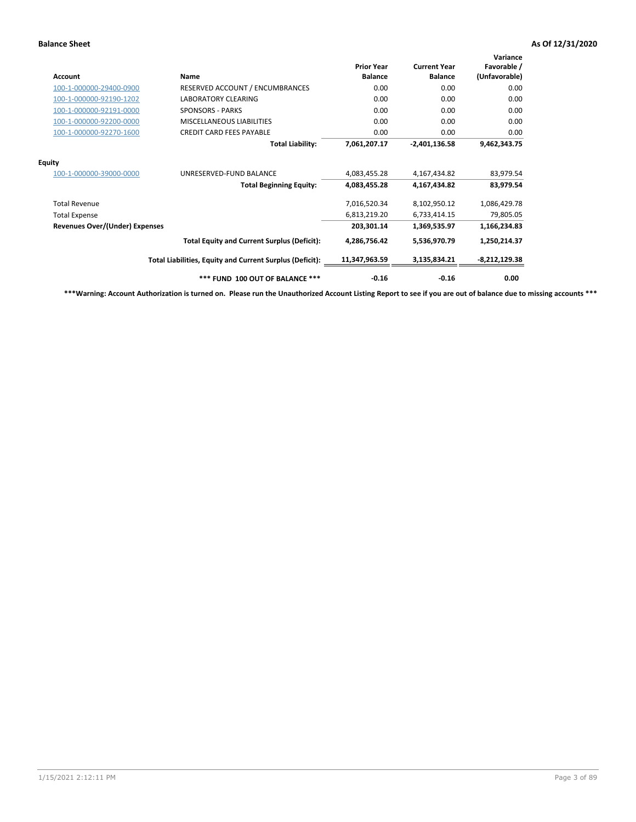| <b>Account</b>                        | <b>Name</b>                                              | <b>Prior Year</b><br><b>Balance</b> | <b>Current Year</b><br><b>Balance</b> | Variance<br>Favorable /<br>(Unfavorable) |
|---------------------------------------|----------------------------------------------------------|-------------------------------------|---------------------------------------|------------------------------------------|
| 100-1-000000-29400-0900               | RESERVED ACCOUNT / ENCUMBRANCES                          | 0.00                                | 0.00                                  | 0.00                                     |
| 100-1-000000-92190-1202               | <b>LABORATORY CLEARING</b>                               | 0.00                                | 0.00                                  | 0.00                                     |
| 100-1-000000-92191-0000               | <b>SPONSORS - PARKS</b>                                  | 0.00                                | 0.00                                  | 0.00                                     |
| 100-1-000000-92200-0000               | MISCELLANEOUS LIABILITIES                                | 0.00                                | 0.00                                  | 0.00                                     |
| 100-1-000000-92270-1600               | <b>CREDIT CARD FEES PAYABLE</b>                          | 0.00                                | 0.00                                  | 0.00                                     |
|                                       | <b>Total Liability:</b>                                  | 7,061,207.17                        | $-2,401,136.58$                       | 9,462,343.75                             |
| <b>Equity</b>                         |                                                          |                                     |                                       |                                          |
| 100-1-000000-39000-0000               | UNRESERVED-FUND BALANCE                                  | 4,083,455.28                        | 4,167,434.82                          | 83,979.54                                |
|                                       | <b>Total Beginning Equity:</b>                           | 4,083,455.28                        | 4,167,434.82                          | 83,979.54                                |
| <b>Total Revenue</b>                  |                                                          | 7,016,520.34                        | 8,102,950.12                          | 1,086,429.78                             |
| <b>Total Expense</b>                  |                                                          | 6,813,219.20                        | 6,733,414.15                          | 79,805.05                                |
| <b>Revenues Over/(Under) Expenses</b> |                                                          | 203,301.14                          | 1,369,535.97                          | 1,166,234.83                             |
|                                       | <b>Total Equity and Current Surplus (Deficit):</b>       | 4,286,756.42                        | 5,536,970.79                          | 1,250,214.37                             |
|                                       | Total Liabilities, Equity and Current Surplus (Deficit): | 11,347,963.59                       | 3,135,834.21                          | $-8,212,129.38$                          |
|                                       | *** FUND 100 OUT OF BALANCE ***                          | $-0.16$                             | $-0.16$                               | 0.00                                     |

**\*\*\*Warning: Account Authorization is turned on. Please run the Unauthorized Account Listing Report to see if you are out of balance due to missing accounts \*\*\***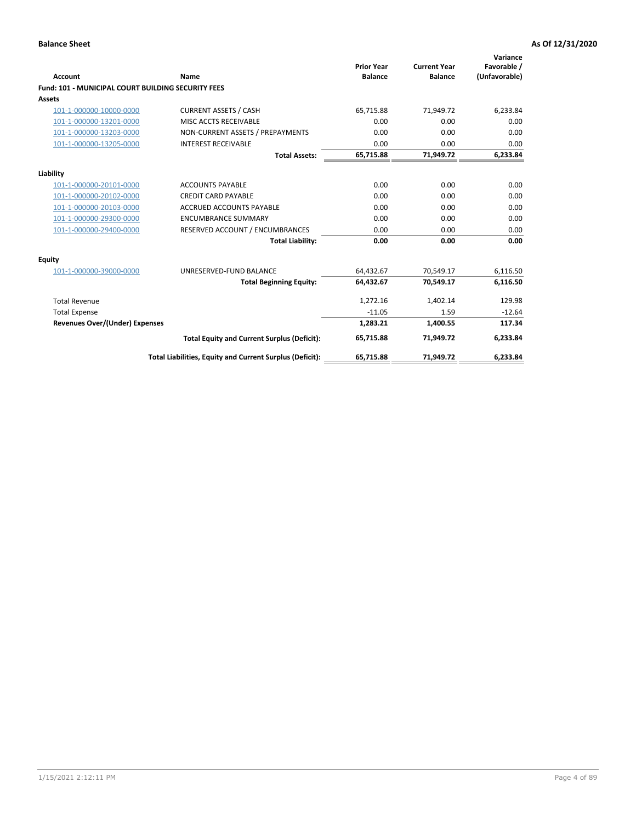| <b>Account</b>                                            | Name                                                     | <b>Prior Year</b><br><b>Balance</b> | <b>Current Year</b><br><b>Balance</b> | Variance<br>Favorable /<br>(Unfavorable) |
|-----------------------------------------------------------|----------------------------------------------------------|-------------------------------------|---------------------------------------|------------------------------------------|
| <b>Fund: 101 - MUNICIPAL COURT BUILDING SECURITY FEES</b> |                                                          |                                     |                                       |                                          |
| Assets                                                    |                                                          |                                     |                                       |                                          |
| 101-1-000000-10000-0000                                   | <b>CURRENT ASSETS / CASH</b>                             | 65,715.88                           | 71,949.72                             | 6,233.84                                 |
| 101-1-000000-13201-0000                                   | MISC ACCTS RECEIVABLE                                    | 0.00                                | 0.00                                  | 0.00                                     |
| 101-1-000000-13203-0000                                   | NON-CURRENT ASSETS / PREPAYMENTS                         | 0.00                                | 0.00                                  | 0.00                                     |
| 101-1-000000-13205-0000                                   | <b>INTEREST RECEIVABLE</b>                               | 0.00                                | 0.00                                  | 0.00                                     |
|                                                           | <b>Total Assets:</b>                                     | 65,715.88                           | 71,949.72                             | 6,233.84                                 |
| Liability                                                 |                                                          |                                     |                                       |                                          |
| 101-1-000000-20101-0000                                   | <b>ACCOUNTS PAYABLE</b>                                  | 0.00                                | 0.00                                  | 0.00                                     |
| 101-1-000000-20102-0000                                   | <b>CREDIT CARD PAYABLE</b>                               | 0.00                                | 0.00                                  | 0.00                                     |
| 101-1-000000-20103-0000                                   | <b>ACCRUED ACCOUNTS PAYABLE</b>                          | 0.00                                | 0.00                                  | 0.00                                     |
| 101-1-000000-29300-0000                                   | <b>ENCUMBRANCE SUMMARY</b>                               | 0.00                                | 0.00                                  | 0.00                                     |
| 101-1-000000-29400-0000                                   | RESERVED ACCOUNT / ENCUMBRANCES                          | 0.00                                | 0.00                                  | 0.00                                     |
|                                                           | <b>Total Liability:</b>                                  | 0.00                                | 0.00                                  | 0.00                                     |
| <b>Equity</b>                                             |                                                          |                                     |                                       |                                          |
| 101-1-000000-39000-0000                                   | UNRESERVED-FUND BALANCE                                  | 64,432.67                           | 70,549.17                             | 6,116.50                                 |
|                                                           | <b>Total Beginning Equity:</b>                           | 64,432.67                           | 70.549.17                             | 6,116.50                                 |
| <b>Total Revenue</b>                                      |                                                          | 1,272.16                            | 1,402.14                              | 129.98                                   |
| <b>Total Expense</b>                                      |                                                          | $-11.05$                            | 1.59                                  | $-12.64$                                 |
| <b>Revenues Over/(Under) Expenses</b>                     |                                                          | 1,283.21                            | 1,400.55                              | 117.34                                   |
|                                                           | <b>Total Equity and Current Surplus (Deficit):</b>       | 65,715.88                           | 71,949.72                             | 6,233.84                                 |
|                                                           | Total Liabilities, Equity and Current Surplus (Deficit): | 65,715.88                           | 71,949.72                             | 6,233.84                                 |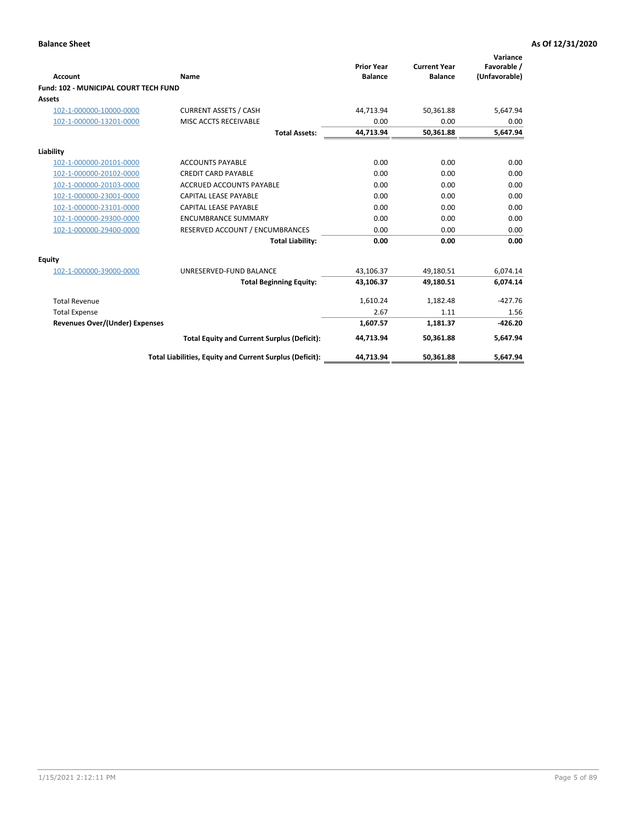| Account                                      | Name                                                     | <b>Prior Year</b><br><b>Balance</b> | <b>Current Year</b><br><b>Balance</b> | Variance<br>Favorable /<br>(Unfavorable) |
|----------------------------------------------|----------------------------------------------------------|-------------------------------------|---------------------------------------|------------------------------------------|
| <b>Fund: 102 - MUNICIPAL COURT TECH FUND</b> |                                                          |                                     |                                       |                                          |
| Assets                                       |                                                          |                                     |                                       |                                          |
| 102-1-000000-10000-0000                      | <b>CURRENT ASSETS / CASH</b>                             | 44,713.94                           | 50,361.88                             | 5,647.94                                 |
| 102-1-000000-13201-0000                      | MISC ACCTS RECEIVABLE                                    | 0.00                                | 0.00                                  | 0.00                                     |
|                                              | <b>Total Assets:</b>                                     | 44,713.94                           | 50,361.88                             | 5,647.94                                 |
| Liability                                    |                                                          |                                     |                                       |                                          |
| 102-1-000000-20101-0000                      | <b>ACCOUNTS PAYABLE</b>                                  | 0.00                                | 0.00                                  | 0.00                                     |
| 102-1-000000-20102-0000                      | <b>CREDIT CARD PAYABLE</b>                               | 0.00                                | 0.00                                  | 0.00                                     |
| 102-1-000000-20103-0000                      | <b>ACCRUED ACCOUNTS PAYABLE</b>                          | 0.00                                | 0.00                                  | 0.00                                     |
| 102-1-000000-23001-0000                      | <b>CAPITAL LEASE PAYABLE</b>                             | 0.00                                | 0.00                                  | 0.00                                     |
| 102-1-000000-23101-0000                      | <b>CAPITAL LEASE PAYABLE</b>                             | 0.00                                | 0.00                                  | 0.00                                     |
| 102-1-000000-29300-0000                      | <b>ENCUMBRANCE SUMMARY</b>                               | 0.00                                | 0.00                                  | 0.00                                     |
| 102-1-000000-29400-0000                      | RESERVED ACCOUNT / ENCUMBRANCES                          | 0.00                                | 0.00                                  | 0.00                                     |
|                                              | <b>Total Liability:</b>                                  | 0.00                                | 0.00                                  | 0.00                                     |
| <b>Equity</b>                                |                                                          |                                     |                                       |                                          |
| 102-1-000000-39000-0000                      | UNRESERVED-FUND BALANCE                                  | 43,106.37                           | 49,180.51                             | 6,074.14                                 |
|                                              | <b>Total Beginning Equity:</b>                           | 43,106.37                           | 49,180.51                             | 6,074.14                                 |
| <b>Total Revenue</b>                         |                                                          | 1,610.24                            | 1,182.48                              | $-427.76$                                |
| <b>Total Expense</b>                         |                                                          | 2.67                                | 1.11                                  | 1.56                                     |
| <b>Revenues Over/(Under) Expenses</b>        |                                                          | 1,607.57                            | 1,181.37                              | $-426.20$                                |
|                                              | <b>Total Equity and Current Surplus (Deficit):</b>       | 44,713.94                           | 50,361.88                             | 5,647.94                                 |
|                                              | Total Liabilities, Equity and Current Surplus (Deficit): | 44,713.94                           | 50,361.88                             | 5,647.94                                 |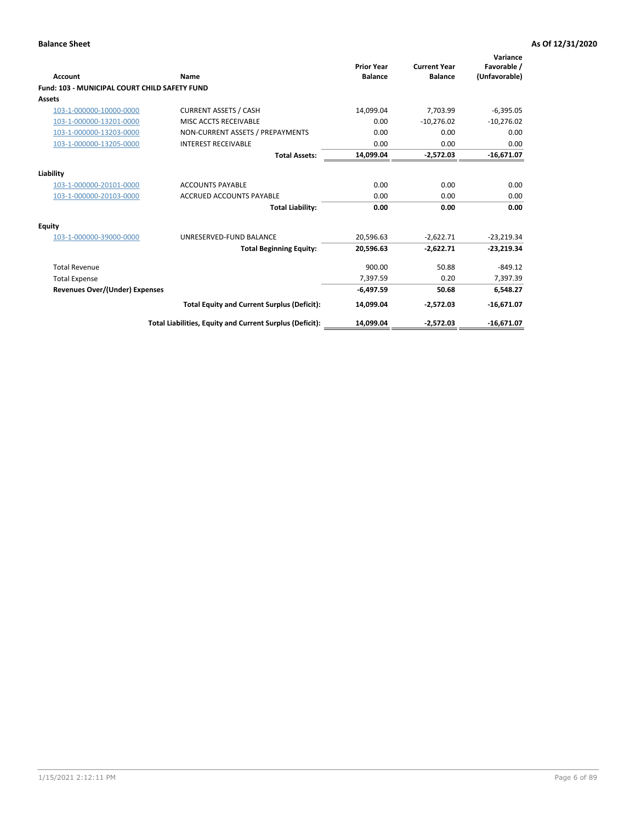| <b>Account</b>                                       | Name                                                     | <b>Prior Year</b><br><b>Balance</b> | <b>Current Year</b><br><b>Balance</b> | Variance<br>Favorable /<br>(Unfavorable) |
|------------------------------------------------------|----------------------------------------------------------|-------------------------------------|---------------------------------------|------------------------------------------|
| <b>Fund: 103 - MUNICIPAL COURT CHILD SAFETY FUND</b> |                                                          |                                     |                                       |                                          |
| <b>Assets</b>                                        |                                                          |                                     |                                       |                                          |
| 103-1-000000-10000-0000                              | <b>CURRENT ASSETS / CASH</b>                             | 14,099.04                           | 7,703.99                              | $-6,395.05$                              |
| 103-1-000000-13201-0000                              | MISC ACCTS RECEIVABLE                                    | 0.00                                | $-10,276.02$                          | $-10,276.02$                             |
| 103-1-000000-13203-0000                              | NON-CURRENT ASSETS / PREPAYMENTS                         | 0.00                                | 0.00                                  | 0.00                                     |
| 103-1-000000-13205-0000                              | <b>INTEREST RECEIVABLE</b>                               | 0.00                                | 0.00                                  | 0.00                                     |
|                                                      | <b>Total Assets:</b>                                     | 14,099.04                           | $-2.572.03$                           | $-16,671.07$                             |
| Liability                                            |                                                          |                                     |                                       |                                          |
| 103-1-000000-20101-0000                              | <b>ACCOUNTS PAYABLE</b>                                  | 0.00                                | 0.00                                  | 0.00                                     |
| 103-1-000000-20103-0000                              | <b>ACCRUED ACCOUNTS PAYABLE</b>                          | 0.00                                | 0.00                                  | 0.00                                     |
|                                                      | <b>Total Liability:</b>                                  | 0.00                                | 0.00                                  | 0.00                                     |
| Equity                                               |                                                          |                                     |                                       |                                          |
| 103-1-000000-39000-0000                              | UNRESERVED-FUND BALANCE                                  | 20,596.63                           | $-2,622.71$                           | $-23,219.34$                             |
|                                                      | <b>Total Beginning Equity:</b>                           | 20,596.63                           | $-2,622.71$                           | $-23,219.34$                             |
| <b>Total Revenue</b>                                 |                                                          | 900.00                              | 50.88                                 | $-849.12$                                |
| <b>Total Expense</b>                                 |                                                          | 7,397.59                            | 0.20                                  | 7,397.39                                 |
| Revenues Over/(Under) Expenses                       |                                                          | $-6,497.59$                         | 50.68                                 | 6,548.27                                 |
|                                                      | <b>Total Equity and Current Surplus (Deficit):</b>       | 14,099.04                           | $-2,572.03$                           | $-16,671.07$                             |
|                                                      | Total Liabilities, Equity and Current Surplus (Deficit): | 14,099.04                           | $-2.572.03$                           | $-16,671.07$                             |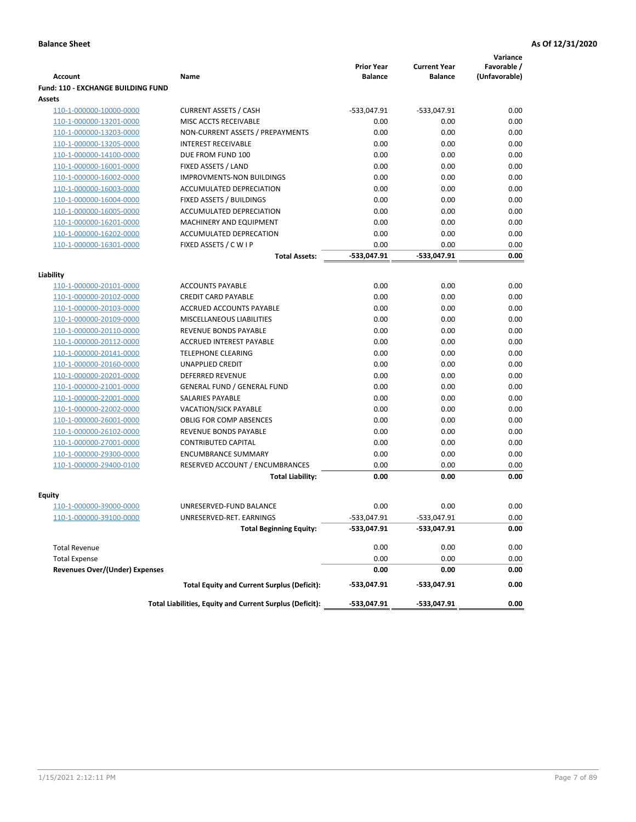|                                           |                                                          |                                     |                                       | Variance                     |
|-------------------------------------------|----------------------------------------------------------|-------------------------------------|---------------------------------------|------------------------------|
| <b>Account</b>                            | Name                                                     | <b>Prior Year</b><br><b>Balance</b> | <b>Current Year</b><br><b>Balance</b> | Favorable /<br>(Unfavorable) |
| <b>Fund: 110 - EXCHANGE BUILDING FUND</b> |                                                          |                                     |                                       |                              |
| Assets                                    |                                                          |                                     |                                       |                              |
| 110-1-000000-10000-0000                   | <b>CURRENT ASSETS / CASH</b>                             | -533,047.91                         | $-533,047.91$                         | 0.00                         |
| 110-1-000000-13201-0000                   | MISC ACCTS RECEIVABLE                                    | 0.00                                | 0.00                                  | 0.00                         |
| 110-1-000000-13203-0000                   | NON-CURRENT ASSETS / PREPAYMENTS                         | 0.00                                | 0.00                                  | 0.00                         |
| 110-1-000000-13205-0000                   | <b>INTEREST RECEIVABLE</b>                               | 0.00                                | 0.00                                  | 0.00                         |
| 110-1-000000-14100-0000                   | DUE FROM FUND 100                                        | 0.00                                | 0.00                                  | 0.00                         |
| 110-1-000000-16001-0000                   | FIXED ASSETS / LAND                                      | 0.00                                | 0.00                                  | 0.00                         |
| 110-1-000000-16002-0000                   | <b>IMPROVMENTS-NON BUILDINGS</b>                         | 0.00                                | 0.00                                  | 0.00                         |
| 110-1-000000-16003-0000                   | ACCUMULATED DEPRECIATION                                 | 0.00                                | 0.00                                  | 0.00                         |
| 110-1-000000-16004-0000                   | FIXED ASSETS / BUILDINGS                                 | 0.00                                | 0.00                                  | 0.00                         |
| 110-1-000000-16005-0000                   | ACCUMULATED DEPRECIATION                                 | 0.00                                | 0.00                                  | 0.00                         |
| 110-1-000000-16201-0000                   | <b>MACHINERY AND EQUIPMENT</b>                           | 0.00                                | 0.00                                  | 0.00                         |
| 110-1-000000-16202-0000                   | ACCUMULATED DEPRECATION                                  | 0.00                                | 0.00                                  | 0.00                         |
| 110-1-000000-16301-0000                   | FIXED ASSETS / C W I P                                   | 0.00                                | 0.00                                  | 0.00                         |
|                                           | <b>Total Assets:</b>                                     | $-533,047.91$                       | -533,047.91                           | 0.00                         |
| Liability                                 |                                                          |                                     |                                       |                              |
| 110-1-000000-20101-0000                   | <b>ACCOUNTS PAYABLE</b>                                  | 0.00                                | 0.00                                  | 0.00                         |
| 110-1-000000-20102-0000                   | <b>CREDIT CARD PAYABLE</b>                               | 0.00                                | 0.00                                  | 0.00                         |
| 110-1-000000-20103-0000                   | ACCRUED ACCOUNTS PAYABLE                                 | 0.00                                | 0.00                                  | 0.00                         |
| 110-1-000000-20109-0000                   | MISCELLANEOUS LIABILITIES                                | 0.00                                | 0.00                                  | 0.00                         |
| 110-1-000000-20110-0000                   | REVENUE BONDS PAYABLE                                    | 0.00                                | 0.00                                  | 0.00                         |
| 110-1-000000-20112-0000                   | <b>ACCRUED INTEREST PAYABLE</b>                          | 0.00                                | 0.00                                  | 0.00                         |
| 110-1-000000-20141-0000                   | <b>TELEPHONE CLEARING</b>                                | 0.00                                | 0.00                                  | 0.00                         |
| 110-1-000000-20160-0000                   | <b>UNAPPLIED CREDIT</b>                                  | 0.00                                | 0.00                                  | 0.00                         |
| 110-1-000000-20201-0000                   | <b>DEFERRED REVENUE</b>                                  | 0.00                                | 0.00                                  | 0.00                         |
| 110-1-000000-21001-0000                   | <b>GENERAL FUND / GENERAL FUND</b>                       | 0.00                                | 0.00                                  | 0.00                         |
| 110-1-000000-22001-0000                   | SALARIES PAYABLE                                         | 0.00                                | 0.00                                  | 0.00                         |
| 110-1-000000-22002-0000                   | <b>VACATION/SICK PAYABLE</b>                             | 0.00                                | 0.00                                  | 0.00                         |
| 110-1-000000-26001-0000                   | <b>OBLIG FOR COMP ABSENCES</b>                           | 0.00                                | 0.00                                  | 0.00                         |
| 110-1-000000-26102-0000                   | REVENUE BONDS PAYABLE                                    | 0.00                                | 0.00                                  | 0.00                         |
| 110-1-000000-27001-0000                   | <b>CONTRIBUTED CAPITAL</b>                               | 0.00                                | 0.00                                  | 0.00                         |
| 110-1-000000-29300-0000                   | <b>ENCUMBRANCE SUMMARY</b>                               | 0.00                                | 0.00                                  | 0.00                         |
| 110-1-000000-29400-0100                   | RESERVED ACCOUNT / ENCUMBRANCES                          | 0.00                                | 0.00                                  | 0.00                         |
|                                           | <b>Total Liability:</b>                                  | 0.00                                | 0.00                                  | 0.00                         |
| <b>Equity</b>                             |                                                          |                                     |                                       |                              |
| 110-1-000000-39000-0000                   | UNRESERVED-FUND BALANCE                                  | 0.00                                | 0.00                                  | 0.00                         |
| 110-1-000000-39100-0000                   | UNRESERVED-RET. EARNINGS                                 | -533,047.91                         | -533,047.91                           | 0.00                         |
|                                           | <b>Total Beginning Equity:</b>                           | -533,047.91                         | -533,047.91                           | 0.00                         |
|                                           |                                                          |                                     |                                       |                              |
| <b>Total Revenue</b>                      |                                                          | 0.00                                | 0.00                                  | 0.00                         |
| <b>Total Expense</b>                      |                                                          | 0.00                                | 0.00                                  | 0.00                         |
| <b>Revenues Over/(Under) Expenses</b>     |                                                          | 0.00                                | 0.00                                  | 0.00                         |
|                                           | <b>Total Equity and Current Surplus (Deficit):</b>       | -533,047.91                         | -533,047.91                           | 0.00                         |
|                                           | Total Liabilities, Equity and Current Surplus (Deficit): | -533,047.91                         | -533,047.91                           | 0.00                         |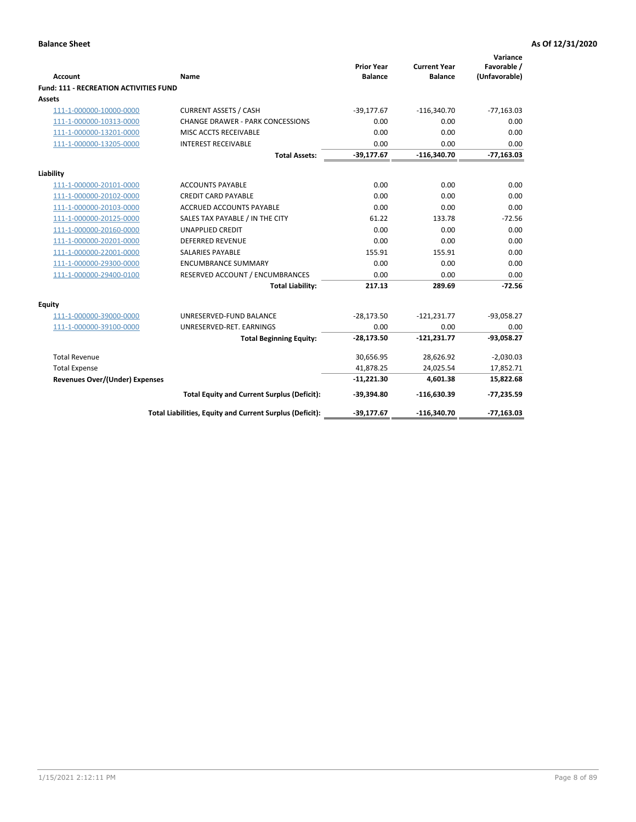|                                               |                                                          | <b>Prior Year</b> | <b>Current Year</b> | Variance<br>Favorable / |
|-----------------------------------------------|----------------------------------------------------------|-------------------|---------------------|-------------------------|
| Account                                       | Name                                                     | <b>Balance</b>    | <b>Balance</b>      | (Unfavorable)           |
| <b>Fund: 111 - RECREATION ACTIVITIES FUND</b> |                                                          |                   |                     |                         |
| Assets                                        |                                                          |                   |                     |                         |
| 111-1-000000-10000-0000                       | <b>CURRENT ASSETS / CASH</b>                             | $-39,177.67$      | $-116,340.70$       | $-77,163.03$            |
| 111-1-000000-10313-0000                       | <b>CHANGE DRAWER - PARK CONCESSIONS</b>                  | 0.00              | 0.00                | 0.00                    |
| 111-1-000000-13201-0000                       | MISC ACCTS RECEIVABLE                                    | 0.00              | 0.00                | 0.00                    |
| 111-1-000000-13205-0000                       | <b>INTEREST RECEIVABLE</b>                               | 0.00              | 0.00                | 0.00                    |
|                                               | <b>Total Assets:</b>                                     | $-39,177.67$      | $-116,340.70$       | $-77,163.03$            |
| Liability                                     |                                                          |                   |                     |                         |
| 111-1-000000-20101-0000                       | <b>ACCOUNTS PAYABLE</b>                                  | 0.00              | 0.00                | 0.00                    |
| 111-1-000000-20102-0000                       | <b>CREDIT CARD PAYABLE</b>                               | 0.00              | 0.00                | 0.00                    |
| 111-1-000000-20103-0000                       | <b>ACCRUED ACCOUNTS PAYABLE</b>                          | 0.00              | 0.00                | 0.00                    |
| 111-1-000000-20125-0000                       | SALES TAX PAYABLE / IN THE CITY                          | 61.22             | 133.78              | $-72.56$                |
| 111-1-000000-20160-0000                       | <b>UNAPPLIED CREDIT</b>                                  | 0.00              | 0.00                | 0.00                    |
| 111-1-000000-20201-0000                       | <b>DEFERRED REVENUE</b>                                  | 0.00              | 0.00                | 0.00                    |
| 111-1-000000-22001-0000                       | <b>SALARIES PAYABLE</b>                                  | 155.91            | 155.91              | 0.00                    |
| 111-1-000000-29300-0000                       | <b>ENCUMBRANCE SUMMARY</b>                               | 0.00              | 0.00                | 0.00                    |
| 111-1-000000-29400-0100                       | RESERVED ACCOUNT / ENCUMBRANCES                          | 0.00              | 0.00                | 0.00                    |
|                                               | <b>Total Liability:</b>                                  | 217.13            | 289.69              | $-72.56$                |
| Equity                                        |                                                          |                   |                     |                         |
| 111-1-000000-39000-0000                       | UNRESERVED-FUND BALANCE                                  | $-28,173.50$      | $-121,231.77$       | $-93,058.27$            |
| 111-1-000000-39100-0000                       | UNRESERVED-RET. EARNINGS                                 | 0.00              | 0.00                | 0.00                    |
|                                               | <b>Total Beginning Equity:</b>                           | $-28,173.50$      | $-121,231.77$       | $-93,058.27$            |
| <b>Total Revenue</b>                          |                                                          | 30,656.95         | 28,626.92           | $-2,030.03$             |
| <b>Total Expense</b>                          |                                                          | 41,878.25         | 24,025.54           | 17,852.71               |
| <b>Revenues Over/(Under) Expenses</b>         |                                                          | $-11,221.30$      | 4,601.38            | 15,822.68               |
|                                               | <b>Total Equity and Current Surplus (Deficit):</b>       | $-39,394.80$      | $-116,630.39$       | $-77,235.59$            |
|                                               | Total Liabilities, Equity and Current Surplus (Deficit): | $-39,177.67$      | $-116,340.70$       | $-77,163.03$            |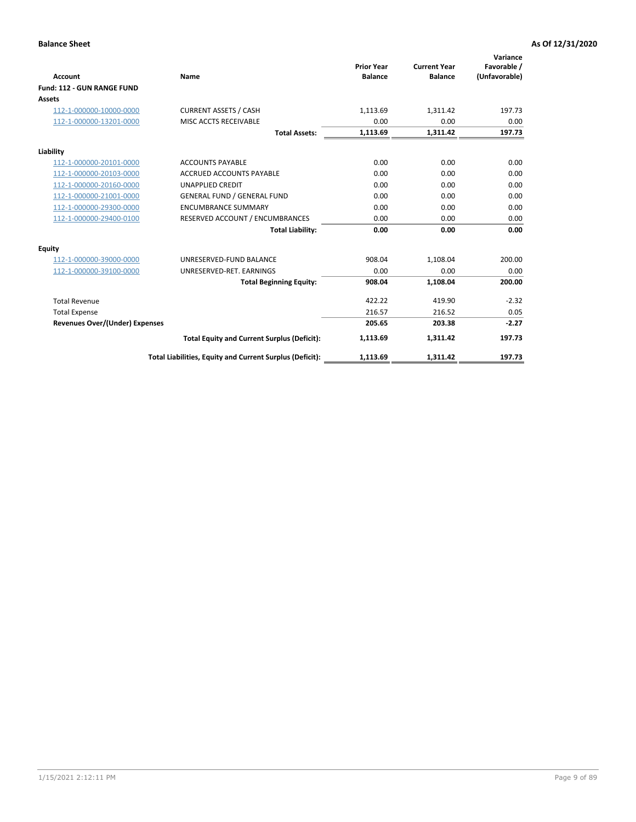|                                       |                                                          |                                     |                                       | Variance                     |
|---------------------------------------|----------------------------------------------------------|-------------------------------------|---------------------------------------|------------------------------|
| <b>Account</b>                        | Name                                                     | <b>Prior Year</b><br><b>Balance</b> | <b>Current Year</b><br><b>Balance</b> | Favorable /<br>(Unfavorable) |
| Fund: 112 - GUN RANGE FUND            |                                                          |                                     |                                       |                              |
| <b>Assets</b>                         |                                                          |                                     |                                       |                              |
| 112-1-000000-10000-0000               | <b>CURRENT ASSETS / CASH</b>                             | 1,113.69                            | 1,311.42                              | 197.73                       |
| 112-1-000000-13201-0000               | MISC ACCTS RECEIVABLE                                    | 0.00                                | 0.00                                  | 0.00                         |
|                                       | <b>Total Assets:</b>                                     | 1,113.69                            | 1,311.42                              | 197.73                       |
| Liability                             |                                                          |                                     |                                       |                              |
| 112-1-000000-20101-0000               | <b>ACCOUNTS PAYABLE</b>                                  | 0.00                                | 0.00                                  | 0.00                         |
| 112-1-000000-20103-0000               | <b>ACCRUED ACCOUNTS PAYABLE</b>                          | 0.00                                | 0.00                                  | 0.00                         |
| 112-1-000000-20160-0000               | <b>UNAPPLIED CREDIT</b>                                  | 0.00                                | 0.00                                  | 0.00                         |
| 112-1-000000-21001-0000               | <b>GENERAL FUND / GENERAL FUND</b>                       | 0.00                                | 0.00                                  | 0.00                         |
| 112-1-000000-29300-0000               | <b>ENCUMBRANCE SUMMARY</b>                               | 0.00                                | 0.00                                  | 0.00                         |
| 112-1-000000-29400-0100               | RESERVED ACCOUNT / ENCUMBRANCES                          | 0.00                                | 0.00                                  | 0.00                         |
|                                       | <b>Total Liability:</b>                                  | 0.00                                | 0.00                                  | 0.00                         |
| Equity                                |                                                          |                                     |                                       |                              |
| 112-1-000000-39000-0000               | UNRESERVED-FUND BALANCE                                  | 908.04                              | 1,108.04                              | 200.00                       |
| 112-1-000000-39100-0000               | UNRESERVED-RET. EARNINGS                                 | 0.00                                | 0.00                                  | 0.00                         |
|                                       | <b>Total Beginning Equity:</b>                           | 908.04                              | 1,108.04                              | 200.00                       |
| <b>Total Revenue</b>                  |                                                          | 422.22                              | 419.90                                | $-2.32$                      |
| <b>Total Expense</b>                  |                                                          | 216.57                              | 216.52                                | 0.05                         |
| <b>Revenues Over/(Under) Expenses</b> |                                                          | 205.65                              | 203.38                                | $-2.27$                      |
|                                       | <b>Total Equity and Current Surplus (Deficit):</b>       | 1,113.69                            | 1,311.42                              | 197.73                       |
|                                       | Total Liabilities, Equity and Current Surplus (Deficit): | 1,113.69                            | 1,311.42                              | 197.73                       |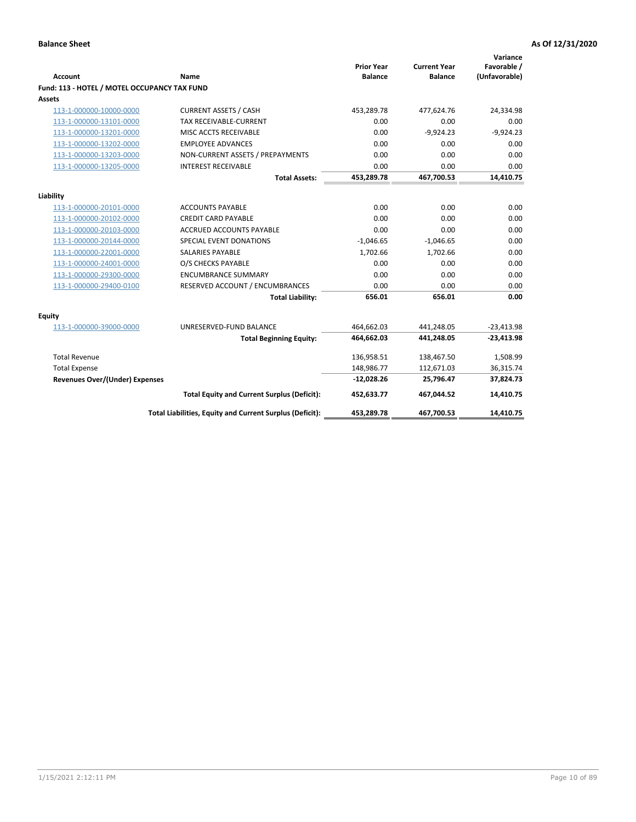| <b>Account</b>                               | Name                                                     | <b>Prior Year</b><br><b>Balance</b> | <b>Current Year</b><br><b>Balance</b> | Variance<br>Favorable /<br>(Unfavorable) |
|----------------------------------------------|----------------------------------------------------------|-------------------------------------|---------------------------------------|------------------------------------------|
| Fund: 113 - HOTEL / MOTEL OCCUPANCY TAX FUND |                                                          |                                     |                                       |                                          |
| Assets                                       |                                                          |                                     |                                       |                                          |
| 113-1-000000-10000-0000                      | <b>CURRENT ASSETS / CASH</b>                             | 453,289.78                          | 477,624.76                            | 24,334.98                                |
| 113-1-000000-13101-0000                      | <b>TAX RECEIVABLE-CURRENT</b>                            | 0.00                                | 0.00                                  | 0.00                                     |
| 113-1-000000-13201-0000                      | MISC ACCTS RECEIVABLE                                    | 0.00                                | $-9,924.23$                           | $-9,924.23$                              |
| 113-1-000000-13202-0000                      | <b>EMPLOYEE ADVANCES</b>                                 | 0.00                                | 0.00                                  | 0.00                                     |
| 113-1-000000-13203-0000                      | NON-CURRENT ASSETS / PREPAYMENTS                         | 0.00                                | 0.00                                  | 0.00                                     |
| 113-1-000000-13205-0000                      | <b>INTEREST RECEIVABLE</b>                               | 0.00                                | 0.00                                  | 0.00                                     |
|                                              | <b>Total Assets:</b>                                     | 453,289.78                          | 467,700.53                            | 14,410.75                                |
| Liability                                    |                                                          |                                     |                                       |                                          |
| 113-1-000000-20101-0000                      | <b>ACCOUNTS PAYABLE</b>                                  | 0.00                                | 0.00                                  | 0.00                                     |
| 113-1-000000-20102-0000                      | <b>CREDIT CARD PAYABLE</b>                               | 0.00                                | 0.00                                  | 0.00                                     |
| 113-1-000000-20103-0000                      | <b>ACCRUED ACCOUNTS PAYABLE</b>                          | 0.00                                | 0.00                                  | 0.00                                     |
| 113-1-000000-20144-0000                      | <b>SPECIAL EVENT DONATIONS</b>                           | $-1,046.65$                         | $-1,046.65$                           | 0.00                                     |
| 113-1-000000-22001-0000                      | <b>SALARIES PAYABLE</b>                                  | 1,702.66                            | 1,702.66                              | 0.00                                     |
| 113-1-000000-24001-0000                      | O/S CHECKS PAYABLE                                       | 0.00                                | 0.00                                  | 0.00                                     |
| 113-1-000000-29300-0000                      | <b>ENCUMBRANCE SUMMARY</b>                               | 0.00                                | 0.00                                  | 0.00                                     |
| 113-1-000000-29400-0100                      | RESERVED ACCOUNT / ENCUMBRANCES                          | 0.00                                | 0.00                                  | 0.00                                     |
|                                              | <b>Total Liability:</b>                                  | 656.01                              | 656.01                                | 0.00                                     |
| Equity                                       |                                                          |                                     |                                       |                                          |
| 113-1-000000-39000-0000                      | UNRESERVED-FUND BALANCE                                  | 464,662.03                          | 441,248.05                            | $-23,413.98$                             |
|                                              | <b>Total Beginning Equity:</b>                           | 464,662.03                          | 441,248.05                            | $-23,413.98$                             |
|                                              |                                                          |                                     |                                       |                                          |
| <b>Total Revenue</b>                         |                                                          | 136,958.51                          | 138,467.50                            | 1,508.99                                 |
| <b>Total Expense</b>                         |                                                          | 148,986.77                          | 112,671.03                            | 36,315.74                                |
| <b>Revenues Over/(Under) Expenses</b>        |                                                          | $-12,028.26$                        | 25,796.47                             | 37,824.73                                |
|                                              | <b>Total Equity and Current Surplus (Deficit):</b>       | 452,633.77                          | 467,044.52                            | 14,410.75                                |
|                                              | Total Liabilities, Equity and Current Surplus (Deficit): | 453,289.78                          | 467,700.53                            | 14,410.75                                |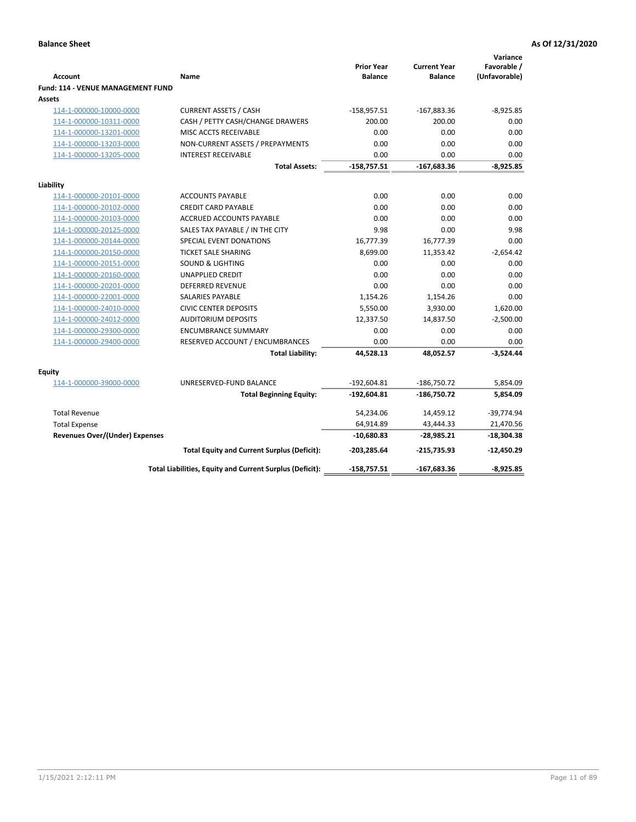| <b>Account</b>                                     | Name                                                             | <b>Prior Year</b><br><b>Balance</b> | <b>Current Year</b><br><b>Balance</b> | Variance<br>Favorable /<br>(Unfavorable) |
|----------------------------------------------------|------------------------------------------------------------------|-------------------------------------|---------------------------------------|------------------------------------------|
| <b>Fund: 114 - VENUE MANAGEMENT FUND</b>           |                                                                  |                                     |                                       |                                          |
| <b>Assets</b>                                      |                                                                  |                                     |                                       | $-8,925.85$                              |
| 114-1-000000-10000-0000<br>114-1-000000-10311-0000 | <b>CURRENT ASSETS / CASH</b><br>CASH / PETTY CASH/CHANGE DRAWERS | $-158,957.51$<br>200.00             | $-167,883.36$<br>200.00               | 0.00                                     |
| 114-1-000000-13201-0000                            | MISC ACCTS RECEIVABLE                                            | 0.00                                | 0.00                                  | 0.00                                     |
| 114-1-000000-13203-0000                            | NON-CURRENT ASSETS / PREPAYMENTS                                 | 0.00                                | 0.00                                  | 0.00                                     |
| 114-1-000000-13205-0000                            | <b>INTEREST RECEIVABLE</b>                                       | 0.00                                | 0.00                                  | 0.00                                     |
|                                                    | <b>Total Assets:</b>                                             | $-158,757.51$                       | $-167,683.36$                         | $-8,925.85$                              |
|                                                    |                                                                  |                                     |                                       |                                          |
| Liability                                          |                                                                  |                                     |                                       |                                          |
| 114-1-000000-20101-0000                            | <b>ACCOUNTS PAYABLE</b>                                          | 0.00                                | 0.00                                  | 0.00                                     |
| 114-1-000000-20102-0000                            | <b>CREDIT CARD PAYABLE</b>                                       | 0.00                                | 0.00                                  | 0.00                                     |
| 114-1-000000-20103-0000                            | ACCRUED ACCOUNTS PAYABLE                                         | 0.00                                | 0.00                                  | 0.00                                     |
| 114-1-000000-20125-0000                            | SALES TAX PAYABLE / IN THE CITY                                  | 9.98                                | 0.00                                  | 9.98                                     |
| 114-1-000000-20144-0000                            | SPECIAL EVENT DONATIONS                                          | 16,777.39                           | 16,777.39                             | 0.00                                     |
| 114-1-000000-20150-0000                            | <b>TICKET SALE SHARING</b>                                       | 8,699.00                            | 11,353.42                             | $-2,654.42$                              |
| 114-1-000000-20151-0000                            | <b>SOUND &amp; LIGHTING</b>                                      | 0.00                                | 0.00                                  | 0.00                                     |
| 114-1-000000-20160-0000                            | <b>UNAPPLIED CREDIT</b>                                          | 0.00                                | 0.00                                  | 0.00                                     |
| 114-1-000000-20201-0000                            | <b>DEFERRED REVENUE</b>                                          | 0.00                                | 0.00                                  | 0.00                                     |
| 114-1-000000-22001-0000                            | <b>SALARIES PAYABLE</b>                                          | 1,154.26                            | 1,154.26                              | 0.00                                     |
| 114-1-000000-24010-0000                            | <b>CIVIC CENTER DEPOSITS</b>                                     | 5,550.00                            | 3,930.00                              | 1,620.00                                 |
| 114-1-000000-24012-0000                            | <b>AUDITORIUM DEPOSITS</b>                                       | 12,337.50                           | 14,837.50                             | $-2,500.00$                              |
| 114-1-000000-29300-0000                            | <b>ENCUMBRANCE SUMMARY</b>                                       | 0.00                                | 0.00                                  | 0.00                                     |
| 114-1-000000-29400-0000                            | RESERVED ACCOUNT / ENCUMBRANCES                                  | 0.00                                | 0.00                                  | 0.00                                     |
|                                                    | <b>Total Liability:</b>                                          | 44,528.13                           | 48,052.57                             | $-3,524.44$                              |
| Equity                                             |                                                                  |                                     |                                       |                                          |
| 114-1-000000-39000-0000                            | UNRESERVED-FUND BALANCE                                          | $-192,604.81$                       | $-186,750.72$                         | 5,854.09                                 |
|                                                    | <b>Total Beginning Equity:</b>                                   | $-192,604.81$                       | $-186,750.72$                         | 5,854.09                                 |
| <b>Total Revenue</b>                               |                                                                  | 54,234.06                           | 14,459.12                             | $-39,774.94$                             |
| <b>Total Expense</b>                               |                                                                  | 64,914.89                           | 43,444.33                             | 21,470.56                                |
| <b>Revenues Over/(Under) Expenses</b>              |                                                                  | $-10,680.83$                        | $-28,985.21$                          | $-18,304.38$                             |
|                                                    | <b>Total Equity and Current Surplus (Deficit):</b>               | $-203,285.64$                       | $-215,735.93$                         | $-12,450.29$                             |
|                                                    | Total Liabilities, Equity and Current Surplus (Deficit):         | $-158,757.51$                       | $-167,683.36$                         | $-8.925.85$                              |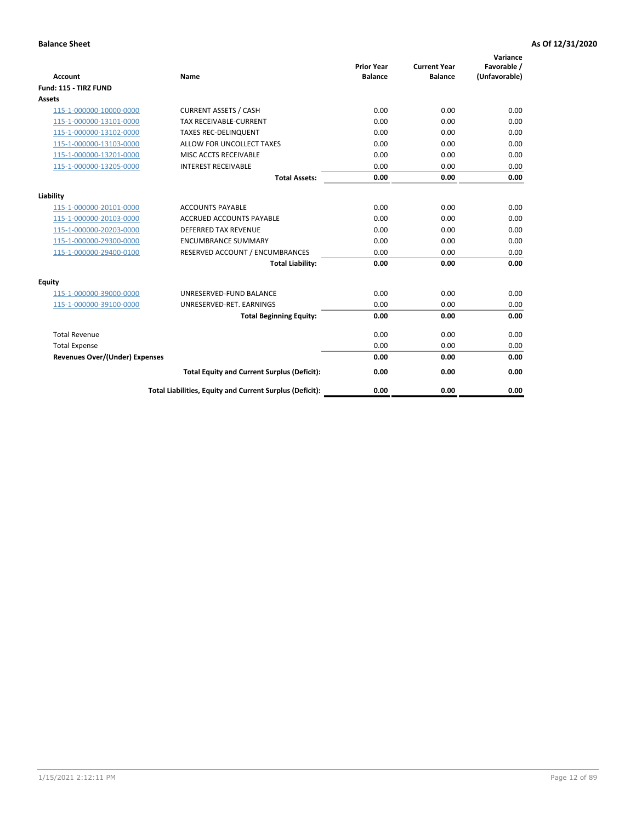| <b>Account</b>                        | <b>Name</b>                                              | <b>Prior Year</b><br><b>Balance</b> | <b>Current Year</b><br><b>Balance</b> | Variance<br>Favorable /<br>(Unfavorable) |
|---------------------------------------|----------------------------------------------------------|-------------------------------------|---------------------------------------|------------------------------------------|
| Fund: 115 - TIRZ FUND                 |                                                          |                                     |                                       |                                          |
| <b>Assets</b>                         |                                                          |                                     |                                       |                                          |
| 115-1-000000-10000-0000               | <b>CURRENT ASSETS / CASH</b>                             | 0.00                                | 0.00                                  | 0.00                                     |
| 115-1-000000-13101-0000               | <b>TAX RECEIVABLE-CURRENT</b>                            | 0.00                                | 0.00                                  | 0.00                                     |
| 115-1-000000-13102-0000               | <b>TAXES REC-DELINQUENT</b>                              | 0.00                                | 0.00                                  | 0.00                                     |
| 115-1-000000-13103-0000               | ALLOW FOR UNCOLLECT TAXES                                | 0.00                                | 0.00                                  | 0.00                                     |
| 115-1-000000-13201-0000               | MISC ACCTS RECEIVABLE                                    | 0.00                                | 0.00                                  | 0.00                                     |
| 115-1-000000-13205-0000               | <b>INTEREST RECEIVABLE</b>                               | 0.00                                | 0.00                                  | 0.00                                     |
|                                       | <b>Total Assets:</b>                                     | 0.00                                | 0.00                                  | 0.00                                     |
| Liability                             |                                                          |                                     |                                       |                                          |
| 115-1-000000-20101-0000               | <b>ACCOUNTS PAYABLE</b>                                  | 0.00                                | 0.00                                  | 0.00                                     |
| 115-1-000000-20103-0000               | <b>ACCRUED ACCOUNTS PAYABLE</b>                          | 0.00                                | 0.00                                  | 0.00                                     |
| 115-1-000000-20203-0000               | <b>DEFERRED TAX REVENUE</b>                              | 0.00                                | 0.00                                  | 0.00                                     |
| 115-1-000000-29300-0000               | <b>ENCUMBRANCE SUMMARY</b>                               | 0.00                                | 0.00                                  | 0.00                                     |
| 115-1-000000-29400-0100               | RESERVED ACCOUNT / ENCUMBRANCES                          | 0.00                                | 0.00                                  | 0.00                                     |
|                                       | <b>Total Liability:</b>                                  | 0.00                                | 0.00                                  | 0.00                                     |
| Equity                                |                                                          |                                     |                                       |                                          |
| 115-1-000000-39000-0000               | UNRESERVED-FUND BALANCE                                  | 0.00                                | 0.00                                  | 0.00                                     |
| 115-1-000000-39100-0000               | UNRESERVED-RET. EARNINGS                                 | 0.00                                | 0.00                                  | 0.00                                     |
|                                       | <b>Total Beginning Equity:</b>                           | 0.00                                | 0.00                                  | 0.00                                     |
| <b>Total Revenue</b>                  |                                                          | 0.00                                | 0.00                                  | 0.00                                     |
| <b>Total Expense</b>                  |                                                          | 0.00                                | 0.00                                  | 0.00                                     |
| <b>Revenues Over/(Under) Expenses</b> |                                                          | 0.00                                | 0.00                                  | 0.00                                     |
|                                       | <b>Total Equity and Current Surplus (Deficit):</b>       | 0.00                                | 0.00                                  | 0.00                                     |
|                                       | Total Liabilities, Equity and Current Surplus (Deficit): | 0.00                                | 0.00                                  | 0.00                                     |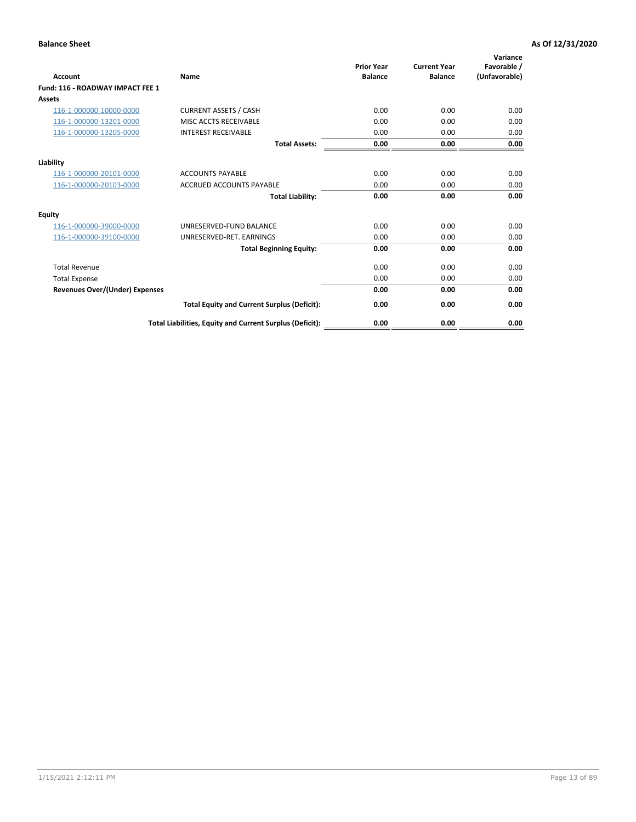| <b>Account</b>                        | <b>Name</b>                                              | <b>Prior Year</b><br><b>Balance</b> | <b>Current Year</b><br><b>Balance</b> | Variance<br>Favorable /<br>(Unfavorable) |
|---------------------------------------|----------------------------------------------------------|-------------------------------------|---------------------------------------|------------------------------------------|
| Fund: 116 - ROADWAY IMPACT FEE 1      |                                                          |                                     |                                       |                                          |
| Assets                                |                                                          |                                     |                                       |                                          |
| 116-1-000000-10000-0000               | <b>CURRENT ASSETS / CASH</b>                             | 0.00                                | 0.00                                  | 0.00                                     |
| 116-1-000000-13201-0000               | MISC ACCTS RECEIVABLE                                    | 0.00                                | 0.00                                  | 0.00                                     |
| 116-1-000000-13205-0000               | <b>INTEREST RECEIVABLE</b>                               | 0.00                                | 0.00                                  | 0.00                                     |
|                                       | <b>Total Assets:</b>                                     | 0.00                                | 0.00                                  | 0.00                                     |
| Liability                             |                                                          |                                     |                                       |                                          |
| 116-1-000000-20101-0000               | <b>ACCOUNTS PAYABLE</b>                                  | 0.00                                | 0.00                                  | 0.00                                     |
| 116-1-000000-20103-0000               | <b>ACCRUED ACCOUNTS PAYABLE</b>                          | 0.00                                | 0.00                                  | 0.00                                     |
|                                       | <b>Total Liability:</b>                                  | 0.00                                | 0.00                                  | 0.00                                     |
| Equity                                |                                                          |                                     |                                       |                                          |
| 116-1-000000-39000-0000               | UNRESERVED-FUND BALANCE                                  | 0.00                                | 0.00                                  | 0.00                                     |
| 116-1-000000-39100-0000               | UNRESERVED-RET, EARNINGS                                 | 0.00                                | 0.00                                  | 0.00                                     |
|                                       | <b>Total Beginning Equity:</b>                           | 0.00                                | 0.00                                  | 0.00                                     |
| <b>Total Revenue</b>                  |                                                          | 0.00                                | 0.00                                  | 0.00                                     |
| <b>Total Expense</b>                  |                                                          | 0.00                                | 0.00                                  | 0.00                                     |
| <b>Revenues Over/(Under) Expenses</b> |                                                          | 0.00                                | 0.00                                  | 0.00                                     |
|                                       | <b>Total Equity and Current Surplus (Deficit):</b>       | 0.00                                | 0.00                                  | 0.00                                     |
|                                       | Total Liabilities, Equity and Current Surplus (Deficit): | 0.00                                | 0.00                                  | 0.00                                     |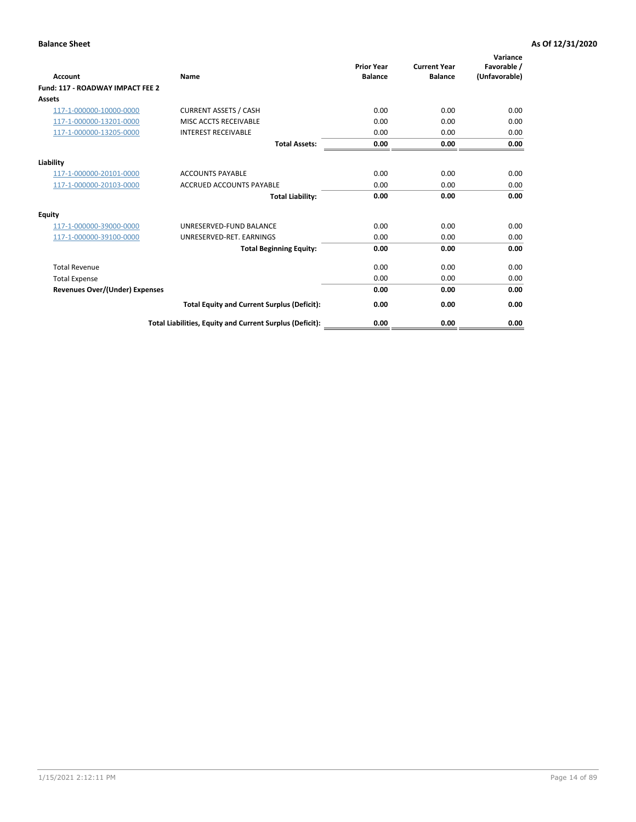| <b>Account</b>                        | <b>Name</b>                                              | <b>Prior Year</b><br><b>Balance</b> | <b>Current Year</b><br><b>Balance</b> | Variance<br>Favorable /<br>(Unfavorable) |
|---------------------------------------|----------------------------------------------------------|-------------------------------------|---------------------------------------|------------------------------------------|
| Fund: 117 - ROADWAY IMPACT FEE 2      |                                                          |                                     |                                       |                                          |
| Assets                                |                                                          |                                     |                                       |                                          |
| 117-1-000000-10000-0000               | <b>CURRENT ASSETS / CASH</b>                             | 0.00                                | 0.00                                  | 0.00                                     |
| 117-1-000000-13201-0000               | MISC ACCTS RECEIVABLE                                    | 0.00                                | 0.00                                  | 0.00                                     |
| 117-1-000000-13205-0000               | <b>INTEREST RECEIVABLE</b>                               | 0.00                                | 0.00                                  | 0.00                                     |
|                                       | <b>Total Assets:</b>                                     | 0.00                                | 0.00                                  | 0.00                                     |
| Liability                             |                                                          |                                     |                                       |                                          |
| 117-1-000000-20101-0000               | <b>ACCOUNTS PAYABLE</b>                                  | 0.00                                | 0.00                                  | 0.00                                     |
| 117-1-000000-20103-0000               | <b>ACCRUED ACCOUNTS PAYABLE</b>                          | 0.00                                | 0.00                                  | 0.00                                     |
|                                       | <b>Total Liability:</b>                                  | 0.00                                | 0.00                                  | 0.00                                     |
| Equity                                |                                                          |                                     |                                       |                                          |
| 117-1-000000-39000-0000               | UNRESERVED-FUND BALANCE                                  | 0.00                                | 0.00                                  | 0.00                                     |
| 117-1-000000-39100-0000               | UNRESERVED-RET, EARNINGS                                 | 0.00                                | 0.00                                  | 0.00                                     |
|                                       | <b>Total Beginning Equity:</b>                           | 0.00                                | 0.00                                  | 0.00                                     |
| <b>Total Revenue</b>                  |                                                          | 0.00                                | 0.00                                  | 0.00                                     |
| <b>Total Expense</b>                  |                                                          | 0.00                                | 0.00                                  | 0.00                                     |
| <b>Revenues Over/(Under) Expenses</b> |                                                          | 0.00                                | 0.00                                  | 0.00                                     |
|                                       | <b>Total Equity and Current Surplus (Deficit):</b>       | 0.00                                | 0.00                                  | 0.00                                     |
|                                       | Total Liabilities, Equity and Current Surplus (Deficit): | 0.00                                | 0.00                                  | 0.00                                     |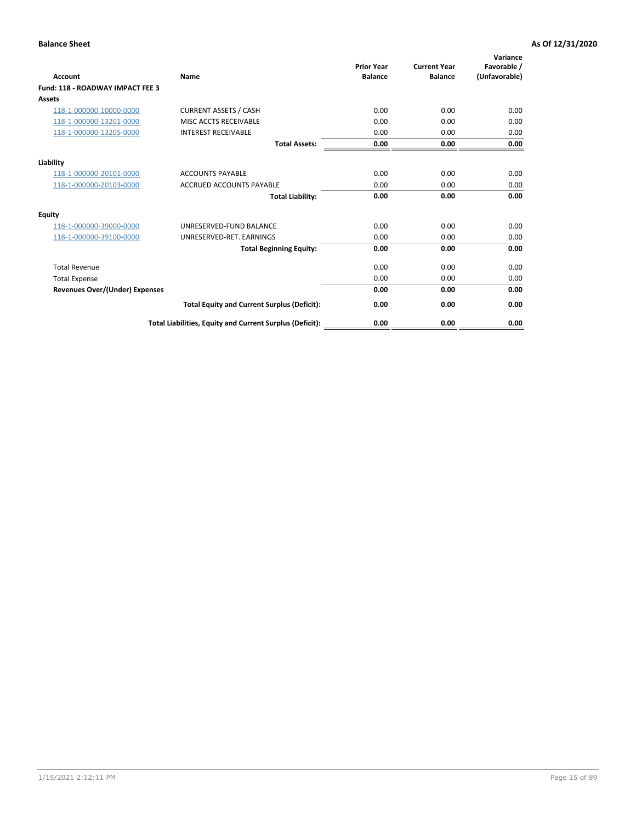| <b>Account</b>                        | <b>Name</b>                                              | <b>Prior Year</b><br><b>Balance</b> | <b>Current Year</b><br><b>Balance</b> | Variance<br>Favorable /<br>(Unfavorable) |
|---------------------------------------|----------------------------------------------------------|-------------------------------------|---------------------------------------|------------------------------------------|
| Fund: 118 - ROADWAY IMPACT FEE 3      |                                                          |                                     |                                       |                                          |
| Assets                                |                                                          |                                     |                                       |                                          |
| 118-1-000000-10000-0000               | <b>CURRENT ASSETS / CASH</b>                             | 0.00                                | 0.00                                  | 0.00                                     |
| 118-1-000000-13201-0000               | MISC ACCTS RECEIVABLE                                    | 0.00                                | 0.00                                  | 0.00                                     |
| 118-1-000000-13205-0000               | <b>INTEREST RECEIVABLE</b>                               | 0.00                                | 0.00                                  | 0.00                                     |
|                                       | <b>Total Assets:</b>                                     | 0.00                                | 0.00                                  | 0.00                                     |
| Liability                             |                                                          |                                     |                                       |                                          |
| 118-1-000000-20101-0000               | <b>ACCOUNTS PAYABLE</b>                                  | 0.00                                | 0.00                                  | 0.00                                     |
| 118-1-000000-20103-0000               | <b>ACCRUED ACCOUNTS PAYABLE</b>                          | 0.00                                | 0.00                                  | 0.00                                     |
|                                       | <b>Total Liability:</b>                                  | 0.00                                | 0.00                                  | 0.00                                     |
| Equity                                |                                                          |                                     |                                       |                                          |
| 118-1-000000-39000-0000               | UNRESERVED-FUND BALANCE                                  | 0.00                                | 0.00                                  | 0.00                                     |
| 118-1-000000-39100-0000               | UNRESERVED-RET, EARNINGS                                 | 0.00                                | 0.00                                  | 0.00                                     |
|                                       | <b>Total Beginning Equity:</b>                           | 0.00                                | 0.00                                  | 0.00                                     |
| <b>Total Revenue</b>                  |                                                          | 0.00                                | 0.00                                  | 0.00                                     |
| <b>Total Expense</b>                  |                                                          | 0.00                                | 0.00                                  | 0.00                                     |
| <b>Revenues Over/(Under) Expenses</b> |                                                          | 0.00                                | 0.00                                  | 0.00                                     |
|                                       | <b>Total Equity and Current Surplus (Deficit):</b>       | 0.00                                | 0.00                                  | 0.00                                     |
|                                       | Total Liabilities, Equity and Current Surplus (Deficit): | 0.00                                | 0.00                                  | 0.00                                     |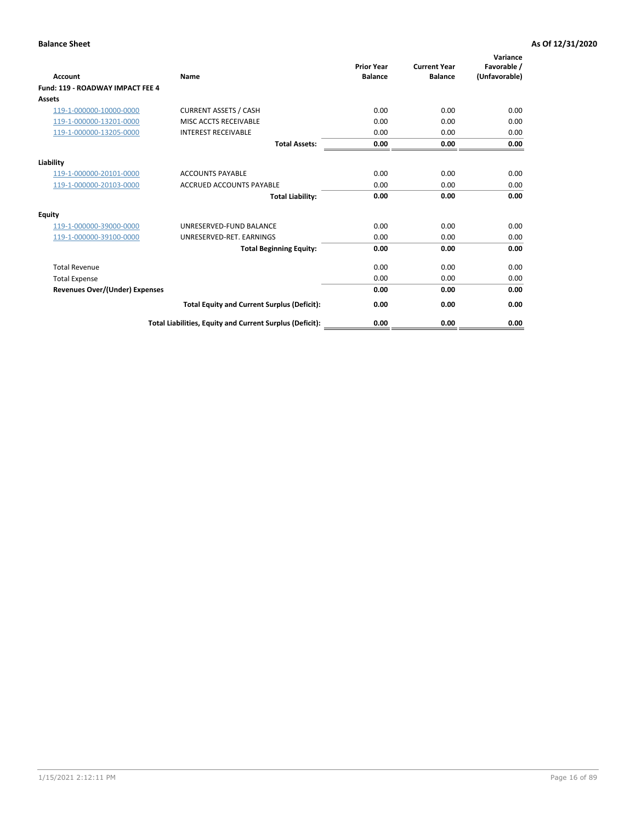| <b>Account</b>                        | <b>Name</b>                                              | <b>Prior Year</b><br><b>Balance</b> | <b>Current Year</b><br><b>Balance</b> | Variance<br>Favorable /<br>(Unfavorable) |
|---------------------------------------|----------------------------------------------------------|-------------------------------------|---------------------------------------|------------------------------------------|
| Fund: 119 - ROADWAY IMPACT FEE 4      |                                                          |                                     |                                       |                                          |
| Assets                                |                                                          |                                     |                                       |                                          |
| 119-1-000000-10000-0000               | <b>CURRENT ASSETS / CASH</b>                             | 0.00                                | 0.00                                  | 0.00                                     |
| 119-1-000000-13201-0000               | MISC ACCTS RECEIVABLE                                    | 0.00                                | 0.00                                  | 0.00                                     |
| 119-1-000000-13205-0000               | <b>INTEREST RECEIVABLE</b>                               | 0.00                                | 0.00                                  | 0.00                                     |
|                                       | <b>Total Assets:</b>                                     | 0.00                                | 0.00                                  | 0.00                                     |
| Liability                             |                                                          |                                     |                                       |                                          |
| 119-1-000000-20101-0000               | <b>ACCOUNTS PAYABLE</b>                                  | 0.00                                | 0.00                                  | 0.00                                     |
| 119-1-000000-20103-0000               | <b>ACCRUED ACCOUNTS PAYABLE</b>                          | 0.00                                | 0.00                                  | 0.00                                     |
|                                       | <b>Total Liability:</b>                                  | 0.00                                | 0.00                                  | 0.00                                     |
| Equity                                |                                                          |                                     |                                       |                                          |
| 119-1-000000-39000-0000               | UNRESERVED-FUND BALANCE                                  | 0.00                                | 0.00                                  | 0.00                                     |
| 119-1-000000-39100-0000               | UNRESERVED-RET. EARNINGS                                 | 0.00                                | 0.00                                  | 0.00                                     |
|                                       | <b>Total Beginning Equity:</b>                           | 0.00                                | 0.00                                  | 0.00                                     |
| <b>Total Revenue</b>                  |                                                          | 0.00                                | 0.00                                  | 0.00                                     |
| <b>Total Expense</b>                  |                                                          | 0.00                                | 0.00                                  | 0.00                                     |
| <b>Revenues Over/(Under) Expenses</b> |                                                          | 0.00                                | 0.00                                  | 0.00                                     |
|                                       | <b>Total Equity and Current Surplus (Deficit):</b>       | 0.00                                | 0.00                                  | 0.00                                     |
|                                       | Total Liabilities, Equity and Current Surplus (Deficit): | 0.00                                | 0.00                                  | 0.00                                     |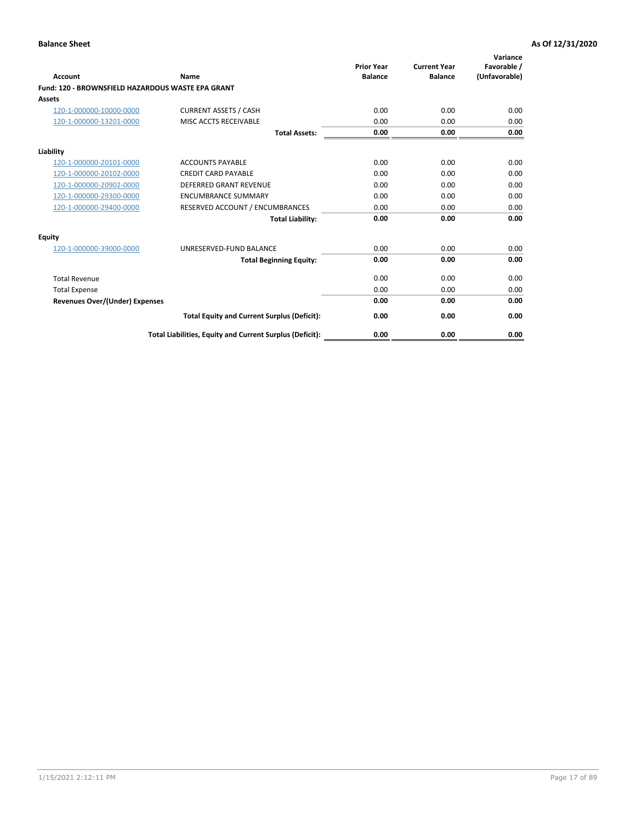|                                                   |                                                          | <b>Prior Year</b> | <b>Current Year</b> | Variance<br>Favorable / |
|---------------------------------------------------|----------------------------------------------------------|-------------------|---------------------|-------------------------|
| <b>Account</b>                                    | <b>Name</b>                                              | <b>Balance</b>    | <b>Balance</b>      | (Unfavorable)           |
| Fund: 120 - BROWNSFIELD HAZARDOUS WASTE EPA GRANT |                                                          |                   |                     |                         |
| <b>Assets</b>                                     |                                                          |                   |                     |                         |
| 120-1-000000-10000-0000                           | <b>CURRENT ASSETS / CASH</b>                             | 0.00              | 0.00                | 0.00                    |
| 120-1-000000-13201-0000                           | MISC ACCTS RECEIVABLE                                    | 0.00              | 0.00                | 0.00                    |
|                                                   | <b>Total Assets:</b>                                     | 0.00              | 0.00                | 0.00                    |
| Liability                                         |                                                          |                   |                     |                         |
| 120-1-000000-20101-0000                           | <b>ACCOUNTS PAYABLE</b>                                  | 0.00              | 0.00                | 0.00                    |
| 120-1-000000-20102-0000                           | <b>CREDIT CARD PAYABLE</b>                               | 0.00              | 0.00                | 0.00                    |
| 120-1-000000-20902-0000                           | <b>DEFERRED GRANT REVENUE</b>                            | 0.00              | 0.00                | 0.00                    |
| 120-1-000000-29300-0000                           | <b>ENCUMBRANCE SUMMARY</b>                               | 0.00              | 0.00                | 0.00                    |
| 120-1-000000-29400-0000                           | RESERVED ACCOUNT / ENCUMBRANCES                          | 0.00              | 0.00                | 0.00                    |
|                                                   | <b>Total Liability:</b>                                  | 0.00              | 0.00                | 0.00                    |
| Equity                                            |                                                          |                   |                     |                         |
| 120-1-000000-39000-0000                           | UNRESERVED-FUND BALANCE                                  | 0.00              | 0.00                | 0.00                    |
|                                                   | <b>Total Beginning Equity:</b>                           | 0.00              | 0.00                | 0.00                    |
| <b>Total Revenue</b>                              |                                                          | 0.00              | 0.00                | 0.00                    |
| <b>Total Expense</b>                              |                                                          | 0.00              | 0.00                | 0.00                    |
| <b>Revenues Over/(Under) Expenses</b>             |                                                          | 0.00              | 0.00                | 0.00                    |
|                                                   | <b>Total Equity and Current Surplus (Deficit):</b>       | 0.00              | 0.00                | 0.00                    |
|                                                   | Total Liabilities, Equity and Current Surplus (Deficit): | 0.00              | 0.00                | 0.00                    |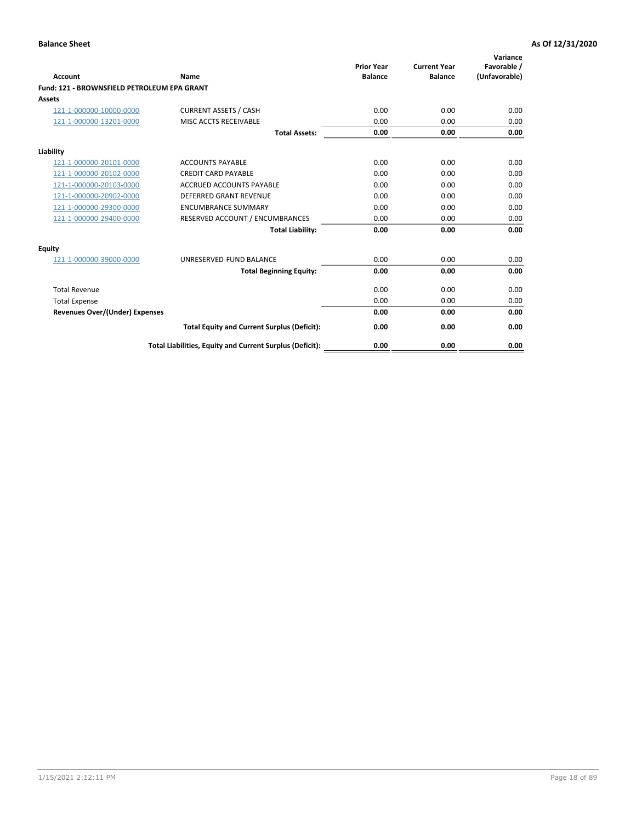| Account                                     | Name                                                     | <b>Prior Year</b><br><b>Balance</b> | <b>Current Year</b><br><b>Balance</b> | Variance<br>Favorable /<br>(Unfavorable) |
|---------------------------------------------|----------------------------------------------------------|-------------------------------------|---------------------------------------|------------------------------------------|
| Fund: 121 - BROWNSFIELD PETROLEUM EPA GRANT |                                                          |                                     |                                       |                                          |
| <b>Assets</b>                               |                                                          |                                     |                                       |                                          |
| 121-1-000000-10000-0000                     | <b>CURRENT ASSETS / CASH</b>                             | 0.00                                | 0.00                                  | 0.00                                     |
| 121-1-000000-13201-0000                     | MISC ACCTS RECEIVABLE                                    | 0.00                                | 0.00                                  | 0.00                                     |
|                                             | <b>Total Assets:</b>                                     | 0.00                                | 0.00                                  | 0.00                                     |
| Liability                                   |                                                          |                                     |                                       |                                          |
| 121-1-000000-20101-0000                     | <b>ACCOUNTS PAYABLE</b>                                  | 0.00                                | 0.00                                  | 0.00                                     |
| 121-1-000000-20102-0000                     | <b>CREDIT CARD PAYABLE</b>                               | 0.00                                | 0.00                                  | 0.00                                     |
| 121-1-000000-20103-0000                     | <b>ACCRUED ACCOUNTS PAYABLE</b>                          | 0.00                                | 0.00                                  | 0.00                                     |
| 121-1-000000-20902-0000                     | <b>DEFERRED GRANT REVENUE</b>                            | 0.00                                | 0.00                                  | 0.00                                     |
| 121-1-000000-29300-0000                     | <b>ENCUMBRANCE SUMMARY</b>                               | 0.00                                | 0.00                                  | 0.00                                     |
| 121-1-000000-29400-0000                     | RESERVED ACCOUNT / ENCUMBRANCES                          | 0.00                                | 0.00                                  | 0.00                                     |
|                                             | <b>Total Liability:</b>                                  | 0.00                                | 0.00                                  | 0.00                                     |
| <b>Equity</b>                               |                                                          |                                     |                                       |                                          |
| 121-1-000000-39000-0000                     | UNRESERVED-FUND BALANCE                                  | 0.00                                | 0.00                                  | 0.00                                     |
|                                             | <b>Total Beginning Equity:</b>                           | 0.00                                | 0.00                                  | 0.00                                     |
| <b>Total Revenue</b>                        |                                                          | 0.00                                | 0.00                                  | 0.00                                     |
| <b>Total Expense</b>                        |                                                          | 0.00                                | 0.00                                  | 0.00                                     |
| <b>Revenues Over/(Under) Expenses</b>       |                                                          | 0.00                                | 0.00                                  | 0.00                                     |
|                                             | <b>Total Equity and Current Surplus (Deficit):</b>       | 0.00                                | 0.00                                  | 0.00                                     |
|                                             | Total Liabilities, Equity and Current Surplus (Deficit): | 0.00                                | 0.00                                  | 0.00                                     |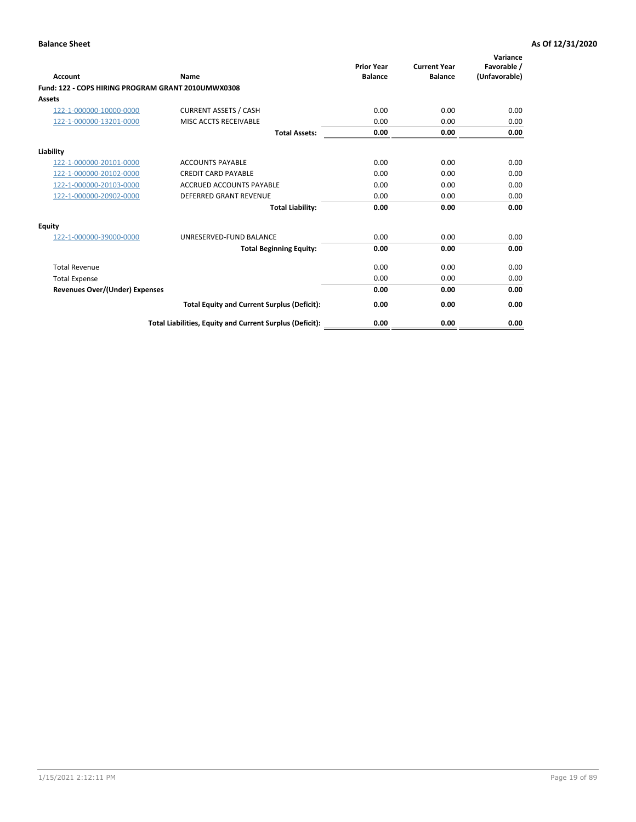| <b>Account</b>                                     | Name                                                     | <b>Prior Year</b><br><b>Balance</b> | <b>Current Year</b><br><b>Balance</b> | Variance<br>Favorable /<br>(Unfavorable) |
|----------------------------------------------------|----------------------------------------------------------|-------------------------------------|---------------------------------------|------------------------------------------|
| Fund: 122 - COPS HIRING PROGRAM GRANT 2010UMWX0308 |                                                          |                                     |                                       |                                          |
| Assets                                             |                                                          |                                     |                                       |                                          |
| 122-1-000000-10000-0000                            | <b>CURRENT ASSETS / CASH</b>                             | 0.00                                | 0.00                                  | 0.00                                     |
| 122-1-000000-13201-0000                            | MISC ACCTS RECEIVABLE                                    | 0.00                                | 0.00                                  | 0.00                                     |
|                                                    | <b>Total Assets:</b>                                     | 0.00                                | 0.00                                  | 0.00                                     |
| Liability                                          |                                                          |                                     |                                       |                                          |
| 122-1-000000-20101-0000                            | <b>ACCOUNTS PAYABLE</b>                                  | 0.00                                | 0.00                                  | 0.00                                     |
| 122-1-000000-20102-0000                            | <b>CREDIT CARD PAYABLE</b>                               | 0.00                                | 0.00                                  | 0.00                                     |
| 122-1-000000-20103-0000                            | <b>ACCRUED ACCOUNTS PAYABLE</b>                          | 0.00                                | 0.00                                  | 0.00                                     |
| 122-1-000000-20902-0000                            | <b>DEFERRED GRANT REVENUE</b>                            | 0.00                                | 0.00                                  | 0.00                                     |
|                                                    | <b>Total Liability:</b>                                  | 0.00                                | 0.00                                  | 0.00                                     |
| Equity                                             |                                                          |                                     |                                       |                                          |
| 122-1-000000-39000-0000                            | UNRESERVED-FUND BALANCE                                  | 0.00                                | 0.00                                  | 0.00                                     |
|                                                    | <b>Total Beginning Equity:</b>                           | 0.00                                | 0.00                                  | 0.00                                     |
| <b>Total Revenue</b>                               |                                                          | 0.00                                | 0.00                                  | 0.00                                     |
| <b>Total Expense</b>                               |                                                          | 0.00                                | 0.00                                  | 0.00                                     |
| <b>Revenues Over/(Under) Expenses</b>              |                                                          | 0.00                                | 0.00                                  | 0.00                                     |
|                                                    | <b>Total Equity and Current Surplus (Deficit):</b>       | 0.00                                | 0.00                                  | 0.00                                     |
|                                                    | Total Liabilities, Equity and Current Surplus (Deficit): | 0.00                                | 0.00                                  | 0.00                                     |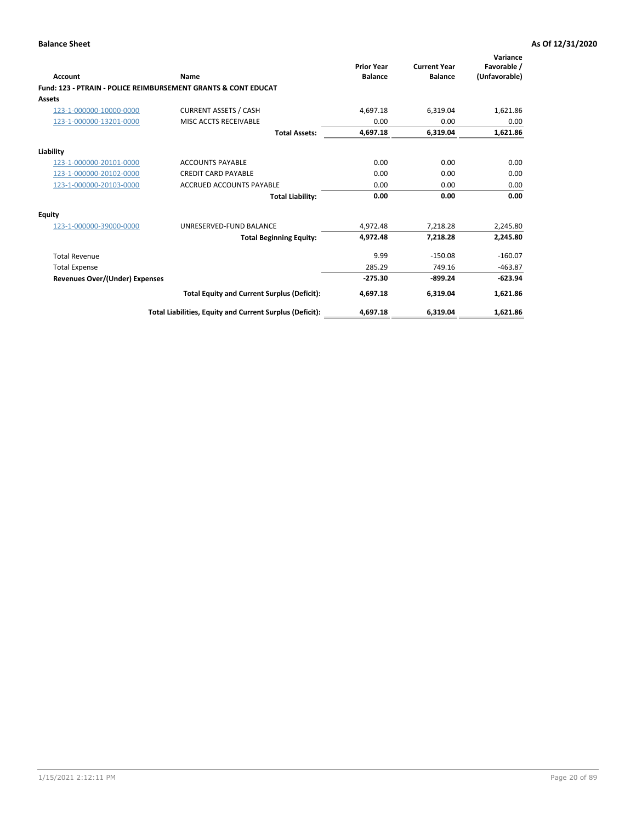| Account                        | Name                                                           | <b>Prior Year</b><br><b>Balance</b> | <b>Current Year</b><br><b>Balance</b> | Variance<br>Favorable /<br>(Unfavorable) |
|--------------------------------|----------------------------------------------------------------|-------------------------------------|---------------------------------------|------------------------------------------|
|                                | Fund: 123 - PTRAIN - POLICE REIMBURSEMENT GRANTS & CONT EDUCAT |                                     |                                       |                                          |
| Assets                         |                                                                |                                     |                                       |                                          |
| 123-1-000000-10000-0000        | <b>CURRENT ASSETS / CASH</b>                                   | 4,697.18                            | 6,319.04                              | 1,621.86                                 |
| 123-1-000000-13201-0000        | MISC ACCTS RECEIVABLE                                          | 0.00                                | 0.00                                  | 0.00                                     |
|                                | <b>Total Assets:</b>                                           | 4,697.18                            | 6,319.04                              | 1,621.86                                 |
| Liability                      |                                                                |                                     |                                       |                                          |
| 123-1-000000-20101-0000        | <b>ACCOUNTS PAYABLE</b>                                        | 0.00                                | 0.00                                  | 0.00                                     |
| 123-1-000000-20102-0000        | <b>CREDIT CARD PAYABLE</b>                                     | 0.00                                | 0.00                                  | 0.00                                     |
| 123-1-000000-20103-0000        | <b>ACCRUED ACCOUNTS PAYABLE</b>                                | 0.00                                | 0.00                                  | 0.00                                     |
|                                | <b>Total Liability:</b>                                        | 0.00                                | 0.00                                  | 0.00                                     |
| Equity                         |                                                                |                                     |                                       |                                          |
| 123-1-000000-39000-0000        | UNRESERVED-FUND BALANCE                                        | 4,972.48                            | 7,218.28                              | 2,245.80                                 |
|                                | <b>Total Beginning Equity:</b>                                 | 4,972.48                            | 7,218.28                              | 2,245.80                                 |
| <b>Total Revenue</b>           |                                                                | 9.99                                | $-150.08$                             | $-160.07$                                |
| <b>Total Expense</b>           |                                                                | 285.29                              | 749.16                                | $-463.87$                                |
| Revenues Over/(Under) Expenses |                                                                | $-275.30$                           | $-899.24$                             | $-623.94$                                |
|                                | <b>Total Equity and Current Surplus (Deficit):</b>             | 4,697.18                            | 6,319.04                              | 1,621.86                                 |
|                                | Total Liabilities, Equity and Current Surplus (Deficit):       | 4,697.18                            | 6,319.04                              | 1,621.86                                 |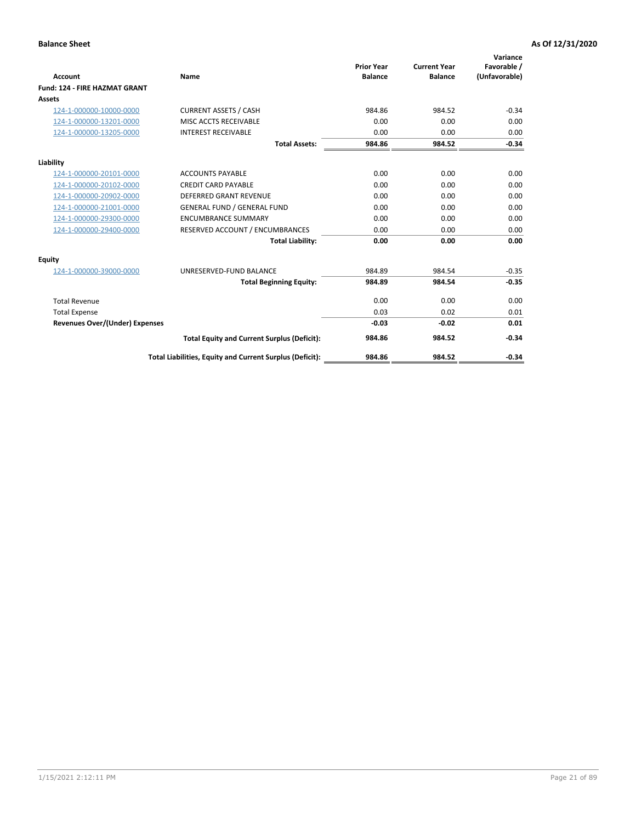|                                      |                                                          |                                     |                                       | Variance                     |
|--------------------------------------|----------------------------------------------------------|-------------------------------------|---------------------------------------|------------------------------|
| <b>Account</b>                       | <b>Name</b>                                              | <b>Prior Year</b><br><b>Balance</b> | <b>Current Year</b><br><b>Balance</b> | Favorable /<br>(Unfavorable) |
| <b>Fund: 124 - FIRE HAZMAT GRANT</b> |                                                          |                                     |                                       |                              |
| <b>Assets</b>                        |                                                          |                                     |                                       |                              |
| 124-1-000000-10000-0000              | <b>CURRENT ASSETS / CASH</b>                             | 984.86                              | 984.52                                | $-0.34$                      |
| 124-1-000000-13201-0000              | MISC ACCTS RECEIVABLE                                    | 0.00                                | 0.00                                  | 0.00                         |
| 124-1-000000-13205-0000              | <b>INTEREST RECEIVABLE</b>                               | 0.00                                | 0.00                                  | 0.00                         |
|                                      | <b>Total Assets:</b>                                     | 984.86                              | 984.52                                | $-0.34$                      |
| Liability                            |                                                          |                                     |                                       |                              |
| 124-1-000000-20101-0000              | <b>ACCOUNTS PAYABLE</b>                                  | 0.00                                | 0.00                                  | 0.00                         |
| 124-1-000000-20102-0000              | <b>CREDIT CARD PAYABLE</b>                               | 0.00                                | 0.00                                  | 0.00                         |
| 124-1-000000-20902-0000              | <b>DEFERRED GRANT REVENUE</b>                            | 0.00                                | 0.00                                  | 0.00                         |
| 124-1-000000-21001-0000              | <b>GENERAL FUND / GENERAL FUND</b>                       | 0.00                                | 0.00                                  | 0.00                         |
| 124-1-000000-29300-0000              | <b>ENCUMBRANCE SUMMARY</b>                               | 0.00                                | 0.00                                  | 0.00                         |
| 124-1-000000-29400-0000              | RESERVED ACCOUNT / ENCUMBRANCES                          | 0.00                                | 0.00                                  | 0.00                         |
|                                      | <b>Total Liability:</b>                                  | 0.00                                | 0.00                                  | 0.00                         |
| Equity                               |                                                          |                                     |                                       |                              |
| 124-1-000000-39000-0000              | UNRESERVED-FUND BALANCE                                  | 984.89                              | 984.54                                | $-0.35$                      |
|                                      | <b>Total Beginning Equity:</b>                           | 984.89                              | 984.54                                | $-0.35$                      |
| <b>Total Revenue</b>                 |                                                          | 0.00                                | 0.00                                  | 0.00                         |
| <b>Total Expense</b>                 |                                                          | 0.03                                | 0.02                                  | 0.01                         |
| Revenues Over/(Under) Expenses       |                                                          | $-0.03$                             | $-0.02$                               | 0.01                         |
|                                      | <b>Total Equity and Current Surplus (Deficit):</b>       | 984.86                              | 984.52                                | $-0.34$                      |
|                                      | Total Liabilities, Equity and Current Surplus (Deficit): | 984.86                              | 984.52                                | $-0.34$                      |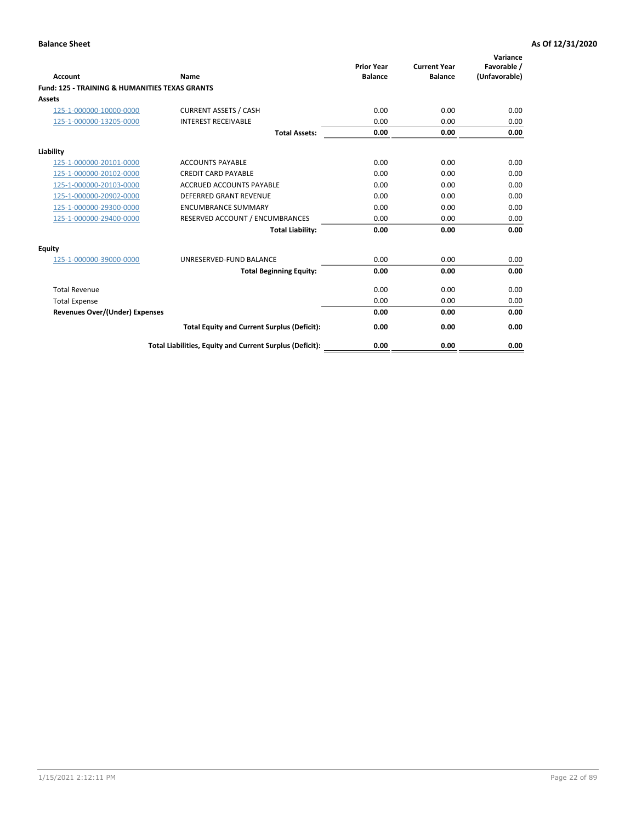| Account                                                   | Name                                                     | <b>Prior Year</b><br><b>Balance</b> | <b>Current Year</b><br><b>Balance</b> | Variance<br>Favorable /<br>(Unfavorable) |
|-----------------------------------------------------------|----------------------------------------------------------|-------------------------------------|---------------------------------------|------------------------------------------|
| <b>Fund: 125 - TRAINING &amp; HUMANITIES TEXAS GRANTS</b> |                                                          |                                     |                                       |                                          |
| <b>Assets</b>                                             |                                                          |                                     |                                       |                                          |
| 125-1-000000-10000-0000                                   | <b>CURRENT ASSETS / CASH</b>                             | 0.00                                | 0.00                                  | 0.00                                     |
| 125-1-000000-13205-0000                                   | <b>INTEREST RECEIVABLE</b>                               | 0.00                                | 0.00                                  | 0.00                                     |
|                                                           | <b>Total Assets:</b>                                     | 0.00                                | 0.00                                  | 0.00                                     |
| Liability                                                 |                                                          |                                     |                                       |                                          |
| 125-1-000000-20101-0000                                   | <b>ACCOUNTS PAYABLE</b>                                  | 0.00                                | 0.00                                  | 0.00                                     |
| 125-1-000000-20102-0000                                   | <b>CREDIT CARD PAYABLE</b>                               | 0.00                                | 0.00                                  | 0.00                                     |
| 125-1-000000-20103-0000                                   | <b>ACCRUED ACCOUNTS PAYABLE</b>                          | 0.00                                | 0.00                                  | 0.00                                     |
| 125-1-000000-20902-0000                                   | <b>DEFERRED GRANT REVENUE</b>                            | 0.00                                | 0.00                                  | 0.00                                     |
| 125-1-000000-29300-0000                                   | <b>ENCUMBRANCE SUMMARY</b>                               | 0.00                                | 0.00                                  | 0.00                                     |
| 125-1-000000-29400-0000                                   | RESERVED ACCOUNT / ENCUMBRANCES                          | 0.00                                | 0.00                                  | 0.00                                     |
|                                                           | <b>Total Liability:</b>                                  | 0.00                                | 0.00                                  | 0.00                                     |
| <b>Equity</b>                                             |                                                          |                                     |                                       |                                          |
| 125-1-000000-39000-0000                                   | UNRESERVED-FUND BALANCE                                  | 0.00                                | 0.00                                  | 0.00                                     |
|                                                           | <b>Total Beginning Equity:</b>                           | 0.00                                | 0.00                                  | 0.00                                     |
| <b>Total Revenue</b>                                      |                                                          | 0.00                                | 0.00                                  | 0.00                                     |
| <b>Total Expense</b>                                      |                                                          | 0.00                                | 0.00                                  | 0.00                                     |
| <b>Revenues Over/(Under) Expenses</b>                     |                                                          | 0.00                                | 0.00                                  | 0.00                                     |
|                                                           | <b>Total Equity and Current Surplus (Deficit):</b>       | 0.00                                | 0.00                                  | 0.00                                     |
|                                                           | Total Liabilities, Equity and Current Surplus (Deficit): | 0.00                                | 0.00                                  | 0.00                                     |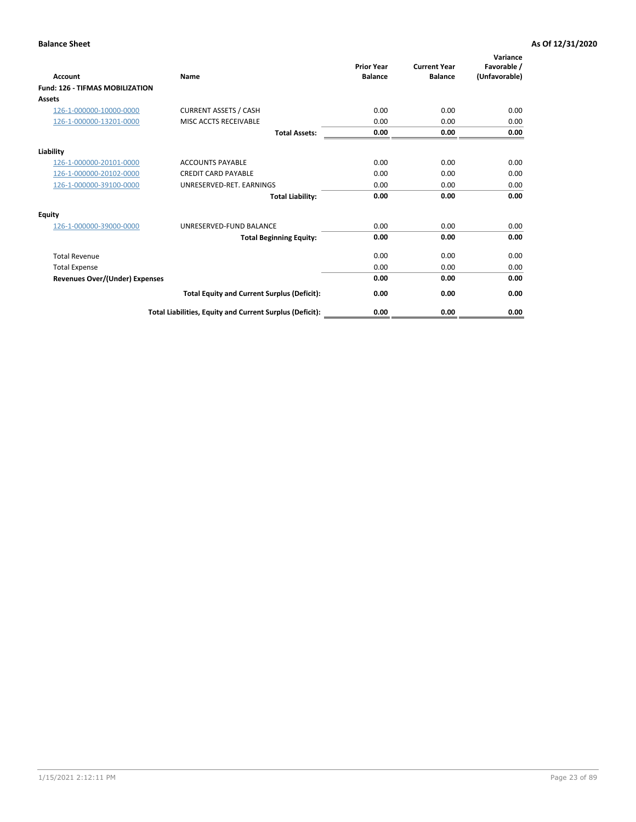| Account                                | Name                                                     | <b>Prior Year</b><br><b>Balance</b> | <b>Current Year</b><br><b>Balance</b> | Variance<br>Favorable /<br>(Unfavorable) |
|----------------------------------------|----------------------------------------------------------|-------------------------------------|---------------------------------------|------------------------------------------|
| <b>Fund: 126 - TIFMAS MOBILIZATION</b> |                                                          |                                     |                                       |                                          |
| Assets                                 |                                                          |                                     |                                       |                                          |
| 126-1-000000-10000-0000                | <b>CURRENT ASSETS / CASH</b>                             | 0.00                                | 0.00                                  | 0.00                                     |
| 126-1-000000-13201-0000                | MISC ACCTS RECEIVABLE                                    | 0.00                                | 0.00                                  | 0.00                                     |
|                                        | <b>Total Assets:</b>                                     | 0.00                                | 0.00                                  | 0.00                                     |
| Liability                              |                                                          |                                     |                                       |                                          |
| 126-1-000000-20101-0000                | <b>ACCOUNTS PAYABLE</b>                                  | 0.00                                | 0.00                                  | 0.00                                     |
| 126-1-000000-20102-0000                | <b>CREDIT CARD PAYABLE</b>                               | 0.00                                | 0.00                                  | 0.00                                     |
| 126-1-000000-39100-0000                | UNRESERVED-RET. EARNINGS                                 | 0.00                                | 0.00                                  | 0.00                                     |
|                                        | <b>Total Liability:</b>                                  | 0.00                                | 0.00                                  | 0.00                                     |
| Equity                                 |                                                          |                                     |                                       |                                          |
| 126-1-000000-39000-0000                | UNRESERVED-FUND BALANCE                                  | 0.00                                | 0.00                                  | 0.00                                     |
|                                        | <b>Total Beginning Equity:</b>                           | 0.00                                | 0.00                                  | 0.00                                     |
| <b>Total Revenue</b>                   |                                                          | 0.00                                | 0.00                                  | 0.00                                     |
| <b>Total Expense</b>                   |                                                          | 0.00                                | 0.00                                  | 0.00                                     |
| Revenues Over/(Under) Expenses         |                                                          | 0.00                                | 0.00                                  | 0.00                                     |
|                                        | <b>Total Equity and Current Surplus (Deficit):</b>       | 0.00                                | 0.00                                  | 0.00                                     |
|                                        | Total Liabilities, Equity and Current Surplus (Deficit): | 0.00                                | 0.00                                  | 0.00                                     |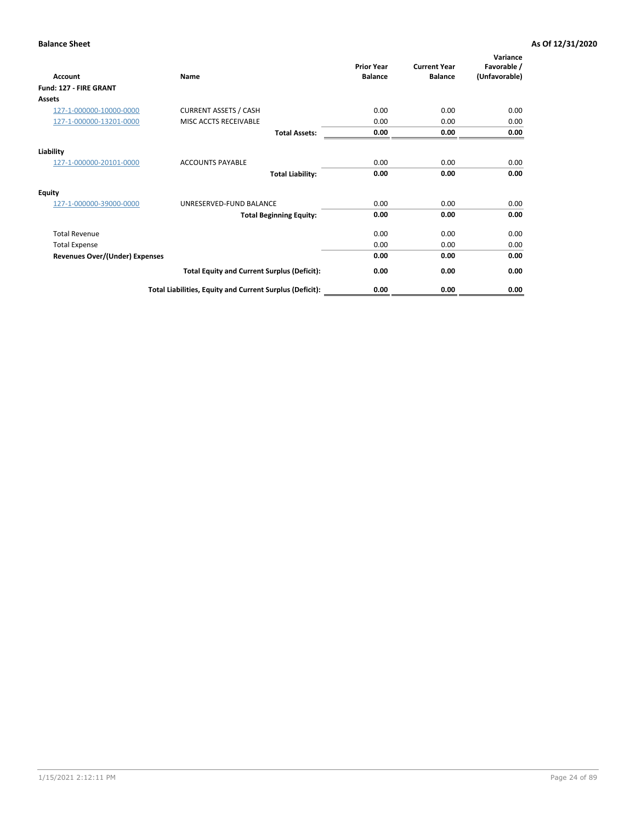| <b>Account</b>                        | Name                                                     | <b>Prior Year</b><br><b>Balance</b> | <b>Current Year</b><br><b>Balance</b> | Variance<br>Favorable /<br>(Unfavorable) |
|---------------------------------------|----------------------------------------------------------|-------------------------------------|---------------------------------------|------------------------------------------|
| Fund: 127 - FIRE GRANT                |                                                          |                                     |                                       |                                          |
| Assets                                |                                                          |                                     |                                       |                                          |
| 127-1-000000-10000-0000               | <b>CURRENT ASSETS / CASH</b>                             | 0.00                                | 0.00                                  | 0.00                                     |
| 127-1-000000-13201-0000               | MISC ACCTS RECEIVABLE                                    | 0.00                                | 0.00                                  | 0.00                                     |
|                                       | <b>Total Assets:</b>                                     | 0.00                                | 0.00                                  | 0.00                                     |
| Liability                             |                                                          |                                     |                                       |                                          |
| 127-1-000000-20101-0000               | <b>ACCOUNTS PAYABLE</b>                                  | 0.00                                | 0.00                                  | 0.00                                     |
|                                       | <b>Total Liability:</b>                                  | 0.00                                | 0.00                                  | 0.00                                     |
| <b>Equity</b>                         |                                                          |                                     |                                       |                                          |
| 127-1-000000-39000-0000               | UNRESERVED-FUND BALANCE                                  | 0.00                                | 0.00                                  | 0.00                                     |
|                                       | <b>Total Beginning Equity:</b>                           | 0.00                                | 0.00                                  | 0.00                                     |
| <b>Total Revenue</b>                  |                                                          | 0.00                                | 0.00                                  | 0.00                                     |
| <b>Total Expense</b>                  |                                                          | 0.00                                | 0.00                                  | 0.00                                     |
| <b>Revenues Over/(Under) Expenses</b> |                                                          | 0.00                                | 0.00                                  | 0.00                                     |
|                                       | <b>Total Equity and Current Surplus (Deficit):</b>       | 0.00                                | 0.00                                  | 0.00                                     |
|                                       | Total Liabilities, Equity and Current Surplus (Deficit): | 0.00                                | 0.00                                  | 0.00                                     |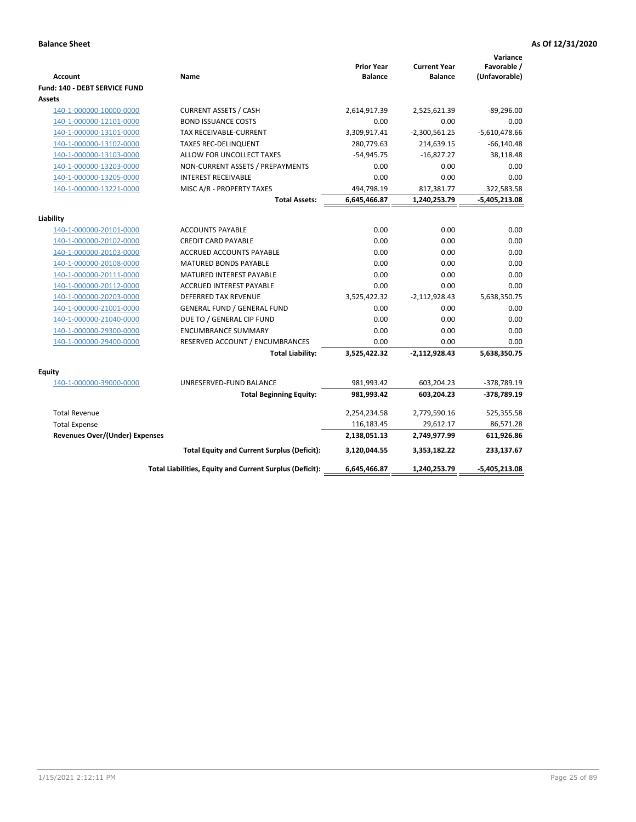|                                                    |                                                               |                                     |                                       | Variance                     |
|----------------------------------------------------|---------------------------------------------------------------|-------------------------------------|---------------------------------------|------------------------------|
| <b>Account</b>                                     | Name                                                          | <b>Prior Year</b><br><b>Balance</b> | <b>Current Year</b><br><b>Balance</b> | Favorable /<br>(Unfavorable) |
| <b>Fund: 140 - DEBT SERVICE FUND</b>               |                                                               |                                     |                                       |                              |
| Assets                                             |                                                               |                                     |                                       |                              |
| 140-1-000000-10000-0000                            | <b>CURRENT ASSETS / CASH</b>                                  | 2,614,917.39                        | 2,525,621.39                          | $-89,296.00$                 |
| 140-1-000000-12101-0000                            | <b>BOND ISSUANCE COSTS</b>                                    | 0.00                                | 0.00                                  | 0.00                         |
| 140-1-000000-13101-0000                            | <b>TAX RECEIVABLE-CURRENT</b>                                 | 3,309,917.41                        | $-2,300,561.25$                       | $-5,610,478.66$              |
| 140-1-000000-13102-0000                            | <b>TAXES REC-DELINQUENT</b>                                   | 280,779.63                          | 214,639.15                            | $-66,140.48$                 |
| 140-1-000000-13103-0000                            | ALLOW FOR UNCOLLECT TAXES                                     | $-54,945.75$                        | $-16,827.27$                          | 38,118.48                    |
| 140-1-000000-13203-0000                            | NON-CURRENT ASSETS / PREPAYMENTS                              | 0.00                                | 0.00                                  | 0.00                         |
| 140-1-000000-13205-0000                            | <b>INTEREST RECEIVABLE</b>                                    | 0.00                                | 0.00                                  | 0.00                         |
| 140-1-000000-13221-0000                            | MISC A/R - PROPERTY TAXES                                     | 494,798.19                          | 817,381.77                            | 322,583.58                   |
|                                                    | <b>Total Assets:</b>                                          | 6,645,466.87                        | 1,240,253.79                          | $-5,405,213.08$              |
|                                                    |                                                               |                                     |                                       |                              |
| Liability                                          |                                                               |                                     |                                       |                              |
| 140-1-000000-20101-0000                            | <b>ACCOUNTS PAYABLE</b>                                       | 0.00                                | 0.00<br>0.00                          | 0.00<br>0.00                 |
| 140-1-000000-20102-0000<br>140-1-000000-20103-0000 | <b>CREDIT CARD PAYABLE</b><br><b>ACCRUED ACCOUNTS PAYABLE</b> | 0.00<br>0.00                        | 0.00                                  | 0.00                         |
| 140-1-000000-20108-0000                            | <b>MATURED BONDS PAYABLE</b>                                  | 0.00                                | 0.00                                  | 0.00                         |
| 140-1-000000-20111-0000                            | MATURED INTEREST PAYABLE                                      | 0.00                                | 0.00                                  | 0.00                         |
| 140-1-000000-20112-0000                            | <b>ACCRUED INTEREST PAYABLE</b>                               | 0.00                                | 0.00                                  | 0.00                         |
| 140-1-000000-20203-0000                            | <b>DEFERRED TAX REVENUE</b>                                   | 3,525,422.32                        | $-2,112,928.43$                       | 5,638,350.75                 |
| 140-1-000000-21001-0000                            | <b>GENERAL FUND / GENERAL FUND</b>                            | 0.00                                | 0.00                                  | 0.00                         |
| 140-1-000000-21040-0000                            | DUE TO / GENERAL CIP FUND                                     | 0.00                                | 0.00                                  | 0.00                         |
| 140-1-000000-29300-0000                            | <b>ENCUMBRANCE SUMMARY</b>                                    | 0.00                                | 0.00                                  | 0.00                         |
| 140-1-000000-29400-0000                            | RESERVED ACCOUNT / ENCUMBRANCES                               | 0.00                                | 0.00                                  | 0.00                         |
|                                                    | <b>Total Liability:</b>                                       | 3,525,422.32                        | $-2,112,928.43$                       | 5,638,350.75                 |
|                                                    |                                                               |                                     |                                       |                              |
| <b>Equity</b>                                      |                                                               |                                     |                                       |                              |
| 140-1-000000-39000-0000                            | UNRESERVED-FUND BALANCE                                       | 981,993.42                          | 603,204.23                            | -378,789.19                  |
|                                                    | <b>Total Beginning Equity:</b>                                | 981,993.42                          | 603,204.23                            | -378,789.19                  |
| <b>Total Revenue</b>                               |                                                               | 2,254,234.58                        | 2,779,590.16                          | 525,355.58                   |
| <b>Total Expense</b>                               |                                                               | 116,183.45                          | 29,612.17                             | 86,571.28                    |
| <b>Revenues Over/(Under) Expenses</b>              |                                                               | 2,138,051.13                        | 2,749,977.99                          | 611,926.86                   |
|                                                    | <b>Total Equity and Current Surplus (Deficit):</b>            | 3,120,044.55                        | 3,353,182.22                          | 233,137.67                   |
|                                                    | Total Liabilities, Equity and Current Surplus (Deficit):      | 6,645,466.87                        | 1,240,253.79                          | $-5,405,213.08$              |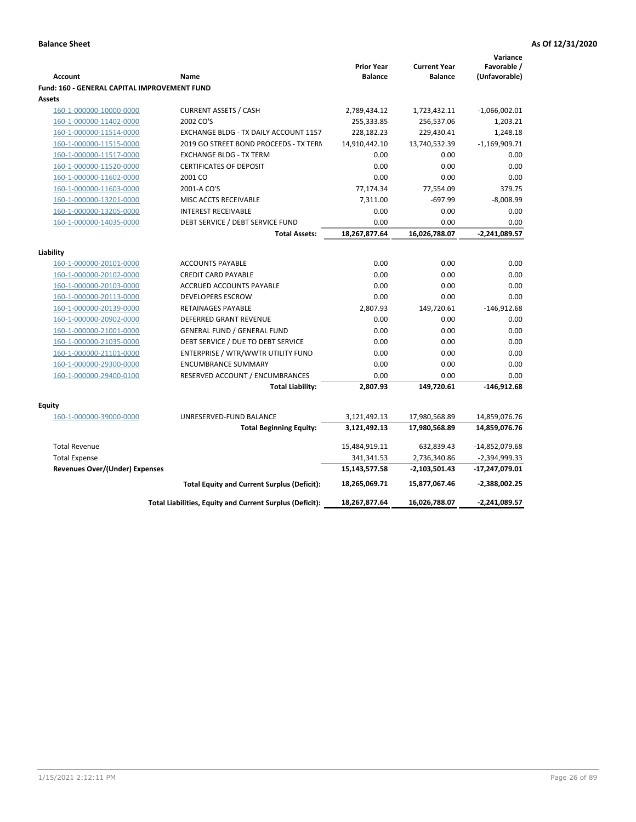|                                              |                                                          |                                     |                                       | Variance                     |
|----------------------------------------------|----------------------------------------------------------|-------------------------------------|---------------------------------------|------------------------------|
| <b>Account</b>                               | Name                                                     | <b>Prior Year</b><br><b>Balance</b> | <b>Current Year</b><br><b>Balance</b> | Favorable /<br>(Unfavorable) |
| Fund: 160 - GENERAL CAPITAL IMPROVEMENT FUND |                                                          |                                     |                                       |                              |
| <b>Assets</b>                                |                                                          |                                     |                                       |                              |
| 160-1-000000-10000-0000                      | <b>CURRENT ASSETS / CASH</b>                             | 2,789,434.12                        | 1,723,432.11                          | $-1,066,002.01$              |
| 160-1-000000-11402-0000                      | 2002 CO'S                                                | 255,333.85                          | 256,537.06                            | 1,203.21                     |
| 160-1-000000-11514-0000                      | EXCHANGE BLDG - TX DAILY ACCOUNT 1157                    | 228,182.23                          | 229,430.41                            | 1,248.18                     |
| 160-1-000000-11515-0000                      | 2019 GO STREET BOND PROCEEDS - TX TERN                   | 14,910,442.10                       | 13,740,532.39                         | $-1,169,909.71$              |
| 160-1-000000-11517-0000                      | <b>EXCHANGE BLDG - TX TERM</b>                           | 0.00                                | 0.00                                  | 0.00                         |
| 160-1-000000-11520-0000                      | <b>CERTIFICATES OF DEPOSIT</b>                           | 0.00                                | 0.00                                  | 0.00                         |
| 160-1-000000-11602-0000                      | 2001 CO                                                  | 0.00                                | 0.00                                  | 0.00                         |
| 160-1-000000-11603-0000                      | 2001-A CO'S                                              | 77,174.34                           | 77,554.09                             | 379.75                       |
| 160-1-000000-13201-0000                      | MISC ACCTS RECEIVABLE                                    | 7,311.00                            | $-697.99$                             | $-8,008.99$                  |
| 160-1-000000-13205-0000                      | <b>INTEREST RECEIVABLE</b>                               | 0.00                                | 0.00                                  | 0.00                         |
| 160-1-000000-14035-0000                      | DEBT SERVICE / DEBT SERVICE FUND                         | 0.00                                | 0.00                                  | 0.00                         |
|                                              | <b>Total Assets:</b>                                     | 18,267,877.64                       | 16,026,788.07                         | $-2,241,089.57$              |
|                                              |                                                          |                                     |                                       |                              |
| Liability                                    |                                                          |                                     |                                       |                              |
| 160-1-000000-20101-0000                      | <b>ACCOUNTS PAYABLE</b>                                  | 0.00                                | 0.00                                  | 0.00                         |
| 160-1-000000-20102-0000                      | <b>CREDIT CARD PAYABLE</b>                               | 0.00                                | 0.00                                  | 0.00                         |
| 160-1-000000-20103-0000                      | ACCRUED ACCOUNTS PAYABLE                                 | 0.00                                | 0.00                                  | 0.00                         |
| 160-1-000000-20113-0000                      | <b>DEVELOPERS ESCROW</b>                                 | 0.00                                | 0.00                                  | 0.00                         |
| 160-1-000000-20139-0000                      | <b>RETAINAGES PAYABLE</b>                                | 2,807.93                            | 149,720.61                            | $-146,912.68$                |
| 160-1-000000-20902-0000                      | <b>DEFERRED GRANT REVENUE</b>                            | 0.00                                | 0.00                                  | 0.00                         |
| 160-1-000000-21001-0000                      | <b>GENERAL FUND / GENERAL FUND</b>                       | 0.00                                | 0.00                                  | 0.00                         |
| 160-1-000000-21035-0000                      | DEBT SERVICE / DUE TO DEBT SERVICE                       | 0.00                                | 0.00                                  | 0.00                         |
| 160-1-000000-21101-0000                      | ENTERPRISE / WTR/WWTR UTILITY FUND                       | 0.00                                | 0.00                                  | 0.00                         |
| 160-1-000000-29300-0000                      | <b>ENCUMBRANCE SUMMARY</b>                               | 0.00                                | 0.00                                  | 0.00                         |
| 160-1-000000-29400-0100                      | RESERVED ACCOUNT / ENCUMBRANCES                          | 0.00                                | 0.00                                  | 0.00                         |
|                                              | <b>Total Liability:</b>                                  | 2,807.93                            | 149,720.61                            | $-146,912.68$                |
| <b>Equity</b>                                |                                                          |                                     |                                       |                              |
| 160-1-000000-39000-0000                      | UNRESERVED-FUND BALANCE                                  | 3,121,492.13                        | 17,980,568.89                         | 14,859,076.76                |
|                                              | <b>Total Beginning Equity:</b>                           | 3,121,492.13                        | 17,980,568.89                         | 14,859,076.76                |
|                                              |                                                          |                                     |                                       |                              |
| <b>Total Revenue</b>                         |                                                          | 15,484,919.11                       | 632,839.43                            | -14,852,079.68               |
| <b>Total Expense</b>                         |                                                          | 341,341.53                          | 2,736,340.86                          | $-2,394,999.33$              |
| <b>Revenues Over/(Under) Expenses</b>        |                                                          | 15,143,577.58                       | -2,103,501.43                         | -17,247,079.01               |
|                                              | Total Equity and Current Surplus (Deficit):              | 18,265,069.71                       | 15,877,067.46                         | -2,388,002.25                |
|                                              | Total Liabilities, Equity and Current Surplus (Deficit): | 18,267,877.64                       | 16,026,788.07                         | -2,241,089.57                |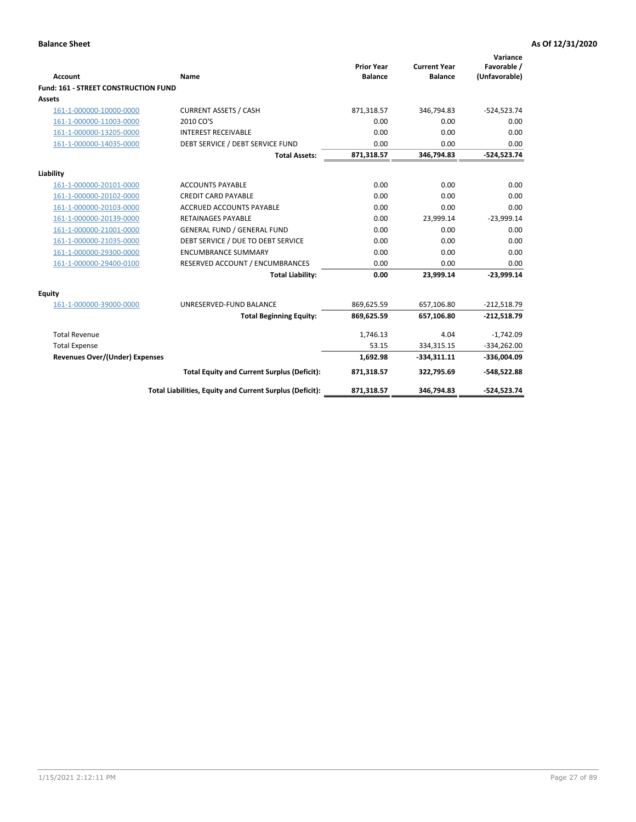| <b>Account</b>                       | <b>Name</b>                                              | <b>Prior Year</b><br><b>Balance</b> | <b>Current Year</b><br><b>Balance</b> | Variance<br>Favorable /<br>(Unfavorable) |
|--------------------------------------|----------------------------------------------------------|-------------------------------------|---------------------------------------|------------------------------------------|
| Fund: 161 - STREET CONSTRUCTION FUND |                                                          |                                     |                                       |                                          |
| <b>Assets</b>                        |                                                          |                                     |                                       |                                          |
| 161-1-000000-10000-0000              | <b>CURRENT ASSETS / CASH</b>                             | 871,318.57                          | 346,794.83                            | $-524,523.74$                            |
| 161-1-000000-11003-0000              | 2010 CO'S                                                | 0.00                                | 0.00                                  | 0.00                                     |
| 161-1-000000-13205-0000              | <b>INTEREST RECEIVABLE</b>                               | 0.00                                | 0.00                                  | 0.00                                     |
| 161-1-000000-14035-0000              | DEBT SERVICE / DEBT SERVICE FUND                         | 0.00                                | 0.00                                  | 0.00                                     |
|                                      | <b>Total Assets:</b>                                     | 871,318.57                          | 346,794.83                            | $-524,523.74$                            |
| Liability                            |                                                          |                                     |                                       |                                          |
| 161-1-000000-20101-0000              | <b>ACCOUNTS PAYABLE</b>                                  | 0.00                                | 0.00                                  | 0.00                                     |
| 161-1-000000-20102-0000              | <b>CREDIT CARD PAYABLE</b>                               | 0.00                                | 0.00                                  | 0.00                                     |
| 161-1-000000-20103-0000              | <b>ACCRUED ACCOUNTS PAYABLE</b>                          | 0.00                                | 0.00                                  | 0.00                                     |
| 161-1-000000-20139-0000              | <b>RETAINAGES PAYABLE</b>                                | 0.00                                | 23,999.14                             | $-23,999.14$                             |
| 161-1-000000-21001-0000              | <b>GENERAL FUND / GENERAL FUND</b>                       | 0.00                                | 0.00                                  | 0.00                                     |
| 161-1-000000-21035-0000              | DEBT SERVICE / DUE TO DEBT SERVICE                       | 0.00                                | 0.00                                  | 0.00                                     |
| 161-1-000000-29300-0000              | <b>ENCUMBRANCE SUMMARY</b>                               | 0.00                                | 0.00                                  | 0.00                                     |
| 161-1-000000-29400-0100              | RESERVED ACCOUNT / ENCUMBRANCES                          | 0.00                                | 0.00                                  | 0.00                                     |
|                                      | <b>Total Liability:</b>                                  | 0.00                                | 23,999.14                             | $-23,999.14$                             |
| Equity                               |                                                          |                                     |                                       |                                          |
| 161-1-000000-39000-0000              | UNRESERVED-FUND BALANCE                                  | 869,625.59                          | 657,106.80                            | $-212,518.79$                            |
|                                      | <b>Total Beginning Equity:</b>                           | 869,625.59                          | 657,106.80                            | $-212,518.79$                            |
| <b>Total Revenue</b>                 |                                                          | 1,746.13                            | 4.04                                  | $-1,742.09$                              |
| <b>Total Expense</b>                 |                                                          | 53.15                               | 334,315.15                            | $-334,262.00$                            |
| Revenues Over/(Under) Expenses       |                                                          | 1,692.98                            | $-334,311.11$                         | $-336,004.09$                            |
|                                      | <b>Total Equity and Current Surplus (Deficit):</b>       | 871,318.57                          | 322,795.69                            | $-548,522.88$                            |
|                                      | Total Liabilities, Equity and Current Surplus (Deficit): | 871,318.57                          | 346,794.83                            | $-524,523.74$                            |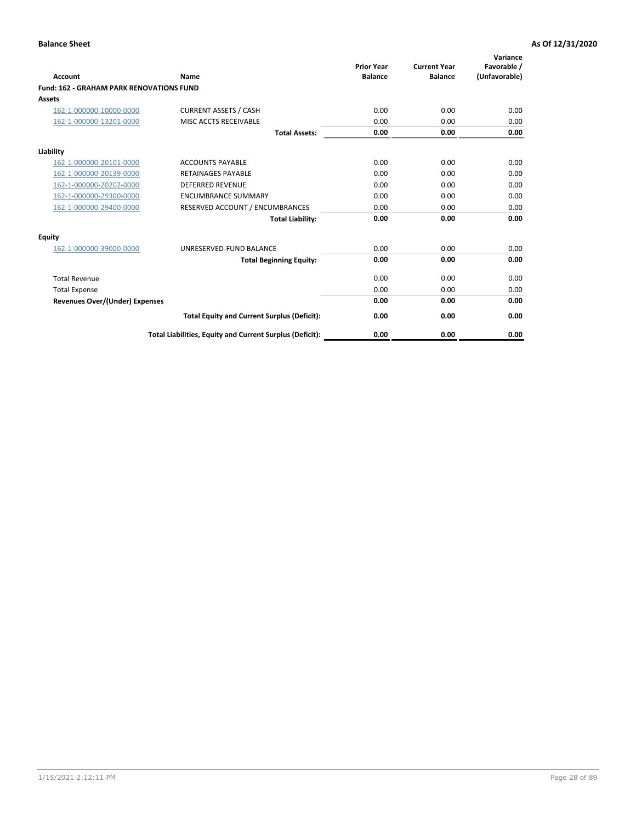|                                                 |                                                          | <b>Prior Year</b><br><b>Balance</b> | <b>Current Year</b> | Variance<br>Favorable / |
|-------------------------------------------------|----------------------------------------------------------|-------------------------------------|---------------------|-------------------------|
| <b>Account</b>                                  | Name                                                     |                                     | <b>Balance</b>      | (Unfavorable)           |
| <b>Fund: 162 - GRAHAM PARK RENOVATIONS FUND</b> |                                                          |                                     |                     |                         |
| <b>Assets</b>                                   |                                                          |                                     |                     |                         |
| 162-1-000000-10000-0000                         | <b>CURRENT ASSETS / CASH</b>                             | 0.00                                | 0.00                | 0.00                    |
| 162-1-000000-13201-0000                         | MISC ACCTS RECEIVABLE                                    | 0.00                                | 0.00                | 0.00                    |
|                                                 | <b>Total Assets:</b>                                     | 0.00                                | 0.00                | 0.00                    |
| Liability                                       |                                                          |                                     |                     |                         |
| 162-1-000000-20101-0000                         | <b>ACCOUNTS PAYABLE</b>                                  | 0.00                                | 0.00                | 0.00                    |
| 162-1-000000-20139-0000                         | <b>RETAINAGES PAYABLE</b>                                | 0.00                                | 0.00                | 0.00                    |
| 162-1-000000-20202-0000                         | <b>DEFERRED REVENUE</b>                                  | 0.00                                | 0.00                | 0.00                    |
| 162-1-000000-29300-0000                         | <b>ENCUMBRANCE SUMMARY</b>                               | 0.00                                | 0.00                | 0.00                    |
| 162-1-000000-29400-0000                         | RESERVED ACCOUNT / ENCUMBRANCES                          | 0.00                                | 0.00                | 0.00                    |
|                                                 | <b>Total Liability:</b>                                  | 0.00                                | 0.00                | 0.00                    |
| Equity                                          |                                                          |                                     |                     |                         |
| 162-1-000000-39000-0000                         | UNRESERVED-FUND BALANCE                                  | 0.00                                | 0.00                | 0.00                    |
|                                                 | <b>Total Beginning Equity:</b>                           | 0.00                                | 0.00                | 0.00                    |
| <b>Total Revenue</b>                            |                                                          | 0.00                                | 0.00                | 0.00                    |
| <b>Total Expense</b>                            |                                                          | 0.00                                | 0.00                | 0.00                    |
| Revenues Over/(Under) Expenses                  |                                                          | 0.00                                | 0.00                | 0.00                    |
|                                                 | <b>Total Equity and Current Surplus (Deficit):</b>       | 0.00                                | 0.00                | 0.00                    |
|                                                 | Total Liabilities, Equity and Current Surplus (Deficit): | 0.00                                | 0.00                | 0.00                    |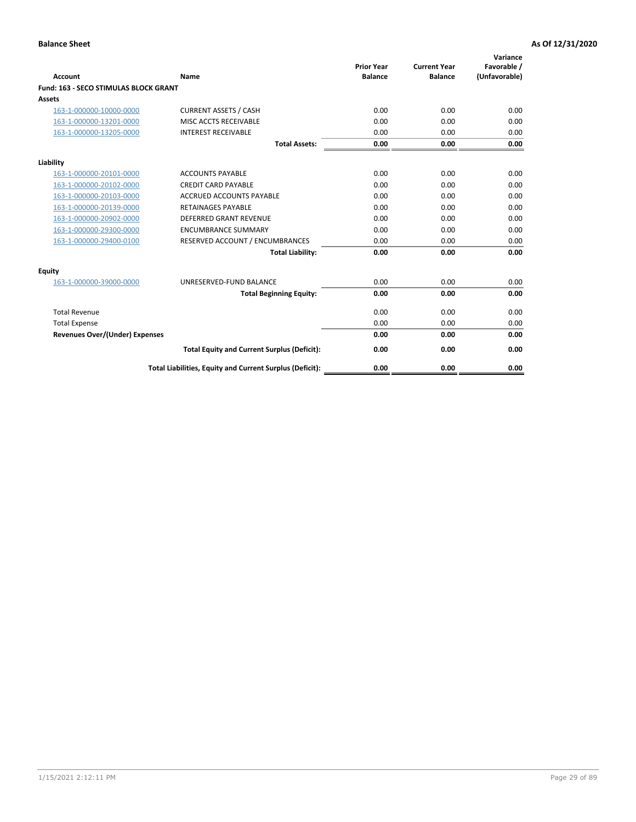|                                              |                                                          | <b>Prior Year</b> | <b>Current Year</b> | Variance<br>Favorable / |
|----------------------------------------------|----------------------------------------------------------|-------------------|---------------------|-------------------------|
| <b>Account</b>                               | Name                                                     | <b>Balance</b>    | <b>Balance</b>      | (Unfavorable)           |
| <b>Fund: 163 - SECO STIMULAS BLOCK GRANT</b> |                                                          |                   |                     |                         |
| Assets                                       |                                                          |                   |                     |                         |
| 163-1-000000-10000-0000                      | <b>CURRENT ASSETS / CASH</b>                             | 0.00              | 0.00                | 0.00                    |
| 163-1-000000-13201-0000                      | MISC ACCTS RECEIVABLE                                    | 0.00              | 0.00                | 0.00                    |
| 163-1-000000-13205-0000                      | <b>INTEREST RECEIVABLE</b>                               | 0.00              | 0.00                | 0.00                    |
|                                              | <b>Total Assets:</b>                                     | 0.00              | 0.00                | 0.00                    |
| Liability                                    |                                                          |                   |                     |                         |
| 163-1-000000-20101-0000                      | <b>ACCOUNTS PAYABLE</b>                                  | 0.00              | 0.00                | 0.00                    |
| 163-1-000000-20102-0000                      | <b>CREDIT CARD PAYABLE</b>                               | 0.00              | 0.00                | 0.00                    |
| 163-1-000000-20103-0000                      | <b>ACCRUED ACCOUNTS PAYABLE</b>                          | 0.00              | 0.00                | 0.00                    |
| 163-1-000000-20139-0000                      | <b>RETAINAGES PAYABLE</b>                                | 0.00              | 0.00                | 0.00                    |
| 163-1-000000-20902-0000                      | <b>DEFERRED GRANT REVENUE</b>                            | 0.00              | 0.00                | 0.00                    |
| 163-1-000000-29300-0000                      | <b>ENCUMBRANCE SUMMARY</b>                               | 0.00              | 0.00                | 0.00                    |
| 163-1-000000-29400-0100                      | RESERVED ACCOUNT / ENCUMBRANCES                          | 0.00              | 0.00                | 0.00                    |
|                                              | <b>Total Liability:</b>                                  | 0.00              | 0.00                | 0.00                    |
| <b>Equity</b>                                |                                                          |                   |                     |                         |
| 163-1-000000-39000-0000                      | UNRESERVED-FUND BALANCE                                  | 0.00              | 0.00                | 0.00                    |
|                                              | <b>Total Beginning Equity:</b>                           | 0.00              | 0.00                | 0.00                    |
| <b>Total Revenue</b>                         |                                                          | 0.00              | 0.00                | 0.00                    |
| <b>Total Expense</b>                         |                                                          | 0.00              | 0.00                | 0.00                    |
| Revenues Over/(Under) Expenses               |                                                          | 0.00              | 0.00                | 0.00                    |
|                                              | <b>Total Equity and Current Surplus (Deficit):</b>       | 0.00              | 0.00                | 0.00                    |
|                                              | Total Liabilities, Equity and Current Surplus (Deficit): | 0.00              | 0.00                | 0.00                    |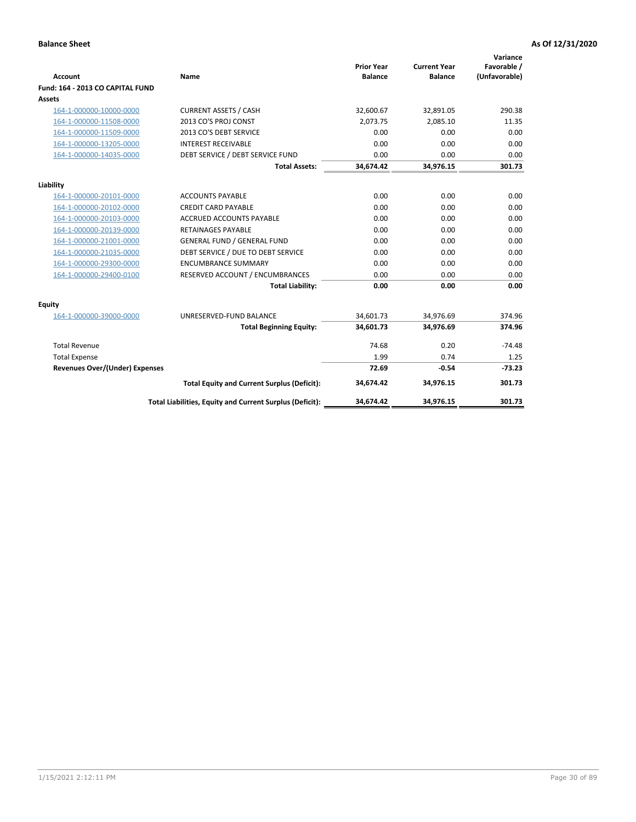|                                       |                                                          |                                     |                                       | Variance                     |
|---------------------------------------|----------------------------------------------------------|-------------------------------------|---------------------------------------|------------------------------|
| <b>Account</b>                        | Name                                                     | <b>Prior Year</b><br><b>Balance</b> | <b>Current Year</b><br><b>Balance</b> | Favorable /<br>(Unfavorable) |
| Fund: 164 - 2013 CO CAPITAL FUND      |                                                          |                                     |                                       |                              |
| Assets                                |                                                          |                                     |                                       |                              |
| 164-1-000000-10000-0000               | <b>CURRENT ASSETS / CASH</b>                             | 32,600.67                           | 32,891.05                             | 290.38                       |
| 164-1-000000-11508-0000               | 2013 CO'S PROJ CONST                                     | 2.073.75                            | 2.085.10                              | 11.35                        |
| 164-1-000000-11509-0000               | 2013 CO'S DEBT SERVICE                                   | 0.00                                | 0.00                                  | 0.00                         |
| 164-1-000000-13205-0000               | <b>INTEREST RECEIVABLE</b>                               | 0.00                                | 0.00                                  | 0.00                         |
| 164-1-000000-14035-0000               | DEBT SERVICE / DEBT SERVICE FUND                         | 0.00                                | 0.00                                  | 0.00                         |
|                                       | <b>Total Assets:</b>                                     | 34,674.42                           | 34,976.15                             | 301.73                       |
| Liability                             |                                                          |                                     |                                       |                              |
| 164-1-000000-20101-0000               | <b>ACCOUNTS PAYABLE</b>                                  | 0.00                                | 0.00                                  | 0.00                         |
| 164-1-000000-20102-0000               | <b>CREDIT CARD PAYABLE</b>                               | 0.00                                | 0.00                                  | 0.00                         |
| 164-1-000000-20103-0000               | <b>ACCRUED ACCOUNTS PAYABLE</b>                          | 0.00                                | 0.00                                  | 0.00                         |
| 164-1-000000-20139-0000               | <b>RETAINAGES PAYABLE</b>                                | 0.00                                | 0.00                                  | 0.00                         |
| 164-1-000000-21001-0000               | <b>GENERAL FUND / GENERAL FUND</b>                       | 0.00                                | 0.00                                  | 0.00                         |
| 164-1-000000-21035-0000               | DEBT SERVICE / DUE TO DEBT SERVICE                       | 0.00                                | 0.00                                  | 0.00                         |
| 164-1-000000-29300-0000               | <b>ENCUMBRANCE SUMMARY</b>                               | 0.00                                | 0.00                                  | 0.00                         |
| 164-1-000000-29400-0100               | RESERVED ACCOUNT / ENCUMBRANCES                          | 0.00                                | 0.00                                  | 0.00                         |
|                                       | <b>Total Liability:</b>                                  | 0.00                                | 0.00                                  | 0.00                         |
| <b>Equity</b>                         |                                                          |                                     |                                       |                              |
| 164-1-000000-39000-0000               | UNRESERVED-FUND BALANCE                                  | 34,601.73                           | 34,976.69                             | 374.96                       |
|                                       | <b>Total Beginning Equity:</b>                           | 34,601.73                           | 34,976.69                             | 374.96                       |
| <b>Total Revenue</b>                  |                                                          | 74.68                               | 0.20                                  | $-74.48$                     |
| <b>Total Expense</b>                  |                                                          | 1.99                                | 0.74                                  | 1.25                         |
| <b>Revenues Over/(Under) Expenses</b> |                                                          | 72.69                               | $-0.54$                               | $-73.23$                     |
|                                       | <b>Total Equity and Current Surplus (Deficit):</b>       | 34,674.42                           | 34,976.15                             | 301.73                       |
|                                       | Total Liabilities, Equity and Current Surplus (Deficit): | 34.674.42                           | 34,976.15                             | 301.73                       |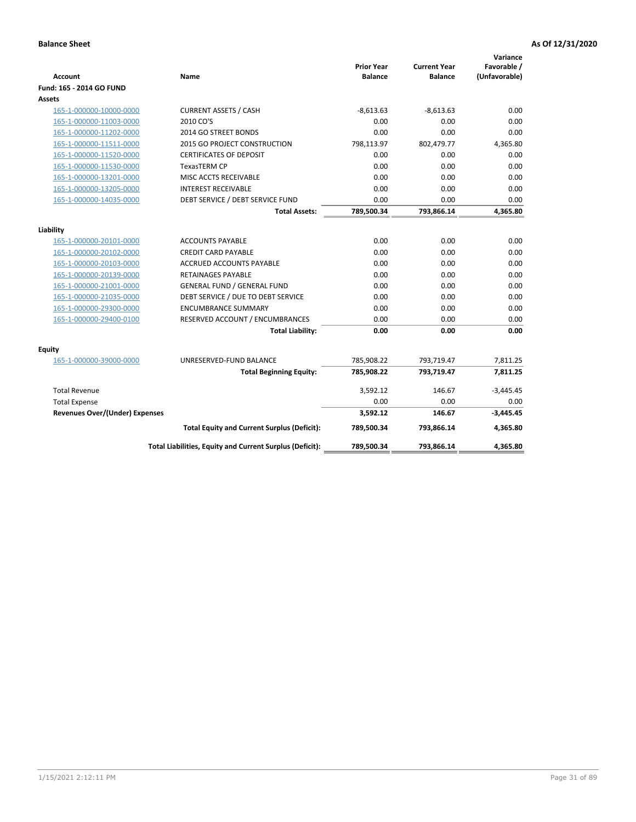| <b>Account</b>                        | Name                                                     | <b>Prior Year</b><br><b>Balance</b> | <b>Current Year</b><br><b>Balance</b> | Variance<br>Favorable /<br>(Unfavorable) |
|---------------------------------------|----------------------------------------------------------|-------------------------------------|---------------------------------------|------------------------------------------|
| Fund: 165 - 2014 GO FUND              |                                                          |                                     |                                       |                                          |
| Assets                                |                                                          |                                     |                                       |                                          |
| 165-1-000000-10000-0000               | <b>CURRENT ASSETS / CASH</b>                             | $-8,613.63$                         | $-8,613.63$                           | 0.00                                     |
| 165-1-000000-11003-0000               | 2010 CO'S                                                | 0.00                                | 0.00                                  | 0.00                                     |
| 165-1-000000-11202-0000               | 2014 GO STREET BONDS                                     | 0.00                                | 0.00                                  | 0.00                                     |
| 165-1-000000-11511-0000               | 2015 GO PROJECT CONSTRUCTION                             | 798,113.97                          | 802,479.77                            | 4,365.80                                 |
| 165-1-000000-11520-0000               | <b>CERTIFICATES OF DEPOSIT</b>                           | 0.00                                | 0.00                                  | 0.00                                     |
| 165-1-000000-11530-0000               | <b>TexasTERM CP</b>                                      | 0.00                                | 0.00                                  | 0.00                                     |
| 165-1-000000-13201-0000               | MISC ACCTS RECEIVABLE                                    | 0.00                                | 0.00                                  | 0.00                                     |
| 165-1-000000-13205-0000               | <b>INTEREST RECEIVABLE</b>                               | 0.00                                | 0.00                                  | 0.00                                     |
| 165-1-000000-14035-0000               | DEBT SERVICE / DEBT SERVICE FUND                         | 0.00                                | 0.00                                  | 0.00                                     |
|                                       | <b>Total Assets:</b>                                     | 789,500.34                          | 793,866.14                            | 4,365.80                                 |
| Liability                             |                                                          |                                     |                                       |                                          |
| 165-1-000000-20101-0000               | <b>ACCOUNTS PAYABLE</b>                                  | 0.00                                | 0.00                                  | 0.00                                     |
| 165-1-000000-20102-0000               | <b>CREDIT CARD PAYABLE</b>                               | 0.00                                | 0.00                                  | 0.00                                     |
| 165-1-000000-20103-0000               | <b>ACCRUED ACCOUNTS PAYABLE</b>                          | 0.00                                | 0.00                                  | 0.00                                     |
| 165-1-000000-20139-0000               | <b>RETAINAGES PAYABLE</b>                                | 0.00                                | 0.00                                  | 0.00                                     |
| 165-1-000000-21001-0000               | <b>GENERAL FUND / GENERAL FUND</b>                       | 0.00                                | 0.00                                  | 0.00                                     |
| 165-1-000000-21035-0000               | DEBT SERVICE / DUE TO DEBT SERVICE                       | 0.00                                | 0.00                                  | 0.00                                     |
| 165-1-000000-29300-0000               | <b>ENCUMBRANCE SUMMARY</b>                               | 0.00                                | 0.00                                  | 0.00                                     |
| 165-1-000000-29400-0100               | RESERVED ACCOUNT / ENCUMBRANCES                          | 0.00                                | 0.00                                  | 0.00                                     |
|                                       | <b>Total Liability:</b>                                  | 0.00                                | 0.00                                  | 0.00                                     |
| Equity                                |                                                          |                                     |                                       |                                          |
| 165-1-000000-39000-0000               | UNRESERVED-FUND BALANCE                                  | 785,908.22                          | 793,719.47                            | 7,811.25                                 |
|                                       | <b>Total Beginning Equity:</b>                           | 785,908.22                          | 793,719.47                            | 7,811.25                                 |
| <b>Total Revenue</b>                  |                                                          | 3,592.12                            | 146.67                                | $-3,445.45$                              |
| <b>Total Expense</b>                  |                                                          | 0.00                                | 0.00                                  | 0.00                                     |
| <b>Revenues Over/(Under) Expenses</b> |                                                          | 3,592.12                            | 146.67                                | $-3,445.45$                              |
|                                       | <b>Total Equity and Current Surplus (Deficit):</b>       | 789,500.34                          | 793,866.14                            | 4,365.80                                 |
|                                       | Total Liabilities, Equity and Current Surplus (Deficit): | 789,500.34                          | 793,866.14                            | 4.365.80                                 |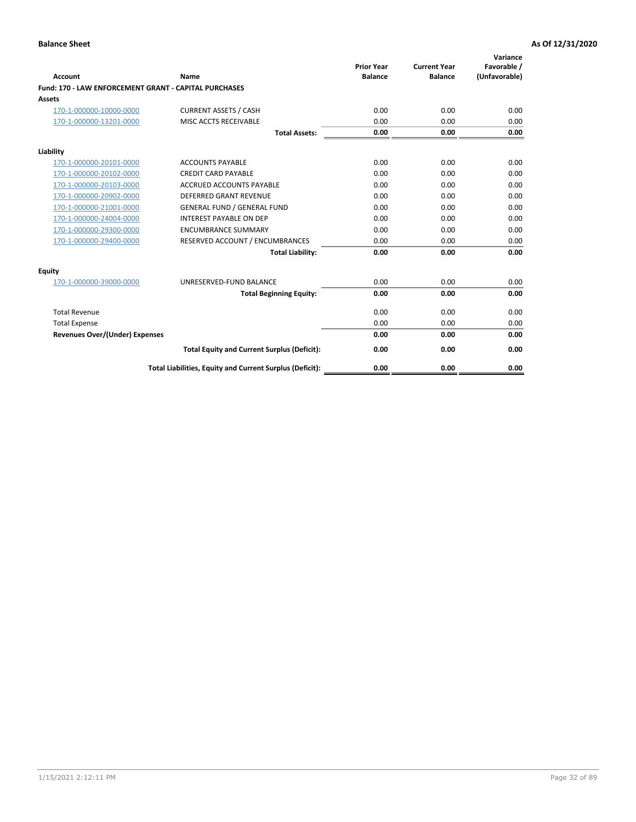| Account                                                      | Name                                                     | <b>Prior Year</b><br><b>Balance</b> | <b>Current Year</b><br><b>Balance</b> | Variance<br>Favorable /<br>(Unfavorable) |
|--------------------------------------------------------------|----------------------------------------------------------|-------------------------------------|---------------------------------------|------------------------------------------|
| <b>Fund: 170 - LAW ENFORCEMENT GRANT - CAPITAL PURCHASES</b> |                                                          |                                     |                                       |                                          |
| <b>Assets</b>                                                |                                                          |                                     |                                       |                                          |
| 170-1-000000-10000-0000                                      | <b>CURRENT ASSETS / CASH</b>                             | 0.00                                | 0.00                                  | 0.00                                     |
| 170-1-000000-13201-0000                                      | MISC ACCTS RECEIVABLE                                    | 0.00                                | 0.00                                  | 0.00                                     |
|                                                              | <b>Total Assets:</b>                                     | 0.00                                | 0.00                                  | 0.00                                     |
| Liability                                                    |                                                          |                                     |                                       |                                          |
| 170-1-000000-20101-0000                                      | <b>ACCOUNTS PAYABLE</b>                                  | 0.00                                | 0.00                                  | 0.00                                     |
| 170-1-000000-20102-0000                                      | <b>CREDIT CARD PAYABLE</b>                               | 0.00                                | 0.00                                  | 0.00                                     |
| 170-1-000000-20103-0000                                      | <b>ACCRUED ACCOUNTS PAYABLE</b>                          | 0.00                                | 0.00                                  | 0.00                                     |
| 170-1-000000-20902-0000                                      | <b>DEFERRED GRANT REVENUE</b>                            | 0.00                                | 0.00                                  | 0.00                                     |
| 170-1-000000-21001-0000                                      | <b>GENERAL FUND / GENERAL FUND</b>                       | 0.00                                | 0.00                                  | 0.00                                     |
| 170-1-000000-24004-0000                                      | <b>INTEREST PAYABLE ON DEP</b>                           | 0.00                                | 0.00                                  | 0.00                                     |
| 170-1-000000-29300-0000                                      | <b>ENCUMBRANCE SUMMARY</b>                               | 0.00                                | 0.00                                  | 0.00                                     |
| 170-1-000000-29400-0000                                      | RESERVED ACCOUNT / ENCUMBRANCES                          | 0.00                                | 0.00                                  | 0.00                                     |
|                                                              | <b>Total Liability:</b>                                  | 0.00                                | 0.00                                  | 0.00                                     |
| <b>Equity</b>                                                |                                                          |                                     |                                       |                                          |
| 170-1-000000-39000-0000                                      | UNRESERVED-FUND BALANCE                                  | 0.00                                | 0.00                                  | 0.00                                     |
|                                                              | <b>Total Beginning Equity:</b>                           | 0.00                                | 0.00                                  | 0.00                                     |
| <b>Total Revenue</b>                                         |                                                          | 0.00                                | 0.00                                  | 0.00                                     |
| <b>Total Expense</b>                                         |                                                          | 0.00                                | 0.00                                  | 0.00                                     |
| <b>Revenues Over/(Under) Expenses</b>                        |                                                          | 0.00                                | 0.00                                  | 0.00                                     |
|                                                              | <b>Total Equity and Current Surplus (Deficit):</b>       | 0.00                                | 0.00                                  | 0.00                                     |
|                                                              | Total Liabilities, Equity and Current Surplus (Deficit): | 0.00                                | 0.00                                  | 0.00                                     |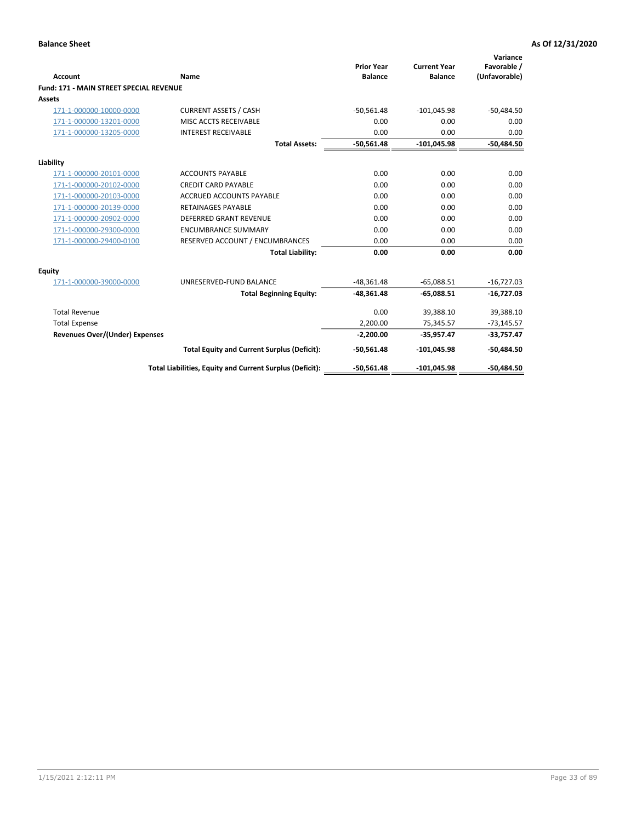|                                                |                                                          | <b>Prior Year</b> | <b>Current Year</b> | Variance<br>Favorable / |
|------------------------------------------------|----------------------------------------------------------|-------------------|---------------------|-------------------------|
| <b>Account</b>                                 | Name                                                     | <b>Balance</b>    | <b>Balance</b>      | (Unfavorable)           |
| <b>Fund: 171 - MAIN STREET SPECIAL REVENUE</b> |                                                          |                   |                     |                         |
| <b>Assets</b>                                  |                                                          |                   |                     |                         |
| 171-1-000000-10000-0000                        | <b>CURRENT ASSETS / CASH</b>                             | $-50,561.48$      | $-101,045.98$       | $-50,484.50$            |
| 171-1-000000-13201-0000                        | MISC ACCTS RECEIVABLE                                    | 0.00              | 0.00                | 0.00                    |
| 171-1-000000-13205-0000                        | <b>INTEREST RECEIVABLE</b>                               | 0.00              | 0.00                | 0.00                    |
|                                                | <b>Total Assets:</b>                                     | $-50.561.48$      | $-101.045.98$       | $-50,484.50$            |
| Liability                                      |                                                          |                   |                     |                         |
| 171-1-000000-20101-0000                        | <b>ACCOUNTS PAYABLE</b>                                  | 0.00              | 0.00                | 0.00                    |
| 171-1-000000-20102-0000                        | <b>CREDIT CARD PAYABLE</b>                               | 0.00              | 0.00                | 0.00                    |
| 171-1-000000-20103-0000                        | <b>ACCRUED ACCOUNTS PAYABLE</b>                          | 0.00              | 0.00                | 0.00                    |
| 171-1-000000-20139-0000                        | <b>RETAINAGES PAYABLE</b>                                | 0.00              | 0.00                | 0.00                    |
| 171-1-000000-20902-0000                        | DEFERRED GRANT REVENUE                                   | 0.00              | 0.00                | 0.00                    |
| 171-1-000000-29300-0000                        | <b>ENCUMBRANCE SUMMARY</b>                               | 0.00              | 0.00                | 0.00                    |
| 171-1-000000-29400-0100                        | RESERVED ACCOUNT / ENCUMBRANCES                          | 0.00              | 0.00                | 0.00                    |
|                                                | <b>Total Liability:</b>                                  | 0.00              | 0.00                | 0.00                    |
| <b>Equity</b>                                  |                                                          |                   |                     |                         |
| 171-1-000000-39000-0000                        | UNRESERVED-FUND BALANCE                                  | $-48,361.48$      | $-65,088.51$        | $-16,727.03$            |
|                                                | <b>Total Beginning Equity:</b>                           | $-48,361.48$      | $-65.088.51$        | $-16,727.03$            |
| <b>Total Revenue</b>                           |                                                          | 0.00              | 39,388.10           | 39,388.10               |
| <b>Total Expense</b>                           |                                                          | 2,200.00          | 75,345.57           | $-73,145.57$            |
| <b>Revenues Over/(Under) Expenses</b>          |                                                          | $-2,200.00$       | $-35,957.47$        | $-33,757.47$            |
|                                                | <b>Total Equity and Current Surplus (Deficit):</b>       | $-50,561.48$      | $-101,045.98$       | $-50,484.50$            |
|                                                | Total Liabilities, Equity and Current Surplus (Deficit): | $-50,561.48$      | $-101,045.98$       | $-50.484.50$            |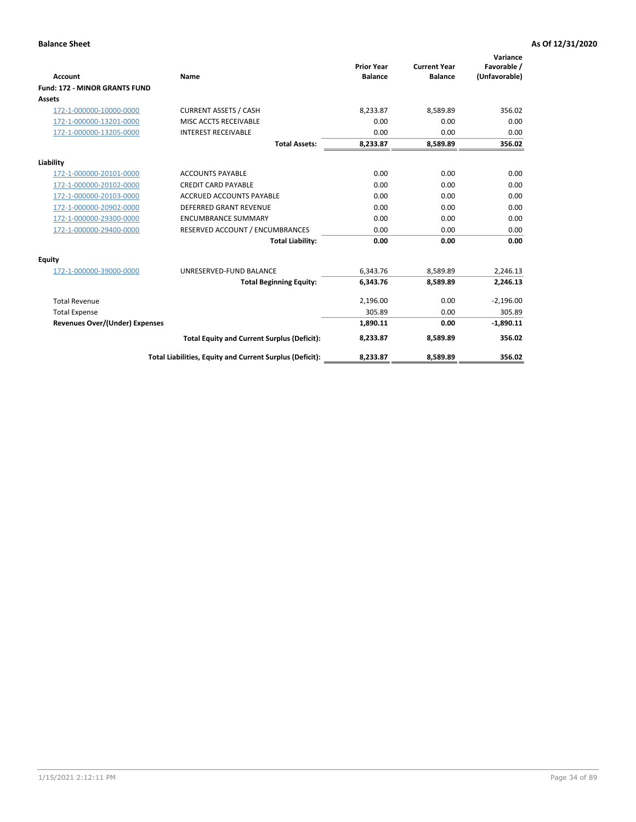|                                      |                                                          |                                     |                                       | Variance                     |
|--------------------------------------|----------------------------------------------------------|-------------------------------------|---------------------------------------|------------------------------|
| <b>Account</b>                       | <b>Name</b>                                              | <b>Prior Year</b><br><b>Balance</b> | <b>Current Year</b><br><b>Balance</b> | Favorable /<br>(Unfavorable) |
| <b>Fund: 172 - MINOR GRANTS FUND</b> |                                                          |                                     |                                       |                              |
| <b>Assets</b>                        |                                                          |                                     |                                       |                              |
| 172-1-000000-10000-0000              | <b>CURRENT ASSETS / CASH</b>                             | 8,233.87                            | 8,589.89                              | 356.02                       |
| 172-1-000000-13201-0000              | MISC ACCTS RECEIVABLE                                    | 0.00                                | 0.00                                  | 0.00                         |
| 172-1-000000-13205-0000              | <b>INTEREST RECEIVABLE</b>                               | 0.00                                | 0.00                                  | 0.00                         |
|                                      | <b>Total Assets:</b>                                     | 8,233.87                            | 8,589.89                              | 356.02                       |
| Liability                            |                                                          |                                     |                                       |                              |
| 172-1-000000-20101-0000              | <b>ACCOUNTS PAYABLE</b>                                  | 0.00                                | 0.00                                  | 0.00                         |
| 172-1-000000-20102-0000              | <b>CREDIT CARD PAYABLE</b>                               | 0.00                                | 0.00                                  | 0.00                         |
| 172-1-000000-20103-0000              | <b>ACCRUED ACCOUNTS PAYABLE</b>                          | 0.00                                | 0.00                                  | 0.00                         |
| 172-1-000000-20902-0000              | DEFERRED GRANT REVENUE                                   | 0.00                                | 0.00                                  | 0.00                         |
| 172-1-000000-29300-0000              | <b>ENCUMBRANCE SUMMARY</b>                               | 0.00                                | 0.00                                  | 0.00                         |
| 172-1-000000-29400-0000              | RESERVED ACCOUNT / ENCUMBRANCES                          | 0.00                                | 0.00                                  | 0.00                         |
|                                      | <b>Total Liability:</b>                                  | 0.00                                | 0.00                                  | 0.00                         |
| Equity                               |                                                          |                                     |                                       |                              |
| 172-1-000000-39000-0000              | UNRESERVED-FUND BALANCE                                  | 6,343.76                            | 8,589.89                              | 2,246.13                     |
|                                      | <b>Total Beginning Equity:</b>                           | 6,343.76                            | 8,589.89                              | 2,246.13                     |
| <b>Total Revenue</b>                 |                                                          | 2,196.00                            | 0.00                                  | $-2,196.00$                  |
| <b>Total Expense</b>                 |                                                          | 305.89                              | 0.00                                  | 305.89                       |
| Revenues Over/(Under) Expenses       |                                                          | 1,890.11                            | 0.00                                  | $-1,890.11$                  |
|                                      | <b>Total Equity and Current Surplus (Deficit):</b>       | 8,233.87                            | 8,589.89                              | 356.02                       |
|                                      | Total Liabilities, Equity and Current Surplus (Deficit): | 8,233.87                            | 8,589.89                              | 356.02                       |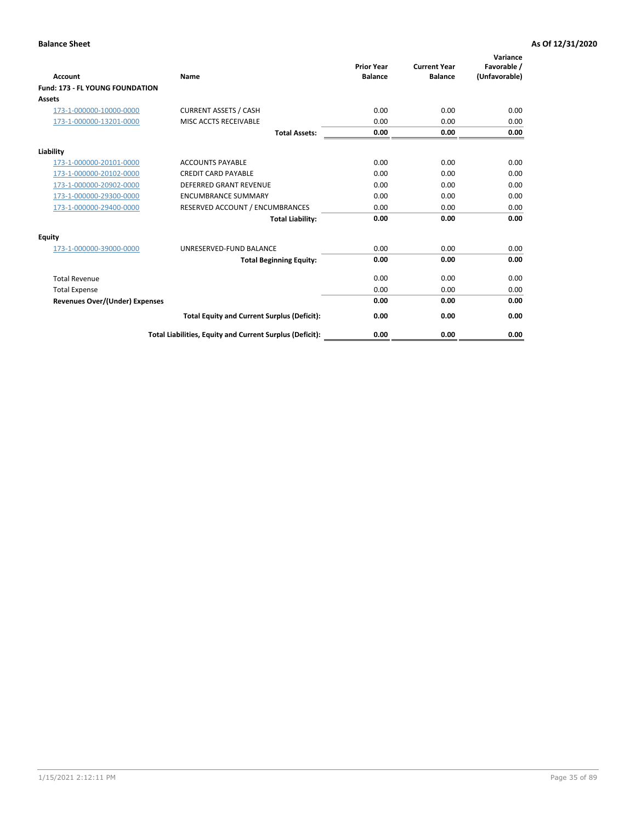| <b>Account</b>                         | <b>Name</b>                                              | <b>Prior Year</b><br><b>Balance</b> | <b>Current Year</b><br><b>Balance</b> | Variance<br>Favorable /<br>(Unfavorable) |
|----------------------------------------|----------------------------------------------------------|-------------------------------------|---------------------------------------|------------------------------------------|
| <b>Fund: 173 - FL YOUNG FOUNDATION</b> |                                                          |                                     |                                       |                                          |
| Assets                                 |                                                          |                                     |                                       |                                          |
| 173-1-000000-10000-0000                | <b>CURRENT ASSETS / CASH</b>                             | 0.00                                | 0.00                                  | 0.00                                     |
| 173-1-000000-13201-0000                | MISC ACCTS RECEIVABLE                                    | 0.00                                | 0.00                                  | 0.00                                     |
|                                        | <b>Total Assets:</b>                                     | 0.00                                | 0.00                                  | 0.00                                     |
| Liability                              |                                                          |                                     |                                       |                                          |
| 173-1-000000-20101-0000                | <b>ACCOUNTS PAYABLE</b>                                  | 0.00                                | 0.00                                  | 0.00                                     |
| 173-1-000000-20102-0000                | <b>CREDIT CARD PAYABLE</b>                               | 0.00                                | 0.00                                  | 0.00                                     |
| 173-1-000000-20902-0000                | <b>DEFERRED GRANT REVENUE</b>                            | 0.00                                | 0.00                                  | 0.00                                     |
| 173-1-000000-29300-0000                | <b>ENCUMBRANCE SUMMARY</b>                               | 0.00                                | 0.00                                  | 0.00                                     |
| 173-1-000000-29400-0000                | RESERVED ACCOUNT / ENCUMBRANCES                          | 0.00                                | 0.00                                  | 0.00                                     |
|                                        | <b>Total Liability:</b>                                  | 0.00                                | 0.00                                  | 0.00                                     |
| Equity                                 |                                                          |                                     |                                       |                                          |
| 173-1-000000-39000-0000                | UNRESERVED-FUND BALANCE                                  | 0.00                                | 0.00                                  | 0.00                                     |
|                                        | <b>Total Beginning Equity:</b>                           | 0.00                                | 0.00                                  | 0.00                                     |
| <b>Total Revenue</b>                   |                                                          | 0.00                                | 0.00                                  | 0.00                                     |
| <b>Total Expense</b>                   |                                                          | 0.00                                | 0.00                                  | 0.00                                     |
| <b>Revenues Over/(Under) Expenses</b>  |                                                          | 0.00                                | 0.00                                  | 0.00                                     |
|                                        | <b>Total Equity and Current Surplus (Deficit):</b>       | 0.00                                | 0.00                                  | 0.00                                     |
|                                        | Total Liabilities, Equity and Current Surplus (Deficit): | 0.00                                | 0.00                                  | 0.00                                     |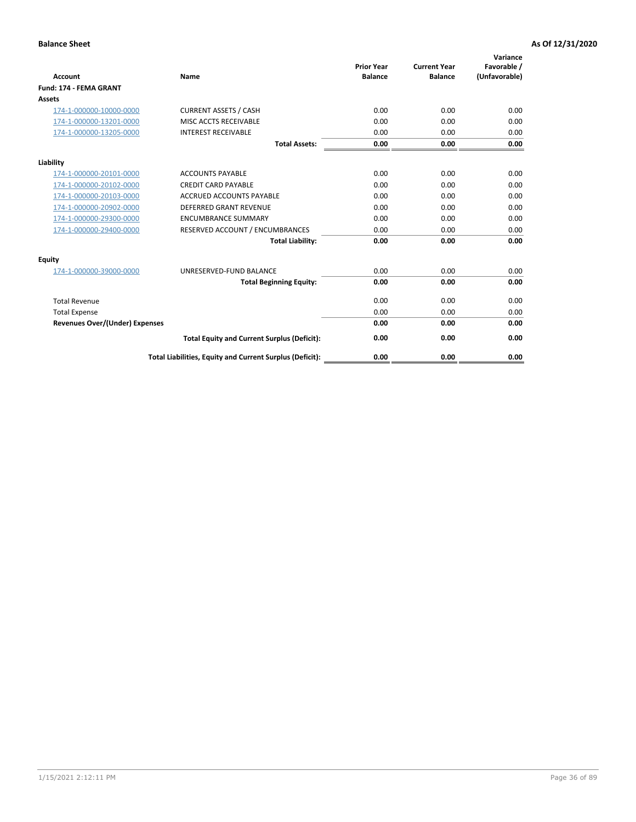| <b>Account</b>                        | Name                                                     | <b>Prior Year</b><br><b>Balance</b> | <b>Current Year</b><br><b>Balance</b> | Variance<br>Favorable /<br>(Unfavorable) |
|---------------------------------------|----------------------------------------------------------|-------------------------------------|---------------------------------------|------------------------------------------|
| <b>Fund: 174 - FEMA GRANT</b>         |                                                          |                                     |                                       |                                          |
| Assets                                |                                                          |                                     |                                       |                                          |
| 174-1-000000-10000-0000               | <b>CURRENT ASSETS / CASH</b>                             | 0.00                                | 0.00                                  | 0.00                                     |
| 174-1-000000-13201-0000               | MISC ACCTS RECEIVABLE                                    | 0.00                                | 0.00                                  | 0.00                                     |
| 174-1-000000-13205-0000               | <b>INTEREST RECEIVABLE</b>                               | 0.00                                | 0.00                                  | 0.00                                     |
|                                       | <b>Total Assets:</b>                                     | 0.00                                | 0.00                                  | 0.00                                     |
| Liability                             |                                                          |                                     |                                       |                                          |
| 174-1-000000-20101-0000               | <b>ACCOUNTS PAYABLE</b>                                  | 0.00                                | 0.00                                  | 0.00                                     |
| 174-1-000000-20102-0000               | <b>CREDIT CARD PAYABLE</b>                               | 0.00                                | 0.00                                  | 0.00                                     |
| 174-1-000000-20103-0000               | <b>ACCRUED ACCOUNTS PAYABLE</b>                          | 0.00                                | 0.00                                  | 0.00                                     |
| 174-1-000000-20902-0000               | <b>DEFERRED GRANT REVENUE</b>                            | 0.00                                | 0.00                                  | 0.00                                     |
| 174-1-000000-29300-0000               | <b>ENCUMBRANCE SUMMARY</b>                               | 0.00                                | 0.00                                  | 0.00                                     |
| 174-1-000000-29400-0000               | RESERVED ACCOUNT / ENCUMBRANCES                          | 0.00                                | 0.00                                  | 0.00                                     |
|                                       | <b>Total Liability:</b>                                  | 0.00                                | 0.00                                  | 0.00                                     |
| <b>Equity</b>                         |                                                          |                                     |                                       |                                          |
| 174-1-000000-39000-0000               | UNRESERVED-FUND BALANCE                                  | 0.00                                | 0.00                                  | 0.00                                     |
|                                       | <b>Total Beginning Equity:</b>                           | 0.00                                | 0.00                                  | 0.00                                     |
| <b>Total Revenue</b>                  |                                                          | 0.00                                | 0.00                                  | 0.00                                     |
| <b>Total Expense</b>                  |                                                          | 0.00                                | 0.00                                  | 0.00                                     |
| <b>Revenues Over/(Under) Expenses</b> |                                                          | 0.00                                | 0.00                                  | 0.00                                     |
|                                       | <b>Total Equity and Current Surplus (Deficit):</b>       | 0.00                                | 0.00                                  | 0.00                                     |
|                                       | Total Liabilities, Equity and Current Surplus (Deficit): | 0.00                                | 0.00                                  | 0.00                                     |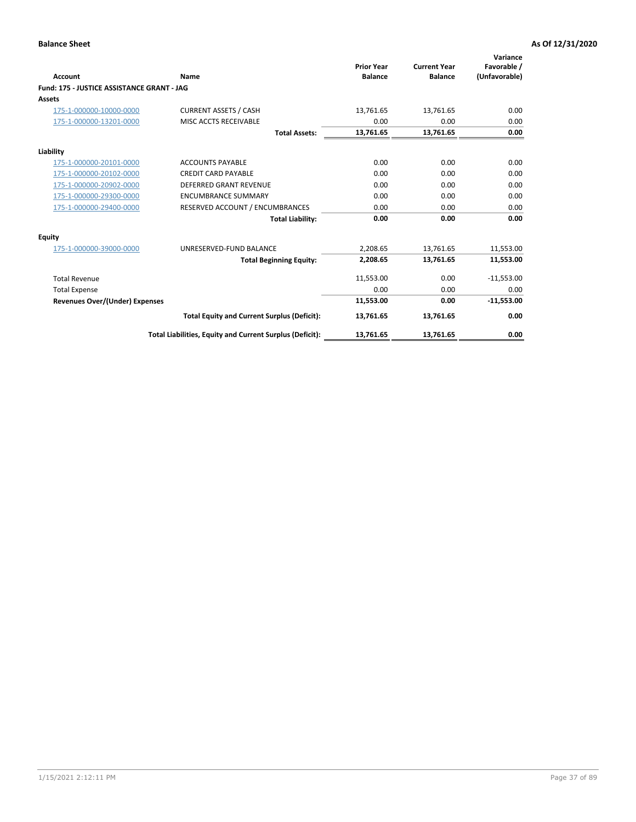| <b>Account</b>                             | Name                                                     | <b>Prior Year</b><br><b>Balance</b> | <b>Current Year</b><br><b>Balance</b> | Variance<br>Favorable /<br>(Unfavorable) |
|--------------------------------------------|----------------------------------------------------------|-------------------------------------|---------------------------------------|------------------------------------------|
| Fund: 175 - JUSTICE ASSISTANCE GRANT - JAG |                                                          |                                     |                                       |                                          |
| <b>Assets</b>                              |                                                          |                                     |                                       |                                          |
| 175-1-000000-10000-0000                    | <b>CURRENT ASSETS / CASH</b>                             | 13,761.65                           | 13,761.65                             | 0.00                                     |
| 175-1-000000-13201-0000                    | MISC ACCTS RECEIVABLE                                    | 0.00                                | 0.00                                  | 0.00                                     |
|                                            | <b>Total Assets:</b>                                     | 13,761.65                           | 13,761.65                             | 0.00                                     |
| Liability                                  |                                                          |                                     |                                       |                                          |
| 175-1-000000-20101-0000                    | <b>ACCOUNTS PAYABLE</b>                                  | 0.00                                | 0.00                                  | 0.00                                     |
| 175-1-000000-20102-0000                    | <b>CREDIT CARD PAYABLE</b>                               | 0.00                                | 0.00                                  | 0.00                                     |
| 175-1-000000-20902-0000                    | <b>DEFERRED GRANT REVENUE</b>                            | 0.00                                | 0.00                                  | 0.00                                     |
| 175-1-000000-29300-0000                    | <b>ENCUMBRANCE SUMMARY</b>                               | 0.00                                | 0.00                                  | 0.00                                     |
| 175-1-000000-29400-0000                    | RESERVED ACCOUNT / ENCUMBRANCES                          | 0.00                                | 0.00                                  | 0.00                                     |
|                                            | <b>Total Liability:</b>                                  | 0.00                                | 0.00                                  | 0.00                                     |
| Equity                                     |                                                          |                                     |                                       |                                          |
| 175-1-000000-39000-0000                    | UNRESERVED-FUND BALANCE                                  | 2,208.65                            | 13,761.65                             | 11,553.00                                |
|                                            | <b>Total Beginning Equity:</b>                           | 2,208.65                            | 13,761.65                             | 11,553.00                                |
| <b>Total Revenue</b>                       |                                                          | 11,553.00                           | 0.00                                  | $-11,553.00$                             |
| <b>Total Expense</b>                       |                                                          | 0.00                                | 0.00                                  | 0.00                                     |
| Revenues Over/(Under) Expenses             |                                                          | 11,553.00                           | 0.00                                  | $-11,553.00$                             |
|                                            | <b>Total Equity and Current Surplus (Deficit):</b>       | 13,761.65                           | 13,761.65                             | 0.00                                     |
|                                            | Total Liabilities, Equity and Current Surplus (Deficit): | 13,761.65                           | 13,761.65                             | 0.00                                     |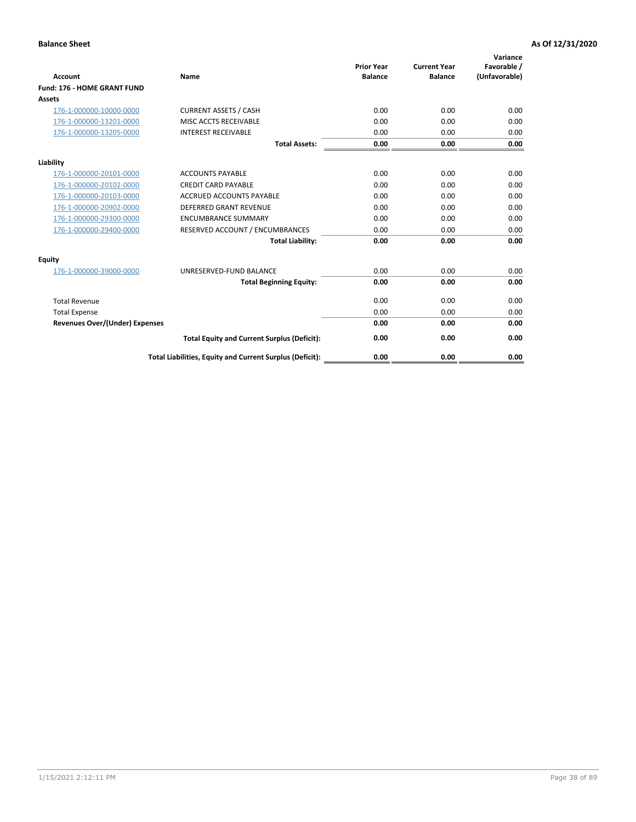| <b>Account</b>                        | Name                                                     | <b>Prior Year</b><br><b>Balance</b> | <b>Current Year</b><br><b>Balance</b> | Variance<br>Favorable /<br>(Unfavorable) |
|---------------------------------------|----------------------------------------------------------|-------------------------------------|---------------------------------------|------------------------------------------|
| Fund: 176 - HOME GRANT FUND           |                                                          |                                     |                                       |                                          |
| Assets                                |                                                          |                                     |                                       |                                          |
| 176-1-000000-10000-0000               | <b>CURRENT ASSETS / CASH</b>                             | 0.00                                | 0.00                                  | 0.00                                     |
| 176-1-000000-13201-0000               | MISC ACCTS RECEIVABLE                                    | 0.00                                | 0.00                                  | 0.00                                     |
| 176-1-000000-13205-0000               | <b>INTEREST RECEIVABLE</b>                               | 0.00                                | 0.00                                  | 0.00                                     |
|                                       | <b>Total Assets:</b>                                     | 0.00                                | 0.00                                  | 0.00                                     |
| Liability                             |                                                          |                                     |                                       |                                          |
| 176-1-000000-20101-0000               | <b>ACCOUNTS PAYABLE</b>                                  | 0.00                                | 0.00                                  | 0.00                                     |
| 176-1-000000-20102-0000               | <b>CREDIT CARD PAYABLE</b>                               | 0.00                                | 0.00                                  | 0.00                                     |
| 176-1-000000-20103-0000               | ACCRUED ACCOUNTS PAYABLE                                 | 0.00                                | 0.00                                  | 0.00                                     |
| 176-1-000000-20902-0000               | <b>DEFERRED GRANT REVENUE</b>                            | 0.00                                | 0.00                                  | 0.00                                     |
| 176-1-000000-29300-0000               | <b>ENCUMBRANCE SUMMARY</b>                               | 0.00                                | 0.00                                  | 0.00                                     |
| 176-1-000000-29400-0000               | RESERVED ACCOUNT / ENCUMBRANCES                          | 0.00                                | 0.00                                  | 0.00                                     |
|                                       | <b>Total Liability:</b>                                  | 0.00                                | 0.00                                  | 0.00                                     |
| <b>Equity</b>                         |                                                          |                                     |                                       |                                          |
| 176-1-000000-39000-0000               | UNRESERVED-FUND BALANCE                                  | 0.00                                | 0.00                                  | 0.00                                     |
|                                       | <b>Total Beginning Equity:</b>                           | 0.00                                | 0.00                                  | 0.00                                     |
| <b>Total Revenue</b>                  |                                                          | 0.00                                | 0.00                                  | 0.00                                     |
| <b>Total Expense</b>                  |                                                          | 0.00                                | 0.00                                  | 0.00                                     |
| <b>Revenues Over/(Under) Expenses</b> |                                                          | 0.00                                | 0.00                                  | 0.00                                     |
|                                       | <b>Total Equity and Current Surplus (Deficit):</b>       | 0.00                                | 0.00                                  | 0.00                                     |
|                                       | Total Liabilities, Equity and Current Surplus (Deficit): | 0.00                                | 0.00                                  | 0.00                                     |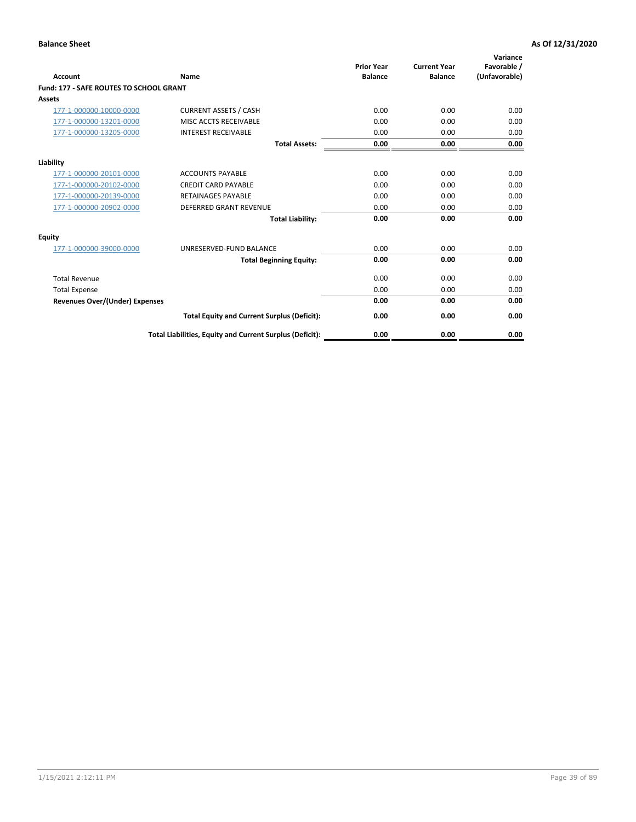| Account                                        | Name                                                     | <b>Prior Year</b><br><b>Balance</b> | <b>Current Year</b><br><b>Balance</b> | Variance<br>Favorable /<br>(Unfavorable) |
|------------------------------------------------|----------------------------------------------------------|-------------------------------------|---------------------------------------|------------------------------------------|
| <b>Fund: 177 - SAFE ROUTES TO SCHOOL GRANT</b> |                                                          |                                     |                                       |                                          |
| <b>Assets</b>                                  |                                                          |                                     |                                       |                                          |
| 177-1-000000-10000-0000                        | <b>CURRENT ASSETS / CASH</b>                             | 0.00                                | 0.00                                  | 0.00                                     |
| 177-1-000000-13201-0000                        | MISC ACCTS RECEIVABLE                                    | 0.00                                | 0.00                                  | 0.00                                     |
| 177-1-000000-13205-0000                        | <b>INTEREST RECEIVABLE</b>                               | 0.00                                | 0.00                                  | 0.00                                     |
|                                                | <b>Total Assets:</b>                                     | 0.00                                | 0.00                                  | 0.00                                     |
| Liability                                      |                                                          |                                     |                                       |                                          |
| 177-1-000000-20101-0000                        | <b>ACCOUNTS PAYABLE</b>                                  | 0.00                                | 0.00                                  | 0.00                                     |
| 177-1-000000-20102-0000                        | <b>CREDIT CARD PAYABLE</b>                               | 0.00                                | 0.00                                  | 0.00                                     |
| 177-1-000000-20139-0000                        | <b>RETAINAGES PAYABLE</b>                                | 0.00                                | 0.00                                  | 0.00                                     |
| 177-1-000000-20902-0000                        | <b>DEFERRED GRANT REVENUE</b>                            | 0.00                                | 0.00                                  | 0.00                                     |
|                                                | <b>Total Liability:</b>                                  | 0.00                                | 0.00                                  | 0.00                                     |
| Equity                                         |                                                          |                                     |                                       |                                          |
| 177-1-000000-39000-0000                        | UNRESERVED-FUND BALANCE                                  | 0.00                                | 0.00                                  | 0.00                                     |
|                                                | <b>Total Beginning Equity:</b>                           | 0.00                                | 0.00                                  | 0.00                                     |
| <b>Total Revenue</b>                           |                                                          | 0.00                                | 0.00                                  | 0.00                                     |
| <b>Total Expense</b>                           |                                                          | 0.00                                | 0.00                                  | 0.00                                     |
| <b>Revenues Over/(Under) Expenses</b>          |                                                          | 0.00                                | 0.00                                  | 0.00                                     |
|                                                | <b>Total Equity and Current Surplus (Deficit):</b>       | 0.00                                | 0.00                                  | 0.00                                     |
|                                                | Total Liabilities, Equity and Current Surplus (Deficit): | 0.00                                | 0.00                                  | 0.00                                     |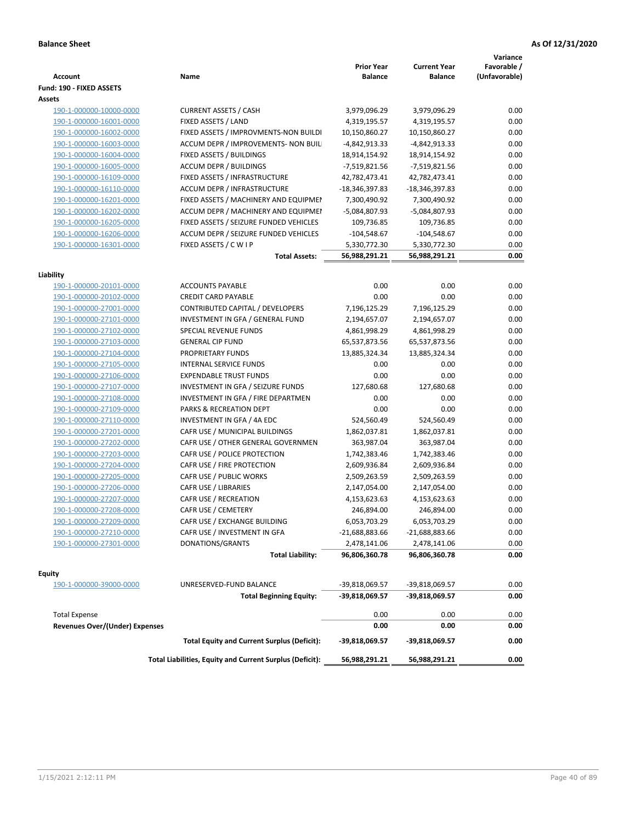| <b>Account</b>                                                | Name                                                     | <b>Prior Year</b><br><b>Balance</b> | <b>Current Year</b><br><b>Balance</b> | Variance<br>Favorable /<br>(Unfavorable) |
|---------------------------------------------------------------|----------------------------------------------------------|-------------------------------------|---------------------------------------|------------------------------------------|
| Fund: 190 - FIXED ASSETS<br>Assets                            |                                                          |                                     |                                       |                                          |
| 190-1-000000-10000-0000                                       | <b>CURRENT ASSETS / CASH</b>                             | 3,979,096.29                        | 3,979,096.29                          | 0.00                                     |
| 190-1-000000-16001-0000                                       | FIXED ASSETS / LAND                                      | 4,319,195.57                        | 4,319,195.57                          | 0.00                                     |
| 190-1-000000-16002-0000                                       | FIXED ASSETS / IMPROVMENTS-NON BUILDI                    | 10,150,860.27                       | 10,150,860.27                         | 0.00                                     |
| 190-1-000000-16003-0000                                       | ACCUM DEPR / IMPROVEMENTS- NON BUIL                      | -4,842,913.33                       | -4,842,913.33                         | 0.00                                     |
| 190-1-000000-16004-0000                                       | FIXED ASSETS / BUILDINGS                                 | 18,914,154.92                       | 18,914,154.92                         | 0.00                                     |
| 190-1-000000-16005-0000                                       | <b>ACCUM DEPR / BUILDINGS</b>                            | -7,519,821.56                       | -7,519,821.56                         | 0.00                                     |
| 190-1-000000-16109-0000                                       | FIXED ASSETS / INFRASTRUCTURE                            | 42,782,473.41                       | 42,782,473.41                         | 0.00                                     |
| 190-1-000000-16110-0000                                       | <b>ACCUM DEPR / INFRASTRUCTURE</b>                       | -18,346,397.83                      | -18,346,397.83                        | 0.00                                     |
| 190-1-000000-16201-0000                                       | FIXED ASSETS / MACHINERY AND EQUIPMEN                    | 7,300,490.92                        | 7,300,490.92                          | 0.00                                     |
| 190-1-000000-16202-0000                                       | ACCUM DEPR / MACHINERY AND EQUIPMEI                      | -5,084,807.93                       | -5,084,807.93                         | 0.00                                     |
| 190-1-000000-16205-0000                                       | FIXED ASSETS / SEIZURE FUNDED VEHICLES                   | 109,736.85                          | 109,736.85                            | 0.00                                     |
| 190-1-000000-16206-0000                                       | ACCUM DEPR / SEIZURE FUNDED VEHICLES                     | $-104,548.67$                       | $-104,548.67$                         | 0.00                                     |
| 190-1-000000-16301-0000                                       | FIXED ASSETS / C W I P                                   | 5,330,772.30                        | 5,330,772.30                          | 0.00                                     |
|                                                               | <b>Total Assets:</b>                                     | 56,988,291.21                       | 56,988,291.21                         | 0.00                                     |
|                                                               |                                                          |                                     |                                       |                                          |
| Liability                                                     |                                                          |                                     |                                       |                                          |
| 190-1-000000-20101-0000                                       | <b>ACCOUNTS PAYABLE</b>                                  | 0.00                                | 0.00                                  | 0.00                                     |
| 190-1-000000-20102-0000                                       | <b>CREDIT CARD PAYABLE</b>                               | 0.00                                | 0.00                                  | 0.00                                     |
| 190-1-000000-27001-0000                                       | CONTRIBUTED CAPITAL / DEVELOPERS                         | 7,196,125.29                        | 7,196,125.29                          | 0.00                                     |
| 190-1-000000-27101-0000                                       | INVESTMENT IN GFA / GENERAL FUND                         | 2,194,657.07                        | 2,194,657.07                          | 0.00                                     |
| 190-1-000000-27102-0000                                       | <b>SPECIAL REVENUE FUNDS</b>                             | 4,861,998.29                        | 4,861,998.29                          | 0.00                                     |
| 190-1-000000-27103-0000                                       | <b>GENERAL CIP FUND</b>                                  | 65,537,873.56                       | 65,537,873.56                         | 0.00                                     |
| 190-1-000000-27104-0000                                       | PROPRIETARY FUNDS                                        | 13,885,324.34                       | 13,885,324.34                         | 0.00                                     |
| 190-1-000000-27105-0000                                       | <b>INTERNAL SERVICE FUNDS</b>                            | 0.00                                | 0.00                                  | 0.00                                     |
| 190-1-000000-27106-0000                                       | <b>EXPENDABLE TRUST FUNDS</b>                            | 0.00                                | 0.00                                  | 0.00                                     |
| 190-1-000000-27107-0000                                       | INVESTMENT IN GFA / SEIZURE FUNDS                        | 127,680.68                          | 127,680.68                            | 0.00                                     |
| 190-1-000000-27108-0000                                       | INVESTMENT IN GFA / FIRE DEPARTMEN                       | 0.00                                | 0.00                                  | 0.00                                     |
| 190-1-000000-27109-0000                                       | PARKS & RECREATION DEPT                                  | 0.00                                | 0.00                                  | 0.00                                     |
| 190-1-000000-27110-0000                                       | INVESTMENT IN GFA / 4A EDC                               | 524,560.49                          | 524,560.49                            | 0.00                                     |
| 190-1-000000-27201-0000                                       | CAFR USE / MUNICIPAL BUILDINGS                           | 1,862,037.81                        | 1,862,037.81                          | 0.00                                     |
| 190-1-000000-27202-0000                                       | CAFR USE / OTHER GENERAL GOVERNMEN                       | 363,987.04                          | 363,987.04                            | 0.00                                     |
| 190-1-000000-27203-0000                                       | CAFR USE / POLICE PROTECTION                             | 1,742,383.46                        | 1,742,383.46                          | 0.00                                     |
| 190-1-000000-27204-0000                                       | CAFR USE / FIRE PROTECTION                               | 2,609,936.84                        | 2,609,936.84                          | 0.00                                     |
| 190-1-000000-27205-0000                                       | CAFR USE / PUBLIC WORKS                                  | 2,509,263.59                        | 2,509,263.59                          | 0.00                                     |
| 190-1-000000-27206-0000                                       | CAFR USE / LIBRARIES                                     | 2,147,054.00                        | 2,147,054.00                          | 0.00                                     |
| 190-1-000000-27207-0000                                       | CAFR USE / RECREATION                                    | 4,153,623.63                        | 4,153,623.63                          | 0.00                                     |
| 190-1-000000-27208-0000                                       | CAFR USE / CEMETERY                                      | 246,894.00                          | 246,894.00                            | 0.00                                     |
| 190-1-000000-27209-0000                                       | CAFR USE / EXCHANGE BUILDING                             | 6,053,703.29                        | 6,053,703.29                          | 0.00                                     |
| 190-1-000000-27210-0000                                       | CAFR USE / INVESTMENT IN GFA                             | $-21,688,883.66$                    | $-21,688,883.66$                      | 0.00                                     |
| 190-1-000000-27301-0000                                       | DONATIONS/GRANTS                                         | 2,478,141.06                        | 2,478,141.06                          | 0.00                                     |
|                                                               | <b>Total Liability:</b>                                  | 96,806,360.78                       | 96,806,360.78                         | 0.00                                     |
| <b>Equity</b>                                                 |                                                          |                                     |                                       |                                          |
| 190-1-000000-39000-0000                                       | UNRESERVED-FUND BALANCE                                  | -39,818,069.57                      | -39,818,069.57                        | 0.00                                     |
|                                                               | <b>Total Beginning Equity:</b>                           | -39,818,069.57                      | -39,818,069.57                        | 0.00                                     |
|                                                               |                                                          |                                     |                                       |                                          |
| <b>Total Expense</b><br><b>Revenues Over/(Under) Expenses</b> |                                                          | 0.00<br>0.00                        | 0.00<br>0.00                          | 0.00<br>0.00                             |
|                                                               | <b>Total Equity and Current Surplus (Deficit):</b>       | -39,818,069.57                      | -39,818,069.57                        | 0.00                                     |
|                                                               | Total Liabilities, Equity and Current Surplus (Deficit): | 56,988,291.21                       | 56,988,291.21                         | 0.00                                     |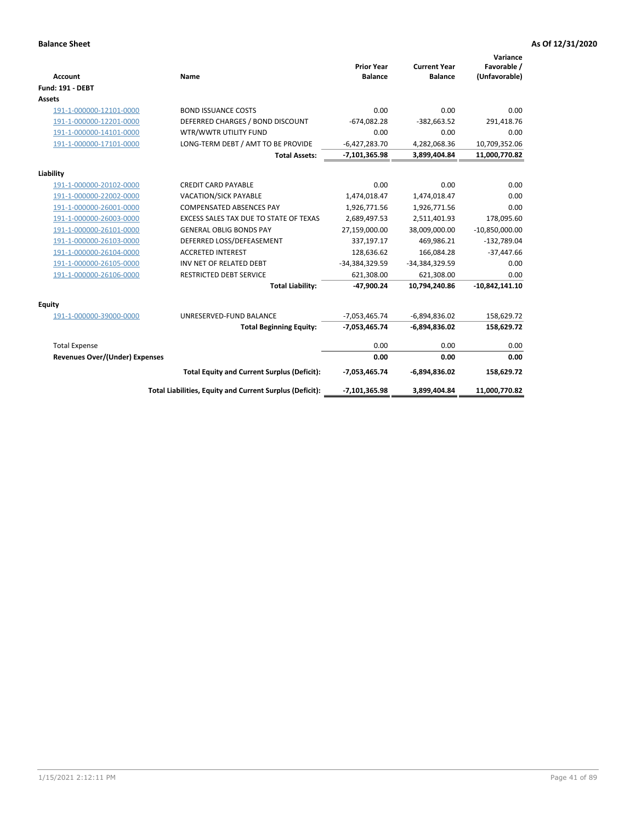| <b>Account</b>                        | Name                                                     | <b>Prior Year</b><br><b>Balance</b> | <b>Current Year</b><br><b>Balance</b> | Variance<br>Favorable /<br>(Unfavorable) |
|---------------------------------------|----------------------------------------------------------|-------------------------------------|---------------------------------------|------------------------------------------|
| <b>Fund: 191 - DEBT</b>               |                                                          |                                     |                                       |                                          |
| <b>Assets</b>                         |                                                          |                                     |                                       |                                          |
| 191-1-000000-12101-0000               | <b>BOND ISSUANCE COSTS</b>                               | 0.00                                | 0.00                                  | 0.00                                     |
| 191-1-000000-12201-0000               | DEFERRED CHARGES / BOND DISCOUNT                         | $-674,082.28$                       | $-382,663.52$                         | 291,418.76                               |
| 191-1-000000-14101-0000               | WTR/WWTR UTILITY FUND                                    | 0.00                                | 0.00                                  | 0.00                                     |
| 191-1-000000-17101-0000               | LONG-TERM DEBT / AMT TO BE PROVIDE                       | $-6,427,283.70$                     | 4,282,068.36                          | 10,709,352.06                            |
|                                       | <b>Total Assets:</b>                                     | $-7,101,365.98$                     | 3,899,404.84                          | 11,000,770.82                            |
| Liability                             |                                                          |                                     |                                       |                                          |
| 191-1-000000-20102-0000               | <b>CREDIT CARD PAYABLE</b>                               | 0.00                                | 0.00                                  | 0.00                                     |
| 191-1-000000-22002-0000               | <b>VACATION/SICK PAYABLE</b>                             | 1,474,018.47                        | 1,474,018.47                          | 0.00                                     |
| 191-1-000000-26001-0000               | <b>COMPENSATED ABSENCES PAY</b>                          | 1,926,771.56                        | 1,926,771.56                          | 0.00                                     |
| 191-1-000000-26003-0000               | EXCESS SALES TAX DUE TO STATE OF TEXAS                   | 2,689,497.53                        | 2,511,401.93                          | 178,095.60                               |
| 191-1-000000-26101-0000               | <b>GENERAL OBLIG BONDS PAY</b>                           | 27,159,000.00                       | 38,009,000.00                         | $-10,850,000.00$                         |
| 191-1-000000-26103-0000               | DEFERRED LOSS/DEFEASEMENT                                | 337,197.17                          | 469,986.21                            | $-132,789.04$                            |
| 191-1-000000-26104-0000               | <b>ACCRETED INTEREST</b>                                 | 128,636.62                          | 166,084.28                            | $-37,447.66$                             |
| 191-1-000000-26105-0000               | INV NET OF RELATED DEBT                                  | -34,384,329.59                      | -34,384,329.59                        | 0.00                                     |
| 191-1-000000-26106-0000               | <b>RESTRICTED DEBT SERVICE</b>                           | 621,308.00                          | 621,308.00                            | 0.00                                     |
|                                       | <b>Total Liability:</b>                                  | $-47,900.24$                        | 10,794,240.86                         | $-10,842,141.10$                         |
| <b>Equity</b>                         |                                                          |                                     |                                       |                                          |
| 191-1-000000-39000-0000               | UNRESERVED-FUND BALANCE                                  | $-7,053,465.74$                     | $-6,894,836.02$                       | 158,629.72                               |
|                                       | <b>Total Beginning Equity:</b>                           | $-7,053,465.74$                     | $-6,894,836.02$                       | 158,629.72                               |
| <b>Total Expense</b>                  |                                                          | 0.00                                | 0.00                                  | 0.00                                     |
| <b>Revenues Over/(Under) Expenses</b> |                                                          | 0.00                                | 0.00                                  | 0.00                                     |
|                                       | <b>Total Equity and Current Surplus (Deficit):</b>       | -7,053,465.74                       | $-6,894,836.02$                       | 158,629.72                               |
|                                       | Total Liabilities, Equity and Current Surplus (Deficit): | $-7,101,365.98$                     | 3,899,404.84                          | 11,000,770.82                            |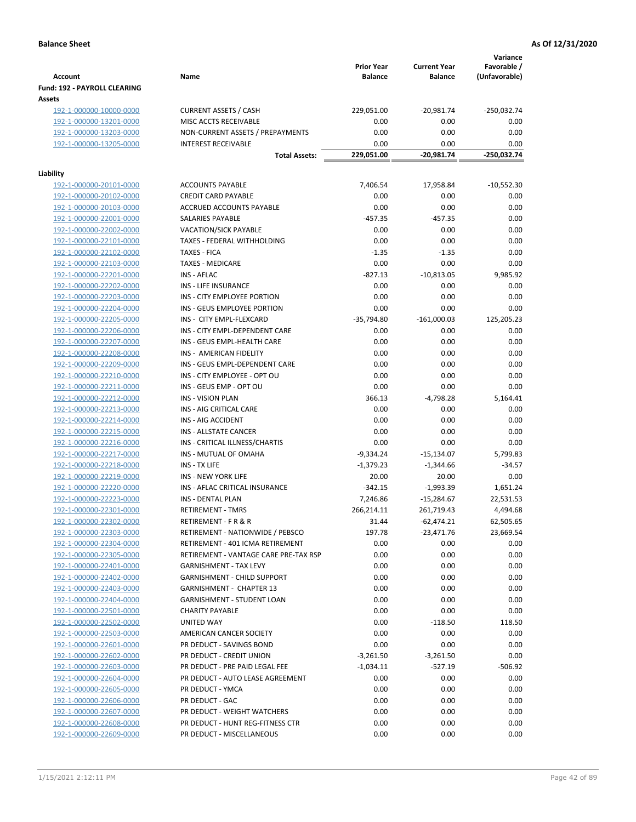| <b>Account</b>                                     | Name                                                  | <b>Prior Year</b><br><b>Balance</b> | <b>Current Year</b><br><b>Balance</b> | Variance<br>Favorable /<br>(Unfavorable) |
|----------------------------------------------------|-------------------------------------------------------|-------------------------------------|---------------------------------------|------------------------------------------|
| Fund: 192 - PAYROLL CLEARING                       |                                                       |                                     |                                       |                                          |
| Assets                                             |                                                       |                                     |                                       |                                          |
| 192-1-000000-10000-0000                            | <b>CURRENT ASSETS / CASH</b><br>MISC ACCTS RECEIVABLE | 229,051.00<br>0.00                  | $-20,981.74$                          | -250,032.74                              |
| 192-1-000000-13201-0000<br>192-1-000000-13203-0000 | NON-CURRENT ASSETS / PREPAYMENTS                      | 0.00                                | 0.00<br>0.00                          | 0.00<br>0.00                             |
| 192-1-000000-13205-0000                            | <b>INTEREST RECEIVABLE</b>                            | 0.00                                | 0.00                                  | 0.00                                     |
|                                                    | <b>Total Assets:</b>                                  | 229,051.00                          | $-20,981.74$                          | -250,032.74                              |
| Liability                                          |                                                       |                                     |                                       |                                          |
| 192-1-000000-20101-0000                            | <b>ACCOUNTS PAYABLE</b>                               | 7,406.54                            | 17,958.84                             | $-10,552.30$                             |
| 192-1-000000-20102-0000                            | <b>CREDIT CARD PAYABLE</b>                            | 0.00                                | 0.00                                  | 0.00                                     |
| 192-1-000000-20103-0000                            | ACCRUED ACCOUNTS PAYABLE                              | 0.00                                | 0.00                                  | 0.00                                     |
| 192-1-000000-22001-0000                            | SALARIES PAYABLE                                      | $-457.35$                           | $-457.35$                             | 0.00                                     |
| 192-1-000000-22002-0000                            | <b>VACATION/SICK PAYABLE</b>                          | 0.00                                | 0.00                                  | 0.00                                     |
| 192-1-000000-22101-0000                            | TAXES - FEDERAL WITHHOLDING                           | 0.00                                | 0.00                                  | 0.00                                     |
| 192-1-000000-22102-0000                            | <b>TAXES - FICA</b>                                   | $-1.35$                             | $-1.35$                               | 0.00                                     |
| 192-1-000000-22103-0000                            | <b>TAXES - MEDICARE</b>                               | 0.00                                | 0.00                                  | 0.00                                     |
| 192-1-000000-22201-0000                            | <b>INS - AFLAC</b>                                    | $-827.13$                           | $-10,813.05$                          | 9,985.92                                 |
| 192-1-000000-22202-0000                            | INS - LIFE INSURANCE                                  | 0.00                                | 0.00                                  | 0.00                                     |
| 192-1-000000-22203-0000                            | INS - CITY EMPLOYEE PORTION                           | 0.00                                | 0.00                                  | 0.00                                     |
| 192-1-000000-22204-0000                            | INS - GEUS EMPLOYEE PORTION                           | 0.00                                | 0.00                                  | 0.00                                     |
| 192-1-000000-22205-0000                            | INS - CITY EMPL-FLEXCARD                              | $-35,794.80$                        | $-161,000.03$                         | 125,205.23                               |
| 192-1-000000-22206-0000                            | INS - CITY EMPL-DEPENDENT CARE                        | 0.00                                | 0.00                                  | 0.00                                     |
| 192-1-000000-22207-0000                            | INS - GEUS EMPL-HEALTH CARE                           | 0.00                                | 0.00                                  | 0.00                                     |
| 192-1-000000-22208-0000                            | INS - AMERICAN FIDELITY                               | 0.00                                | 0.00                                  | 0.00                                     |
| 192-1-000000-22209-0000                            | INS - GEUS EMPL-DEPENDENT CARE                        | 0.00                                | 0.00                                  | 0.00                                     |
| 192-1-000000-22210-0000                            | INS - CITY EMPLOYEE - OPT OU                          | 0.00                                | 0.00                                  | 0.00                                     |
| 192-1-000000-22211-0000                            | INS - GEUS EMP - OPT OU                               | 0.00                                | 0.00                                  | 0.00                                     |
| 192-1-000000-22212-0000                            | <b>INS - VISION PLAN</b>                              | 366.13                              | $-4,798.28$                           | 5,164.41                                 |
| 192-1-000000-22213-0000                            | INS - AIG CRITICAL CARE                               | 0.00                                | 0.00                                  | 0.00                                     |
| 192-1-000000-22214-0000                            | INS - AIG ACCIDENT                                    | 0.00                                | 0.00                                  | 0.00                                     |
| 192-1-000000-22215-0000                            | INS - ALLSTATE CANCER                                 | 0.00                                | 0.00                                  | 0.00                                     |
| 192-1-000000-22216-0000                            | INS - CRITICAL ILLNESS/CHARTIS                        | 0.00                                | 0.00                                  | 0.00                                     |
| 192-1-000000-22217-0000                            | INS - MUTUAL OF OMAHA                                 | $-9,334.24$                         | $-15,134.07$                          | 5,799.83                                 |
| 192-1-000000-22218-0000                            | INS - TX LIFE                                         | $-1,379.23$                         | $-1,344.66$                           | $-34.57$                                 |
| 192-1-000000-22219-0000                            | <b>INS - NEW YORK LIFE</b>                            | 20.00                               | 20.00                                 | 0.00                                     |
| 192-1-000000-22220-0000                            | INS - AFLAC CRITICAL INSURANCE                        | $-342.15$                           | $-1,993.39$                           | 1,651.24                                 |
| 192-1-000000-22223-0000                            | INS - DENTAL PLAN                                     | 7,246.86                            | $-15,284.67$                          | 22,531.53                                |
| <u>192-1-000000-22301-0000</u>                     | RETIREMENT - TMRS                                     | 266,214.11                          | 261,719.43                            | 4,494.68                                 |
| 192-1-000000-22302-0000                            | RETIREMENT - F R & R                                  | 31.44                               | $-62,474.21$                          | 62,505.65                                |
| 192-1-000000-22303-0000                            | RETIREMENT - NATIONWIDE / PEBSCO                      | 197.78                              | $-23,471.76$                          | 23,669.54                                |
| 192-1-000000-22304-0000                            | RETIREMENT - 401 ICMA RETIREMENT                      | 0.00                                | 0.00                                  | 0.00                                     |
| 192-1-000000-22305-0000                            | RETIREMENT - VANTAGE CARE PRE-TAX RSP                 | 0.00                                | 0.00                                  | 0.00                                     |
| 192-1-000000-22401-0000                            | <b>GARNISHMENT - TAX LEVY</b>                         | 0.00                                | 0.00                                  | 0.00                                     |
| 192-1-000000-22402-0000                            | <b>GARNISHMENT - CHILD SUPPORT</b>                    | 0.00                                | 0.00                                  | 0.00                                     |
| 192-1-000000-22403-0000                            | GARNISHMENT - CHAPTER 13                              | 0.00                                | 0.00                                  | 0.00                                     |
| 192-1-000000-22404-0000                            | GARNISHMENT - STUDENT LOAN                            | 0.00                                | 0.00                                  | 0.00                                     |
| 192-1-000000-22501-0000                            | <b>CHARITY PAYABLE</b>                                | 0.00                                | 0.00                                  | 0.00                                     |
| 192-1-000000-22502-0000                            | UNITED WAY                                            | 0.00                                | $-118.50$                             | 118.50                                   |
| 192-1-000000-22503-0000                            | AMERICAN CANCER SOCIETY                               | 0.00                                | 0.00                                  | 0.00                                     |
| 192-1-000000-22601-0000                            | PR DEDUCT - SAVINGS BOND                              | 0.00                                | 0.00                                  | 0.00                                     |
| 192-1-000000-22602-0000                            | PR DEDUCT - CREDIT UNION                              | $-3,261.50$                         | $-3,261.50$                           | 0.00                                     |
| 192-1-000000-22603-0000                            | PR DEDUCT - PRE PAID LEGAL FEE                        | $-1,034.11$                         | $-527.19$                             | $-506.92$                                |
| 192-1-000000-22604-0000                            | PR DEDUCT - AUTO LEASE AGREEMENT                      | 0.00                                | 0.00                                  | 0.00                                     |
| 192-1-000000-22605-0000                            | PR DEDUCT - YMCA                                      | 0.00                                | 0.00                                  | 0.00                                     |
| 192-1-000000-22606-0000                            | PR DEDUCT - GAC                                       | 0.00                                | 0.00                                  | 0.00                                     |
| 192-1-000000-22607-0000                            | PR DEDUCT - WEIGHT WATCHERS                           | 0.00                                | 0.00                                  | 0.00                                     |
| 192-1-000000-22608-0000                            | PR DEDUCT - HUNT REG-FITNESS CTR                      | 0.00                                | 0.00                                  | 0.00                                     |
| 192-1-000000-22609-0000                            | PR DEDUCT - MISCELLANEOUS                             | 0.00                                | 0.00                                  | 0.00                                     |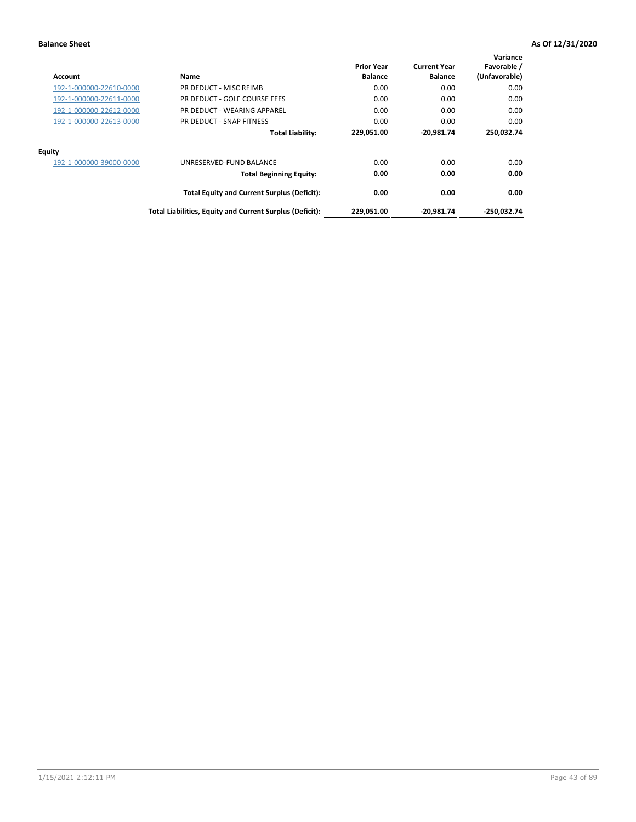| Account                 | Name                                                     | <b>Prior Year</b><br><b>Balance</b> | <b>Current Year</b><br><b>Balance</b> | Variance<br>Favorable /<br>(Unfavorable) |
|-------------------------|----------------------------------------------------------|-------------------------------------|---------------------------------------|------------------------------------------|
| 192-1-000000-22610-0000 | PR DEDUCT - MISC REIMB                                   | 0.00                                | 0.00                                  | 0.00                                     |
| 192-1-000000-22611-0000 | PR DEDUCT - GOLF COURSE FEES                             | 0.00                                | 0.00                                  | 0.00                                     |
| 192-1-000000-22612-0000 | PR DEDUCT - WEARING APPAREL                              | 0.00                                | 0.00                                  | 0.00                                     |
| 192-1-000000-22613-0000 | PR DEDUCT - SNAP FITNESS                                 | 0.00                                | 0.00                                  | 0.00                                     |
|                         | <b>Total Liability:</b>                                  | 229,051.00                          | $-20.981.74$                          | 250.032.74                               |
| Equity                  |                                                          |                                     |                                       |                                          |
| 192-1-000000-39000-0000 | UNRESERVED-FUND BALANCE                                  | 0.00                                | 0.00                                  | 0.00                                     |
|                         | <b>Total Beginning Equity:</b>                           | 0.00                                | 0.00                                  | 0.00                                     |
|                         | <b>Total Equity and Current Surplus (Deficit):</b>       | 0.00                                | 0.00                                  | 0.00                                     |
|                         | Total Liabilities, Equity and Current Surplus (Deficit): | 229,051.00                          | $-20,981.74$                          | -250,032.74                              |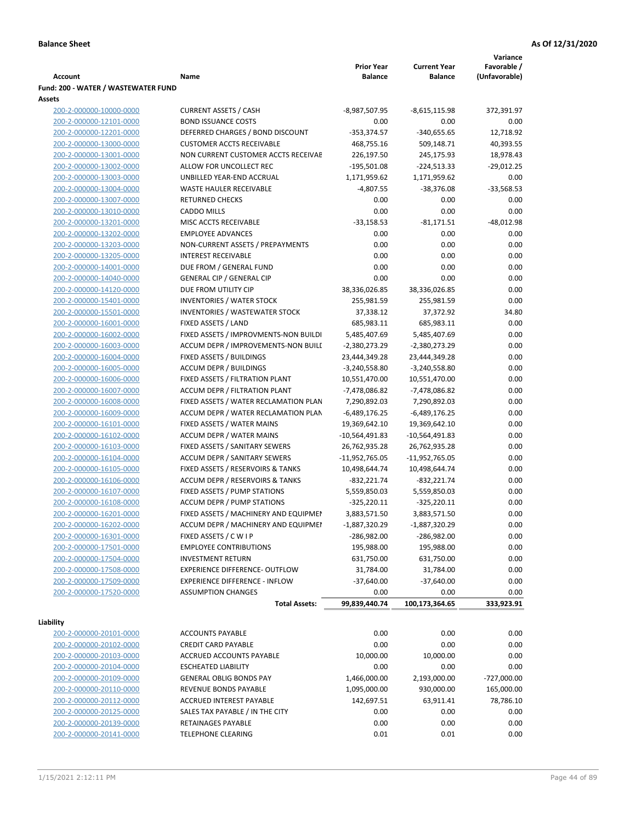|                                     |                                            |                   |                     | Variance      |
|-------------------------------------|--------------------------------------------|-------------------|---------------------|---------------|
|                                     |                                            | <b>Prior Year</b> | <b>Current Year</b> | Favorable /   |
| <b>Account</b>                      | Name                                       | <b>Balance</b>    | <b>Balance</b>      | (Unfavorable) |
| Fund: 200 - WATER / WASTEWATER FUND |                                            |                   |                     |               |
| Assets                              |                                            |                   |                     |               |
| 200-2-000000-10000-0000             | <b>CURRENT ASSETS / CASH</b>               | -8,987,507.95     | $-8,615,115.98$     | 372,391.97    |
| 200-2-000000-12101-0000             | <b>BOND ISSUANCE COSTS</b>                 | 0.00              | 0.00                | 0.00          |
| 200-2-000000-12201-0000             | DEFERRED CHARGES / BOND DISCOUNT           | $-353,374.57$     | $-340,655.65$       | 12,718.92     |
| 200-2-000000-13000-0000             | <b>CUSTOMER ACCTS RECEIVABLE</b>           | 468,755.16        | 509,148.71          | 40,393.55     |
| 200-2-000000-13001-0000             | NON CURRENT CUSTOMER ACCTS RECEIVAE        | 226,197.50        | 245,175.93          | 18,978.43     |
| 200-2-000000-13002-0000             | ALLOW FOR UNCOLLECT REC                    | $-195,501.08$     | $-224,513.33$       | $-29,012.25$  |
| 200-2-000000-13003-0000             | UNBILLED YEAR-END ACCRUAL                  | 1,171,959.62      | 1,171,959.62        | 0.00          |
| 200-2-000000-13004-0000             | <b>WASTE HAULER RECEIVABLE</b>             | $-4,807.55$       | $-38,376.08$        | $-33,568.53$  |
| 200-2-000000-13007-0000             | <b>RETURNED CHECKS</b>                     | 0.00              | 0.00                | 0.00          |
| 200-2-000000-13010-0000             | <b>CADDO MILLS</b>                         | 0.00              | 0.00                | 0.00          |
| 200-2-000000-13201-0000             | MISC ACCTS RECEIVABLE                      | $-33,158.53$      | $-81,171.51$        | $-48,012.98$  |
| 200-2-000000-13202-0000             | <b>EMPLOYEE ADVANCES</b>                   | 0.00              | 0.00                | 0.00          |
| 200-2-000000-13203-0000             | NON-CURRENT ASSETS / PREPAYMENTS           | 0.00              | 0.00                | 0.00          |
| 200-2-000000-13205-0000             | <b>INTEREST RECEIVABLE</b>                 | 0.00              | 0.00                | 0.00          |
| 200-2-000000-14001-0000             | DUE FROM / GENERAL FUND                    | 0.00              | 0.00                | 0.00          |
| 200-2-000000-14040-0000             | <b>GENERAL CIP / GENERAL CIP</b>           | 0.00              | 0.00                | 0.00          |
| 200-2-000000-14120-0000             | DUE FROM UTILITY CIP                       | 38,336,026.85     | 38,336,026.85       | 0.00          |
| 200-2-000000-15401-0000             | <b>INVENTORIES / WATER STOCK</b>           | 255,981.59        | 255,981.59          | 0.00          |
| 200-2-000000-15501-0000             | <b>INVENTORIES / WASTEWATER STOCK</b>      | 37,338.12         | 37,372.92           | 34.80         |
| 200-2-000000-16001-0000             | FIXED ASSETS / LAND                        | 685,983.11        | 685,983.11          | 0.00          |
| 200-2-000000-16002-0000             | FIXED ASSETS / IMPROVMENTS-NON BUILDI      | 5,485,407.69      | 5,485,407.69        | 0.00          |
| 200-2-000000-16003-0000             | ACCUM DEPR / IMPROVEMENTS-NON BUILI        | $-2,380,273.29$   | -2,380,273.29       | 0.00          |
| 200-2-000000-16004-0000             | FIXED ASSETS / BUILDINGS                   | 23,444,349.28     | 23,444,349.28       | 0.00          |
| 200-2-000000-16005-0000             | <b>ACCUM DEPR / BUILDINGS</b>              | $-3,240,558.80$   | $-3,240,558.80$     | 0.00          |
| 200-2-000000-16006-0000             | FIXED ASSETS / FILTRATION PLANT            | 10,551,470.00     | 10,551,470.00       | 0.00          |
| 200-2-000000-16007-0000             | ACCUM DEPR / FILTRATION PLANT              | -7,478,086.82     | -7,478,086.82       | 0.00          |
| 200-2-000000-16008-0000             | FIXED ASSETS / WATER RECLAMATION PLAN      | 7,290,892.03      | 7,290,892.03        | 0.00          |
| 200-2-000000-16009-0000             | ACCUM DEPR / WATER RECLAMATION PLAN        | $-6,489,176.25$   | $-6,489,176.25$     | 0.00          |
| 200-2-000000-16101-0000             | FIXED ASSETS / WATER MAINS                 | 19,369,642.10     | 19,369,642.10       | 0.00          |
| 200-2-000000-16102-0000             | <b>ACCUM DEPR / WATER MAINS</b>            | -10,564,491.83    | -10,564,491.83      | 0.00          |
| 200-2-000000-16103-0000             | FIXED ASSETS / SANITARY SEWERS             | 26,762,935.28     | 26,762,935.28       | 0.00          |
| 200-2-000000-16104-0000             | <b>ACCUM DEPR / SANITARY SEWERS</b>        | $-11,952,765.05$  | -11,952,765.05      | 0.00          |
| 200-2-000000-16105-0000             | FIXED ASSETS / RESERVOIRS & TANKS          | 10,498,644.74     | 10,498,644.74       | 0.00          |
| 200-2-000000-16106-0000             | <b>ACCUM DEPR / RESERVOIRS &amp; TANKS</b> | $-832,221.74$     | $-832,221.74$       | 0.00          |
| 200-2-000000-16107-0000             | FIXED ASSETS / PUMP STATIONS               | 5,559,850.03      | 5,559,850.03        | 0.00          |
| 200-2-000000-16108-0000             | <b>ACCUM DEPR / PUMP STATIONS</b>          | $-325,220.11$     | $-325,220.11$       | 0.00          |
| 200-2-000000-16201-0000             | FIXED ASSETS / MACHINERY AND EQUIPMEN      | 3,883,571.50      | 3,883,571.50        | 0.00          |
| 200-2-000000-16202-0000             | ACCUM DEPR / MACHINERY AND EQUIPMEI        | $-1,887,320.29$   | -1,887,320.29       | 0.00          |
| 200-2-000000-16301-0000             | FIXED ASSETS / C W I P                     | $-286,982.00$     | -286,982.00         | 0.00          |
| 200-2-000000-17501-0000             | <b>EMPLOYEE CONTRIBUTIONS</b>              | 195,988.00        | 195,988.00          | 0.00          |
| 200-2-000000-17504-0000             | <b>INVESTMENT RETURN</b>                   | 631,750.00        | 631,750.00          | 0.00          |
| 200-2-000000-17508-0000             | EXPERIENCE DIFFERENCE- OUTFLOW             | 31,784.00         | 31,784.00           | 0.00          |
| 200-2-000000-17509-0000             | <b>EXPERIENCE DIFFERENCE - INFLOW</b>      | $-37,640.00$      | $-37,640.00$        | 0.00          |
| 200-2-000000-17520-0000             | <b>ASSUMPTION CHANGES</b>                  | 0.00              | 0.00                | 0.00          |
|                                     | <b>Total Assets:</b>                       | 99,839,440.74     | 100,173,364.65      | 333,923.91    |
|                                     |                                            |                   |                     |               |
| Liability                           |                                            |                   |                     |               |
| 200-2-000000-20101-0000             | <b>ACCOUNTS PAYABLE</b>                    | 0.00              | 0.00                | 0.00          |
| 200-2-000000-20102-0000             | <b>CREDIT CARD PAYABLE</b>                 | 0.00              | 0.00                | 0.00          |
| 200-2-000000-20103-0000             | ACCRUED ACCOUNTS PAYABLE                   | 10,000.00         | 10,000.00           | 0.00          |
| 200-2-000000-20104-0000             | <b>ESCHEATED LIABILITY</b>                 | 0.00              | 0.00                | 0.00          |
| 200-2-000000-20109-0000             | <b>GENERAL OBLIG BONDS PAY</b>             | 1,466,000.00      | 2,193,000.00        | $-727,000.00$ |
| 200-2-000000-20110-0000             | REVENUE BONDS PAYABLE                      | 1,095,000.00      | 930,000.00          | 165,000.00    |
| 200-2-000000-20112-0000             | <b>ACCRUED INTEREST PAYABLE</b>            | 142,697.51        | 63,911.41           | 78,786.10     |
| 200-2-000000-20125-0000             | SALES TAX PAYABLE / IN THE CITY            | 0.00              | 0.00                | 0.00          |
| 200-2-000000-20139-0000             | RETAINAGES PAYABLE                         | 0.00              | 0.00                | 0.00          |
| 200-2-000000-20141-0000             | <b>TELEPHONE CLEARING</b>                  | 0.01              | 0.01                | 0.00          |
|                                     |                                            |                   |                     |               |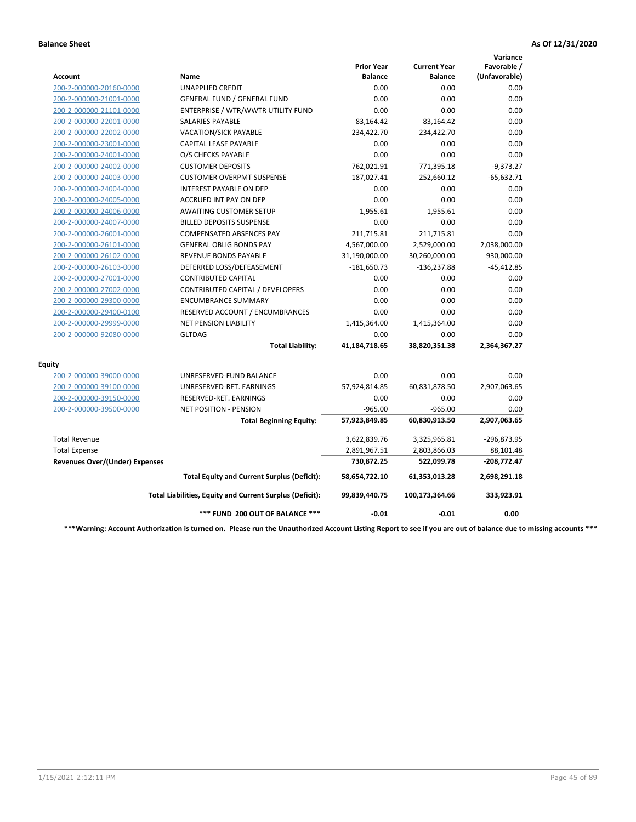|                                       |                                                          |                                     |                                       | Variance                     |
|---------------------------------------|----------------------------------------------------------|-------------------------------------|---------------------------------------|------------------------------|
| Account                               | Name                                                     | <b>Prior Year</b><br><b>Balance</b> | <b>Current Year</b><br><b>Balance</b> | Favorable /<br>(Unfavorable) |
| 200-2-000000-20160-0000               | <b>UNAPPLIED CREDIT</b>                                  | 0.00                                | 0.00                                  | 0.00                         |
| 200-2-000000-21001-0000               | <b>GENERAL FUND / GENERAL FUND</b>                       | 0.00                                | 0.00                                  | 0.00                         |
| 200-2-000000-21101-0000               | ENTERPRISE / WTR/WWTR UTILITY FUND                       | 0.00                                | 0.00                                  | 0.00                         |
| 200-2-000000-22001-0000               | <b>SALARIES PAYABLE</b>                                  | 83,164.42                           | 83,164.42                             | 0.00                         |
| 200-2-000000-22002-0000               | <b>VACATION/SICK PAYABLE</b>                             | 234,422.70                          | 234,422.70                            | 0.00                         |
| 200-2-000000-23001-0000               | CAPITAL LEASE PAYABLE                                    | 0.00                                | 0.00                                  | 0.00                         |
| 200-2-000000-24001-0000               | O/S CHECKS PAYABLE                                       | 0.00                                | 0.00                                  | 0.00                         |
| 200-2-000000-24002-0000               | <b>CUSTOMER DEPOSITS</b>                                 | 762,021.91                          | 771,395.18                            | $-9,373.27$                  |
| 200-2-000000-24003-0000               | <b>CUSTOMER OVERPMT SUSPENSE</b>                         | 187,027.41                          | 252,660.12                            | $-65,632.71$                 |
| 200-2-000000-24004-0000               | <b>INTEREST PAYABLE ON DEP</b>                           | 0.00                                | 0.00                                  | 0.00                         |
| 200-2-000000-24005-0000               | <b>ACCRUED INT PAY ON DEP</b>                            | 0.00                                | 0.00                                  | 0.00                         |
| 200-2-000000-24006-0000               | <b>AWAITING CUSTOMER SETUP</b>                           | 1,955.61                            | 1,955.61                              | 0.00                         |
| 200-2-000000-24007-0000               | <b>BILLED DEPOSITS SUSPENSE</b>                          | 0.00                                | 0.00                                  | 0.00                         |
| 200-2-000000-26001-0000               | <b>COMPENSATED ABSENCES PAY</b>                          | 211,715.81                          | 211,715.81                            | 0.00                         |
| 200-2-000000-26101-0000               | <b>GENERAL OBLIG BONDS PAY</b>                           | 4,567,000.00                        | 2,529,000.00                          | 2,038,000.00                 |
| 200-2-000000-26102-0000               | <b>REVENUE BONDS PAYABLE</b>                             | 31,190,000.00                       | 30,260,000.00                         | 930,000.00                   |
| 200-2-000000-26103-0000               | DEFERRED LOSS/DEFEASEMENT                                | $-181,650.73$                       | $-136,237.88$                         | $-45,412.85$                 |
| 200-2-000000-27001-0000               | <b>CONTRIBUTED CAPITAL</b>                               | 0.00                                | 0.00                                  | 0.00                         |
| 200-2-000000-27002-0000               | CONTRIBUTED CAPITAL / DEVELOPERS                         | 0.00                                | 0.00                                  | 0.00                         |
| 200-2-000000-29300-0000               | <b>ENCUMBRANCE SUMMARY</b>                               | 0.00                                | 0.00                                  | 0.00                         |
| 200-2-000000-29400-0100               | RESERVED ACCOUNT / ENCUMBRANCES                          | 0.00                                | 0.00                                  | 0.00                         |
| 200-2-000000-29999-0000               | <b>NET PENSION LIABILITY</b>                             | 1,415,364.00                        | 1,415,364.00                          | 0.00                         |
| 200-2-000000-92080-0000               | <b>GLTDAG</b>                                            | 0.00                                | 0.00                                  | 0.00                         |
|                                       | <b>Total Liability:</b>                                  | 41,184,718.65                       | 38,820,351.38                         | 2,364,367.27                 |
| <b>Equity</b>                         |                                                          |                                     |                                       |                              |
| 200-2-000000-39000-0000               | UNRESERVED-FUND BALANCE                                  | 0.00                                | 0.00                                  | 0.00                         |
| 200-2-000000-39100-0000               | UNRESERVED-RET. EARNINGS                                 | 57,924,814.85                       | 60,831,878.50                         | 2,907,063.65                 |
| 200-2-000000-39150-0000               | RESERVED-RET. EARNINGS                                   | 0.00                                | 0.00                                  | 0.00                         |
| 200-2-000000-39500-0000               | NET POSITION - PENSION                                   | $-965.00$                           | $-965.00$                             | 0.00                         |
|                                       | <b>Total Beginning Equity:</b>                           | 57,923,849.85                       | 60,830,913.50                         | 2,907,063.65                 |
| <b>Total Revenue</b>                  |                                                          | 3,622,839.76                        | 3,325,965.81                          | -296,873.95                  |
| <b>Total Expense</b>                  |                                                          | 2,891,967.51                        | 2,803,866.03                          | 88,101.48                    |
| <b>Revenues Over/(Under) Expenses</b> |                                                          | 730,872.25                          | 522,099.78                            | $-208,772.47$                |
|                                       | <b>Total Equity and Current Surplus (Deficit):</b>       | 58,654,722.10                       | 61,353,013.28                         | 2,698,291.18                 |
|                                       | Total Liabilities, Equity and Current Surplus (Deficit): | 99,839,440.75                       | 100,173,364.66                        | 333,923.91                   |
|                                       | *** FUND 200 OUT OF BALANCE ***                          | $-0.01$                             | $-0.01$                               | 0.00                         |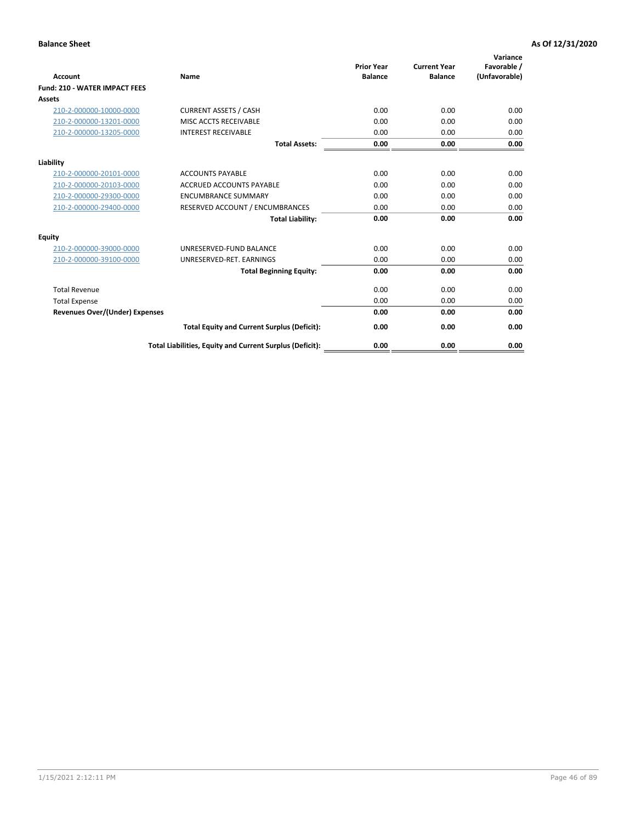| <b>Account</b>                       | Name                                                     | <b>Prior Year</b><br><b>Balance</b> | <b>Current Year</b><br><b>Balance</b> | Variance<br>Favorable /<br>(Unfavorable) |
|--------------------------------------|----------------------------------------------------------|-------------------------------------|---------------------------------------|------------------------------------------|
| <b>Fund: 210 - WATER IMPACT FEES</b> |                                                          |                                     |                                       |                                          |
| <b>Assets</b>                        |                                                          |                                     |                                       |                                          |
| 210-2-000000-10000-0000              | <b>CURRENT ASSETS / CASH</b>                             | 0.00                                | 0.00                                  | 0.00                                     |
| 210-2-000000-13201-0000              | MISC ACCTS RECEIVABLE                                    | 0.00                                | 0.00                                  | 0.00                                     |
| 210-2-000000-13205-0000              | <b>INTEREST RECEIVABLE</b>                               | 0.00                                | 0.00                                  | 0.00                                     |
|                                      | <b>Total Assets:</b>                                     | 0.00                                | 0.00                                  | 0.00                                     |
| Liability                            |                                                          |                                     |                                       |                                          |
| 210-2-000000-20101-0000              | <b>ACCOUNTS PAYABLE</b>                                  | 0.00                                | 0.00                                  | 0.00                                     |
| 210-2-000000-20103-0000              | <b>ACCRUED ACCOUNTS PAYABLE</b>                          | 0.00                                | 0.00                                  | 0.00                                     |
| 210-2-000000-29300-0000              | <b>ENCUMBRANCE SUMMARY</b>                               | 0.00                                | 0.00                                  | 0.00                                     |
| 210-2-000000-29400-0000              | RESERVED ACCOUNT / ENCUMBRANCES                          | 0.00                                | 0.00                                  | 0.00                                     |
|                                      | <b>Total Liability:</b>                                  | 0.00                                | 0.00                                  | 0.00                                     |
| Equity                               |                                                          |                                     |                                       |                                          |
| 210-2-000000-39000-0000              | UNRESERVED-FUND BALANCE                                  | 0.00                                | 0.00                                  | 0.00                                     |
| 210-2-000000-39100-0000              | UNRESERVED-RET. EARNINGS                                 | 0.00                                | 0.00                                  | 0.00                                     |
|                                      | <b>Total Beginning Equity:</b>                           | 0.00                                | 0.00                                  | 0.00                                     |
| <b>Total Revenue</b>                 |                                                          | 0.00                                | 0.00                                  | 0.00                                     |
| <b>Total Expense</b>                 |                                                          | 0.00                                | 0.00                                  | 0.00                                     |
| Revenues Over/(Under) Expenses       |                                                          | 0.00                                | 0.00                                  | 0.00                                     |
|                                      | <b>Total Equity and Current Surplus (Deficit):</b>       | 0.00                                | 0.00                                  | 0.00                                     |
|                                      | Total Liabilities, Equity and Current Surplus (Deficit): | 0.00                                | 0.00                                  | 0.00                                     |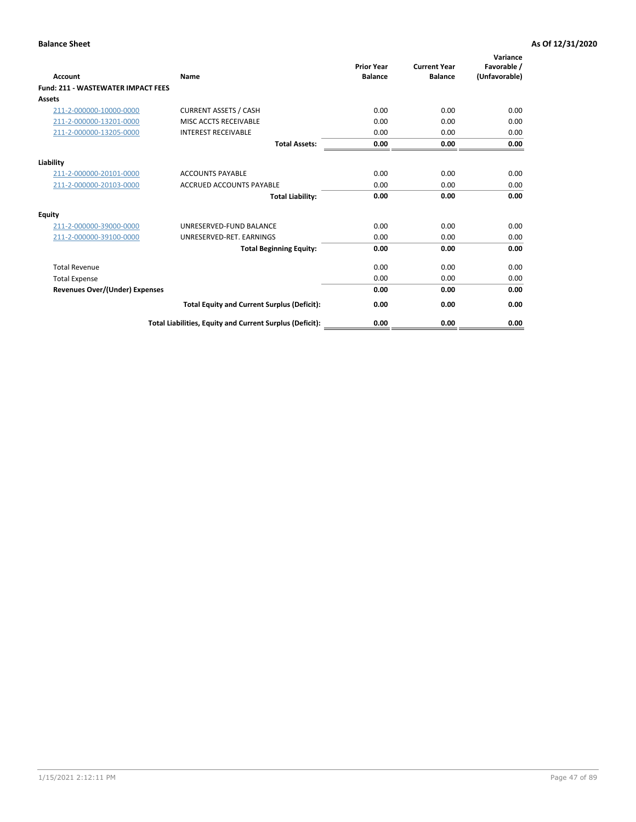| <b>Account</b>                        | <b>Name</b>                                              | <b>Prior Year</b><br><b>Balance</b> | <b>Current Year</b><br><b>Balance</b> | Variance<br>Favorable /<br>(Unfavorable) |
|---------------------------------------|----------------------------------------------------------|-------------------------------------|---------------------------------------|------------------------------------------|
| Fund: 211 - WASTEWATER IMPACT FEES    |                                                          |                                     |                                       |                                          |
| <b>Assets</b>                         |                                                          |                                     |                                       |                                          |
| 211-2-000000-10000-0000               | <b>CURRENT ASSETS / CASH</b>                             | 0.00                                | 0.00                                  | 0.00                                     |
| 211-2-000000-13201-0000               | MISC ACCTS RECEIVABLE                                    | 0.00                                | 0.00                                  | 0.00                                     |
| 211-2-000000-13205-0000               | <b>INTEREST RECEIVABLE</b>                               | 0.00                                | 0.00                                  | 0.00                                     |
|                                       | <b>Total Assets:</b>                                     | 0.00                                | 0.00                                  | 0.00                                     |
| Liability                             |                                                          |                                     |                                       |                                          |
| 211-2-000000-20101-0000               | <b>ACCOUNTS PAYABLE</b>                                  | 0.00                                | 0.00                                  | 0.00                                     |
| 211-2-000000-20103-0000               | <b>ACCRUED ACCOUNTS PAYABLE</b>                          | 0.00                                | 0.00                                  | 0.00                                     |
|                                       | <b>Total Liability:</b>                                  | 0.00                                | 0.00                                  | 0.00                                     |
| <b>Equity</b>                         |                                                          |                                     |                                       |                                          |
| 211-2-000000-39000-0000               | UNRESERVED-FUND BALANCE                                  | 0.00                                | 0.00                                  | 0.00                                     |
| 211-2-000000-39100-0000               | UNRESERVED-RET. EARNINGS                                 | 0.00                                | 0.00                                  | 0.00                                     |
|                                       | <b>Total Beginning Equity:</b>                           | 0.00                                | 0.00                                  | 0.00                                     |
| <b>Total Revenue</b>                  |                                                          | 0.00                                | 0.00                                  | 0.00                                     |
| <b>Total Expense</b>                  |                                                          | 0.00                                | 0.00                                  | 0.00                                     |
| <b>Revenues Over/(Under) Expenses</b> |                                                          | 0.00                                | 0.00                                  | 0.00                                     |
|                                       | <b>Total Equity and Current Surplus (Deficit):</b>       | 0.00                                | 0.00                                  | 0.00                                     |
|                                       | Total Liabilities, Equity and Current Surplus (Deficit): | 0.00                                | 0.00                                  | 0.00                                     |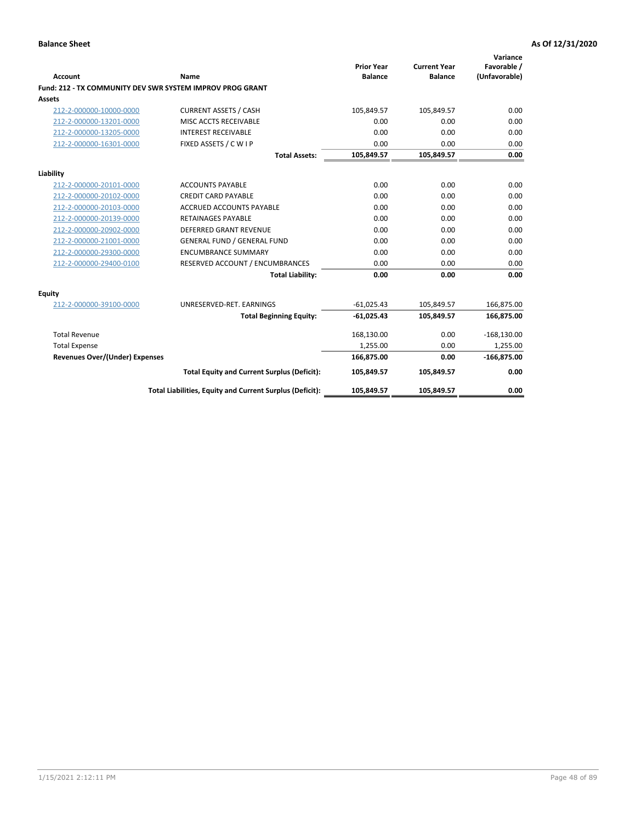| <b>Account</b>                 | Name                                                      | <b>Prior Year</b><br><b>Balance</b> | <b>Current Year</b><br><b>Balance</b> | Variance<br>Favorable /<br>(Unfavorable) |
|--------------------------------|-----------------------------------------------------------|-------------------------------------|---------------------------------------|------------------------------------------|
|                                | Fund: 212 - TX COMMUNITY DEV SWR SYSTEM IMPROV PROG GRANT |                                     |                                       |                                          |
| <b>Assets</b>                  |                                                           |                                     |                                       |                                          |
| 212-2-000000-10000-0000        | <b>CURRENT ASSETS / CASH</b>                              | 105,849.57                          | 105,849.57                            | 0.00                                     |
| 212-2-000000-13201-0000        | MISC ACCTS RECEIVABLE                                     | 0.00                                | 0.00                                  | 0.00                                     |
| 212-2-000000-13205-0000        | <b>INTEREST RECEIVABLE</b>                                | 0.00                                | 0.00                                  | 0.00                                     |
| 212-2-000000-16301-0000        | FIXED ASSETS / C W I P                                    | 0.00                                | 0.00                                  | 0.00                                     |
|                                | <b>Total Assets:</b>                                      | 105,849.57                          | 105,849.57                            | 0.00                                     |
| Liability                      |                                                           |                                     |                                       |                                          |
| 212-2-000000-20101-0000        | <b>ACCOUNTS PAYABLE</b>                                   | 0.00                                | 0.00                                  | 0.00                                     |
| 212-2-000000-20102-0000        | <b>CREDIT CARD PAYABLE</b>                                | 0.00                                | 0.00                                  | 0.00                                     |
| 212-2-000000-20103-0000        | <b>ACCRUED ACCOUNTS PAYABLE</b>                           | 0.00                                | 0.00                                  | 0.00                                     |
| 212-2-000000-20139-0000        | <b>RETAINAGES PAYABLE</b>                                 | 0.00                                | 0.00                                  | 0.00                                     |
| 212-2-000000-20902-0000        | <b>DEFERRED GRANT REVENUE</b>                             | 0.00                                | 0.00                                  | 0.00                                     |
| 212-2-000000-21001-0000        | <b>GENERAL FUND / GENERAL FUND</b>                        | 0.00                                | 0.00                                  | 0.00                                     |
| 212-2-000000-29300-0000        | <b>ENCUMBRANCE SUMMARY</b>                                | 0.00                                | 0.00                                  | 0.00                                     |
| 212-2-000000-29400-0100        | RESERVED ACCOUNT / ENCUMBRANCES                           | 0.00                                | 0.00                                  | 0.00                                     |
|                                | <b>Total Liability:</b>                                   | 0.00                                | 0.00                                  | 0.00                                     |
| <b>Equity</b>                  |                                                           |                                     |                                       |                                          |
| 212-2-000000-39100-0000        | UNRESERVED-RET. EARNINGS                                  | $-61,025.43$                        | 105,849.57                            | 166,875.00                               |
|                                | <b>Total Beginning Equity:</b>                            | $-61,025.43$                        | 105,849.57                            | 166,875.00                               |
| <b>Total Revenue</b>           |                                                           | 168,130.00                          | 0.00                                  | $-168,130.00$                            |
| <b>Total Expense</b>           |                                                           | 1,255.00                            | 0.00                                  | 1,255.00                                 |
| Revenues Over/(Under) Expenses |                                                           | 166,875.00                          | 0.00                                  | $-166,875.00$                            |
|                                | <b>Total Equity and Current Surplus (Deficit):</b>        | 105,849.57                          | 105,849.57                            | 0.00                                     |
|                                | Total Liabilities, Equity and Current Surplus (Deficit):  | 105,849.57                          | 105,849.57                            | 0.00                                     |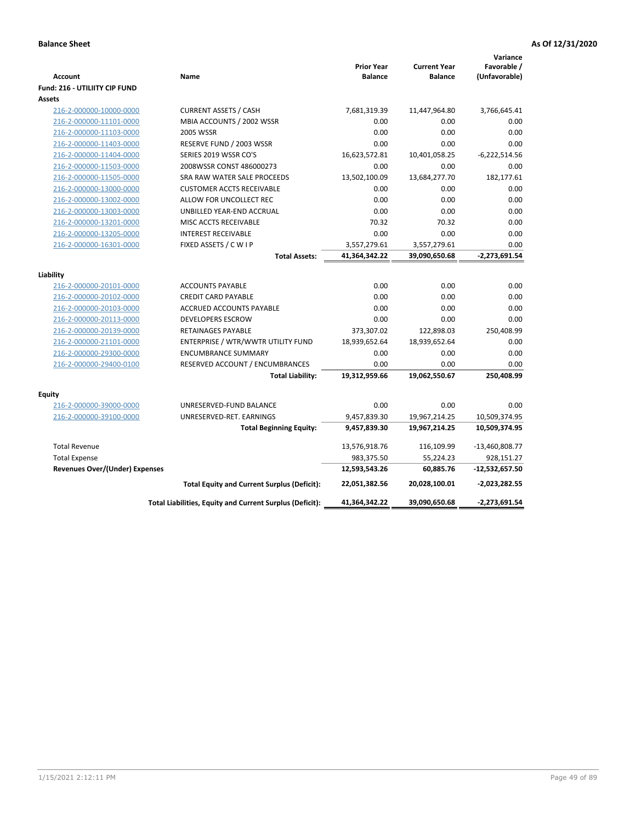| <b>Account</b><br><b>Fund: 216 - UTILIITY CIP FUND</b> | Name                                                     | <b>Prior Year</b><br><b>Balance</b> | <b>Current Year</b><br><b>Balance</b> | Variance<br>Favorable /<br>(Unfavorable) |
|--------------------------------------------------------|----------------------------------------------------------|-------------------------------------|---------------------------------------|------------------------------------------|
| <b>Assets</b>                                          |                                                          |                                     |                                       |                                          |
| 216-2-000000-10000-0000                                | <b>CURRENT ASSETS / CASH</b>                             | 7,681,319.39                        | 11,447,964.80                         | 3,766,645.41                             |
| 216-2-000000-11101-0000                                | MBIA ACCOUNTS / 2002 WSSR                                | 0.00                                | 0.00                                  | 0.00                                     |
| 216-2-000000-11103-0000                                | <b>2005 WSSR</b>                                         | 0.00                                | 0.00                                  | 0.00                                     |
| 216-2-000000-11403-0000                                | RESERVE FUND / 2003 WSSR                                 | 0.00                                | 0.00                                  | 0.00                                     |
| 216-2-000000-11404-0000                                | SERIES 2019 WSSR CO'S                                    | 16,623,572.81                       | 10,401,058.25                         | $-6,222,514.56$                          |
| 216-2-000000-11503-0000                                | 2008WSSR CONST 486000273                                 | 0.00                                | 0.00                                  | 0.00                                     |
| 216-2-000000-11505-0000                                | SRA RAW WATER SALE PROCEEDS                              | 13,502,100.09                       | 13,684,277.70                         | 182,177.61                               |
| 216-2-000000-13000-0000                                | <b>CUSTOMER ACCTS RECEIVABLE</b>                         | 0.00                                | 0.00                                  | 0.00                                     |
| 216-2-000000-13002-0000                                | ALLOW FOR UNCOLLECT REC                                  | 0.00                                | 0.00                                  | 0.00                                     |
| 216-2-000000-13003-0000                                | UNBILLED YEAR-END ACCRUAL                                | 0.00                                | 0.00                                  | 0.00                                     |
| 216-2-000000-13201-0000                                | MISC ACCTS RECEIVABLE                                    | 70.32                               | 70.32                                 | 0.00                                     |
| 216-2-000000-13205-0000                                | <b>INTEREST RECEIVABLE</b>                               | 0.00                                | 0.00                                  | 0.00                                     |
| 216-2-000000-16301-0000                                | FIXED ASSETS / C W I P                                   | 3,557,279.61                        | 3,557,279.61                          | 0.00                                     |
|                                                        | <b>Total Assets:</b>                                     | 41,364,342.22                       | 39,090,650.68                         | $-2,273,691.54$                          |
|                                                        |                                                          |                                     |                                       |                                          |
| Liability<br>216-2-000000-20101-0000                   | <b>ACCOUNTS PAYABLE</b>                                  | 0.00                                | 0.00                                  | 0.00                                     |
| 216-2-000000-20102-0000                                | <b>CREDIT CARD PAYABLE</b>                               | 0.00                                | 0.00                                  | 0.00                                     |
| 216-2-000000-20103-0000                                | ACCRUED ACCOUNTS PAYABLE                                 | 0.00                                | 0.00                                  | 0.00                                     |
| 216-2-000000-20113-0000                                | <b>DEVELOPERS ESCROW</b>                                 | 0.00                                | 0.00                                  | 0.00                                     |
| 216-2-000000-20139-0000                                | <b>RETAINAGES PAYABLE</b>                                | 373,307.02                          | 122,898.03                            | 250,408.99                               |
| 216-2-000000-21101-0000                                | ENTERPRISE / WTR/WWTR UTILITY FUND                       | 18,939,652.64                       | 18,939,652.64                         | 0.00                                     |
| 216-2-000000-29300-0000                                | <b>ENCUMBRANCE SUMMARY</b>                               | 0.00                                | 0.00                                  | 0.00                                     |
| 216-2-000000-29400-0100                                | RESERVED ACCOUNT / ENCUMBRANCES                          | 0.00                                | 0.00                                  | 0.00                                     |
|                                                        | <b>Total Liability:</b>                                  | 19,312,959.66                       | 19,062,550.67                         | 250,408.99                               |
|                                                        |                                                          |                                     |                                       |                                          |
| <b>Equity</b>                                          |                                                          |                                     |                                       |                                          |
| 216-2-000000-39000-0000                                | UNRESERVED-FUND BALANCE                                  | 0.00                                | 0.00                                  | 0.00                                     |
| 216-2-000000-39100-0000                                | UNRESERVED-RET. EARNINGS                                 | 9,457,839.30                        | 19,967,214.25                         | 10,509,374.95                            |
|                                                        | <b>Total Beginning Equity:</b>                           | 9,457,839.30                        | 19,967,214.25                         | 10,509,374.95                            |
| <b>Total Revenue</b>                                   |                                                          | 13,576,918.76                       | 116,109.99                            | $-13,460,808.77$                         |
| <b>Total Expense</b>                                   |                                                          | 983,375.50                          | 55,224.23                             | 928,151.27                               |
| <b>Revenues Over/(Under) Expenses</b>                  |                                                          | 12,593,543.26                       | 60,885.76                             | $-12,532,657.50$                         |
|                                                        | <b>Total Equity and Current Surplus (Deficit):</b>       | 22,051,382.56                       | 20,028,100.01                         | $-2,023,282.55$                          |
|                                                        | Total Liabilities, Equity and Current Surplus (Deficit): | 41,364,342.22                       | 39,090,650.68                         | $-2,273,691.54$                          |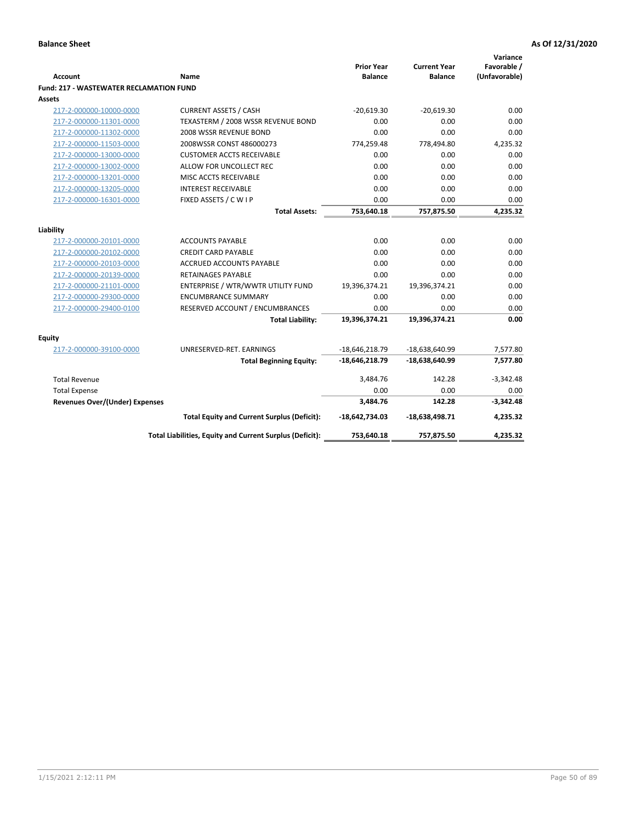| <b>Account</b>                                 | Name                                                     | <b>Prior Year</b><br><b>Balance</b> | <b>Current Year</b><br><b>Balance</b> | Variance<br>Favorable /<br>(Unfavorable) |
|------------------------------------------------|----------------------------------------------------------|-------------------------------------|---------------------------------------|------------------------------------------|
| <b>Fund: 217 - WASTEWATER RECLAMATION FUND</b> |                                                          |                                     |                                       |                                          |
| Assets                                         |                                                          |                                     |                                       |                                          |
| 217-2-000000-10000-0000                        | <b>CURRENT ASSETS / CASH</b>                             | $-20.619.30$                        | $-20.619.30$                          | 0.00                                     |
| 217-2-000000-11301-0000                        | TEXASTERM / 2008 WSSR REVENUE BOND                       | 0.00                                | 0.00                                  | 0.00                                     |
| 217-2-000000-11302-0000                        | 2008 WSSR REVENUE BOND                                   | 0.00                                | 0.00                                  | 0.00                                     |
| 217-2-000000-11503-0000                        | 2008WSSR CONST 486000273                                 | 774,259.48                          | 778,494.80                            | 4,235.32                                 |
| 217-2-000000-13000-0000                        | <b>CUSTOMER ACCTS RECEIVABLE</b>                         | 0.00                                | 0.00                                  | 0.00                                     |
| 217-2-000000-13002-0000                        | ALLOW FOR UNCOLLECT REC                                  | 0.00                                | 0.00                                  | 0.00                                     |
| 217-2-000000-13201-0000                        | MISC ACCTS RECEIVABLE                                    | 0.00                                | 0.00                                  | 0.00                                     |
| 217-2-000000-13205-0000                        | <b>INTEREST RECEIVABLE</b>                               | 0.00                                | 0.00                                  | 0.00                                     |
| 217-2-000000-16301-0000                        | FIXED ASSETS / C W I P                                   | 0.00                                | 0.00                                  | 0.00                                     |
|                                                | <b>Total Assets:</b>                                     | 753,640.18                          | 757,875.50                            | 4,235.32                                 |
|                                                |                                                          |                                     |                                       |                                          |
| Liability                                      |                                                          |                                     |                                       |                                          |
| 217-2-000000-20101-0000                        | <b>ACCOUNTS PAYABLE</b>                                  | 0.00                                | 0.00                                  | 0.00                                     |
| 217-2-000000-20102-0000                        | <b>CREDIT CARD PAYABLE</b>                               | 0.00                                | 0.00                                  | 0.00                                     |
| 217-2-000000-20103-0000                        | <b>ACCRUED ACCOUNTS PAYABLE</b>                          | 0.00                                | 0.00                                  | 0.00                                     |
| 217-2-000000-20139-0000                        | <b>RETAINAGES PAYABLE</b>                                | 0.00                                | 0.00                                  | 0.00                                     |
| 217-2-000000-21101-0000                        | ENTERPRISE / WTR/WWTR UTILITY FUND                       | 19,396,374.21                       | 19,396,374.21                         | 0.00                                     |
| 217-2-000000-29300-0000                        | <b>ENCUMBRANCE SUMMARY</b>                               | 0.00                                | 0.00                                  | 0.00                                     |
| 217-2-000000-29400-0100                        | RESERVED ACCOUNT / ENCUMBRANCES                          | 0.00                                | 0.00                                  | 0.00                                     |
|                                                | <b>Total Liability:</b>                                  | 19,396,374.21                       | 19,396,374.21                         | 0.00                                     |
| <b>Equity</b>                                  |                                                          |                                     |                                       |                                          |
| 217-2-000000-39100-0000                        | UNRESERVED-RET. EARNINGS                                 | $-18,646,218.79$                    | -18,638,640.99                        | 7,577.80                                 |
|                                                | <b>Total Beginning Equity:</b>                           | $-18,646,218.79$                    | $-18,638,640.99$                      | 7,577.80                                 |
| <b>Total Revenue</b>                           |                                                          | 3,484.76                            | 142.28                                | $-3,342.48$                              |
| <b>Total Expense</b>                           |                                                          | 0.00                                | 0.00                                  | 0.00                                     |
| <b>Revenues Over/(Under) Expenses</b>          |                                                          | 3,484.76                            | 142.28                                | $-3,342.48$                              |
|                                                | <b>Total Equity and Current Surplus (Deficit):</b>       | $-18,642,734.03$                    | $-18,638,498.71$                      | 4,235.32                                 |
|                                                | Total Liabilities, Equity and Current Surplus (Deficit): | 753,640.18                          | 757,875.50                            | 4,235.32                                 |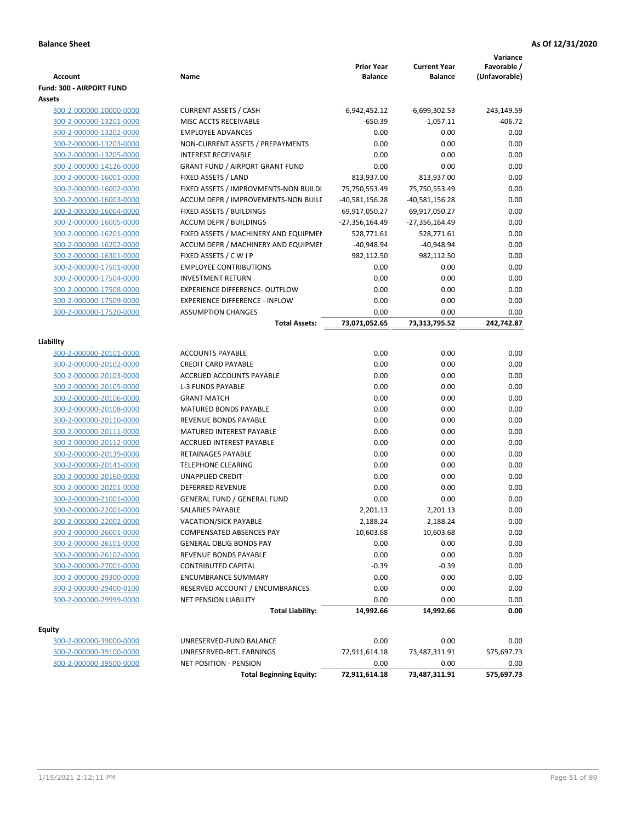| <b>Account</b>                  | Name                                   | <b>Prior Year</b><br><b>Balance</b> | <b>Current Year</b><br><b>Balance</b> | Variance<br>Favorable /<br>(Unfavorable) |
|---------------------------------|----------------------------------------|-------------------------------------|---------------------------------------|------------------------------------------|
| <b>Fund: 300 - AIRPORT FUND</b> |                                        |                                     |                                       |                                          |
| Assets                          |                                        |                                     |                                       |                                          |
| 300-2-000000-10000-0000         | <b>CURRENT ASSETS / CASH</b>           | $-6,942,452.12$                     | $-6,699,302.53$                       | 243,149.59                               |
| 300-2-000000-13201-0000         | MISC ACCTS RECEIVABLE                  | $-650.39$                           | $-1,057.11$                           | $-406.72$                                |
| 300-2-000000-13202-0000         | <b>EMPLOYEE ADVANCES</b>               | 0.00                                | 0.00                                  | 0.00                                     |
| 300-2-000000-13203-0000         | NON-CURRENT ASSETS / PREPAYMENTS       | 0.00                                | 0.00                                  | 0.00                                     |
| 300-2-000000-13205-0000         | <b>INTEREST RECEIVABLE</b>             | 0.00                                | 0.00                                  | 0.00                                     |
| 300-2-000000-14126-0000         | <b>GRANT FUND / AIRPORT GRANT FUND</b> | 0.00                                | 0.00                                  | 0.00                                     |
| 300-2-000000-16001-0000         | FIXED ASSETS / LAND                    | 813,937.00                          | 813,937.00                            | 0.00                                     |
| 300-2-000000-16002-0000         | FIXED ASSETS / IMPROVMENTS-NON BUILDI  | 75,750,553.49                       | 75,750,553.49                         | 0.00                                     |
| 300-2-000000-16003-0000         | ACCUM DEPR / IMPROVEMENTS-NON BUILI    | -40,581,156.28                      | -40,581,156.28                        | 0.00                                     |
| 300-2-000000-16004-0000         | FIXED ASSETS / BUILDINGS               | 69,917,050.27                       | 69,917,050.27                         | 0.00                                     |
| 300-2-000000-16005-0000         | <b>ACCUM DEPR / BUILDINGS</b>          | -27,356,164.49                      | -27,356,164.49                        | 0.00                                     |
| 300-2-000000-16201-0000         | FIXED ASSETS / MACHINERY AND EQUIPMEN  | 528,771.61                          | 528,771.61                            | 0.00                                     |
| 300-2-000000-16202-0000         | ACCUM DEPR / MACHINERY AND EQUIPMEI    | $-40,948.94$                        | $-40,948.94$                          | 0.00                                     |
| 300-2-000000-16301-0000         | FIXED ASSETS / C W I P                 | 982,112.50                          | 982,112.50                            | 0.00                                     |
| 300-2-000000-17501-0000         | <b>EMPLOYEE CONTRIBUTIONS</b>          | 0.00                                | 0.00                                  | 0.00                                     |
| 300-2-000000-17504-0000         | <b>INVESTMENT RETURN</b>               | 0.00                                | 0.00                                  | 0.00                                     |
| 300-2-000000-17508-0000         | <b>EXPERIENCE DIFFERENCE- OUTFLOW</b>  | 0.00                                | 0.00                                  | 0.00                                     |
| 300-2-000000-17509-0000         | <b>EXPERIENCE DIFFERENCE - INFLOW</b>  | 0.00                                | 0.00                                  | 0.00                                     |
| 300-2-000000-17520-0000         | <b>ASSUMPTION CHANGES</b>              | 0.00                                | 0.00                                  | 0.00                                     |
|                                 | <b>Total Assets:</b>                   | 73,071,052.65                       | 73,313,795.52                         | 242,742.87                               |
| Liability                       |                                        |                                     |                                       |                                          |
| 300-2-000000-20101-0000         | <b>ACCOUNTS PAYABLE</b>                | 0.00                                | 0.00                                  | 0.00                                     |
| 300-2-000000-20102-0000         | <b>CREDIT CARD PAYABLE</b>             | 0.00                                | 0.00                                  | 0.00                                     |
| 300-2-000000-20103-0000         | ACCRUED ACCOUNTS PAYABLE               | 0.00                                | 0.00                                  | 0.00                                     |
| 300-2-000000-20105-0000         | L-3 FUNDS PAYABLE                      | 0.00                                | 0.00                                  | 0.00                                     |
| 300-2-000000-20106-0000         | <b>GRANT MATCH</b>                     | 0.00                                | 0.00                                  | 0.00                                     |
| 300-2-000000-20108-0000         | <b>MATURED BONDS PAYABLE</b>           | 0.00                                | 0.00                                  | 0.00                                     |
| 300-2-000000-20110-0000         | REVENUE BONDS PAYABLE                  | 0.00                                | 0.00                                  | 0.00                                     |
| 300-2-000000-20111-0000         | MATURED INTEREST PAYABLE               | 0.00                                | 0.00                                  | 0.00                                     |
| 300-2-000000-20112-0000         | <b>ACCRUED INTEREST PAYABLE</b>        | 0.00                                | 0.00                                  | 0.00                                     |
| 300-2-000000-20139-0000         | RETAINAGES PAYABLE                     | 0.00                                | 0.00                                  | 0.00                                     |
| 300-2-000000-20141-0000         | <b>TELEPHONE CLEARING</b>              | 0.00                                | 0.00                                  | 0.00                                     |
| 300-2-000000-20160-0000         | <b>UNAPPLIED CREDIT</b>                | 0.00                                | 0.00                                  | 0.00                                     |
| 300-2-000000-20201-0000         | <b>DEFERRED REVENUE</b>                | 0.00                                | 0.00                                  | 0.00                                     |
| 300-2-000000-21001-0000         | <b>GENERAL FUND / GENERAL FUND</b>     | 0.00                                | 0.00                                  | 0.00                                     |
| 300-2-000000-22001-0000         | SALARIES PAYABLE                       | 2,201.13                            | 2,201.13                              | 0.00                                     |
| 300-2-000000-22002-0000         | VACATION/SICK PAYABLE                  | 2,188.24                            | 2,188.24                              | 0.00                                     |
| 300-2-000000-26001-0000         | COMPENSATED ABSENCES PAY               | 10,603.68                           | 10,603.68                             | 0.00                                     |
| 300-2-000000-26101-0000         | <b>GENERAL OBLIG BONDS PAY</b>         | 0.00                                | 0.00                                  | 0.00                                     |
| 300-2-000000-26102-0000         | REVENUE BONDS PAYABLE                  | 0.00                                | 0.00                                  | 0.00                                     |
| 300-2-000000-27001-0000         | <b>CONTRIBUTED CAPITAL</b>             | $-0.39$                             | $-0.39$                               | 0.00                                     |
| 300-2-000000-29300-0000         | <b>ENCUMBRANCE SUMMARY</b>             | 0.00                                | 0.00                                  | 0.00                                     |
| 300-2-000000-29400-0100         | RESERVED ACCOUNT / ENCUMBRANCES        | 0.00                                | 0.00                                  | 0.00                                     |
| 300-2-000000-29999-0000         | <b>NET PENSION LIABILITY</b>           | 0.00                                | 0.00                                  | 0.00                                     |
|                                 | <b>Total Liability:</b>                | 14,992.66                           | 14,992.66                             | 0.00                                     |
|                                 |                                        |                                     |                                       |                                          |
| <b>Equity</b>                   |                                        |                                     |                                       |                                          |
| 300-2-000000-39000-0000         | UNRESERVED-FUND BALANCE                | 0.00                                | 0.00                                  | 0.00                                     |
| 300-2-000000-39100-0000         | UNRESERVED-RET. EARNINGS               | 72,911,614.18                       | 73,487,311.91                         | 575,697.73                               |
| 300-2-000000-39500-0000         | NET POSITION - PENSION                 | 0.00                                | 0.00                                  | 0.00                                     |
|                                 | <b>Total Beginning Equity:</b>         | 72,911,614.18                       | 73,487,311.91                         | 575,697.73                               |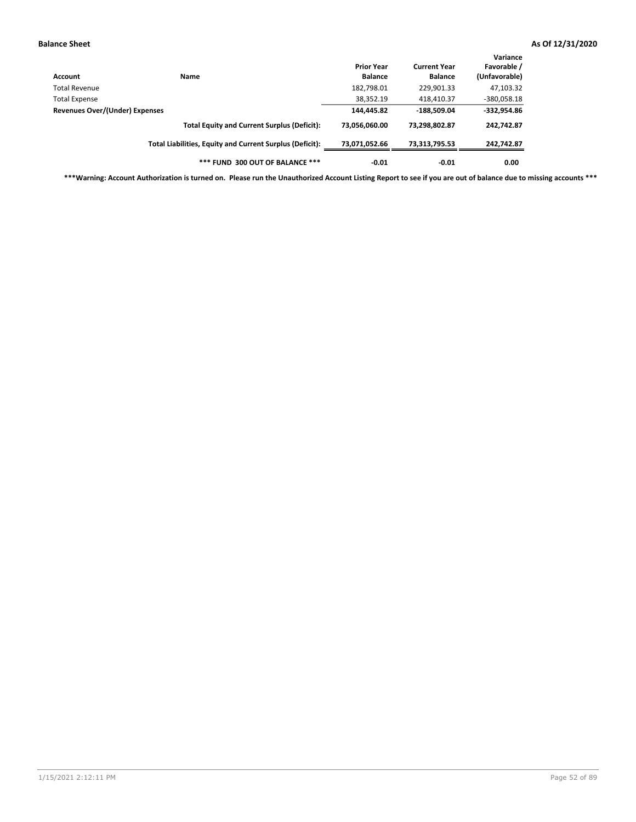| Account                        | Name                                                     | <b>Prior Year</b><br><b>Balance</b> | <b>Current Year</b><br><b>Balance</b> | Variance<br>Favorable /<br>(Unfavorable) |
|--------------------------------|----------------------------------------------------------|-------------------------------------|---------------------------------------|------------------------------------------|
| Total Revenue                  |                                                          | 182,798.01                          | 229,901.33                            | 47,103.32                                |
| <b>Total Expense</b>           |                                                          | 38,352.19                           | 418,410.37                            | $-380,058.18$                            |
| Revenues Over/(Under) Expenses |                                                          | 144,445.82                          | $-188,509.04$                         | $-332,954.86$                            |
|                                | <b>Total Equity and Current Surplus (Deficit):</b>       | 73,056,060.00                       | 73,298,802.87                         | 242,742.87                               |
|                                | Total Liabilities, Equity and Current Surplus (Deficit): | 73,071,052.66                       | 73,313,795.53                         | 242,742.87                               |
|                                | *** FUND 300 OUT OF BALANCE ***                          | $-0.01$                             | $-0.01$                               | 0.00                                     |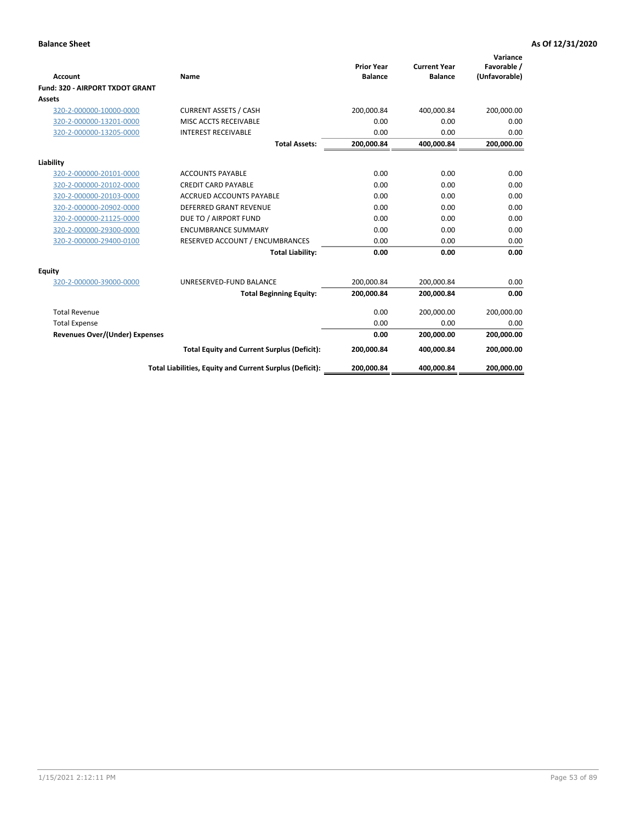|                                 |                                                          |                                     |                                       | Variance                     |
|---------------------------------|----------------------------------------------------------|-------------------------------------|---------------------------------------|------------------------------|
| Account                         | Name                                                     | <b>Prior Year</b><br><b>Balance</b> | <b>Current Year</b><br><b>Balance</b> | Favorable /<br>(Unfavorable) |
| Fund: 320 - AIRPORT TXDOT GRANT |                                                          |                                     |                                       |                              |
| Assets                          |                                                          |                                     |                                       |                              |
| 320-2-000000-10000-0000         | <b>CURRENT ASSETS / CASH</b>                             | 200,000.84                          | 400,000.84                            | 200,000.00                   |
| 320-2-000000-13201-0000         | MISC ACCTS RECEIVABLE                                    | 0.00                                | 0.00                                  | 0.00                         |
| 320-2-000000-13205-0000         | <b>INTEREST RECEIVABLE</b>                               | 0.00                                | 0.00                                  | 0.00                         |
|                                 | <b>Total Assets:</b>                                     | 200,000.84                          | 400,000.84                            | 200,000.00                   |
| Liability                       |                                                          |                                     |                                       |                              |
| 320-2-000000-20101-0000         | <b>ACCOUNTS PAYABLE</b>                                  | 0.00                                | 0.00                                  | 0.00                         |
| 320-2-000000-20102-0000         | <b>CREDIT CARD PAYABLE</b>                               | 0.00                                | 0.00                                  | 0.00                         |
| 320-2-000000-20103-0000         | <b>ACCRUED ACCOUNTS PAYABLE</b>                          | 0.00                                | 0.00                                  | 0.00                         |
| 320-2-000000-20902-0000         | <b>DEFERRED GRANT REVENUE</b>                            | 0.00                                | 0.00                                  | 0.00                         |
| 320-2-000000-21125-0000         | DUE TO / AIRPORT FUND                                    | 0.00                                | 0.00                                  | 0.00                         |
| 320-2-000000-29300-0000         | <b>ENCUMBRANCE SUMMARY</b>                               | 0.00                                | 0.00                                  | 0.00                         |
| 320-2-000000-29400-0100         | RESERVED ACCOUNT / ENCUMBRANCES                          | 0.00                                | 0.00                                  | 0.00                         |
|                                 | <b>Total Liability:</b>                                  | 0.00                                | 0.00                                  | 0.00                         |
| <b>Equity</b>                   |                                                          |                                     |                                       |                              |
| 320-2-000000-39000-0000         | UNRESERVED-FUND BALANCE                                  | 200,000.84                          | 200,000.84                            | 0.00                         |
|                                 | <b>Total Beginning Equity:</b>                           | 200,000.84                          | 200,000.84                            | 0.00                         |
| <b>Total Revenue</b>            |                                                          | 0.00                                | 200,000.00                            | 200,000.00                   |
| <b>Total Expense</b>            |                                                          | 0.00                                | 0.00                                  | 0.00                         |
| Revenues Over/(Under) Expenses  |                                                          | 0.00                                | 200,000.00                            | 200,000.00                   |
|                                 | <b>Total Equity and Current Surplus (Deficit):</b>       | 200,000.84                          | 400,000.84                            | 200,000.00                   |
|                                 | Total Liabilities, Equity and Current Surplus (Deficit): | 200,000.84                          | 400,000.84                            | 200,000.00                   |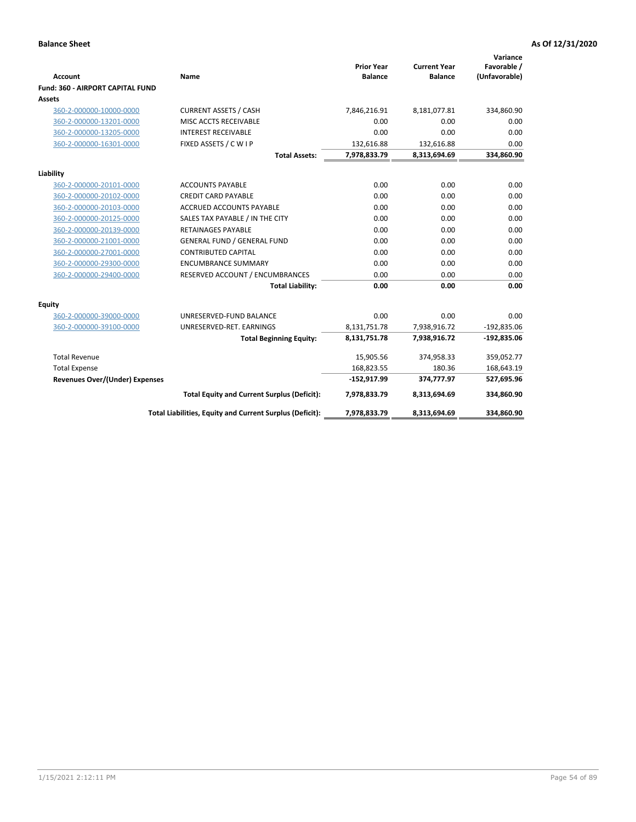|                                         |                                                          |                                     |                                       | Variance                     |
|-----------------------------------------|----------------------------------------------------------|-------------------------------------|---------------------------------------|------------------------------|
| <b>Account</b>                          | Name                                                     | <b>Prior Year</b><br><b>Balance</b> | <b>Current Year</b><br><b>Balance</b> | Favorable /<br>(Unfavorable) |
| <b>Fund: 360 - AIRPORT CAPITAL FUND</b> |                                                          |                                     |                                       |                              |
| Assets                                  |                                                          |                                     |                                       |                              |
| 360-2-000000-10000-0000                 | <b>CURRENT ASSETS / CASH</b>                             | 7,846,216.91                        | 8,181,077.81                          | 334,860.90                   |
| 360-2-000000-13201-0000                 | MISC ACCTS RECEIVABLE                                    | 0.00                                | 0.00                                  | 0.00                         |
| 360-2-000000-13205-0000                 | <b>INTEREST RECEIVABLE</b>                               | 0.00                                | 0.00                                  | 0.00                         |
| 360-2-000000-16301-0000                 | FIXED ASSETS / C W I P                                   | 132,616.88                          | 132,616.88                            | 0.00                         |
|                                         | <b>Total Assets:</b>                                     | 7,978,833.79                        | 8,313,694.69                          | 334,860.90                   |
| Liability                               |                                                          |                                     |                                       |                              |
| 360-2-000000-20101-0000                 | <b>ACCOUNTS PAYABLE</b>                                  | 0.00                                | 0.00                                  | 0.00                         |
| 360-2-000000-20102-0000                 | <b>CREDIT CARD PAYABLE</b>                               | 0.00                                | 0.00                                  | 0.00                         |
| 360-2-000000-20103-0000                 | <b>ACCRUED ACCOUNTS PAYABLE</b>                          | 0.00                                | 0.00                                  | 0.00                         |
| 360-2-000000-20125-0000                 | SALES TAX PAYABLE / IN THE CITY                          | 0.00                                | 0.00                                  | 0.00                         |
| 360-2-000000-20139-0000                 | <b>RETAINAGES PAYABLE</b>                                | 0.00                                | 0.00                                  | 0.00                         |
| 360-2-000000-21001-0000                 | <b>GENERAL FUND / GENERAL FUND</b>                       | 0.00                                | 0.00                                  | 0.00                         |
| 360-2-000000-27001-0000                 | <b>CONTRIBUTED CAPITAL</b>                               | 0.00                                | 0.00                                  | 0.00                         |
| 360-2-000000-29300-0000                 | <b>ENCUMBRANCE SUMMARY</b>                               | 0.00                                | 0.00                                  | 0.00                         |
| 360-2-000000-29400-0000                 | RESERVED ACCOUNT / ENCUMBRANCES                          | 0.00                                | 0.00                                  | 0.00                         |
|                                         | <b>Total Liability:</b>                                  | 0.00                                | 0.00                                  | 0.00                         |
| Equity                                  |                                                          |                                     |                                       |                              |
| 360-2-000000-39000-0000                 | UNRESERVED-FUND BALANCE                                  | 0.00                                | 0.00                                  | 0.00                         |
| 360-2-000000-39100-0000                 | UNRESERVED-RET. EARNINGS                                 | 8,131,751.78                        | 7,938,916.72                          | $-192,835.06$                |
|                                         | <b>Total Beginning Equity:</b>                           | 8,131,751.78                        | 7,938,916.72                          | $-192,835.06$                |
|                                         |                                                          |                                     |                                       |                              |
| <b>Total Revenue</b>                    |                                                          | 15,905.56                           | 374,958.33                            | 359,052.77                   |
| <b>Total Expense</b>                    |                                                          | 168,823.55                          | 180.36                                | 168,643.19                   |
| Revenues Over/(Under) Expenses          |                                                          | $-152,917.99$                       | 374,777.97                            | 527,695.96                   |
|                                         | <b>Total Equity and Current Surplus (Deficit):</b>       | 7,978,833.79                        | 8,313,694.69                          | 334,860.90                   |
|                                         | Total Liabilities, Equity and Current Surplus (Deficit): | 7,978,833.79                        | 8,313,694.69                          | 334,860.90                   |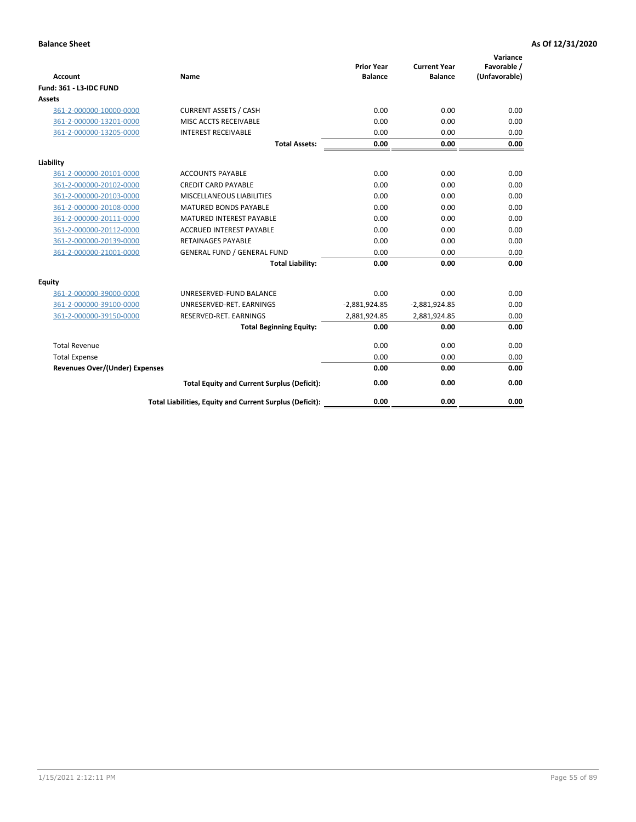| <b>Account</b>                        | <b>Name</b>                                              | <b>Prior Year</b><br><b>Balance</b> | <b>Current Year</b><br><b>Balance</b> | Variance<br>Favorable /<br>(Unfavorable) |
|---------------------------------------|----------------------------------------------------------|-------------------------------------|---------------------------------------|------------------------------------------|
| <b>Fund: 361 - L3-IDC FUND</b>        |                                                          |                                     |                                       |                                          |
| Assets                                |                                                          |                                     |                                       |                                          |
| 361-2-000000-10000-0000               | <b>CURRENT ASSETS / CASH</b>                             | 0.00                                | 0.00                                  | 0.00                                     |
| 361-2-000000-13201-0000               | MISC ACCTS RECEIVABLE                                    | 0.00                                | 0.00                                  | 0.00                                     |
| 361-2-000000-13205-0000               | <b>INTEREST RECEIVABLE</b>                               | 0.00                                | 0.00                                  | 0.00                                     |
|                                       | <b>Total Assets:</b>                                     | 0.00                                | 0.00                                  | 0.00                                     |
| Liability                             |                                                          |                                     |                                       |                                          |
| 361-2-000000-20101-0000               | <b>ACCOUNTS PAYABLE</b>                                  | 0.00                                | 0.00                                  | 0.00                                     |
| 361-2-000000-20102-0000               | <b>CREDIT CARD PAYABLE</b>                               | 0.00                                | 0.00                                  | 0.00                                     |
| 361-2-000000-20103-0000               | MISCELLANEOUS LIABILITIES                                | 0.00                                | 0.00                                  | 0.00                                     |
| 361-2-000000-20108-0000               | <b>MATURED BONDS PAYABLE</b>                             | 0.00                                | 0.00                                  | 0.00                                     |
| 361-2-000000-20111-0000               | <b>MATURED INTEREST PAYABLE</b>                          | 0.00                                | 0.00                                  | 0.00                                     |
| 361-2-000000-20112-0000               | <b>ACCRUED INTEREST PAYABLE</b>                          | 0.00                                | 0.00                                  | 0.00                                     |
| 361-2-000000-20139-0000               | <b>RETAINAGES PAYABLE</b>                                | 0.00                                | 0.00                                  | 0.00                                     |
| 361-2-000000-21001-0000               | <b>GENERAL FUND / GENERAL FUND</b>                       | 0.00                                | 0.00                                  | 0.00                                     |
|                                       | <b>Total Liability:</b>                                  | 0.00                                | 0.00                                  | 0.00                                     |
| Equity                                |                                                          |                                     |                                       |                                          |
| 361-2-000000-39000-0000               | UNRESERVED-FUND BALANCE                                  | 0.00                                | 0.00                                  | 0.00                                     |
| 361-2-000000-39100-0000               | UNRESERVED-RET. EARNINGS                                 | $-2,881,924.85$                     | $-2,881,924.85$                       | 0.00                                     |
| 361-2-000000-39150-0000               | RESERVED-RET. EARNINGS                                   | 2,881,924.85                        | 2,881,924.85                          | 0.00                                     |
|                                       | <b>Total Beginning Equity:</b>                           | 0.00                                | 0.00                                  | 0.00                                     |
| <b>Total Revenue</b>                  |                                                          | 0.00                                | 0.00                                  | 0.00                                     |
| <b>Total Expense</b>                  |                                                          | 0.00                                | 0.00                                  | 0.00                                     |
| <b>Revenues Over/(Under) Expenses</b> |                                                          | 0.00                                | 0.00                                  | 0.00                                     |
|                                       | <b>Total Equity and Current Surplus (Deficit):</b>       | 0.00                                | 0.00                                  | 0.00                                     |
|                                       | Total Liabilities, Equity and Current Surplus (Deficit): | 0.00                                | 0.00                                  | 0.00                                     |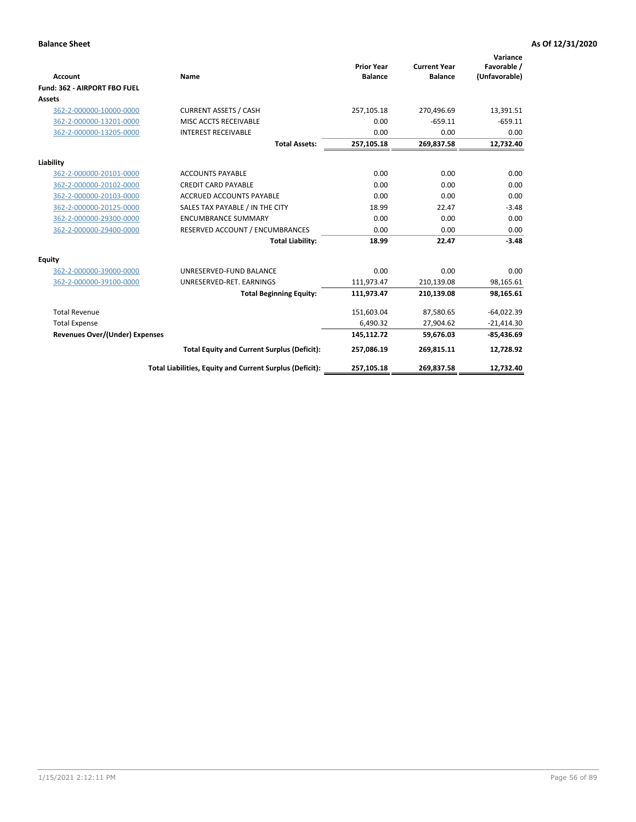|                                       |                                                          |                                     |                                       | Variance                     |
|---------------------------------------|----------------------------------------------------------|-------------------------------------|---------------------------------------|------------------------------|
| <b>Account</b>                        | Name                                                     | <b>Prior Year</b><br><b>Balance</b> | <b>Current Year</b><br><b>Balance</b> | Favorable /<br>(Unfavorable) |
| Fund: 362 - AIRPORT FBO FUEL          |                                                          |                                     |                                       |                              |
| <b>Assets</b>                         |                                                          |                                     |                                       |                              |
| 362-2-000000-10000-0000               | <b>CURRENT ASSETS / CASH</b>                             | 257,105.18                          | 270,496.69                            | 13,391.51                    |
| 362-2-000000-13201-0000               | MISC ACCTS RECEIVABLE                                    | 0.00                                | $-659.11$                             | $-659.11$                    |
| 362-2-000000-13205-0000               | <b>INTEREST RECEIVABLE</b>                               | 0.00                                | 0.00                                  | 0.00                         |
|                                       | <b>Total Assets:</b>                                     | 257,105.18                          | 269,837.58                            | 12,732.40                    |
| Liability                             |                                                          |                                     |                                       |                              |
| 362-2-000000-20101-0000               | <b>ACCOUNTS PAYABLE</b>                                  | 0.00                                | 0.00                                  | 0.00                         |
| 362-2-000000-20102-0000               | <b>CREDIT CARD PAYABLE</b>                               | 0.00                                | 0.00                                  | 0.00                         |
| 362-2-000000-20103-0000               | <b>ACCRUED ACCOUNTS PAYABLE</b>                          | 0.00                                | 0.00                                  | 0.00                         |
| 362-2-000000-20125-0000               | SALES TAX PAYABLE / IN THE CITY                          | 18.99                               | 22.47                                 | $-3.48$                      |
| 362-2-000000-29300-0000               | <b>ENCUMBRANCE SUMMARY</b>                               | 0.00                                | 0.00                                  | 0.00                         |
| 362-2-000000-29400-0000               | RESERVED ACCOUNT / ENCUMBRANCES                          | 0.00                                | 0.00                                  | 0.00                         |
|                                       | <b>Total Liability:</b>                                  | 18.99                               | 22.47                                 | $-3.48$                      |
| <b>Equity</b>                         |                                                          |                                     |                                       |                              |
| 362-2-000000-39000-0000               | UNRESERVED-FUND BALANCE                                  | 0.00                                | 0.00                                  | 0.00                         |
| 362-2-000000-39100-0000               | UNRESERVED-RET. EARNINGS                                 | 111,973.47                          | 210,139.08                            | 98,165.61                    |
|                                       | <b>Total Beginning Equity:</b>                           | 111,973.47                          | 210,139.08                            | 98,165.61                    |
| <b>Total Revenue</b>                  |                                                          | 151,603.04                          | 87,580.65                             | $-64,022.39$                 |
| <b>Total Expense</b>                  |                                                          | 6,490.32                            | 27,904.62                             | $-21,414.30$                 |
| <b>Revenues Over/(Under) Expenses</b> |                                                          | 145,112.72                          | 59,676.03                             | $-85,436.69$                 |
|                                       | <b>Total Equity and Current Surplus (Deficit):</b>       | 257,086.19                          | 269,815.11                            | 12,728.92                    |
|                                       | Total Liabilities, Equity and Current Surplus (Deficit): | 257,105.18                          | 269,837.58                            | 12,732.40                    |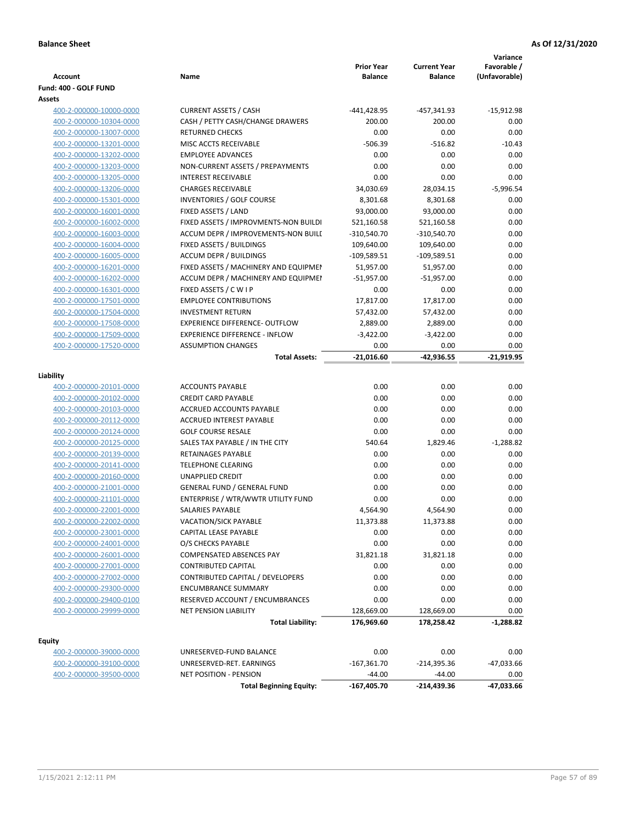| Account                                            | Name                                                   | <b>Prior Year</b><br><b>Balance</b> | <b>Current Year</b><br><b>Balance</b> | Variance<br>Favorable /<br>(Unfavorable) |
|----------------------------------------------------|--------------------------------------------------------|-------------------------------------|---------------------------------------|------------------------------------------|
| Fund: 400 - GOLF FUND                              |                                                        |                                     |                                       |                                          |
| Assets                                             |                                                        |                                     |                                       |                                          |
| 400-2-000000-10000-0000                            | <b>CURRENT ASSETS / CASH</b>                           | -441,428.95                         | -457,341.93                           | $-15,912.98$                             |
| 400-2-000000-10304-0000                            | CASH / PETTY CASH/CHANGE DRAWERS                       | 200.00                              | 200.00                                | 0.00                                     |
| 400-2-000000-13007-0000                            | <b>RETURNED CHECKS</b>                                 | 0.00                                | 0.00                                  | 0.00                                     |
| 400-2-000000-13201-0000                            | MISC ACCTS RECEIVABLE                                  | $-506.39$                           | $-516.82$                             | $-10.43$                                 |
| 400-2-000000-13202-0000                            | <b>EMPLOYEE ADVANCES</b>                               | 0.00                                | 0.00                                  | 0.00                                     |
| 400-2-000000-13203-0000                            | NON-CURRENT ASSETS / PREPAYMENTS                       | 0.00                                | 0.00                                  | 0.00                                     |
| 400-2-000000-13205-0000                            | <b>INTEREST RECEIVABLE</b>                             | 0.00                                | 0.00                                  | 0.00                                     |
| 400-2-000000-13206-0000                            | <b>CHARGES RECEIVABLE</b>                              | 34,030.69                           | 28,034.15                             | $-5,996.54$                              |
| 400-2-000000-15301-0000                            | <b>INVENTORIES / GOLF COURSE</b>                       | 8,301.68                            | 8,301.68                              | 0.00                                     |
| 400-2-000000-16001-0000                            | FIXED ASSETS / LAND                                    | 93,000.00                           | 93,000.00                             | 0.00                                     |
| 400-2-000000-16002-0000                            | FIXED ASSETS / IMPROVMENTS-NON BUILDI                  | 521,160.58                          | 521,160.58                            | 0.00                                     |
| 400-2-000000-16003-0000                            | ACCUM DEPR / IMPROVEMENTS-NON BUILI                    | $-310,540.70$                       | $-310,540.70$                         | 0.00                                     |
| 400-2-000000-16004-0000                            | FIXED ASSETS / BUILDINGS                               | 109,640.00                          | 109,640.00                            | 0.00                                     |
| 400-2-000000-16005-0000                            | <b>ACCUM DEPR / BUILDINGS</b>                          | $-109,589.51$                       | $-109,589.51$                         | 0.00                                     |
| 400-2-000000-16201-0000                            | FIXED ASSETS / MACHINERY AND EQUIPMEN                  | 51,957.00                           | 51,957.00                             | 0.00                                     |
| 400-2-000000-16202-0000                            | ACCUM DEPR / MACHINERY AND EQUIPMEI                    | $-51,957.00$                        | $-51,957.00$                          | 0.00                                     |
| 400-2-000000-16301-0000                            | FIXED ASSETS / C W I P                                 | 0.00                                | 0.00                                  | 0.00                                     |
| 400-2-000000-17501-0000                            | <b>EMPLOYEE CONTRIBUTIONS</b>                          | 17,817.00                           | 17,817.00                             | 0.00                                     |
| 400-2-000000-17504-0000                            | <b>INVESTMENT RETURN</b>                               | 57,432.00                           | 57,432.00                             | 0.00                                     |
| 400-2-000000-17508-0000                            | <b>EXPERIENCE DIFFERENCE- OUTFLOW</b>                  | 2,889.00                            | 2,889.00                              | 0.00                                     |
| 400-2-000000-17509-0000                            | <b>EXPERIENCE DIFFERENCE - INFLOW</b>                  | $-3,422.00$                         | $-3,422.00$                           | 0.00                                     |
| 400-2-000000-17520-0000                            | <b>ASSUMPTION CHANGES</b>                              | 0.00                                | 0.00                                  | 0.00                                     |
|                                                    | <b>Total Assets:</b>                                   | $-21,016.60$                        | -42,936.55                            | $-21,919.95$                             |
|                                                    |                                                        |                                     |                                       |                                          |
| Liability                                          |                                                        |                                     |                                       |                                          |
| 400-2-000000-20101-0000                            | <b>ACCOUNTS PAYABLE</b>                                | 0.00                                | 0.00                                  | 0.00                                     |
| 400-2-000000-20102-0000                            | <b>CREDIT CARD PAYABLE</b>                             | 0.00                                | 0.00                                  | 0.00                                     |
| 400-2-000000-20103-0000                            | ACCRUED ACCOUNTS PAYABLE                               | 0.00                                | 0.00                                  | 0.00                                     |
| 400-2-000000-20112-0000                            | <b>ACCRUED INTEREST PAYABLE</b>                        | 0.00                                | 0.00                                  | 0.00                                     |
| 400-2-000000-20124-0000                            | <b>GOLF COURSE RESALE</b>                              | 0.00                                | 0.00                                  | 0.00                                     |
| 400-2-000000-20125-0000                            | SALES TAX PAYABLE / IN THE CITY                        | 540.64                              | 1,829.46                              | $-1,288.82$                              |
| 400-2-000000-20139-0000                            | RETAINAGES PAYABLE                                     | 0.00                                | 0.00                                  | 0.00                                     |
| 400-2-000000-20141-0000                            | <b>TELEPHONE CLEARING</b>                              | 0.00                                | 0.00                                  | 0.00                                     |
| 400-2-000000-20160-0000                            | <b>UNAPPLIED CREDIT</b>                                | 0.00                                | 0.00                                  | 0.00                                     |
| 400-2-000000-21001-0000                            | <b>GENERAL FUND / GENERAL FUND</b>                     | 0.00                                | 0.00                                  | 0.00                                     |
| 400-2-000000-21101-0000                            | ENTERPRISE / WTR/WWTR UTILITY FUND                     | 0.00                                | 0.00<br>4.564.90                      | 0.00                                     |
| 400-2-000000-22001-0000                            | SALARIES PAYABLE                                       | 4,564.90                            |                                       | 0.00                                     |
| 400-2-000000-22002-0000                            | <b>VACATION/SICK PAYABLE</b>                           | 11,373.88                           | 11,373.88                             | 0.00                                     |
| 400-2-000000-23001-0000                            | CAPITAL LEASE PAYABLE                                  | 0.00                                | 0.00                                  | 0.00                                     |
| 400-2-000000-24001-0000                            | O/S CHECKS PAYABLE                                     | 0.00                                | 0.00                                  | 0.00                                     |
| 400-2-000000-26001-0000                            | COMPENSATED ABSENCES PAY<br><b>CONTRIBUTED CAPITAL</b> | 31,821.18<br>0.00                   | 31,821.18<br>0.00                     | 0.00<br>0.00                             |
| 400-2-000000-27001-0000<br>400-2-000000-27002-0000 | CONTRIBUTED CAPITAL / DEVELOPERS                       | 0.00                                | 0.00                                  | 0.00                                     |
|                                                    | <b>ENCUMBRANCE SUMMARY</b>                             | 0.00                                | 0.00                                  | 0.00                                     |
| 400-2-000000-29300-0000                            | RESERVED ACCOUNT / ENCUMBRANCES                        | 0.00                                | 0.00                                  | 0.00                                     |
| 400-2-000000-29400-0100<br>400-2-000000-29999-0000 | NET PENSION LIABILITY                                  | 128,669.00                          | 128,669.00                            | 0.00                                     |
|                                                    | <b>Total Liability:</b>                                | 176,969.60                          | 178,258.42                            | $-1,288.82$                              |
|                                                    |                                                        |                                     |                                       |                                          |
| <b>Equity</b>                                      |                                                        |                                     |                                       |                                          |
| 400-2-000000-39000-0000                            | UNRESERVED-FUND BALANCE                                | 0.00                                | 0.00                                  | 0.00                                     |
| 400-2-000000-39100-0000                            | UNRESERVED-RET. EARNINGS                               | $-167,361.70$                       | $-214,395.36$                         | -47,033.66                               |
| 400-2-000000-39500-0000                            | <b>NET POSITION - PENSION</b>                          | $-44.00$                            | $-44.00$                              | 0.00                                     |
|                                                    | <b>Total Beginning Equity:</b>                         | $-167,405.70$                       | -214,439.36                           | -47,033.66                               |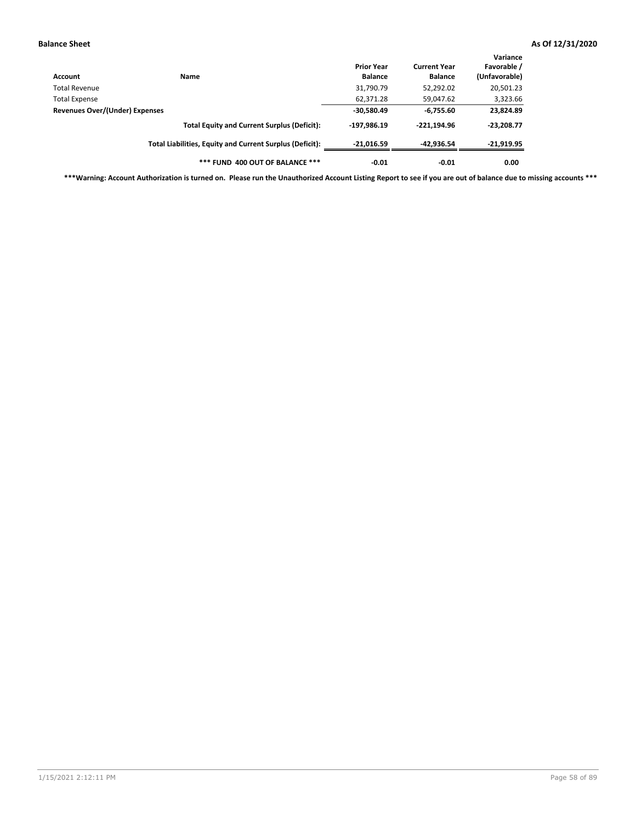| Account                        | Name                                                     | <b>Prior Year</b><br><b>Balance</b> | <b>Current Year</b><br><b>Balance</b> | Variance<br>Favorable /<br>(Unfavorable) |
|--------------------------------|----------------------------------------------------------|-------------------------------------|---------------------------------------|------------------------------------------|
| Total Revenue                  |                                                          | 31,790.79                           | 52,292.02                             | 20,501.23                                |
| Total Expense                  |                                                          | 62,371.28                           | 59,047.62                             | 3,323.66                                 |
| Revenues Over/(Under) Expenses |                                                          | $-30,580.49$                        | $-6,755.60$                           | 23,824.89                                |
|                                | <b>Total Equity and Current Surplus (Deficit):</b>       | $-197,986.19$                       | $-221.194.96$                         | $-23,208.77$                             |
|                                | Total Liabilities, Equity and Current Surplus (Deficit): | $-21,016.59$                        | $-42,936.54$                          | $-21,919.95$                             |
|                                | *** FUND 400 OUT OF BALANCE ***                          | $-0.01$                             | $-0.01$                               | 0.00                                     |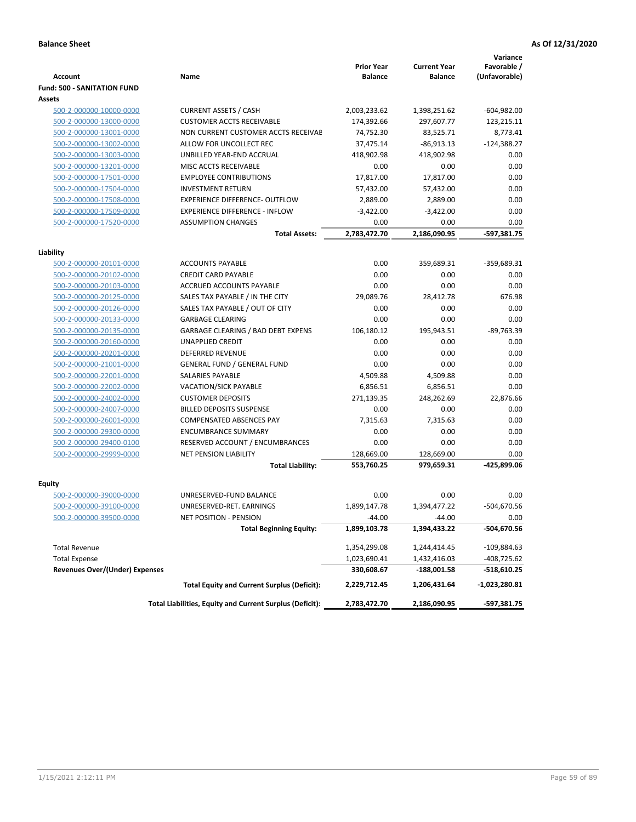| <b>Account</b>                        | Name                                                            | <b>Prior Year</b><br><b>Balance</b> | <b>Current Year</b><br><b>Balance</b> | Variance<br>Favorable /<br>(Unfavorable) |
|---------------------------------------|-----------------------------------------------------------------|-------------------------------------|---------------------------------------|------------------------------------------|
| <b>Fund: 500 - SANITATION FUND</b>    |                                                                 |                                     |                                       |                                          |
| Assets                                |                                                                 |                                     |                                       |                                          |
| 500-2-000000-10000-0000               | <b>CURRENT ASSETS / CASH</b>                                    | 2,003,233.62                        | 1,398,251.62                          | $-604,982.00$                            |
| 500-2-000000-13000-0000               | <b>CUSTOMER ACCTS RECEIVABLE</b>                                | 174,392.66                          | 297,607.77                            | 123,215.11                               |
| 500-2-000000-13001-0000               | NON CURRENT CUSTOMER ACCTS RECEIVAE                             | 74,752.30                           | 83,525.71                             | 8,773.41                                 |
| 500-2-000000-13002-0000               | ALLOW FOR UNCOLLECT REC                                         | 37,475.14                           | $-86,913.13$                          | $-124,388.27$                            |
| 500-2-000000-13003-0000               | UNBILLED YEAR-END ACCRUAL                                       | 418,902.98                          | 418,902.98                            | 0.00                                     |
| 500-2-000000-13201-0000               | MISC ACCTS RECEIVABLE                                           | 0.00                                | 0.00                                  | 0.00                                     |
| 500-2-000000-17501-0000               | <b>EMPLOYEE CONTRIBUTIONS</b>                                   | 17,817.00                           | 17,817.00                             | 0.00                                     |
| 500-2-000000-17504-0000               | <b>INVESTMENT RETURN</b>                                        | 57,432.00                           | 57,432.00                             | 0.00                                     |
| 500-2-000000-17508-0000               | <b>EXPERIENCE DIFFERENCE- OUTFLOW</b>                           | 2,889.00                            | 2,889.00                              | 0.00                                     |
| 500-2-000000-17509-0000               | <b>EXPERIENCE DIFFERENCE - INFLOW</b>                           | $-3,422.00$                         | $-3,422.00$                           | 0.00                                     |
| 500-2-000000-17520-0000               | <b>ASSUMPTION CHANGES</b>                                       | 0.00                                | 0.00                                  | 0.00                                     |
|                                       | <b>Total Assets:</b>                                            | 2,783,472.70                        | 2,186,090.95                          | $-597,381.75$                            |
|                                       |                                                                 |                                     |                                       |                                          |
| Liability                             |                                                                 |                                     |                                       |                                          |
| 500-2-000000-20101-0000               | <b>ACCOUNTS PAYABLE</b>                                         | 0.00                                | 359,689.31                            | -359,689.31                              |
| 500-2-000000-20102-0000               | <b>CREDIT CARD PAYABLE</b>                                      | 0.00                                | 0.00                                  | 0.00                                     |
| 500-2-000000-20103-0000               | ACCRUED ACCOUNTS PAYABLE                                        | 0.00                                | 0.00                                  | 0.00                                     |
| 500-2-000000-20125-0000               | SALES TAX PAYABLE / IN THE CITY                                 | 29,089.76                           | 28,412.78                             | 676.98                                   |
| 500-2-000000-20126-0000               | SALES TAX PAYABLE / OUT OF CITY                                 | 0.00                                | 0.00                                  | 0.00                                     |
| 500-2-000000-20133-0000               | <b>GARBAGE CLEARING</b>                                         | 0.00                                | 0.00                                  | 0.00                                     |
| 500-2-000000-20135-0000               | GARBAGE CLEARING / BAD DEBT EXPENS                              | 106,180.12                          | 195,943.51                            | -89,763.39                               |
| 500-2-000000-20160-0000               | <b>UNAPPLIED CREDIT</b>                                         | 0.00                                | 0.00                                  | 0.00                                     |
| 500-2-000000-20201-0000               | <b>DEFERRED REVENUE</b>                                         | 0.00                                | 0.00                                  | 0.00                                     |
| 500-2-000000-21001-0000               | <b>GENERAL FUND / GENERAL FUND</b>                              | 0.00                                | 0.00                                  | 0.00                                     |
| 500-2-000000-22001-0000               | SALARIES PAYABLE                                                | 4,509.88                            | 4,509.88                              | 0.00                                     |
| 500-2-000000-22002-0000               | <b>VACATION/SICK PAYABLE</b>                                    | 6,856.51                            | 6,856.51                              | 0.00                                     |
| 500-2-000000-24002-0000               | <b>CUSTOMER DEPOSITS</b>                                        | 271,139.35                          | 248,262.69                            | 22,876.66                                |
| 500-2-000000-24007-0000               | <b>BILLED DEPOSITS SUSPENSE</b>                                 | 0.00                                | 0.00                                  | 0.00                                     |
| 500-2-000000-26001-0000               | <b>COMPENSATED ABSENCES PAY</b>                                 | 7,315.63                            | 7,315.63                              | 0.00                                     |
| 500-2-000000-29300-0000               | <b>ENCUMBRANCE SUMMARY</b>                                      | 0.00                                | 0.00                                  | 0.00                                     |
| 500-2-000000-29400-0100               | RESERVED ACCOUNT / ENCUMBRANCES<br><b>NET PENSION LIABILITY</b> | 0.00                                | 0.00                                  | 0.00                                     |
| 500-2-000000-29999-0000               |                                                                 | 128,669.00                          | 128,669.00                            | 0.00                                     |
|                                       | <b>Total Liability:</b>                                         | 553,760.25                          | 979,659.31                            | -425,899.06                              |
| Equity                                |                                                                 |                                     |                                       |                                          |
| 500-2-000000-39000-0000               | UNRESERVED-FUND BALANCE                                         | 0.00                                | 0.00                                  | 0.00                                     |
| 500-2-000000-39100-0000               | UNRESERVED-RET. EARNINGS                                        | 1,899,147.78                        | 1,394,477.22                          | -504,670.56                              |
| <u>500-2-000000-39500-0000</u>        | NET POSITION - PENSION                                          | -44.00                              | -44.00                                | 0.00                                     |
|                                       | <b>Total Beginning Equity:</b>                                  | 1,899,103.78                        | 1,394,433.22                          | -504,670.56                              |
|                                       |                                                                 |                                     |                                       |                                          |
| <b>Total Revenue</b>                  |                                                                 | 1,354,299.08                        | 1,244,414.45                          | -109,884.63                              |
| <b>Total Expense</b>                  |                                                                 | 1,023,690.41                        | 1,432,416.03                          | -408,725.62                              |
| <b>Revenues Over/(Under) Expenses</b> |                                                                 | 330,608.67                          | -188,001.58                           | -518,610.25                              |
|                                       | <b>Total Equity and Current Surplus (Deficit):</b>              | 2,229,712.45                        | 1,206,431.64                          | -1,023,280.81                            |
|                                       | Total Liabilities, Equity and Current Surplus (Deficit):        | 2,783,472.70                        | 2,186,090.95                          | -597,381.75                              |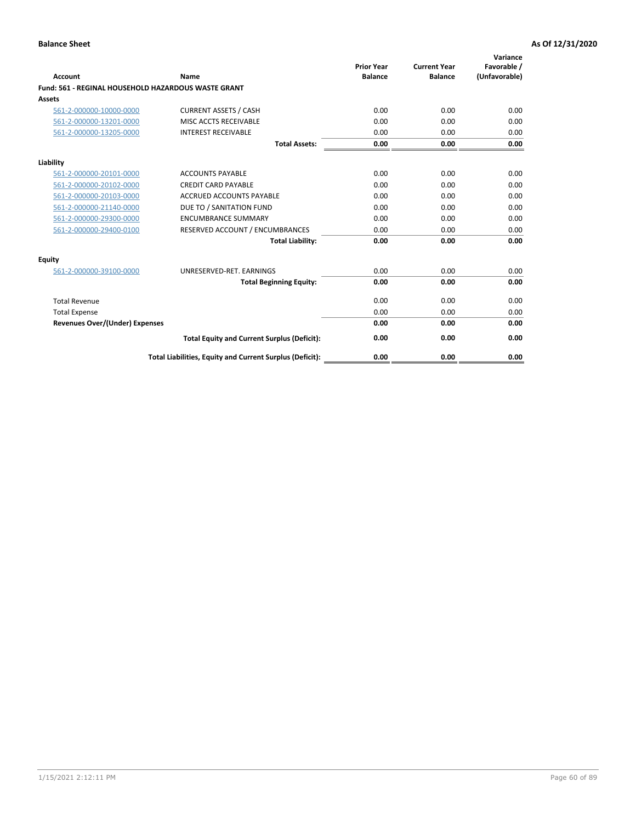| Account                                             | Name                                                     | <b>Prior Year</b><br><b>Balance</b> | <b>Current Year</b><br><b>Balance</b> | Variance<br>Favorable /<br>(Unfavorable) |
|-----------------------------------------------------|----------------------------------------------------------|-------------------------------------|---------------------------------------|------------------------------------------|
| Fund: 561 - REGINAL HOUSEHOLD HAZARDOUS WASTE GRANT |                                                          |                                     |                                       |                                          |
| <b>Assets</b>                                       |                                                          |                                     |                                       |                                          |
| 561-2-000000-10000-0000                             | <b>CURRENT ASSETS / CASH</b>                             | 0.00                                | 0.00                                  | 0.00                                     |
| 561-2-000000-13201-0000                             | MISC ACCTS RECEIVABLE                                    | 0.00                                | 0.00                                  | 0.00                                     |
| 561-2-000000-13205-0000                             | <b>INTEREST RECEIVABLE</b>                               | 0.00                                | 0.00                                  | 0.00                                     |
|                                                     | <b>Total Assets:</b>                                     | 0.00                                | 0.00                                  | 0.00                                     |
| Liability                                           |                                                          |                                     |                                       |                                          |
| 561-2-000000-20101-0000                             | <b>ACCOUNTS PAYABLE</b>                                  | 0.00                                | 0.00                                  | 0.00                                     |
| 561-2-000000-20102-0000                             | <b>CREDIT CARD PAYABLE</b>                               | 0.00                                | 0.00                                  | 0.00                                     |
| 561-2-000000-20103-0000                             | ACCRUED ACCOUNTS PAYABLE                                 | 0.00                                | 0.00                                  | 0.00                                     |
| 561-2-000000-21140-0000                             | DUE TO / SANITATION FUND                                 | 0.00                                | 0.00                                  | 0.00                                     |
| 561-2-000000-29300-0000                             | <b>ENCUMBRANCE SUMMARY</b>                               | 0.00                                | 0.00                                  | 0.00                                     |
| 561-2-000000-29400-0100                             | RESERVED ACCOUNT / ENCUMBRANCES                          | 0.00                                | 0.00                                  | 0.00                                     |
|                                                     | <b>Total Liability:</b>                                  | 0.00                                | 0.00                                  | 0.00                                     |
| <b>Equity</b>                                       |                                                          |                                     |                                       |                                          |
| 561-2-000000-39100-0000                             | UNRESERVED-RET. EARNINGS                                 | 0.00                                | 0.00                                  | 0.00                                     |
|                                                     | <b>Total Beginning Equity:</b>                           | 0.00                                | 0.00                                  | 0.00                                     |
| <b>Total Revenue</b>                                |                                                          | 0.00                                | 0.00                                  | 0.00                                     |
| <b>Total Expense</b>                                |                                                          | 0.00                                | 0.00                                  | 0.00                                     |
| <b>Revenues Over/(Under) Expenses</b>               |                                                          | 0.00                                | 0.00                                  | 0.00                                     |
|                                                     | <b>Total Equity and Current Surplus (Deficit):</b>       | 0.00                                | 0.00                                  | 0.00                                     |
|                                                     | Total Liabilities, Equity and Current Surplus (Deficit): | 0.00                                | 0.00                                  | 0.00                                     |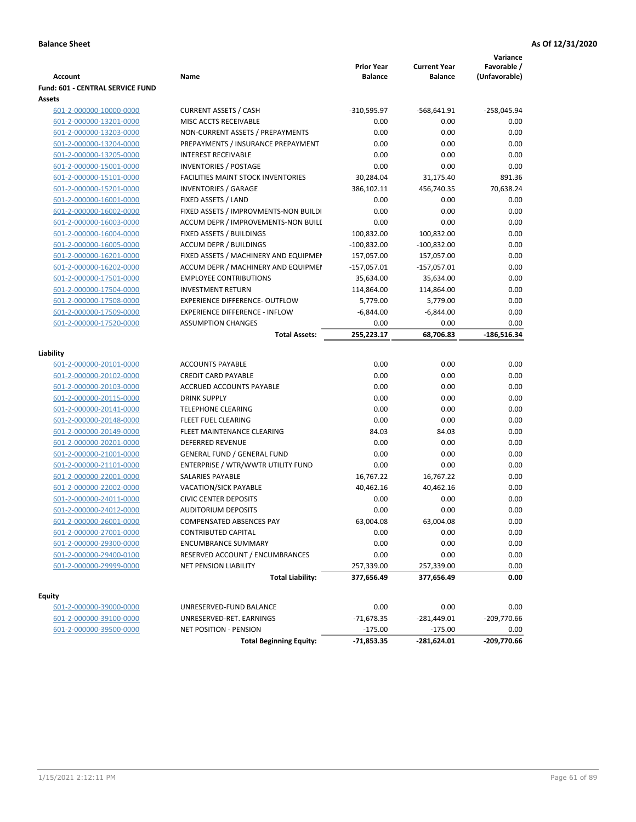|                                                    |                                                        |                   |                     | Variance      |
|----------------------------------------------------|--------------------------------------------------------|-------------------|---------------------|---------------|
|                                                    |                                                        | <b>Prior Year</b> | <b>Current Year</b> | Favorable /   |
| <b>Account</b>                                     | Name                                                   | <b>Balance</b>    | <b>Balance</b>      | (Unfavorable) |
| Fund: 601 - CENTRAL SERVICE FUND                   |                                                        |                   |                     |               |
| Assets                                             |                                                        |                   |                     |               |
| 601-2-000000-10000-0000                            | <b>CURRENT ASSETS / CASH</b><br>MISC ACCTS RECEIVABLE  | $-310,595.97$     | $-568,641.91$       | $-258,045.94$ |
| 601-2-000000-13201-0000                            |                                                        | 0.00              | 0.00                | 0.00          |
| 601-2-000000-13203-0000                            | NON-CURRENT ASSETS / PREPAYMENTS                       | 0.00              | 0.00                | 0.00          |
| 601-2-000000-13204-0000                            | PREPAYMENTS / INSURANCE PREPAYMENT                     | 0.00              | 0.00                | 0.00          |
| 601-2-000000-13205-0000                            | <b>INTEREST RECEIVABLE</b>                             | 0.00              | 0.00                | 0.00          |
| 601-2-000000-15001-0000                            | <b>INVENTORIES / POSTAGE</b>                           | 0.00              | 0.00                | 0.00          |
| 601-2-000000-15101-0000                            | <b>FACILITIES MAINT STOCK INVENTORIES</b>              | 30,284.04         | 31,175.40           | 891.36        |
| 601-2-000000-15201-0000                            | <b>INVENTORIES / GARAGE</b>                            | 386,102.11        | 456,740.35          | 70,638.24     |
| 601-2-000000-16001-0000                            | FIXED ASSETS / LAND                                    | 0.00              | 0.00                | 0.00          |
| 601-2-000000-16002-0000                            | FIXED ASSETS / IMPROVMENTS-NON BUILDI                  | 0.00              | 0.00                | 0.00          |
| 601-2-000000-16003-0000                            | ACCUM DEPR / IMPROVEMENTS-NON BUILI                    | 0.00              | 0.00                | 0.00          |
| 601-2-000000-16004-0000                            | FIXED ASSETS / BUILDINGS                               | 100,832.00        | 100,832.00          | 0.00          |
| 601-2-000000-16005-0000                            | <b>ACCUM DEPR / BUILDINGS</b>                          | $-100,832.00$     | $-100,832.00$       | 0.00          |
| 601-2-000000-16201-0000                            | FIXED ASSETS / MACHINERY AND EQUIPMEN                  | 157,057.00        | 157,057.00          | 0.00          |
| 601-2-000000-16202-0000                            | ACCUM DEPR / MACHINERY AND EQUIPMEI                    | $-157,057.01$     | $-157,057.01$       | 0.00          |
| 601-2-000000-17501-0000                            | <b>EMPLOYEE CONTRIBUTIONS</b>                          | 35,634.00         | 35,634.00           | 0.00          |
| 601-2-000000-17504-0000                            | <b>INVESTMENT RETURN</b>                               | 114,864.00        | 114,864.00          | 0.00          |
| 601-2-000000-17508-0000                            | <b>EXPERIENCE DIFFERENCE- OUTFLOW</b>                  | 5,779.00          | 5,779.00            | 0.00          |
| 601-2-000000-17509-0000                            | <b>EXPERIENCE DIFFERENCE - INFLOW</b>                  | $-6,844.00$       | $-6,844.00$         | 0.00          |
| 601-2-000000-17520-0000                            | <b>ASSUMPTION CHANGES</b>                              | 0.00              | 0.00                | 0.00          |
|                                                    | <b>Total Assets:</b>                                   | 255,223.17        | 68,706.83           | $-186,516.34$ |
| Liability                                          |                                                        |                   |                     |               |
| 601-2-000000-20101-0000                            | <b>ACCOUNTS PAYABLE</b>                                | 0.00              | 0.00                | 0.00          |
| 601-2-000000-20102-0000                            | <b>CREDIT CARD PAYABLE</b>                             | 0.00              | 0.00                | 0.00          |
| 601-2-000000-20103-0000                            | ACCRUED ACCOUNTS PAYABLE                               | 0.00              | 0.00                | 0.00          |
| 601-2-000000-20115-0000                            | <b>DRINK SUPPLY</b>                                    | 0.00              | 0.00                | 0.00          |
| 601-2-000000-20141-0000                            | <b>TELEPHONE CLEARING</b>                              | 0.00              | 0.00                | 0.00          |
| 601-2-000000-20148-0000                            | FLEET FUEL CLEARING                                    | 0.00              | 0.00                | 0.00          |
| 601-2-000000-20149-0000                            | FLEET MAINTENANCE CLEARING                             | 84.03             | 84.03               | 0.00          |
| 601-2-000000-20201-0000                            | <b>DEFERRED REVENUE</b>                                | 0.00              | 0.00                | 0.00          |
| 601-2-000000-21001-0000                            | <b>GENERAL FUND / GENERAL FUND</b>                     | 0.00              | 0.00                | 0.00          |
| 601-2-000000-21101-0000                            | ENTERPRISE / WTR/WWTR UTILITY FUND                     | 0.00              | 0.00                | 0.00          |
|                                                    | SALARIES PAYABLE                                       | 16,767.22         | 16,767.22           | 0.00          |
| 601-2-000000-22001-0000                            |                                                        |                   |                     | 0.00          |
| 601-2-000000-22002-0000<br>601-2-000000-24011-0000 | VACATION/SICK PAYABLE<br><b>CIVIC CENTER DEPOSITS</b>  | 40,462.16<br>0.00 | 40,462.16<br>0.00   | 0.00          |
|                                                    |                                                        | 0.00              | 0.00                | 0.00          |
| 601-2-000000-24012-0000<br>601-2-000000-26001-0000 | <b>AUDITORIUM DEPOSITS</b><br>COMPENSATED ABSENCES PAY | 63,004.08         |                     | 0.00          |
|                                                    |                                                        |                   | 63,004.08           |               |
| 601-2-000000-27001-0000                            | CONTRIBUTED CAPITAL                                    | 0.00              | 0.00                | 0.00          |
| 601-2-000000-29300-0000                            | <b>ENCUMBRANCE SUMMARY</b>                             | 0.00              | 0.00                | 0.00          |
| 601-2-000000-29400-0100                            | RESERVED ACCOUNT / ENCUMBRANCES                        | 0.00              | 0.00                | 0.00          |
| 601-2-000000-29999-0000                            | NET PENSION LIABILITY                                  | 257,339.00        | 257,339.00          | 0.00          |
|                                                    | <b>Total Liability:</b>                                | 377,656.49        | 377,656.49          | 0.00          |
| Equity                                             |                                                        |                   |                     |               |
| 601-2-000000-39000-0000                            | UNRESERVED-FUND BALANCE                                | 0.00              | 0.00                | 0.00          |
| 601-2-000000-39100-0000                            | UNRESERVED-RET. EARNINGS                               | $-71,678.35$      | $-281,449.01$       | $-209,770.66$ |
| 601-2-000000-39500-0000                            | NET POSITION - PENSION                                 | $-175.00$         | $-175.00$           | 0.00          |
|                                                    | <b>Total Beginning Equity:</b>                         | $-71,853.35$      | -281,624.01         | -209,770.66   |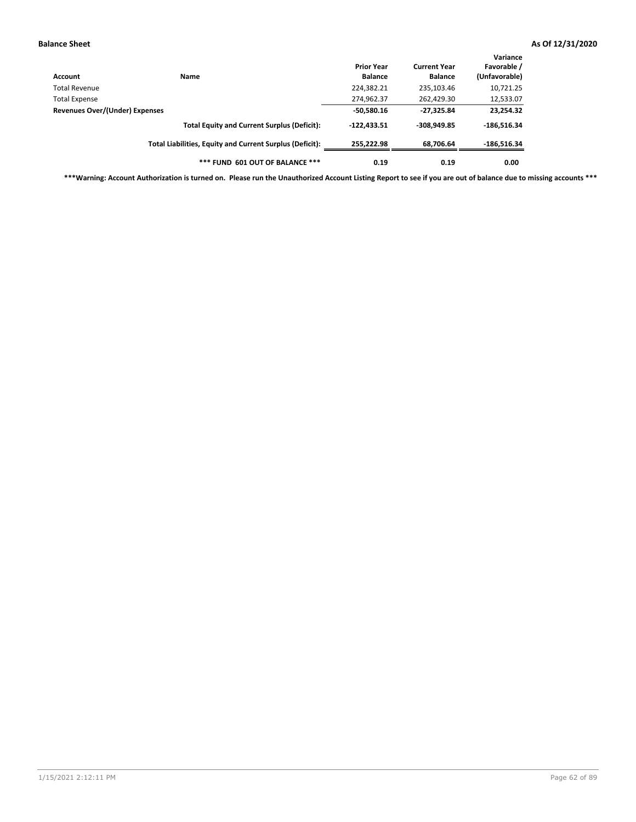| Account                                         | Name                                                     | <b>Prior Year</b><br><b>Balance</b> | <b>Current Year</b><br><b>Balance</b> | Variance<br>Favorable /<br>(Unfavorable) |
|-------------------------------------------------|----------------------------------------------------------|-------------------------------------|---------------------------------------|------------------------------------------|
| Total Revenue                                   |                                                          | 224,382.21                          | 235,103.46                            | 10,721.25                                |
|                                                 |                                                          | 274,962.37                          | 262,429.30                            | 12,533.07                                |
| Total Expense<br>Revenues Over/(Under) Expenses | $-50,580.16$                                             | $-27,325.84$                        | 23,254.32                             |                                          |
|                                                 | <b>Total Equity and Current Surplus (Deficit):</b>       | $-122,433.51$                       | $-308,949.85$                         | $-186,516.34$                            |
|                                                 | Total Liabilities, Equity and Current Surplus (Deficit): | 255.222.98                          | 68,706.64                             | $-186,516.34$                            |
|                                                 | *** FUND 601 OUT OF BALANCE ***                          | 0.19                                | 0.19                                  | 0.00                                     |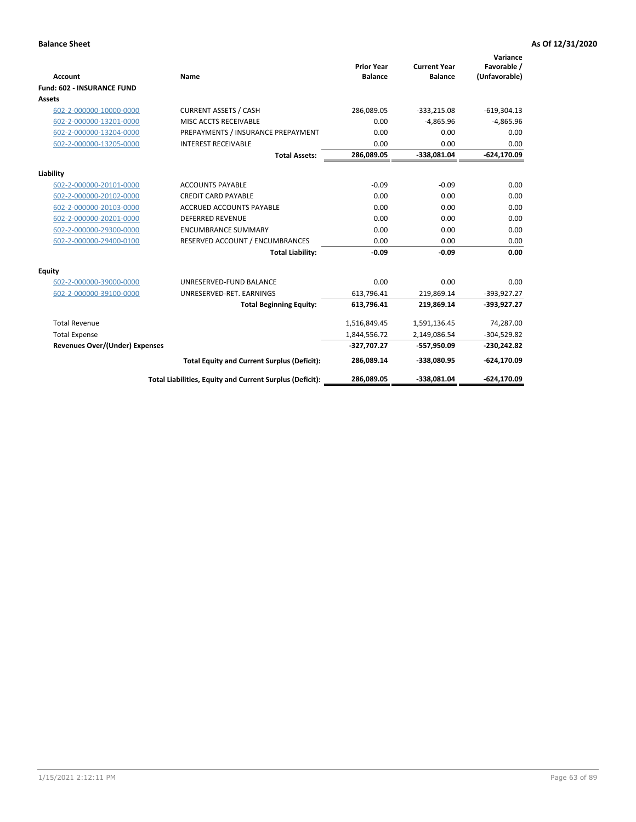|                                       |                                                          |                                     |                                       | Variance                     |
|---------------------------------------|----------------------------------------------------------|-------------------------------------|---------------------------------------|------------------------------|
| Account                               | Name                                                     | <b>Prior Year</b><br><b>Balance</b> | <b>Current Year</b><br><b>Balance</b> | Favorable /<br>(Unfavorable) |
| <b>Fund: 602 - INSURANCE FUND</b>     |                                                          |                                     |                                       |                              |
| Assets                                |                                                          |                                     |                                       |                              |
| 602-2-000000-10000-0000               | <b>CURRENT ASSETS / CASH</b>                             | 286,089.05                          | $-333,215.08$                         | $-619,304.13$                |
| 602-2-000000-13201-0000               | MISC ACCTS RECEIVABLE                                    | 0.00                                | $-4,865.96$                           | $-4,865.96$                  |
| 602-2-000000-13204-0000               | PREPAYMENTS / INSURANCE PREPAYMENT                       | 0.00                                | 0.00                                  | 0.00                         |
| 602-2-000000-13205-0000               | <b>INTEREST RECEIVABLE</b>                               | 0.00                                | 0.00                                  | 0.00                         |
|                                       | <b>Total Assets:</b>                                     | 286,089.05                          | -338,081.04                           | $-624, 170.09$               |
| Liability                             |                                                          |                                     |                                       |                              |
| 602-2-000000-20101-0000               | <b>ACCOUNTS PAYABLE</b>                                  | $-0.09$                             | $-0.09$                               | 0.00                         |
| 602-2-000000-20102-0000               | <b>CREDIT CARD PAYABLE</b>                               | 0.00                                | 0.00                                  | 0.00                         |
| 602-2-000000-20103-0000               | <b>ACCRUED ACCOUNTS PAYABLE</b>                          | 0.00                                | 0.00                                  | 0.00                         |
| 602-2-000000-20201-0000               | <b>DEFERRED REVENUE</b>                                  | 0.00                                | 0.00                                  | 0.00                         |
| 602-2-000000-29300-0000               | <b>ENCUMBRANCE SUMMARY</b>                               | 0.00                                | 0.00                                  | 0.00                         |
| 602-2-000000-29400-0100               | RESERVED ACCOUNT / ENCUMBRANCES                          | 0.00                                | 0.00                                  | 0.00                         |
|                                       | <b>Total Liability:</b>                                  | $-0.09$                             | $-0.09$                               | 0.00                         |
| Equity                                |                                                          |                                     |                                       |                              |
| 602-2-000000-39000-0000               | UNRESERVED-FUND BALANCE                                  | 0.00                                | 0.00                                  | 0.00                         |
| 602-2-000000-39100-0000               | UNRESERVED-RET. EARNINGS                                 | 613,796.41                          | 219,869.14                            | $-393,927.27$                |
|                                       | <b>Total Beginning Equity:</b>                           | 613,796.41                          | 219,869.14                            | -393,927.27                  |
| <b>Total Revenue</b>                  |                                                          | 1,516,849.45                        | 1,591,136.45                          | 74,287.00                    |
| <b>Total Expense</b>                  |                                                          | 1,844,556.72                        | 2,149,086.54                          | $-304,529.82$                |
| <b>Revenues Over/(Under) Expenses</b> |                                                          | -327,707.27                         | -557,950.09                           | $-230,242.82$                |
|                                       | <b>Total Equity and Current Surplus (Deficit):</b>       | 286,089.14                          | -338.080.95                           | -624,170.09                  |
|                                       | Total Liabilities, Equity and Current Surplus (Deficit): | 286,089.05                          | -338,081.04                           | $-624,170.09$                |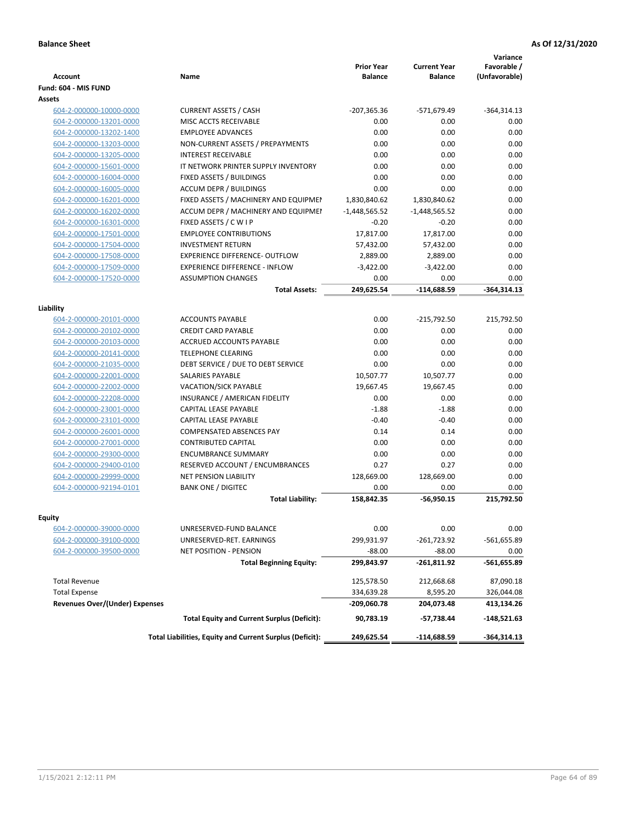| <b>Account</b>                        | <b>Name</b>                                        | <b>Prior Year</b><br><b>Balance</b> | <b>Current Year</b><br><b>Balance</b> | Variance<br>Favorable /<br>(Unfavorable) |
|---------------------------------------|----------------------------------------------------|-------------------------------------|---------------------------------------|------------------------------------------|
| Fund: 604 - MIS FUND                  |                                                    |                                     |                                       |                                          |
| Assets                                |                                                    |                                     |                                       |                                          |
| 604-2-000000-10000-0000               | <b>CURRENT ASSETS / CASH</b>                       | $-207,365.36$                       | -571,679.49                           | $-364,314.13$                            |
| 604-2-000000-13201-0000               | MISC ACCTS RECEIVABLE                              | 0.00                                | 0.00                                  | 0.00                                     |
| 604-2-000000-13202-1400               | <b>EMPLOYEE ADVANCES</b>                           | 0.00                                | 0.00                                  | 0.00                                     |
| 604-2-000000-13203-0000               | NON-CURRENT ASSETS / PREPAYMENTS                   | 0.00                                | 0.00                                  | 0.00                                     |
| 604-2-000000-13205-0000               | <b>INTEREST RECEIVABLE</b>                         | 0.00                                | 0.00                                  | 0.00                                     |
| 604-2-000000-15601-0000               | IT NETWORK PRINTER SUPPLY INVENTORY                | 0.00                                | 0.00                                  | 0.00                                     |
| 604-2-000000-16004-0000               | FIXED ASSETS / BUILDINGS                           | 0.00                                | 0.00                                  | 0.00                                     |
| 604-2-000000-16005-0000               | <b>ACCUM DEPR / BUILDINGS</b>                      | 0.00                                | 0.00                                  | 0.00                                     |
| 604-2-000000-16201-0000               | FIXED ASSETS / MACHINERY AND EQUIPMEN              | 1,830,840.62                        | 1,830,840.62                          | 0.00                                     |
| 604-2-000000-16202-0000               | ACCUM DEPR / MACHINERY AND EQUIPMEI                | $-1,448,565.52$                     | $-1,448,565.52$                       | 0.00                                     |
| 604-2-000000-16301-0000               | FIXED ASSETS / C W I P                             | $-0.20$                             | $-0.20$                               | 0.00                                     |
| 604-2-000000-17501-0000               | <b>EMPLOYEE CONTRIBUTIONS</b>                      | 17,817.00                           | 17,817.00                             | 0.00                                     |
| 604-2-000000-17504-0000               | <b>INVESTMENT RETURN</b>                           | 57,432.00                           | 57,432.00                             | 0.00                                     |
| 604-2-000000-17508-0000               | <b>EXPERIENCE DIFFERENCE- OUTFLOW</b>              | 2,889.00                            | 2,889.00                              | 0.00                                     |
| 604-2-000000-17509-0000               | <b>EXPERIENCE DIFFERENCE - INFLOW</b>              | $-3,422.00$                         | $-3,422.00$                           | 0.00                                     |
| 604-2-000000-17520-0000               | <b>ASSUMPTION CHANGES</b>                          | 0.00                                | 0.00                                  | 0.00                                     |
|                                       | <b>Total Assets:</b>                               | 249,625.54                          | $-114,688.59$                         | $-364,314.13$                            |
|                                       |                                                    |                                     |                                       |                                          |
| Liability                             |                                                    |                                     |                                       |                                          |
| 604-2-000000-20101-0000               | <b>ACCOUNTS PAYABLE</b>                            | 0.00                                | $-215,792.50$                         | 215,792.50                               |
| 604-2-000000-20102-0000               | <b>CREDIT CARD PAYABLE</b>                         | 0.00                                | 0.00                                  | 0.00                                     |
| 604-2-000000-20103-0000               | ACCRUED ACCOUNTS PAYABLE                           | 0.00                                | 0.00                                  | 0.00                                     |
| 604-2-000000-20141-0000               | <b>TELEPHONE CLEARING</b>                          | 0.00                                | 0.00                                  | 0.00                                     |
| 604-2-000000-21035-0000               | DEBT SERVICE / DUE TO DEBT SERVICE                 | 0.00                                | 0.00                                  | 0.00                                     |
| 604-2-000000-22001-0000               | <b>SALARIES PAYABLE</b>                            | 10,507.77                           | 10,507.77                             | 0.00                                     |
| 604-2-000000-22002-0000               | <b>VACATION/SICK PAYABLE</b>                       | 19,667.45                           | 19,667.45                             | 0.00                                     |
| 604-2-000000-22208-0000               | INSURANCE / AMERICAN FIDELITY                      | 0.00                                | 0.00                                  | 0.00                                     |
| 604-2-000000-23001-0000               | CAPITAL LEASE PAYABLE                              | $-1.88$                             | $-1.88$                               | 0.00                                     |
| 604-2-000000-23101-0000               | CAPITAL LEASE PAYABLE                              | $-0.40$                             | $-0.40$                               | 0.00                                     |
| 604-2-000000-26001-0000               | <b>COMPENSATED ABSENCES PAY</b>                    | 0.14                                | 0.14                                  | 0.00                                     |
| 604-2-000000-27001-0000               | <b>CONTRIBUTED CAPITAL</b>                         | 0.00                                | 0.00                                  | 0.00                                     |
| 604-2-000000-29300-0000               | <b>ENCUMBRANCE SUMMARY</b>                         | 0.00                                | 0.00                                  | 0.00                                     |
| 604-2-000000-29400-0100               | <b>RESERVED ACCOUNT / ENCUMBRANCES</b>             | 0.27                                | 0.27                                  | 0.00                                     |
| 604-2-000000-29999-0000               | NET PENSION LIABILITY                              | 128,669.00                          | 128,669.00                            | 0.00                                     |
| 604-2-000000-92194-0101               | <b>BANK ONE / DIGITEC</b>                          | 0.00                                | 0.00                                  | 0.00                                     |
|                                       | <b>Total Liability:</b>                            | 158,842.35                          | $-56,950.15$                          | 215,792.50                               |
|                                       |                                                    |                                     |                                       |                                          |
| Equity<br>604-2-000000-39000-0000     | UNRESERVED-FUND BALANCE                            | 0.00                                | 0.00                                  | 0.00                                     |
| 604-2-000000-39100-0000               | UNRESERVED-RET. EARNINGS                           | 299,931.97                          | $-261,723.92$                         | -561,655.89                              |
| 604-2-000000-39500-0000               | <b>NET POSITION - PENSION</b>                      | $-88.00$                            | $-88.00$                              |                                          |
|                                       |                                                    |                                     |                                       | 0.00                                     |
|                                       | <b>Total Beginning Equity:</b>                     | 299,843.97                          | -261,811.92                           | -561,655.89                              |
| <b>Total Revenue</b>                  |                                                    | 125,578.50                          | 212,668.68                            | 87,090.18                                |
| <b>Total Expense</b>                  |                                                    | 334,639.28                          | 8,595.20                              | 326,044.08                               |
| <b>Revenues Over/(Under) Expenses</b> |                                                    | $-209,060.78$                       | 204,073.48                            | 413,134.26                               |
|                                       |                                                    |                                     |                                       |                                          |
|                                       | <b>Total Equity and Current Surplus (Deficit):</b> | 90,783.19                           | -57,738.44                            | -148,521.63                              |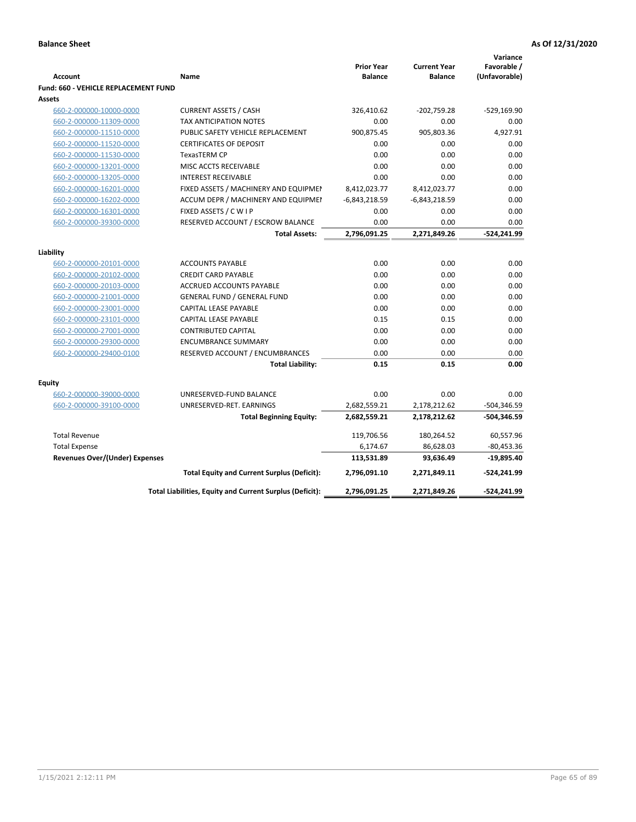|                                             |                                                          |                                     |                                       | Variance                     |
|---------------------------------------------|----------------------------------------------------------|-------------------------------------|---------------------------------------|------------------------------|
| <b>Account</b>                              | Name                                                     | <b>Prior Year</b><br><b>Balance</b> | <b>Current Year</b><br><b>Balance</b> | Favorable /<br>(Unfavorable) |
| <b>Fund: 660 - VEHICLE REPLACEMENT FUND</b> |                                                          |                                     |                                       |                              |
| Assets                                      |                                                          |                                     |                                       |                              |
| 660-2-000000-10000-0000                     | <b>CURRENT ASSETS / CASH</b>                             | 326,410.62                          | $-202,759.28$                         | $-529,169.90$                |
| 660-2-000000-11309-0000                     | TAX ANTICIPATION NOTES                                   | 0.00                                | 0.00                                  | 0.00                         |
| 660-2-000000-11510-0000                     | PUBLIC SAFETY VEHICLE REPLACEMENT                        | 900,875.45                          | 905,803.36                            | 4,927.91                     |
| 660-2-000000-11520-0000                     | <b>CERTIFICATES OF DEPOSIT</b>                           | 0.00                                | 0.00                                  | 0.00                         |
| 660-2-000000-11530-0000                     | <b>TexasTERM CP</b>                                      | 0.00                                | 0.00                                  | 0.00                         |
| 660-2-000000-13201-0000                     | MISC ACCTS RECEIVABLE                                    | 0.00                                | 0.00                                  | 0.00                         |
| 660-2-000000-13205-0000                     | <b>INTEREST RECEIVABLE</b>                               | 0.00                                | 0.00                                  | 0.00                         |
| 660-2-000000-16201-0000                     | FIXED ASSETS / MACHINERY AND EQUIPMEN                    | 8,412,023.77                        | 8,412,023.77                          | 0.00                         |
| 660-2-000000-16202-0000                     | ACCUM DEPR / MACHINERY AND EQUIPMEI                      | $-6,843,218.59$                     | $-6,843,218.59$                       | 0.00                         |
| 660-2-000000-16301-0000                     | FIXED ASSETS / C W I P                                   | 0.00                                | 0.00                                  | 0.00                         |
| 660-2-000000-39300-0000                     | RESERVED ACCOUNT / ESCROW BALANCE                        | 0.00                                | 0.00                                  | 0.00                         |
|                                             | <b>Total Assets:</b>                                     | 2,796,091.25                        | 2,271,849.26                          | $-524,241.99$                |
|                                             |                                                          |                                     |                                       |                              |
| Liability                                   |                                                          |                                     |                                       |                              |
| 660-2-000000-20101-0000                     | <b>ACCOUNTS PAYABLE</b>                                  | 0.00                                | 0.00                                  | 0.00                         |
| 660-2-000000-20102-0000                     | <b>CREDIT CARD PAYABLE</b>                               | 0.00                                | 0.00                                  | 0.00                         |
| 660-2-000000-20103-0000                     | ACCRUED ACCOUNTS PAYABLE                                 | 0.00                                | 0.00                                  | 0.00                         |
| 660-2-000000-21001-0000                     | <b>GENERAL FUND / GENERAL FUND</b>                       | 0.00                                | 0.00                                  | 0.00                         |
| 660-2-000000-23001-0000                     | CAPITAL LEASE PAYABLE                                    | 0.00                                | 0.00                                  | 0.00                         |
| 660-2-000000-23101-0000                     | <b>CAPITAL LEASE PAYABLE</b>                             | 0.15                                | 0.15                                  | 0.00                         |
| 660-2-000000-27001-0000                     | <b>CONTRIBUTED CAPITAL</b>                               | 0.00                                | 0.00                                  | 0.00                         |
| 660-2-000000-29300-0000                     | <b>ENCUMBRANCE SUMMARY</b>                               | 0.00                                | 0.00                                  | 0.00                         |
| 660-2-000000-29400-0100                     | RESERVED ACCOUNT / ENCUMBRANCES                          | 0.00                                | 0.00                                  | 0.00                         |
|                                             | <b>Total Liability:</b>                                  | 0.15                                | 0.15                                  | 0.00                         |
| <b>Equity</b>                               |                                                          |                                     |                                       |                              |
| 660-2-000000-39000-0000                     | UNRESERVED-FUND BALANCE                                  | 0.00                                | 0.00                                  | 0.00                         |
| 660-2-000000-39100-0000                     | UNRESERVED-RET. EARNINGS                                 | 2,682,559.21                        | 2,178,212.62                          | $-504,346.59$                |
|                                             | <b>Total Beginning Equity:</b>                           | 2,682,559.21                        | 2,178,212.62                          | $-504,346.59$                |
| <b>Total Revenue</b>                        |                                                          | 119,706.56                          | 180,264.52                            | 60,557.96                    |
| <b>Total Expense</b>                        |                                                          | 6,174.67                            | 86,628.03                             | $-80,453.36$                 |
| <b>Revenues Over/(Under) Expenses</b>       |                                                          | 113,531.89                          | 93,636.49                             | $-19,895.40$                 |
|                                             | <b>Total Equity and Current Surplus (Deficit):</b>       | 2,796,091.10                        | 2,271,849.11                          | -524,241.99                  |
|                                             | Total Liabilities, Equity and Current Surplus (Deficit): | 2,796,091.25                        | 2,271,849.26                          | -524,241.99                  |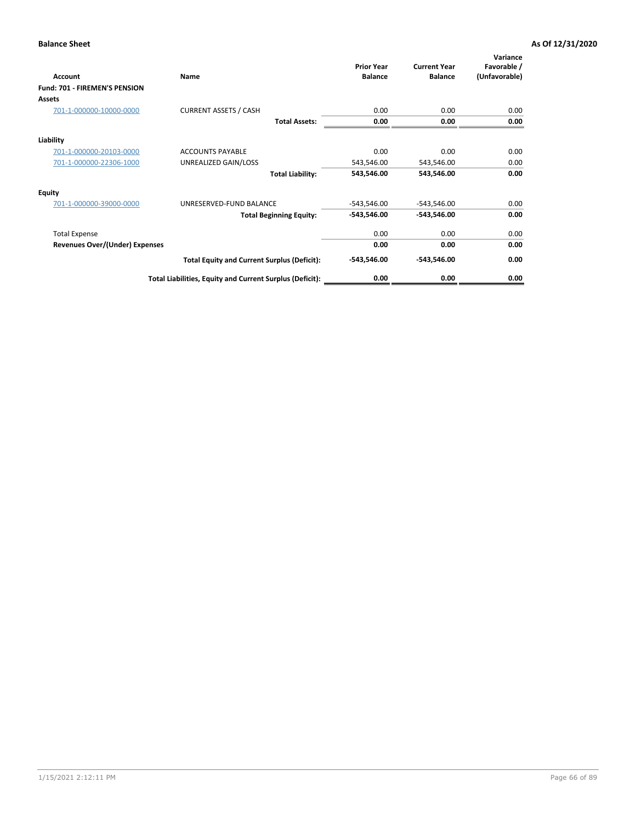| Account                               | Name                                                     | <b>Prior Year</b><br><b>Balance</b> | <b>Current Year</b><br><b>Balance</b> | Variance<br>Favorable /<br>(Unfavorable) |
|---------------------------------------|----------------------------------------------------------|-------------------------------------|---------------------------------------|------------------------------------------|
| Fund: 701 - FIREMEN'S PENSION         |                                                          |                                     |                                       |                                          |
| <b>Assets</b>                         |                                                          |                                     |                                       |                                          |
| 701-1-000000-10000-0000               | <b>CURRENT ASSETS / CASH</b>                             | 0.00                                | 0.00                                  | 0.00                                     |
|                                       | <b>Total Assets:</b>                                     | 0.00                                | 0.00                                  | 0.00                                     |
| Liability                             |                                                          |                                     |                                       |                                          |
| 701-1-000000-20103-0000               | <b>ACCOUNTS PAYABLE</b>                                  | 0.00                                | 0.00                                  | 0.00                                     |
| 701-1-000000-22306-1000               | UNREALIZED GAIN/LOSS                                     | 543,546.00                          | 543,546.00                            | 0.00                                     |
|                                       | <b>Total Liability:</b>                                  | 543,546.00                          | 543,546.00                            | 0.00                                     |
| <b>Equity</b>                         |                                                          |                                     |                                       |                                          |
| 701-1-000000-39000-0000               | UNRESERVED-FUND BALANCE                                  | $-543,546.00$                       | $-543,546.00$                         | 0.00                                     |
|                                       | <b>Total Beginning Equity:</b>                           | $-543,546.00$                       | $-543,546.00$                         | 0.00                                     |
| <b>Total Expense</b>                  |                                                          | 0.00                                | 0.00                                  | 0.00                                     |
| <b>Revenues Over/(Under) Expenses</b> |                                                          | 0.00                                | 0.00                                  | 0.00                                     |
|                                       | <b>Total Equity and Current Surplus (Deficit):</b>       | $-543,546.00$                       | $-543,546.00$                         | 0.00                                     |
|                                       | Total Liabilities, Equity and Current Surplus (Deficit): | 0.00                                | 0.00                                  | 0.00                                     |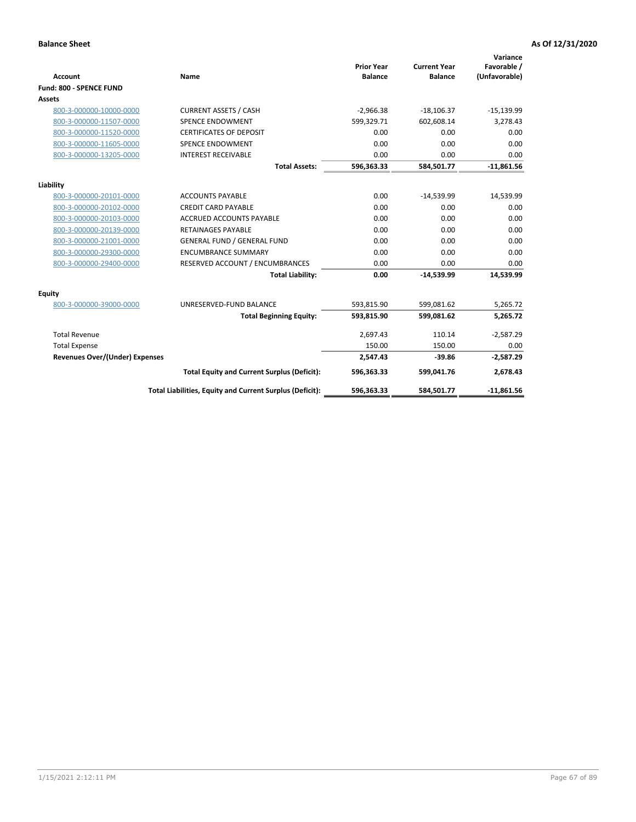|                                       |                                                          |                                     |                                       | Variance                     |
|---------------------------------------|----------------------------------------------------------|-------------------------------------|---------------------------------------|------------------------------|
| <b>Account</b>                        | <b>Name</b>                                              | <b>Prior Year</b><br><b>Balance</b> | <b>Current Year</b><br><b>Balance</b> | Favorable /<br>(Unfavorable) |
| Fund: 800 - SPENCE FUND               |                                                          |                                     |                                       |                              |
| <b>Assets</b>                         |                                                          |                                     |                                       |                              |
| 800-3-000000-10000-0000               | <b>CURRENT ASSETS / CASH</b>                             | $-2,966.38$                         | $-18,106.37$                          | $-15,139.99$                 |
| 800-3-000000-11507-0000               | <b>SPENCE ENDOWMENT</b>                                  | 599,329.71                          | 602.608.14                            | 3,278.43                     |
| 800-3-000000-11520-0000               | <b>CERTIFICATES OF DEPOSIT</b>                           | 0.00                                | 0.00                                  | 0.00                         |
| 800-3-000000-11605-0000               | <b>SPENCE ENDOWMENT</b>                                  | 0.00                                | 0.00                                  | 0.00                         |
| 800-3-000000-13205-0000               | <b>INTEREST RECEIVABLE</b>                               | 0.00                                | 0.00                                  | 0.00                         |
|                                       | <b>Total Assets:</b>                                     | 596,363.33                          | 584,501.77                            | $-11,861.56$                 |
|                                       |                                                          |                                     |                                       |                              |
| Liability                             |                                                          |                                     |                                       |                              |
| 800-3-000000-20101-0000               | <b>ACCOUNTS PAYABLE</b>                                  | 0.00                                | $-14,539.99$                          | 14,539.99                    |
| 800-3-000000-20102-0000               | <b>CREDIT CARD PAYABLE</b>                               | 0.00                                | 0.00                                  | 0.00                         |
| 800-3-000000-20103-0000               | <b>ACCRUED ACCOUNTS PAYABLE</b>                          | 0.00                                | 0.00                                  | 0.00                         |
| 800-3-000000-20139-0000               | <b>RETAINAGES PAYABLE</b>                                | 0.00                                | 0.00                                  | 0.00                         |
| 800-3-000000-21001-0000               | <b>GENERAL FUND / GENERAL FUND</b>                       | 0.00                                | 0.00                                  | 0.00                         |
| 800-3-000000-29300-0000               | <b>ENCUMBRANCE SUMMARY</b>                               | 0.00                                | 0.00                                  | 0.00                         |
| 800-3-000000-29400-0000               | RESERVED ACCOUNT / ENCUMBRANCES                          | 0.00                                | 0.00                                  | 0.00                         |
|                                       | <b>Total Liability:</b>                                  | 0.00                                | $-14,539.99$                          | 14,539.99                    |
| <b>Equity</b>                         |                                                          |                                     |                                       |                              |
| 800-3-000000-39000-0000               | UNRESERVED-FUND BALANCE                                  | 593,815.90                          | 599,081.62                            | 5,265.72                     |
|                                       | <b>Total Beginning Equity:</b>                           | 593,815.90                          | 599,081.62                            | 5,265.72                     |
| <b>Total Revenue</b>                  |                                                          | 2,697.43                            | 110.14                                | $-2,587.29$                  |
| <b>Total Expense</b>                  |                                                          | 150.00                              | 150.00                                | 0.00                         |
| <b>Revenues Over/(Under) Expenses</b> |                                                          | 2,547.43                            | $-39.86$                              | $-2,587.29$                  |
|                                       | <b>Total Equity and Current Surplus (Deficit):</b>       | 596,363.33                          | 599,041.76                            | 2,678.43                     |
|                                       | Total Liabilities, Equity and Current Surplus (Deficit): | 596,363.33                          | 584,501.77                            | $-11,861.56$                 |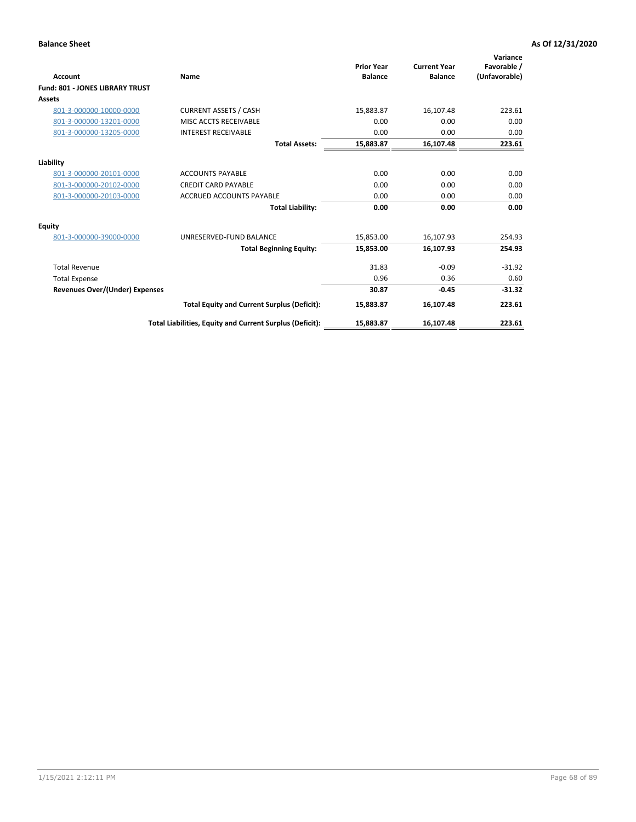| Account                                | Name                                                     | <b>Prior Year</b><br><b>Balance</b> | <b>Current Year</b><br><b>Balance</b> | Variance<br>Favorable /<br>(Unfavorable) |
|----------------------------------------|----------------------------------------------------------|-------------------------------------|---------------------------------------|------------------------------------------|
| <b>Fund: 801 - JONES LIBRARY TRUST</b> |                                                          |                                     |                                       |                                          |
| Assets                                 |                                                          |                                     |                                       |                                          |
| 801-3-000000-10000-0000                | <b>CURRENT ASSETS / CASH</b>                             | 15,883.87                           | 16,107.48                             | 223.61                                   |
| 801-3-000000-13201-0000                | MISC ACCTS RECEIVABLE                                    | 0.00                                | 0.00                                  | 0.00                                     |
| 801-3-000000-13205-0000                | <b>INTEREST RECEIVABLE</b>                               | 0.00                                | 0.00                                  | 0.00                                     |
|                                        | <b>Total Assets:</b>                                     | 15,883.87                           | 16,107.48                             | 223.61                                   |
| Liability                              |                                                          |                                     |                                       |                                          |
| 801-3-000000-20101-0000                | <b>ACCOUNTS PAYABLE</b>                                  | 0.00                                | 0.00                                  | 0.00                                     |
| 801-3-000000-20102-0000                | <b>CREDIT CARD PAYABLE</b>                               | 0.00                                | 0.00                                  | 0.00                                     |
| 801-3-000000-20103-0000                | <b>ACCRUED ACCOUNTS PAYABLE</b>                          | 0.00                                | 0.00                                  | 0.00                                     |
|                                        | <b>Total Liability:</b>                                  | 0.00                                | 0.00                                  | 0.00                                     |
| Equity                                 |                                                          |                                     |                                       |                                          |
| 801-3-000000-39000-0000                | UNRESERVED-FUND BALANCE                                  | 15,853.00                           | 16,107.93                             | 254.93                                   |
|                                        | <b>Total Beginning Equity:</b>                           | 15,853.00                           | 16,107.93                             | 254.93                                   |
| <b>Total Revenue</b>                   |                                                          | 31.83                               | $-0.09$                               | $-31.92$                                 |
| <b>Total Expense</b>                   |                                                          | 0.96                                | 0.36                                  | 0.60                                     |
| <b>Revenues Over/(Under) Expenses</b>  |                                                          | 30.87                               | $-0.45$                               | $-31.32$                                 |
|                                        | <b>Total Equity and Current Surplus (Deficit):</b>       | 15,883.87                           | 16,107.48                             | 223.61                                   |
|                                        | Total Liabilities, Equity and Current Surplus (Deficit): | 15,883.87                           | 16,107.48                             | 223.61                                   |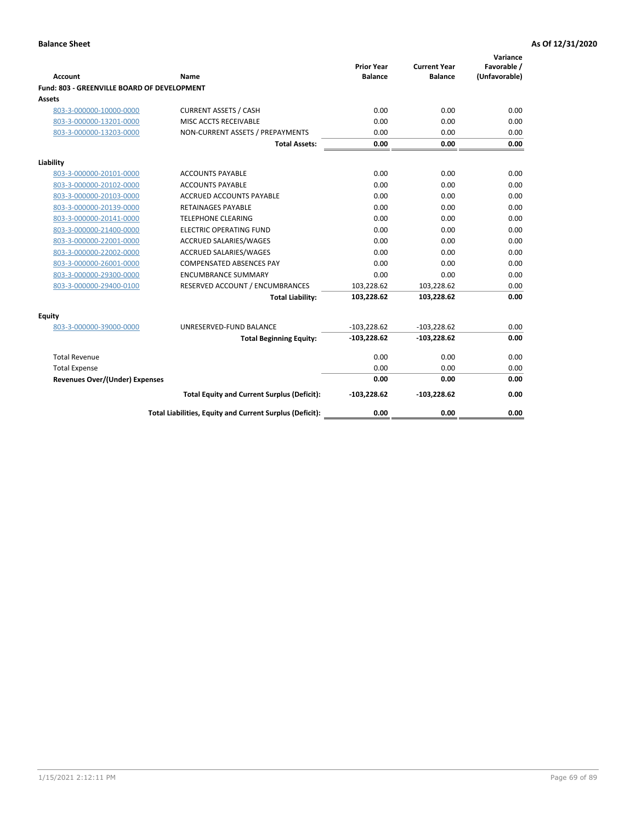| <b>Account</b>                              | Name                                                     | <b>Prior Year</b><br><b>Balance</b> | <b>Current Year</b><br><b>Balance</b> | Variance<br>Favorable /<br>(Unfavorable) |
|---------------------------------------------|----------------------------------------------------------|-------------------------------------|---------------------------------------|------------------------------------------|
| Fund: 803 - GREENVILLE BOARD OF DEVELOPMENT |                                                          |                                     |                                       |                                          |
| Assets                                      |                                                          |                                     |                                       |                                          |
| 803-3-000000-10000-0000                     | <b>CURRENT ASSETS / CASH</b>                             | 0.00                                | 0.00                                  | 0.00                                     |
| 803-3-000000-13201-0000                     | MISC ACCTS RECEIVABLE                                    | 0.00                                | 0.00                                  | 0.00                                     |
| 803-3-000000-13203-0000                     | NON-CURRENT ASSETS / PREPAYMENTS                         | 0.00                                | 0.00                                  | 0.00                                     |
|                                             | <b>Total Assets:</b>                                     | 0.00                                | 0.00                                  | 0.00                                     |
| Liability                                   |                                                          |                                     |                                       |                                          |
| 803-3-000000-20101-0000                     | <b>ACCOUNTS PAYABLE</b>                                  | 0.00                                | 0.00                                  | 0.00                                     |
| 803-3-000000-20102-0000                     | <b>ACCOUNTS PAYABLE</b>                                  | 0.00                                | 0.00                                  | 0.00                                     |
| 803-3-000000-20103-0000                     | ACCRUED ACCOUNTS PAYABLE                                 | 0.00                                | 0.00                                  | 0.00                                     |
| 803-3-000000-20139-0000                     | <b>RETAINAGES PAYABLE</b>                                | 0.00                                | 0.00                                  | 0.00                                     |
| 803-3-000000-20141-0000                     | <b>TELEPHONE CLEARING</b>                                | 0.00                                | 0.00                                  | 0.00                                     |
| 803-3-000000-21400-0000                     | <b>ELECTRIC OPERATING FUND</b>                           | 0.00                                | 0.00                                  | 0.00                                     |
| 803-3-000000-22001-0000                     | <b>ACCRUED SALARIES/WAGES</b>                            | 0.00                                | 0.00                                  | 0.00                                     |
| 803-3-000000-22002-0000                     | <b>ACCRUED SALARIES/WAGES</b>                            | 0.00                                | 0.00                                  | 0.00                                     |
| 803-3-000000-26001-0000                     | <b>COMPENSATED ABSENCES PAY</b>                          | 0.00                                | 0.00                                  | 0.00                                     |
| 803-3-000000-29300-0000                     | <b>ENCUMBRANCE SUMMARY</b>                               | 0.00                                | 0.00                                  | 0.00                                     |
| 803-3-000000-29400-0100                     | RESERVED ACCOUNT / ENCUMBRANCES                          | 103,228.62                          | 103,228.62                            | 0.00                                     |
|                                             | <b>Total Liability:</b>                                  | 103,228.62                          | 103,228.62                            | 0.00                                     |
| <b>Equity</b>                               |                                                          |                                     |                                       |                                          |
| 803-3-000000-39000-0000                     | UNRESERVED-FUND BALANCE                                  | $-103,228.62$                       | $-103,228.62$                         | 0.00                                     |
|                                             | <b>Total Beginning Equity:</b>                           | $-103,228.62$                       | $-103,228.62$                         | 0.00                                     |
| <b>Total Revenue</b>                        |                                                          | 0.00                                | 0.00                                  | 0.00                                     |
| <b>Total Expense</b>                        |                                                          | 0.00                                | 0.00                                  | 0.00                                     |
| <b>Revenues Over/(Under) Expenses</b>       |                                                          | 0.00                                | 0.00                                  | 0.00                                     |
|                                             | <b>Total Equity and Current Surplus (Deficit):</b>       | $-103,228.62$                       | $-103,228.62$                         | 0.00                                     |
|                                             | Total Liabilities, Equity and Current Surplus (Deficit): | 0.00                                | 0.00                                  | 0.00                                     |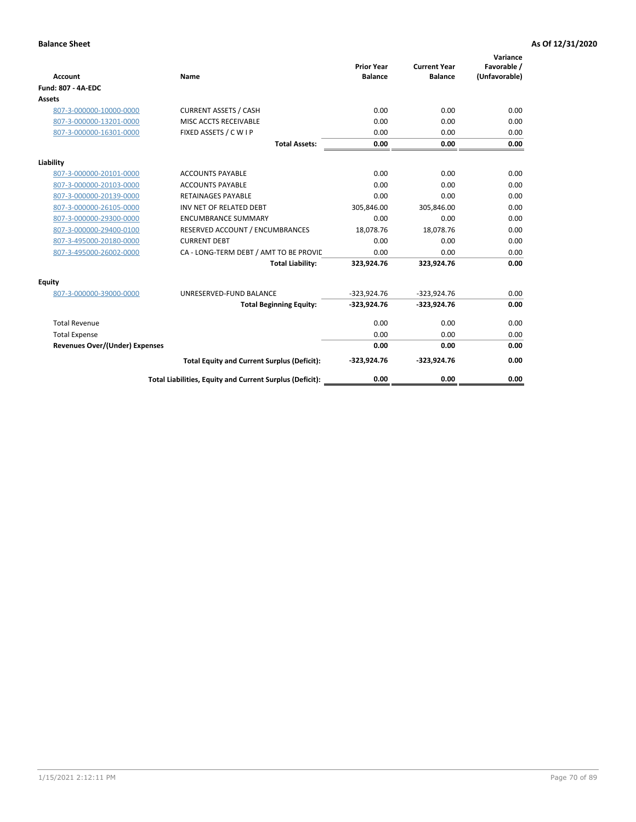| <b>Account</b>                        | Name                                                     | <b>Prior Year</b><br><b>Balance</b> | <b>Current Year</b><br><b>Balance</b> | Variance<br>Favorable /<br>(Unfavorable) |
|---------------------------------------|----------------------------------------------------------|-------------------------------------|---------------------------------------|------------------------------------------|
| <b>Fund: 807 - 4A-EDC</b>             |                                                          |                                     |                                       |                                          |
| <b>Assets</b>                         |                                                          |                                     |                                       |                                          |
| 807-3-000000-10000-0000               | <b>CURRENT ASSETS / CASH</b>                             | 0.00                                | 0.00                                  | 0.00                                     |
| 807-3-000000-13201-0000               | MISC ACCTS RECEIVABLE                                    | 0.00                                | 0.00                                  | 0.00                                     |
| 807-3-000000-16301-0000               | FIXED ASSETS / C W I P                                   | 0.00                                | 0.00                                  | 0.00                                     |
|                                       | <b>Total Assets:</b>                                     | 0.00                                | 0.00                                  | 0.00                                     |
| Liability                             |                                                          |                                     |                                       |                                          |
| 807-3-000000-20101-0000               | <b>ACCOUNTS PAYABLE</b>                                  | 0.00                                | 0.00                                  | 0.00                                     |
| 807-3-000000-20103-0000               | <b>ACCOUNTS PAYABLE</b>                                  | 0.00                                | 0.00                                  | 0.00                                     |
| 807-3-000000-20139-0000               | <b>RETAINAGES PAYABLE</b>                                | 0.00                                | 0.00                                  | 0.00                                     |
| 807-3-000000-26105-0000               | INV NET OF RELATED DEBT                                  | 305,846.00                          | 305,846.00                            | 0.00                                     |
| 807-3-000000-29300-0000               | <b>ENCUMBRANCE SUMMARY</b>                               | 0.00                                | 0.00                                  | 0.00                                     |
| 807-3-000000-29400-0100               | RESERVED ACCOUNT / ENCUMBRANCES                          | 18,078.76                           | 18,078.76                             | 0.00                                     |
| 807-3-495000-20180-0000               | <b>CURRENT DEBT</b>                                      | 0.00                                | 0.00                                  | 0.00                                     |
| 807-3-495000-26002-0000               | CA - LONG-TERM DEBT / AMT TO BE PROVIL                   | 0.00                                | 0.00                                  | 0.00                                     |
|                                       | <b>Total Liability:</b>                                  | 323,924.76                          | 323,924.76                            | 0.00                                     |
| Equity                                |                                                          |                                     |                                       |                                          |
| 807-3-000000-39000-0000               | UNRESERVED-FUND BALANCE                                  | $-323,924.76$                       | $-323,924.76$                         | 0.00                                     |
|                                       | <b>Total Beginning Equity:</b>                           | $-323,924.76$                       | $-323,924.76$                         | 0.00                                     |
| <b>Total Revenue</b>                  |                                                          | 0.00                                | 0.00                                  | 0.00                                     |
| <b>Total Expense</b>                  |                                                          | 0.00                                | 0.00                                  | 0.00                                     |
| <b>Revenues Over/(Under) Expenses</b> |                                                          | 0.00                                | 0.00                                  | 0.00                                     |
|                                       | <b>Total Equity and Current Surplus (Deficit):</b>       | $-323,924.76$                       | $-323,924.76$                         | 0.00                                     |
|                                       | Total Liabilities, Equity and Current Surplus (Deficit): | 0.00                                | 0.00                                  | 0.00                                     |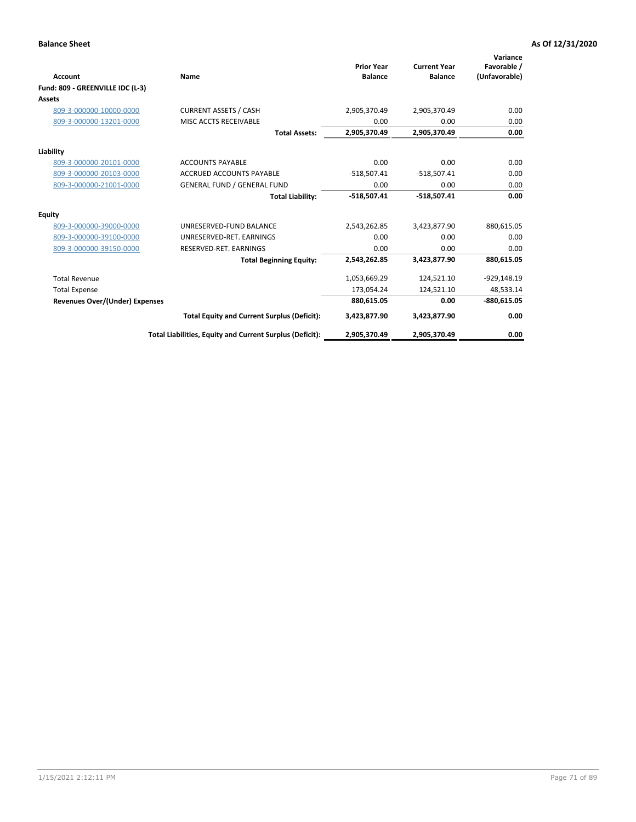|                                       |                                                          | <b>Prior Year</b> | <b>Current Year</b> | Variance<br>Favorable / |
|---------------------------------------|----------------------------------------------------------|-------------------|---------------------|-------------------------|
| <b>Account</b>                        | Name                                                     | <b>Balance</b>    | <b>Balance</b>      | (Unfavorable)           |
| Fund: 809 - GREENVILLE IDC (L-3)      |                                                          |                   |                     |                         |
| <b>Assets</b>                         |                                                          |                   |                     |                         |
| 809-3-000000-10000-0000               | <b>CURRENT ASSETS / CASH</b>                             | 2,905,370.49      | 2,905,370.49        | 0.00                    |
| 809-3-000000-13201-0000               | MISC ACCTS RECEIVABLE                                    | 0.00              | 0.00                | 0.00                    |
|                                       | <b>Total Assets:</b>                                     | 2,905,370.49      | 2,905,370.49        | 0.00                    |
| Liability                             |                                                          |                   |                     |                         |
| 809-3-000000-20101-0000               | <b>ACCOUNTS PAYABLE</b>                                  | 0.00              | 0.00                | 0.00                    |
| 809-3-000000-20103-0000               | <b>ACCRUED ACCOUNTS PAYABLE</b>                          | $-518,507.41$     | $-518,507.41$       | 0.00                    |
| 809-3-000000-21001-0000               | <b>GENERAL FUND / GENERAL FUND</b>                       | 0.00              | 0.00                | 0.00                    |
|                                       | <b>Total Liability:</b>                                  | $-518,507.41$     | $-518,507.41$       | 0.00                    |
| <b>Equity</b>                         |                                                          |                   |                     |                         |
| 809-3-000000-39000-0000               | UNRESERVED-FUND BALANCE                                  | 2,543,262.85      | 3,423,877.90        | 880,615.05              |
| 809-3-000000-39100-0000               | UNRESERVED-RET. EARNINGS                                 | 0.00              | 0.00                | 0.00                    |
| 809-3-000000-39150-0000               | RESERVED-RET. EARNINGS                                   | 0.00              | 0.00                | 0.00                    |
|                                       | <b>Total Beginning Equity:</b>                           | 2,543,262.85      | 3,423,877.90        | 880,615.05              |
| <b>Total Revenue</b>                  |                                                          | 1,053,669.29      | 124,521.10          | $-929,148.19$           |
| <b>Total Expense</b>                  |                                                          | 173,054.24        | 124,521.10          | 48,533.14               |
| <b>Revenues Over/(Under) Expenses</b> |                                                          | 880,615.05        | 0.00                | $-880,615.05$           |
|                                       | <b>Total Equity and Current Surplus (Deficit):</b>       | 3,423,877.90      | 3,423,877.90        | 0.00                    |
|                                       | Total Liabilities, Equity and Current Surplus (Deficit): | 2,905,370.49      | 2,905,370.49        | 0.00                    |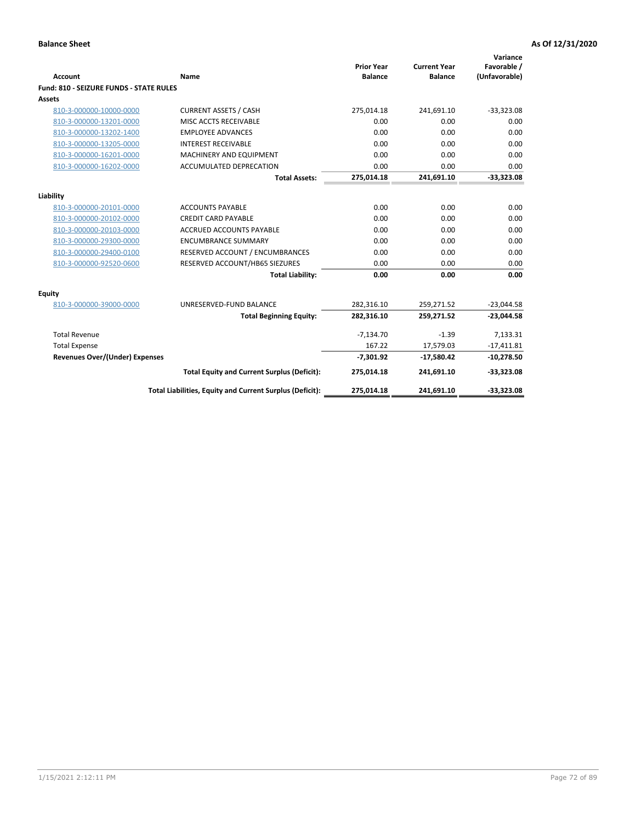| <b>Account</b>                          | Name                                                     | <b>Prior Year</b><br><b>Balance</b> | <b>Current Year</b><br><b>Balance</b> | Variance<br>Favorable /<br>(Unfavorable) |
|-----------------------------------------|----------------------------------------------------------|-------------------------------------|---------------------------------------|------------------------------------------|
| Fund: 810 - SEIZURE FUNDS - STATE RULES |                                                          |                                     |                                       |                                          |
| <b>Assets</b>                           |                                                          |                                     |                                       |                                          |
| 810-3-000000-10000-0000                 | <b>CURRENT ASSETS / CASH</b>                             | 275,014.18                          | 241,691.10                            | $-33,323.08$                             |
| 810-3-000000-13201-0000                 | MISC ACCTS RECEIVABLE                                    | 0.00                                | 0.00                                  | 0.00                                     |
| 810-3-000000-13202-1400                 | <b>EMPLOYEE ADVANCES</b>                                 | 0.00                                | 0.00                                  | 0.00                                     |
| 810-3-000000-13205-0000                 | <b>INTEREST RECEIVABLE</b>                               | 0.00                                | 0.00                                  | 0.00                                     |
| 810-3-000000-16201-0000                 | MACHINERY AND EQUIPMENT                                  | 0.00                                | 0.00                                  | 0.00                                     |
| 810-3-000000-16202-0000                 | ACCUMULATED DEPRECATION                                  | 0.00                                | 0.00                                  | 0.00                                     |
|                                         | <b>Total Assets:</b>                                     | 275,014.18                          | 241,691.10                            | $-33,323.08$                             |
|                                         |                                                          |                                     |                                       |                                          |
| Liability                               |                                                          |                                     |                                       |                                          |
| 810-3-000000-20101-0000                 | <b>ACCOUNTS PAYABLE</b>                                  | 0.00                                | 0.00                                  | 0.00                                     |
| 810-3-000000-20102-0000                 | <b>CREDIT CARD PAYABLE</b>                               | 0.00                                | 0.00                                  | 0.00                                     |
| 810-3-000000-20103-0000                 | <b>ACCRUED ACCOUNTS PAYABLE</b>                          | 0.00                                | 0.00                                  | 0.00                                     |
| 810-3-000000-29300-0000                 | <b>ENCUMBRANCE SUMMARY</b>                               | 0.00                                | 0.00                                  | 0.00                                     |
| 810-3-000000-29400-0100                 | RESERVED ACCOUNT / ENCUMBRANCES                          | 0.00                                | 0.00                                  | 0.00                                     |
| 810-3-000000-92520-0600                 | RESERVED ACCOUNT/HB65 SIEZURES                           | 0.00                                | 0.00                                  | 0.00                                     |
|                                         | <b>Total Liability:</b>                                  | 0.00                                | 0.00                                  | 0.00                                     |
| <b>Equity</b>                           |                                                          |                                     |                                       |                                          |
| 810-3-000000-39000-0000                 | UNRESERVED-FUND BALANCE                                  | 282,316.10                          | 259,271.52                            | $-23,044.58$                             |
|                                         | <b>Total Beginning Equity:</b>                           | 282,316.10                          | 259,271.52                            | $-23,044.58$                             |
| <b>Total Revenue</b>                    |                                                          | $-7,134.70$                         | $-1.39$                               | 7,133.31                                 |
| <b>Total Expense</b>                    |                                                          | 167.22                              | 17,579.03                             | $-17,411.81$                             |
| <b>Revenues Over/(Under) Expenses</b>   |                                                          | $-7,301.92$                         | $-17,580.42$                          | $-10,278.50$                             |
|                                         | <b>Total Equity and Current Surplus (Deficit):</b>       | 275,014.18                          | 241,691.10                            | $-33,323.08$                             |
|                                         | Total Liabilities, Equity and Current Surplus (Deficit): | 275,014.18                          | 241,691.10                            | $-33,323.08$                             |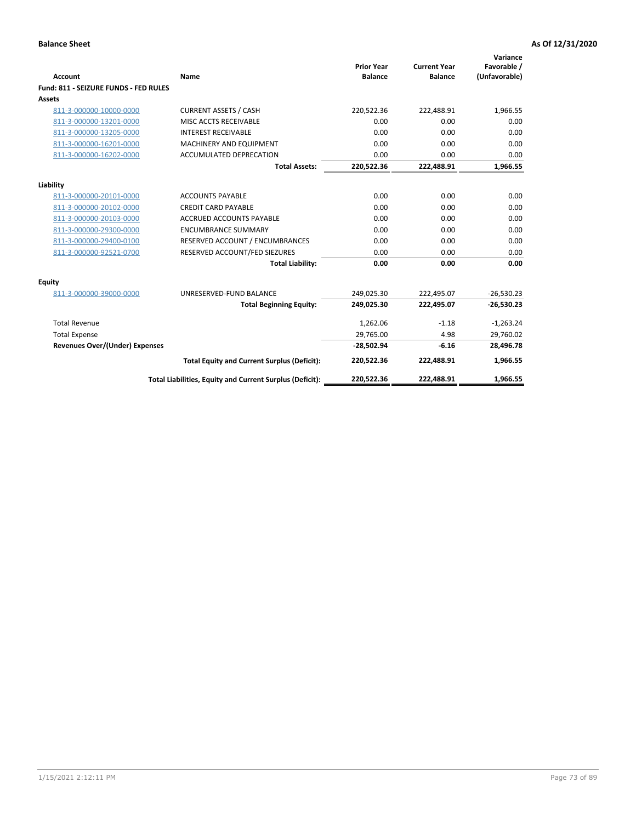| <b>Account</b>                        | Name                                                     | <b>Prior Year</b><br><b>Balance</b> | <b>Current Year</b><br><b>Balance</b> | Variance<br>Favorable /<br>(Unfavorable) |
|---------------------------------------|----------------------------------------------------------|-------------------------------------|---------------------------------------|------------------------------------------|
| Fund: 811 - SEIZURE FUNDS - FED RULES |                                                          |                                     |                                       |                                          |
| <b>Assets</b>                         |                                                          |                                     |                                       |                                          |
| 811-3-000000-10000-0000               | <b>CURRENT ASSETS / CASH</b>                             | 220,522.36                          | 222,488.91                            | 1,966.55                                 |
| 811-3-000000-13201-0000               | MISC ACCTS RECEIVABLE                                    | 0.00                                | 0.00                                  | 0.00                                     |
| 811-3-000000-13205-0000               | <b>INTEREST RECEIVABLE</b>                               | 0.00                                | 0.00                                  | 0.00                                     |
| 811-3-000000-16201-0000               | <b>MACHINERY AND EQUIPMENT</b>                           | 0.00                                | 0.00                                  | 0.00                                     |
| 811-3-000000-16202-0000               | <b>ACCUMULATED DEPRECATION</b>                           | 0.00                                | 0.00                                  | 0.00                                     |
|                                       | <b>Total Assets:</b>                                     | 220,522.36                          | 222,488.91                            | 1,966.55                                 |
| Liability                             |                                                          |                                     |                                       |                                          |
| 811-3-000000-20101-0000               | <b>ACCOUNTS PAYABLE</b>                                  | 0.00                                | 0.00                                  | 0.00                                     |
| 811-3-000000-20102-0000               | <b>CREDIT CARD PAYABLE</b>                               | 0.00                                | 0.00                                  | 0.00                                     |
| 811-3-000000-20103-0000               | <b>ACCRUED ACCOUNTS PAYABLE</b>                          | 0.00                                | 0.00                                  | 0.00                                     |
| 811-3-000000-29300-0000               | <b>ENCUMBRANCE SUMMARY</b>                               | 0.00                                | 0.00                                  | 0.00                                     |
| 811-3-000000-29400-0100               | RESERVED ACCOUNT / ENCUMBRANCES                          | 0.00                                | 0.00                                  | 0.00                                     |
| 811-3-000000-92521-0700               | RESERVED ACCOUNT/FED SIEZURES                            | 0.00                                | 0.00                                  | 0.00                                     |
|                                       | <b>Total Liability:</b>                                  | 0.00                                | 0.00                                  | 0.00                                     |
|                                       |                                                          |                                     |                                       |                                          |
| Equity                                |                                                          |                                     |                                       |                                          |
| 811-3-000000-39000-0000               | UNRESERVED-FUND BALANCE                                  | 249,025.30                          | 222,495.07                            | $-26,530.23$                             |
|                                       | <b>Total Beginning Equity:</b>                           | 249,025.30                          | 222,495.07                            | $-26,530.23$                             |
| <b>Total Revenue</b>                  |                                                          | 1,262.06                            | $-1.18$                               | $-1,263.24$                              |
| <b>Total Expense</b>                  |                                                          | 29,765.00                           | 4.98                                  | 29,760.02                                |
| <b>Revenues Over/(Under) Expenses</b> |                                                          | $-28,502.94$                        | $-6.16$                               | 28,496.78                                |
|                                       | <b>Total Equity and Current Surplus (Deficit):</b>       | 220,522.36                          | 222,488.91                            | 1,966.55                                 |
|                                       | Total Liabilities, Equity and Current Surplus (Deficit): | 220,522.36                          | 222,488.91                            | 1,966.55                                 |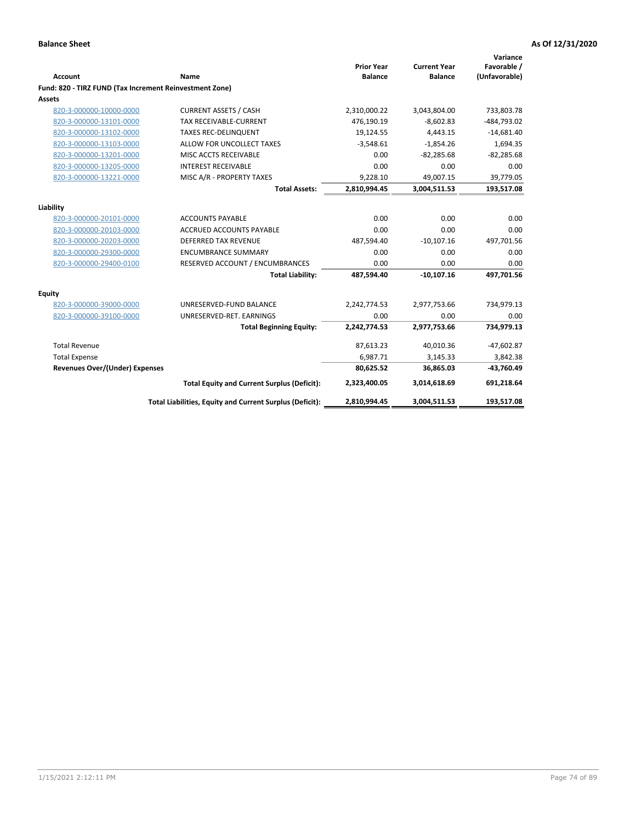|                                                         |                                                          | <b>Prior Year</b> | <b>Current Year</b> | Variance<br>Favorable / |
|---------------------------------------------------------|----------------------------------------------------------|-------------------|---------------------|-------------------------|
| <b>Account</b>                                          | Name                                                     | <b>Balance</b>    | <b>Balance</b>      | (Unfavorable)           |
| Fund: 820 - TIRZ FUND (Tax Increment Reinvestment Zone) |                                                          |                   |                     |                         |
| Assets                                                  |                                                          |                   |                     |                         |
| 820-3-000000-10000-0000                                 | <b>CURRENT ASSETS / CASH</b>                             | 2,310,000.22      | 3,043,804.00        | 733,803.78              |
| 820-3-000000-13101-0000                                 | <b>TAX RECEIVABLE-CURRENT</b>                            | 476,190.19        | $-8,602.83$         | -484,793.02             |
| 820-3-000000-13102-0000                                 | <b>TAXES REC-DELINQUENT</b>                              | 19,124.55         | 4,443.15            | $-14,681.40$            |
| 820-3-000000-13103-0000                                 | ALLOW FOR UNCOLLECT TAXES                                | $-3,548.61$       | $-1,854.26$         | 1,694.35                |
| 820-3-000000-13201-0000                                 | MISC ACCTS RECEIVABLE                                    | 0.00              | $-82,285.68$        | $-82,285.68$            |
| 820-3-000000-13205-0000                                 | <b>INTEREST RECEIVABLE</b>                               | 0.00              | 0.00                | 0.00                    |
| 820-3-000000-13221-0000                                 | MISC A/R - PROPERTY TAXES                                | 9,228.10          | 49,007.15           | 39,779.05               |
|                                                         | <b>Total Assets:</b>                                     | 2,810,994.45      | 3,004,511.53        | 193,517.08              |
| Liability                                               |                                                          |                   |                     |                         |
| 820-3-000000-20101-0000                                 | <b>ACCOUNTS PAYABLE</b>                                  | 0.00              | 0.00                | 0.00                    |
| 820-3-000000-20103-0000                                 | <b>ACCRUED ACCOUNTS PAYABLE</b>                          | 0.00              | 0.00                | 0.00                    |
| 820-3-000000-20203-0000                                 | <b>DEFERRED TAX REVENUE</b>                              | 487,594.40        | $-10,107.16$        | 497,701.56              |
| 820-3-000000-29300-0000                                 | <b>ENCUMBRANCE SUMMARY</b>                               | 0.00              | 0.00                | 0.00                    |
| 820-3-000000-29400-0100                                 | RESERVED ACCOUNT / ENCUMBRANCES                          | 0.00              | 0.00                | 0.00                    |
|                                                         | <b>Total Liability:</b>                                  | 487,594.40        | $-10,107.16$        | 497,701.56              |
| Equity                                                  |                                                          |                   |                     |                         |
| 820-3-000000-39000-0000                                 | UNRESERVED-FUND BALANCE                                  | 2,242,774.53      | 2,977,753.66        | 734,979.13              |
| 820-3-000000-39100-0000                                 | UNRESERVED-RET. EARNINGS                                 | 0.00              | 0.00                | 0.00                    |
|                                                         | <b>Total Beginning Equity:</b>                           | 2,242,774.53      | 2,977,753.66        | 734,979.13              |
| <b>Total Revenue</b>                                    |                                                          | 87,613.23         | 40,010.36           | $-47,602.87$            |
| <b>Total Expense</b>                                    |                                                          | 6,987.71          | 3,145.33            | 3,842.38                |
| <b>Revenues Over/(Under) Expenses</b>                   |                                                          | 80,625.52         | 36,865.03           | $-43,760.49$            |
|                                                         | <b>Total Equity and Current Surplus (Deficit):</b>       | 2,323,400.05      | 3,014,618.69        | 691,218.64              |
|                                                         | Total Liabilities, Equity and Current Surplus (Deficit): | 2,810,994.45      | 3,004,511.53        | 193,517.08              |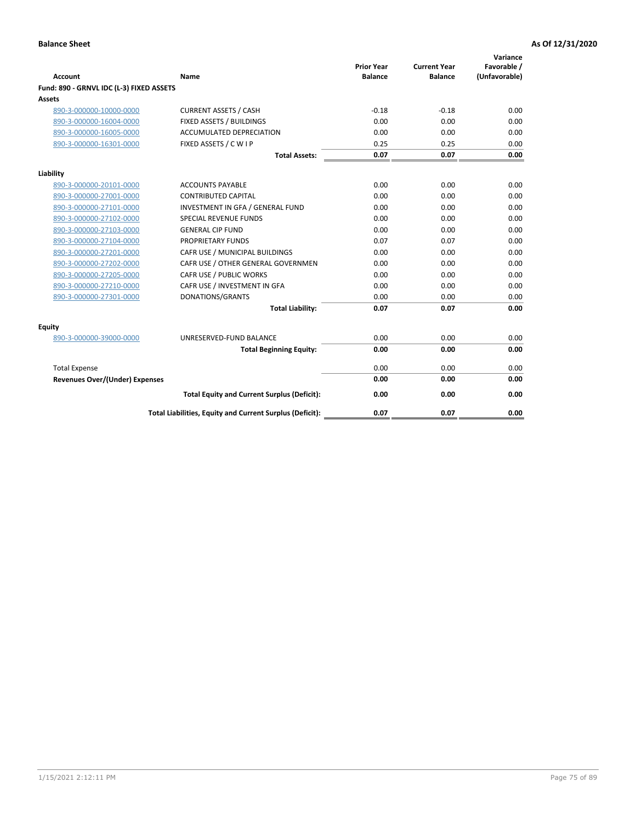| <b>Account</b>                           | Name                                                     | <b>Prior Year</b><br><b>Balance</b> | <b>Current Year</b><br><b>Balance</b> | Variance<br>Favorable /<br>(Unfavorable) |
|------------------------------------------|----------------------------------------------------------|-------------------------------------|---------------------------------------|------------------------------------------|
| Fund: 890 - GRNVL IDC (L-3) FIXED ASSETS |                                                          |                                     |                                       |                                          |
| <b>Assets</b>                            |                                                          |                                     |                                       |                                          |
| 890-3-000000-10000-0000                  | <b>CURRENT ASSETS / CASH</b>                             | $-0.18$                             | $-0.18$                               | 0.00                                     |
| 890-3-000000-16004-0000                  | FIXED ASSETS / BUILDINGS                                 | 0.00                                | 0.00                                  | 0.00                                     |
| 890-3-000000-16005-0000                  | <b>ACCUMULATED DEPRECIATION</b>                          | 0.00                                | 0.00                                  | 0.00                                     |
| 890-3-000000-16301-0000                  | FIXED ASSETS / C W I P                                   | 0.25                                | 0.25                                  | 0.00                                     |
|                                          | <b>Total Assets:</b>                                     | 0.07                                | 0.07                                  | 0.00                                     |
| Liability                                |                                                          |                                     |                                       |                                          |
| 890-3-000000-20101-0000                  | <b>ACCOUNTS PAYABLE</b>                                  | 0.00                                | 0.00                                  | 0.00                                     |
| 890-3-000000-27001-0000                  | <b>CONTRIBUTED CAPITAL</b>                               | 0.00                                | 0.00                                  | 0.00                                     |
| 890-3-000000-27101-0000                  | INVESTMENT IN GFA / GENERAL FUND                         | 0.00                                | 0.00                                  | 0.00                                     |
| 890-3-000000-27102-0000                  | <b>SPECIAL REVENUE FUNDS</b>                             | 0.00                                | 0.00                                  | 0.00                                     |
| 890-3-000000-27103-0000                  | <b>GENERAL CIP FUND</b>                                  | 0.00                                | 0.00                                  | 0.00                                     |
| 890-3-000000-27104-0000                  | PROPRIETARY FUNDS                                        | 0.07                                | 0.07                                  | 0.00                                     |
| 890-3-000000-27201-0000                  | CAFR USE / MUNICIPAL BUILDINGS                           | 0.00                                | 0.00                                  | 0.00                                     |
| 890-3-000000-27202-0000                  | CAFR USE / OTHER GENERAL GOVERNMEN                       | 0.00                                | 0.00                                  | 0.00                                     |
| 890-3-000000-27205-0000                  | CAFR USE / PUBLIC WORKS                                  | 0.00                                | 0.00                                  | 0.00                                     |
| 890-3-000000-27210-0000                  | CAFR USE / INVESTMENT IN GFA                             | 0.00                                | 0.00                                  | 0.00                                     |
| 890-3-000000-27301-0000                  | DONATIONS/GRANTS                                         | 0.00                                | 0.00                                  | 0.00                                     |
|                                          | <b>Total Liability:</b>                                  | 0.07                                | 0.07                                  | 0.00                                     |
| Equity                                   |                                                          |                                     |                                       |                                          |
| 890-3-000000-39000-0000                  | UNRESERVED-FUND BALANCE                                  | 0.00                                | 0.00                                  | 0.00                                     |
|                                          | <b>Total Beginning Equity:</b>                           | 0.00                                | 0.00                                  | 0.00                                     |
| <b>Total Expense</b>                     |                                                          | 0.00                                | 0.00                                  | 0.00                                     |
| Revenues Over/(Under) Expenses           |                                                          | 0.00                                | 0.00                                  | 0.00                                     |
|                                          | <b>Total Equity and Current Surplus (Deficit):</b>       | 0.00                                | 0.00                                  | 0.00                                     |
|                                          | Total Liabilities, Equity and Current Surplus (Deficit): | 0.07                                | 0.07                                  | 0.00                                     |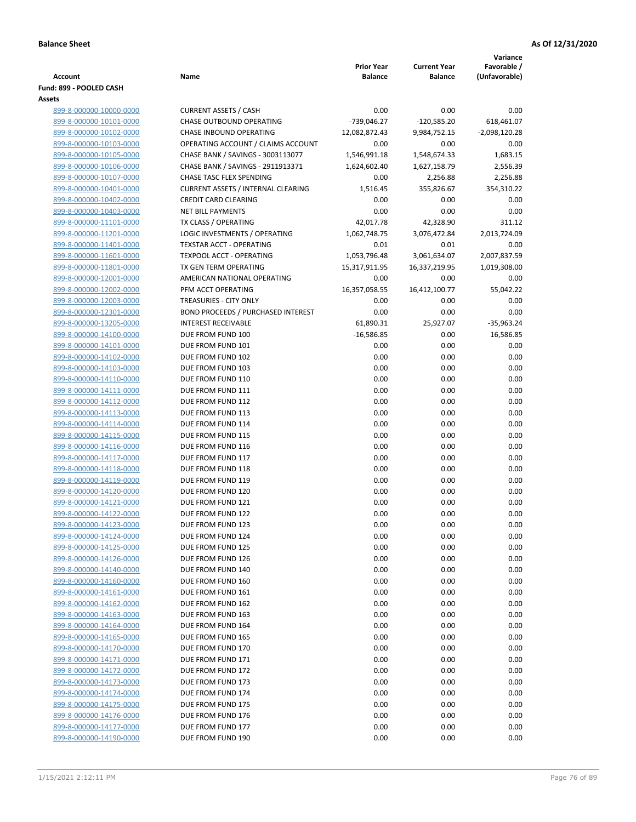|                                                    |                                                          |                                     |                                       | Variance                     |
|----------------------------------------------------|----------------------------------------------------------|-------------------------------------|---------------------------------------|------------------------------|
| <b>Account</b>                                     | Name                                                     | <b>Prior Year</b><br><b>Balance</b> | <b>Current Year</b><br><b>Balance</b> | Favorable /<br>(Unfavorable) |
| Fund: 899 - POOLED CASH                            |                                                          |                                     |                                       |                              |
| Assets                                             |                                                          |                                     |                                       |                              |
| 899-8-000000-10000-0000                            | <b>CURRENT ASSETS / CASH</b>                             | 0.00                                | 0.00                                  | 0.00                         |
| 899-8-000000-10101-0000                            | CHASE OUTBOUND OPERATING                                 | $-739,046.27$                       | $-120,585.20$                         | 618,461.07                   |
| 899-8-000000-10102-0000                            | CHASE INBOUND OPERATING                                  | 12,082,872.43                       | 9,984,752.15                          | $-2,098,120.28$              |
| 899-8-000000-10103-0000                            | OPERATING ACCOUNT / CLAIMS ACCOUNT                       | 0.00                                | 0.00                                  | 0.00                         |
| 899-8-000000-10105-0000                            | CHASE BANK / SAVINGS - 3003113077                        | 1,546,991.18                        | 1,548,674.33                          | 1,683.15                     |
| 899-8-000000-10106-0000                            | CHASE BANK / SAVINGS - 2911913371                        | 1,624,602.40                        | 1,627,158.79                          | 2,556.39                     |
| 899-8-000000-10107-0000                            | <b>CHASE TASC FLEX SPENDING</b>                          | 0.00                                | 2,256.88                              | 2,256.88                     |
| 899-8-000000-10401-0000                            | <b>CURRENT ASSETS / INTERNAL CLEARING</b>                | 1,516.45                            | 355,826.67                            | 354,310.22                   |
| 899-8-000000-10402-0000                            | <b>CREDIT CARD CLEARING</b>                              | 0.00                                | 0.00                                  | 0.00                         |
| 899-8-000000-10403-0000                            | <b>NET BILL PAYMENTS</b>                                 | 0.00                                | 0.00                                  | 0.00                         |
| 899-8-000000-11101-0000                            | TX CLASS / OPERATING                                     | 42,017.78                           | 42,328.90                             | 311.12                       |
| 899-8-000000-11201-0000                            | LOGIC INVESTMENTS / OPERATING                            | 1,062,748.75                        | 3,076,472.84                          | 2,013,724.09                 |
| 899-8-000000-11401-0000                            | <b>TEXSTAR ACCT - OPERATING</b>                          | 0.01                                | 0.01                                  | 0.00                         |
| 899-8-000000-11601-0000                            | <b>TEXPOOL ACCT - OPERATING</b><br>TX GEN TERM OPERATING | 1,053,796.48                        | 3,061,634.07                          | 2,007,837.59                 |
| 899-8-000000-11801-0000<br>899-8-000000-12001-0000 | AMERICAN NATIONAL OPERATING                              | 15,317,911.95<br>0.00               | 16,337,219.95<br>0.00                 | 1,019,308.00<br>0.00         |
| 899-8-000000-12002-0000                            | PFM ACCT OPERATING                                       | 16,357,058.55                       | 16,412,100.77                         | 55,042.22                    |
| 899-8-000000-12003-0000                            | TREASURIES - CITY ONLY                                   | 0.00                                | 0.00                                  | 0.00                         |
| 899-8-000000-12301-0000                            | <b>BOND PROCEEDS / PURCHASED INTEREST</b>                | 0.00                                | 0.00                                  | 0.00                         |
| 899-8-000000-13205-0000                            | <b>INTEREST RECEIVABLE</b>                               | 61,890.31                           | 25,927.07                             | $-35,963.24$                 |
| 899-8-000000-14100-0000                            | DUE FROM FUND 100                                        | $-16,586.85$                        | 0.00                                  | 16,586.85                    |
| 899-8-000000-14101-0000                            | DUE FROM FUND 101                                        | 0.00                                | 0.00                                  | 0.00                         |
| 899-8-000000-14102-0000                            | DUE FROM FUND 102                                        | 0.00                                | 0.00                                  | 0.00                         |
| 899-8-000000-14103-0000                            | DUE FROM FUND 103                                        | 0.00                                | 0.00                                  | 0.00                         |
| 899-8-000000-14110-0000                            | DUE FROM FUND 110                                        | 0.00                                | 0.00                                  | 0.00                         |
| 899-8-000000-14111-0000                            | DUE FROM FUND 111                                        | 0.00                                | 0.00                                  | 0.00                         |
| 899-8-000000-14112-0000                            | DUE FROM FUND 112                                        | 0.00                                | 0.00                                  | 0.00                         |
| 899-8-000000-14113-0000                            | DUE FROM FUND 113                                        | 0.00                                | 0.00                                  | 0.00                         |
| 899-8-000000-14114-0000                            | DUE FROM FUND 114                                        | 0.00                                | 0.00                                  | 0.00                         |
| 899-8-000000-14115-0000                            | DUE FROM FUND 115                                        | 0.00                                | 0.00                                  | 0.00                         |
| 899-8-000000-14116-0000                            | DUE FROM FUND 116                                        | 0.00                                | 0.00                                  | 0.00                         |
| 899-8-000000-14117-0000                            | DUE FROM FUND 117                                        | 0.00                                | 0.00                                  | 0.00                         |
| 899-8-000000-14118-0000                            | DUE FROM FUND 118                                        | 0.00                                | 0.00                                  | 0.00                         |
| 899-8-000000-14119-0000                            | DUE FROM FUND 119                                        | 0.00                                | 0.00                                  | 0.00                         |
| 899-8-000000-14120-0000<br>899-8-000000-14121-0000 | DUE FROM FUND 120<br>DUE FROM FUND 121                   | 0.00<br>0.00                        | 0.00<br>0.00                          | 0.00<br>0.00                 |
| 899-8-000000-14122-0000                            | DUE FROM FUND 122                                        | 0.00                                | 0.00                                  | 0.00                         |
| 899-8-000000-14123-0000                            | DUE FROM FUND 123                                        | 0.00                                | 0.00                                  | 0.00                         |
| 899-8-000000-14124-0000                            | DUE FROM FUND 124                                        | 0.00                                | 0.00                                  | 0.00                         |
| 899-8-000000-14125-0000                            | DUE FROM FUND 125                                        | 0.00                                | 0.00                                  | 0.00                         |
| 899-8-000000-14126-0000                            | DUE FROM FUND 126                                        | 0.00                                | 0.00                                  | 0.00                         |
| 899-8-000000-14140-0000                            | DUE FROM FUND 140                                        | 0.00                                | 0.00                                  | 0.00                         |
| 899-8-000000-14160-0000                            | DUE FROM FUND 160                                        | 0.00                                | 0.00                                  | 0.00                         |
| 899-8-000000-14161-0000                            | DUE FROM FUND 161                                        | 0.00                                | 0.00                                  | 0.00                         |
| 899-8-000000-14162-0000                            | DUE FROM FUND 162                                        | 0.00                                | 0.00                                  | 0.00                         |
| 899-8-000000-14163-0000                            | DUE FROM FUND 163                                        | 0.00                                | 0.00                                  | 0.00                         |
| 899-8-000000-14164-0000                            | DUE FROM FUND 164                                        | 0.00                                | 0.00                                  | 0.00                         |
| 899-8-000000-14165-0000                            | DUE FROM FUND 165                                        | 0.00                                | 0.00                                  | 0.00                         |
| 899-8-000000-14170-0000                            | DUE FROM FUND 170                                        | 0.00                                | 0.00                                  | 0.00                         |
| 899-8-000000-14171-0000                            | DUE FROM FUND 171                                        | 0.00                                | 0.00                                  | 0.00                         |
| 899-8-000000-14172-0000                            | DUE FROM FUND 172                                        | 0.00                                | 0.00                                  | 0.00                         |
| 899-8-000000-14173-0000                            | DUE FROM FUND 173                                        | 0.00                                | 0.00                                  | 0.00                         |
| 899-8-000000-14174-0000                            | DUE FROM FUND 174                                        | 0.00                                | 0.00                                  | 0.00                         |
| 899-8-000000-14175-0000                            | DUE FROM FUND 175                                        | 0.00                                | 0.00                                  | 0.00                         |
| 899-8-000000-14176-0000                            | DUE FROM FUND 176<br>DUE FROM FUND 177                   | 0.00<br>0.00                        | 0.00<br>0.00                          | 0.00<br>0.00                 |
| 899-8-000000-14177-0000<br>899-8-000000-14190-0000 | DUE FROM FUND 190                                        | 0.00                                | 0.00                                  | 0.00                         |
|                                                    |                                                          |                                     |                                       |                              |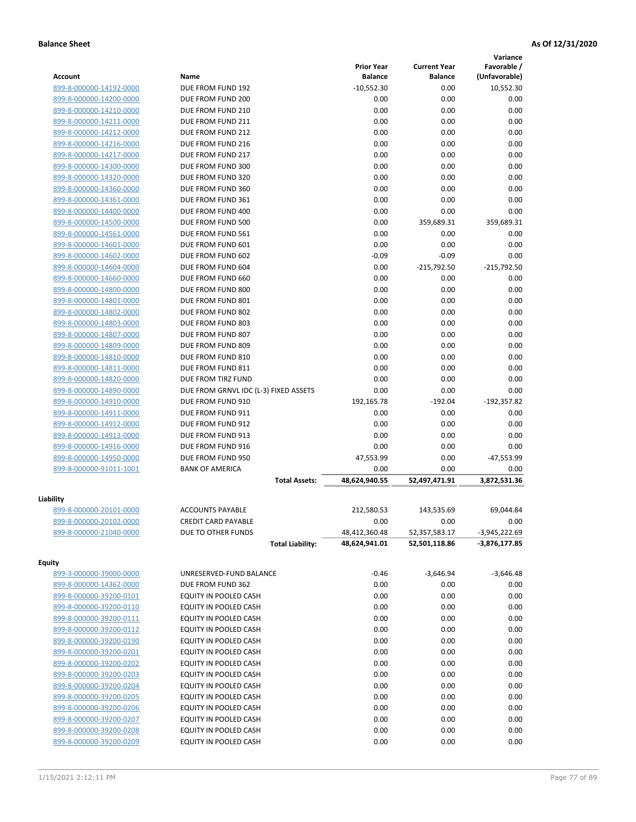|                         |                                       |                                     |                                       | Variance                     |
|-------------------------|---------------------------------------|-------------------------------------|---------------------------------------|------------------------------|
| <b>Account</b>          | Name                                  | <b>Prior Year</b><br><b>Balance</b> | <b>Current Year</b><br><b>Balance</b> | Favorable /<br>(Unfavorable) |
| 899-8-000000-14192-0000 | DUE FROM FUND 192                     | $-10,552.30$                        | 0.00                                  | 10,552.30                    |
| 899-8-000000-14200-0000 | DUE FROM FUND 200                     | 0.00                                | 0.00                                  | 0.00                         |
| 899-8-000000-14210-0000 | DUE FROM FUND 210                     | 0.00                                | 0.00                                  | 0.00                         |
| 899-8-000000-14211-0000 | DUE FROM FUND 211                     | 0.00                                | 0.00                                  | 0.00                         |
| 899-8-000000-14212-0000 | DUE FROM FUND 212                     | 0.00                                | 0.00                                  | 0.00                         |
| 899-8-000000-14216-0000 | DUE FROM FUND 216                     | 0.00                                | 0.00                                  | 0.00                         |
| 899-8-000000-14217-0000 | DUE FROM FUND 217                     | 0.00                                | 0.00                                  | 0.00                         |
| 899-8-000000-14300-0000 | DUE FROM FUND 300                     | 0.00                                | 0.00                                  | 0.00                         |
| 899-8-000000-14320-0000 | DUE FROM FUND 320                     | 0.00                                | 0.00                                  | 0.00                         |
| 899-8-000000-14360-0000 | DUE FROM FUND 360                     | 0.00                                | 0.00                                  | 0.00                         |
| 899-8-000000-14361-0000 | DUE FROM FUND 361                     | 0.00                                | 0.00                                  | 0.00                         |
| 899-8-000000-14400-0000 | DUE FROM FUND 400                     | 0.00                                | 0.00                                  | 0.00                         |
| 899-8-000000-14500-0000 | DUE FROM FUND 500                     | 0.00                                | 359,689.31                            | 359,689.31                   |
| 899-8-000000-14561-0000 | DUE FROM FUND 561                     | 0.00                                | 0.00                                  | 0.00                         |
| 899-8-000000-14601-0000 | DUE FROM FUND 601                     | 0.00                                | 0.00                                  | 0.00                         |
| 899-8-000000-14602-0000 | DUE FROM FUND 602                     | $-0.09$                             | $-0.09$                               | 0.00                         |
| 899-8-000000-14604-0000 | DUE FROM FUND 604                     | 0.00                                | $-215,792.50$                         | $-215,792.50$                |
| 899-8-000000-14660-0000 | DUE FROM FUND 660                     | 0.00                                | 0.00                                  | 0.00                         |
| 899-8-000000-14800-0000 | DUE FROM FUND 800                     | 0.00                                | 0.00                                  | 0.00                         |
| 899-8-000000-14801-0000 | DUE FROM FUND 801                     |                                     |                                       |                              |
|                         |                                       | 0.00                                | 0.00                                  | 0.00                         |
| 899-8-000000-14802-0000 | DUE FROM FUND 802                     | 0.00                                | 0.00                                  | 0.00                         |
| 899-8-000000-14803-0000 | DUE FROM FUND 803                     | 0.00                                | 0.00                                  | 0.00                         |
| 899-8-000000-14807-0000 | DUE FROM FUND 807                     | 0.00                                | 0.00                                  | 0.00                         |
| 899-8-000000-14809-0000 | DUE FROM FUND 809                     | 0.00                                | 0.00                                  | 0.00                         |
| 899-8-000000-14810-0000 | DUE FROM FUND 810                     | 0.00                                | 0.00                                  | 0.00                         |
| 899-8-000000-14811-0000 | DUE FROM FUND 811                     | 0.00                                | 0.00                                  | 0.00                         |
| 899-8-000000-14820-0000 | DUE FROM TIRZ FUND                    | 0.00                                | 0.00                                  | 0.00                         |
| 899-8-000000-14890-0000 | DUE FROM GRNVL IDC (L-3) FIXED ASSETS | 0.00                                | 0.00                                  | 0.00                         |
| 899-8-000000-14910-0000 | DUE FROM FUND 910                     | 192,165.78                          | $-192.04$                             | $-192,357.82$                |
| 899-8-000000-14911-0000 | DUE FROM FUND 911                     | 0.00                                | 0.00                                  | 0.00                         |
| 899-8-000000-14912-0000 | DUE FROM FUND 912                     | 0.00                                | 0.00                                  | 0.00                         |
| 899-8-000000-14913-0000 | DUE FROM FUND 913                     | 0.00                                | 0.00                                  | 0.00                         |
| 899-8-000000-14916-0000 | DUE FROM FUND 916                     | 0.00                                | 0.00                                  | 0.00                         |
| 899-8-000000-14950-0000 | DUE FROM FUND 950                     | 47,553.99                           | 0.00                                  | $-47,553.99$                 |
| 899-8-000000-91011-1001 | <b>BANK OF AMERICA</b>                | 0.00                                | 0.00                                  | 0.00                         |
|                         | <b>Total Assets:</b>                  | 48,624,940.55                       | 52,497,471.91                         | 3,872,531.36                 |
| Liability               |                                       |                                     |                                       |                              |
| 899-8-000000-20101-0000 | <b>ACCOUNTS PAYABLE</b>               | 212,580.53                          | 143,535.69                            | 69,044.84                    |
| 899-8-000000-20102-0000 | <b>CREDIT CARD PAYABLE</b>            | 0.00                                | 0.00                                  | 0.00                         |
| 899-8-000000-21040-0000 | DUE TO OTHER FUNDS                    | 48,412,360.48                       | 52,357,583.17                         | $-3,945,222.69$              |
|                         | <b>Total Liability:</b>               | 48,624,941.01                       | 52,501,118.86                         | -3,876,177.85                |
| <b>Equity</b>           |                                       |                                     |                                       |                              |
| 899-3-000000-39000-0000 | UNRESERVED-FUND BALANCE               | $-0.46$                             | $-3,646.94$                           | $-3,646.48$                  |
| 899-8-000000-14362-0000 | DUE FROM FUND 362                     | 0.00                                | 0.00                                  | 0.00                         |
| 899-8-000000-39200-0101 | EQUITY IN POOLED CASH                 | 0.00                                | 0.00                                  | 0.00                         |
| 899-8-000000-39200-0110 | EQUITY IN POOLED CASH                 | 0.00                                | 0.00                                  | 0.00                         |
| 899-8-000000-39200-0111 | EQUITY IN POOLED CASH                 | 0.00                                | 0.00                                  | 0.00                         |
| 899-8-000000-39200-0112 | EQUITY IN POOLED CASH                 | 0.00                                | 0.00                                  | 0.00                         |
| 899-8-000000-39200-0190 | EQUITY IN POOLED CASH                 | 0.00                                | 0.00                                  | 0.00                         |
| 899-8-000000-39200-0201 | EQUITY IN POOLED CASH                 | 0.00                                | 0.00                                  | 0.00                         |
| 899-8-000000-39200-0202 | EQUITY IN POOLED CASH                 | 0.00                                | 0.00                                  | 0.00                         |
| 899-8-000000-39200-0203 | EQUITY IN POOLED CASH                 | 0.00                                | 0.00                                  | 0.00                         |
| 899-8-000000-39200-0204 | EQUITY IN POOLED CASH                 | 0.00                                | 0.00                                  | 0.00                         |
| 899-8-000000-39200-0205 | EQUITY IN POOLED CASH                 | 0.00                                | 0.00                                  | 0.00                         |
| 899-8-000000-39200-0206 | EQUITY IN POOLED CASH                 | 0.00                                | 0.00                                  | 0.00                         |
| 899-8-000000-39200-0207 | EQUITY IN POOLED CASH                 | 0.00                                | 0.00                                  | 0.00                         |
| 899-8-000000-39200-0208 | EQUITY IN POOLED CASH                 | 0.00                                | 0.00                                  | 0.00                         |
|                         |                                       |                                     |                                       |                              |
| 899-8-000000-39200-0209 | EQUITY IN POOLED CASH                 | 0.00                                | 0.00                                  | 0.00                         |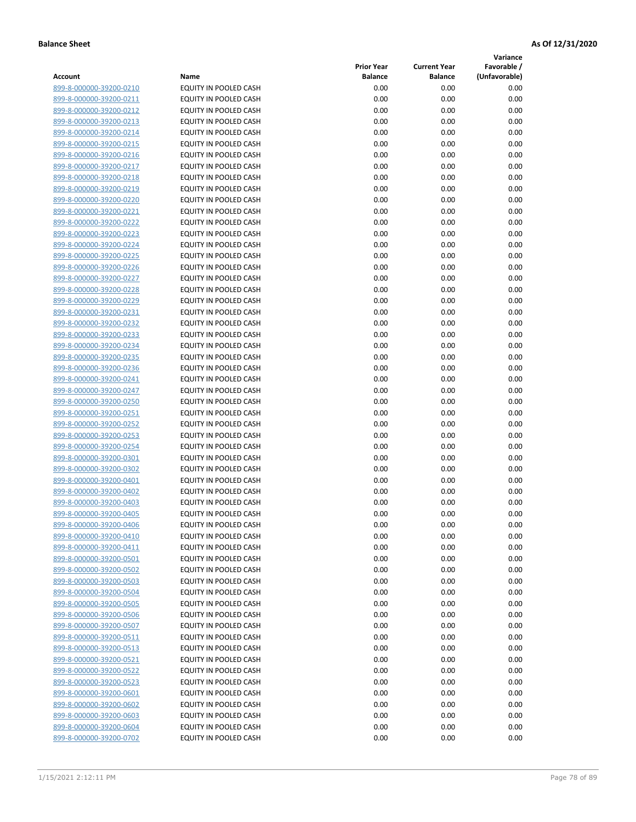**Variance**

|                         |                              | <b>Prior Year</b> | <b>Current Year</b> | Favorable /   |
|-------------------------|------------------------------|-------------------|---------------------|---------------|
| Account                 | Name                         | <b>Balance</b>    | <b>Balance</b>      | (Unfavorable) |
| 899-8-000000-39200-0210 | EQUITY IN POOLED CASH        | 0.00              | 0.00                | 0.00          |
| 899-8-000000-39200-0211 | EQUITY IN POOLED CASH        | 0.00              | 0.00                | 0.00          |
| 899-8-000000-39200-0212 | EQUITY IN POOLED CASH        | 0.00              | 0.00                | 0.00          |
| 899-8-000000-39200-0213 | EQUITY IN POOLED CASH        | 0.00              | 0.00                | 0.00          |
| 899-8-000000-39200-0214 | <b>EQUITY IN POOLED CASH</b> | 0.00              | 0.00                | 0.00          |
| 899-8-000000-39200-0215 | EQUITY IN POOLED CASH        | 0.00              | 0.00                | 0.00          |
| 899-8-000000-39200-0216 | EQUITY IN POOLED CASH        | 0.00              | 0.00                | 0.00          |
| 899-8-000000-39200-0217 | EQUITY IN POOLED CASH        | 0.00              | 0.00                | 0.00          |
| 899-8-000000-39200-0218 | EQUITY IN POOLED CASH        | 0.00              | 0.00                | 0.00          |
| 899-8-000000-39200-0219 | EQUITY IN POOLED CASH        | 0.00              | 0.00                | 0.00          |
| 899-8-000000-39200-0220 | EQUITY IN POOLED CASH        | 0.00              | 0.00                | 0.00          |
| 899-8-000000-39200-0221 | EQUITY IN POOLED CASH        | 0.00              | 0.00                | 0.00          |
| 899-8-000000-39200-0222 | EQUITY IN POOLED CASH        | 0.00              | 0.00                | 0.00          |
| 899-8-000000-39200-0223 | EQUITY IN POOLED CASH        | 0.00              | 0.00                | 0.00          |
| 899-8-000000-39200-0224 | EQUITY IN POOLED CASH        | 0.00              | 0.00                | 0.00          |
| 899-8-000000-39200-0225 | EQUITY IN POOLED CASH        | 0.00              | 0.00                | 0.00          |
| 899-8-000000-39200-0226 | EQUITY IN POOLED CASH        | 0.00              | 0.00                | 0.00          |
| 899-8-000000-39200-0227 | EQUITY IN POOLED CASH        | 0.00              | 0.00                | 0.00          |
| 899-8-000000-39200-0228 | EQUITY IN POOLED CASH        | 0.00              | 0.00                | 0.00          |
| 899-8-000000-39200-0229 | EQUITY IN POOLED CASH        | 0.00              | 0.00                | 0.00          |
| 899-8-000000-39200-0231 | EQUITY IN POOLED CASH        | 0.00              | 0.00                | 0.00          |
| 899-8-000000-39200-0232 | EQUITY IN POOLED CASH        | 0.00              | 0.00                | 0.00          |
| 899-8-000000-39200-0233 | EQUITY IN POOLED CASH        | 0.00              | 0.00                | 0.00          |
| 899-8-000000-39200-0234 | EQUITY IN POOLED CASH        | 0.00              | 0.00                | 0.00          |
| 899-8-000000-39200-0235 | EQUITY IN POOLED CASH        | 0.00              | 0.00                | 0.00          |
| 899-8-000000-39200-0236 | EQUITY IN POOLED CASH        | 0.00              | 0.00                | 0.00          |
| 899-8-000000-39200-0241 | EQUITY IN POOLED CASH        | 0.00              | 0.00                | 0.00          |
| 899-8-000000-39200-0247 | EQUITY IN POOLED CASH        | 0.00              | 0.00                | 0.00          |
| 899-8-000000-39200-0250 | EQUITY IN POOLED CASH        | 0.00              | 0.00                | 0.00          |
| 899-8-000000-39200-0251 | EQUITY IN POOLED CASH        | 0.00              | 0.00                | 0.00          |
| 899-8-000000-39200-0252 | EQUITY IN POOLED CASH        | 0.00              | 0.00                | 0.00          |
| 899-8-000000-39200-0253 | EQUITY IN POOLED CASH        | 0.00              | 0.00                | 0.00          |
| 899-8-000000-39200-0254 | EQUITY IN POOLED CASH        | 0.00              | 0.00                | 0.00          |
| 899-8-000000-39200-0301 | EQUITY IN POOLED CASH        | 0.00              | 0.00                | 0.00          |
| 899-8-000000-39200-0302 | EQUITY IN POOLED CASH        | 0.00              | 0.00                | 0.00          |
| 899-8-000000-39200-0401 | EQUITY IN POOLED CASH        | 0.00              | 0.00                | 0.00          |
| 899-8-000000-39200-0402 | EQUITY IN POOLED CASH        | 0.00              | 0.00                | 0.00          |
| 899-8-000000-39200-0403 | EQUITY IN POOLED CASH        | 0.00              | 0.00                | 0.00          |
| 899-8-000000-39200-0405 | EQUITY IN POOLED CASH        | 0.00              | 0.00                | 0.00          |
| 899-8-000000-39200-0406 | EQUITY IN POOLED CASH        | 0.00              | 0.00                | 0.00          |
| 899-8-000000-39200-0410 | EQUITY IN POOLED CASH        | 0.00              | 0.00                | 0.00          |
| 899-8-000000-39200-0411 | EQUITY IN POOLED CASH        | 0.00              | 0.00                | 0.00          |
| 899-8-000000-39200-0501 | EQUITY IN POOLED CASH        | 0.00              | 0.00                | 0.00          |
| 899-8-000000-39200-0502 | EQUITY IN POOLED CASH        | 0.00              | 0.00                | 0.00          |
| 899-8-000000-39200-0503 | EQUITY IN POOLED CASH        | 0.00              | 0.00                | 0.00          |
| 899-8-000000-39200-0504 | EQUITY IN POOLED CASH        | 0.00              | 0.00                | 0.00          |
| 899-8-000000-39200-0505 | EQUITY IN POOLED CASH        | 0.00              | 0.00                | 0.00          |
| 899-8-000000-39200-0506 | EQUITY IN POOLED CASH        | 0.00              | 0.00                | 0.00          |
| 899-8-000000-39200-0507 | EQUITY IN POOLED CASH        | 0.00              | 0.00                | 0.00          |
| 899-8-000000-39200-0511 | EQUITY IN POOLED CASH        | 0.00              | 0.00                | 0.00          |
| 899-8-000000-39200-0513 | EQUITY IN POOLED CASH        | 0.00              | 0.00                | 0.00          |
| 899-8-000000-39200-0521 | EQUITY IN POOLED CASH        | 0.00              | 0.00                | 0.00          |
| 899-8-000000-39200-0522 | EQUITY IN POOLED CASH        | 0.00              | 0.00                | 0.00          |
| 899-8-000000-39200-0523 | EQUITY IN POOLED CASH        | 0.00              | 0.00                | 0.00          |
| 899-8-000000-39200-0601 | EQUITY IN POOLED CASH        | 0.00              | 0.00                | 0.00          |
| 899-8-000000-39200-0602 | EQUITY IN POOLED CASH        | 0.00              | 0.00                | 0.00          |
| 899-8-000000-39200-0603 | EQUITY IN POOLED CASH        | 0.00              | 0.00                | 0.00          |
| 899-8-000000-39200-0604 | EQUITY IN POOLED CASH        | 0.00              | 0.00                | 0.00          |
| 899-8-000000-39200-0702 | EQUITY IN POOLED CASH        | 0.00              | 0.00                | 0.00          |
|                         |                              |                   |                     |               |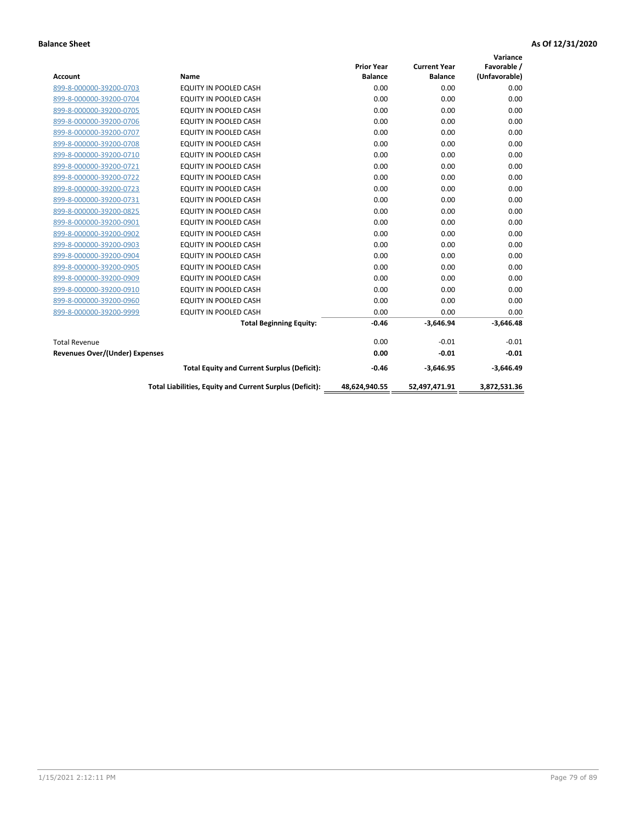|                                       |                                                          |                   |                     | Variance      |
|---------------------------------------|----------------------------------------------------------|-------------------|---------------------|---------------|
|                                       |                                                          | <b>Prior Year</b> | <b>Current Year</b> | Favorable /   |
| <b>Account</b>                        | <b>Name</b>                                              | <b>Balance</b>    | <b>Balance</b>      | (Unfavorable) |
| 899-8-000000-39200-0703               | EQUITY IN POOLED CASH                                    | 0.00              | 0.00                | 0.00          |
| 899-8-000000-39200-0704               | EQUITY IN POOLED CASH                                    | 0.00              | 0.00                | 0.00          |
| 899-8-000000-39200-0705               | EQUITY IN POOLED CASH                                    | 0.00              | 0.00                | 0.00          |
| 899-8-000000-39200-0706               | <b>EQUITY IN POOLED CASH</b>                             | 0.00              | 0.00                | 0.00          |
| 899-8-000000-39200-0707               | <b>EQUITY IN POOLED CASH</b>                             | 0.00              | 0.00                | 0.00          |
| 899-8-000000-39200-0708               | <b>EQUITY IN POOLED CASH</b>                             | 0.00              | 0.00                | 0.00          |
| 899-8-000000-39200-0710               | <b>EQUITY IN POOLED CASH</b>                             | 0.00              | 0.00                | 0.00          |
| 899-8-000000-39200-0721               | EQUITY IN POOLED CASH                                    | 0.00              | 0.00                | 0.00          |
| 899-8-000000-39200-0722               | <b>EQUITY IN POOLED CASH</b>                             | 0.00              | 0.00                | 0.00          |
| 899-8-000000-39200-0723               | <b>EQUITY IN POOLED CASH</b>                             | 0.00              | 0.00                | 0.00          |
| 899-8-000000-39200-0731               | <b>EQUITY IN POOLED CASH</b>                             | 0.00              | 0.00                | 0.00          |
| 899-8-000000-39200-0825               | EQUITY IN POOLED CASH                                    | 0.00              | 0.00                | 0.00          |
| 899-8-000000-39200-0901               | <b>EQUITY IN POOLED CASH</b>                             | 0.00              | 0.00                | 0.00          |
| 899-8-000000-39200-0902               | EQUITY IN POOLED CASH                                    | 0.00              | 0.00                | 0.00          |
| 899-8-000000-39200-0903               | <b>EQUITY IN POOLED CASH</b>                             | 0.00              | 0.00                | 0.00          |
| 899-8-000000-39200-0904               | <b>EQUITY IN POOLED CASH</b>                             | 0.00              | 0.00                | 0.00          |
| 899-8-000000-39200-0905               | EQUITY IN POOLED CASH                                    | 0.00              | 0.00                | 0.00          |
| 899-8-000000-39200-0909               | EQUITY IN POOLED CASH                                    | 0.00              | 0.00                | 0.00          |
| 899-8-000000-39200-0910               | <b>EQUITY IN POOLED CASH</b>                             | 0.00              | 0.00                | 0.00          |
| 899-8-000000-39200-0960               | <b>EQUITY IN POOLED CASH</b>                             | 0.00              | 0.00                | 0.00          |
| 899-8-000000-39200-9999               | <b>EQUITY IN POOLED CASH</b>                             | 0.00              | 0.00                | 0.00          |
|                                       | <b>Total Beginning Equity:</b>                           | $-0.46$           | $-3,646.94$         | $-3,646.48$   |
| <b>Total Revenue</b>                  |                                                          | 0.00              | $-0.01$             | $-0.01$       |
| <b>Revenues Over/(Under) Expenses</b> |                                                          | 0.00              | $-0.01$             | $-0.01$       |
|                                       | <b>Total Equity and Current Surplus (Deficit):</b>       | $-0.46$           | $-3,646.95$         | $-3,646.49$   |
|                                       | Total Liabilities, Equity and Current Surplus (Deficit): | 48,624,940.55     | 52,497,471.91       | 3,872,531.36  |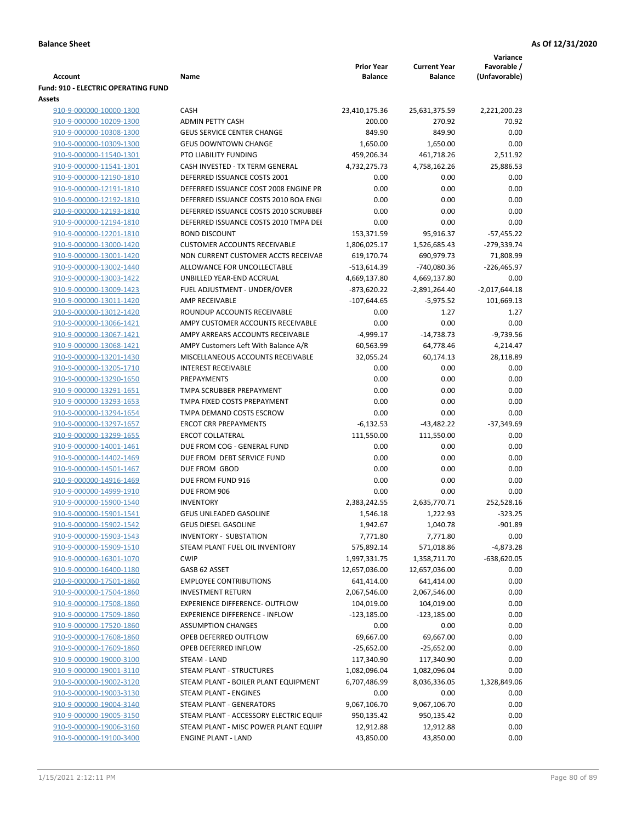|                                                    |                                                  |                   |                     | Variance        |
|----------------------------------------------------|--------------------------------------------------|-------------------|---------------------|-----------------|
|                                                    |                                                  | <b>Prior Year</b> | <b>Current Year</b> | Favorable /     |
| Account                                            | Name                                             | <b>Balance</b>    | <b>Balance</b>      | (Unfavorable)   |
| <b>Fund: 910 - ELECTRIC OPERATING FUND</b>         |                                                  |                   |                     |                 |
| Assets                                             |                                                  |                   |                     |                 |
| 910-9-000000-10000-1300                            | <b>CASH</b>                                      | 23,410,175.36     | 25,631,375.59       | 2,221,200.23    |
| 910-9-000000-10209-1300                            | <b>ADMIN PETTY CASH</b>                          | 200.00            | 270.92              | 70.92           |
| 910-9-000000-10308-1300                            | <b>GEUS SERVICE CENTER CHANGE</b>                | 849.90            | 849.90              | 0.00            |
| 910-9-000000-10309-1300                            | <b>GEUS DOWNTOWN CHANGE</b>                      | 1,650.00          | 1,650.00            | 0.00            |
| 910-9-000000-11540-1301                            | PTO LIABILITY FUNDING                            | 459,206.34        | 461,718.26          | 2,511.92        |
| 910-9-000000-11541-1301                            | CASH INVESTED - TX TERM GENERAL                  | 4,732,275.73      | 4,758,162.26        | 25,886.53       |
| 910-9-000000-12190-1810                            | DEFERRED ISSUANCE COSTS 2001                     | 0.00              | 0.00                | 0.00            |
| 910-9-000000-12191-1810                            | DEFERRED ISSUANCE COST 2008 ENGINE PR            | 0.00              | 0.00                | 0.00            |
| 910-9-000000-12192-1810                            | DEFERRED ISSUANCE COSTS 2010 BOA ENGI            | 0.00              | 0.00                | 0.00            |
| 910-9-000000-12193-1810                            | DEFERRED ISSUANCE COSTS 2010 SCRUBBEF            | 0.00              | 0.00                | 0.00            |
| 910-9-000000-12194-1810                            | DEFERRED ISSUANCE COSTS 2010 TMPA DEI            | 0.00              | 0.00                | 0.00            |
| 910-9-000000-12201-1810                            | <b>BOND DISCOUNT</b>                             | 153,371.59        | 95,916.37           | $-57,455.22$    |
| 910-9-000000-13000-1420                            | <b>CUSTOMER ACCOUNTS RECEIVABLE</b>              | 1,806,025.17      | 1,526,685.43        | -279,339.74     |
| 910-9-000000-13001-1420                            | NON CURRENT CUSTOMER ACCTS RECEIVAE              | 619,170.74        | 690,979.73          | 71,808.99       |
| 910-9-000000-13002-1440                            | ALLOWANCE FOR UNCOLLECTABLE                      | -513,614.39       | -740,080.36         | $-226,465.97$   |
| 910-9-000000-13003-1422                            | UNBILLED YEAR-END ACCRUAL                        | 4,669,137.80      | 4,669,137.80        | 0.00            |
| 910-9-000000-13009-1423                            | FUEL ADJUSTMENT - UNDER/OVER                     | $-873,620.22$     | $-2,891,264.40$     | $-2,017,644.18$ |
| 910-9-000000-13011-1420                            | AMP RECEIVABLE                                   | $-107,644.65$     | $-5,975.52$         | 101,669.13      |
| 910-9-000000-13012-1420                            | ROUNDUP ACCOUNTS RECEIVABLE                      | 0.00              | 1.27                | 1.27            |
| 910-9-000000-13066-1421                            | AMPY CUSTOMER ACCOUNTS RECEIVABLE                | 0.00              | 0.00                | 0.00            |
| 910-9-000000-13067-1421                            | AMPY ARREARS ACCOUNTS RECEIVABLE                 | $-4,999.17$       | $-14,738.73$        | $-9,739.56$     |
| 910-9-000000-13068-1421                            | AMPY Customers Left With Balance A/R             | 60,563.99         | 64,778.46           | 4,214.47        |
| 910-9-000000-13201-1430                            | MISCELLANEOUS ACCOUNTS RECEIVABLE                | 32,055.24         | 60,174.13           | 28,118.89       |
| 910-9-000000-13205-1710                            | <b>INTEREST RECEIVABLE</b><br><b>PREPAYMENTS</b> | 0.00<br>0.00      | 0.00<br>0.00        | 0.00            |
| 910-9-000000-13290-1650<br>910-9-000000-13291-1651 | TMPA SCRUBBER PREPAYMENT                         | 0.00              | 0.00                | 0.00<br>0.00    |
|                                                    | TMPA FIXED COSTS PREPAYMENT                      | 0.00              | 0.00                | 0.00            |
| 910-9-000000-13293-1653<br>910-9-000000-13294-1654 | TMPA DEMAND COSTS ESCROW                         | 0.00              | 0.00                | 0.00            |
| 910-9-000000-13297-1657                            | <b>ERCOT CRR PREPAYMENTS</b>                     | $-6,132.53$       | $-43,482.22$        | $-37,349.69$    |
| 910-9-000000-13299-1655                            | <b>ERCOT COLLATERAL</b>                          | 111,550.00        | 111,550.00          | 0.00            |
| 910-9-000000-14001-1461                            | DUE FROM COG - GENERAL FUND                      | 0.00              | 0.00                | 0.00            |
| 910-9-000000-14402-1469                            | DUE FROM DEBT SERVICE FUND                       | 0.00              | 0.00                | 0.00            |
| 910-9-000000-14501-1467                            | DUE FROM GBOD                                    | 0.00              | 0.00                | 0.00            |
| 910-9-000000-14916-1469                            | DUE FROM FUND 916                                | 0.00              | 0.00                | 0.00            |
| 910-9-000000-14999-1910                            | DUE FROM 906                                     | 0.00              | 0.00                | 0.00            |
| 910-9-000000-15900-1540                            | <b>INVENTORY</b>                                 | 2,383,242.55      | 2,635,770.71        | 252,528.16      |
| 910-9-000000-15901-1541                            | GEUS UNLEADED GASOLINE                           | 1,546.18          | 1,222.93            | $-323.25$       |
| 910-9-000000-15902-1542                            | <b>GEUS DIESEL GASOLINE</b>                      | 1,942.67          | 1,040.78            | $-901.89$       |
| 910-9-000000-15903-1543                            | INVENTORY - SUBSTATION                           | 7,771.80          | 7,771.80            | 0.00            |
| 910-9-000000-15909-1510                            | STEAM PLANT FUEL OIL INVENTORY                   | 575,892.14        | 571,018.86          | -4,873.28       |
| 910-9-000000-16301-1070                            | <b>CWIP</b>                                      | 1,997,331.75      | 1,358,711.70        | $-638,620.05$   |
| 910-9-000000-16400-1180                            | GASB 62 ASSET                                    | 12,657,036.00     | 12,657,036.00       | 0.00            |
| 910-9-000000-17501-1860                            | <b>EMPLOYEE CONTRIBUTIONS</b>                    | 641,414.00        | 641,414.00          | 0.00            |
| 910-9-000000-17504-1860                            | <b>INVESTMENT RETURN</b>                         | 2,067,546.00      | 2,067,546.00        | 0.00            |
| 910-9-000000-17508-1860                            | EXPERIENCE DIFFERENCE- OUTFLOW                   | 104,019.00        | 104,019.00          | 0.00            |
| 910-9-000000-17509-1860                            | <b>EXPERIENCE DIFFERENCE - INFLOW</b>            | $-123,185.00$     | $-123,185.00$       | 0.00            |
| 910-9-000000-17520-1860                            | <b>ASSUMPTION CHANGES</b>                        | 0.00              | 0.00                | 0.00            |
| 910-9-000000-17608-1860                            | OPEB DEFERRED OUTFLOW                            | 69,667.00         | 69,667.00           | 0.00            |
| 910-9-000000-17609-1860                            | OPEB DEFERRED INFLOW                             | $-25,652.00$      | $-25,652.00$        | 0.00            |
| 910-9-000000-19000-3100                            | STEAM - LAND                                     | 117,340.90        | 117,340.90          | 0.00            |
| 910-9-000000-19001-3110                            | STEAM PLANT - STRUCTURES                         | 1,082,096.04      | 1,082,096.04        | 0.00            |
| 910-9-000000-19002-3120                            | STEAM PLANT - BOILER PLANT EQUIPMENT             | 6,707,486.99      | 8,036,336.05        | 1,328,849.06    |
| 910-9-000000-19003-3130                            | STEAM PLANT - ENGINES                            | 0.00              | 0.00                | 0.00            |
| 910-9-000000-19004-3140                            | STEAM PLANT - GENERATORS                         | 9,067,106.70      | 9,067,106.70        | 0.00            |
| 910-9-000000-19005-3150                            | STEAM PLANT - ACCESSORY ELECTRIC EQUIF           | 950,135.42        | 950,135.42          | 0.00            |
| 910-9-000000-19006-3160                            | STEAM PLANT - MISC POWER PLANT EQUIPI            | 12,912.88         | 12,912.88           | 0.00            |
| 910-9-000000-19100-3400                            | <b>ENGINE PLANT - LAND</b>                       | 43,850.00         | 43,850.00           | 0.00            |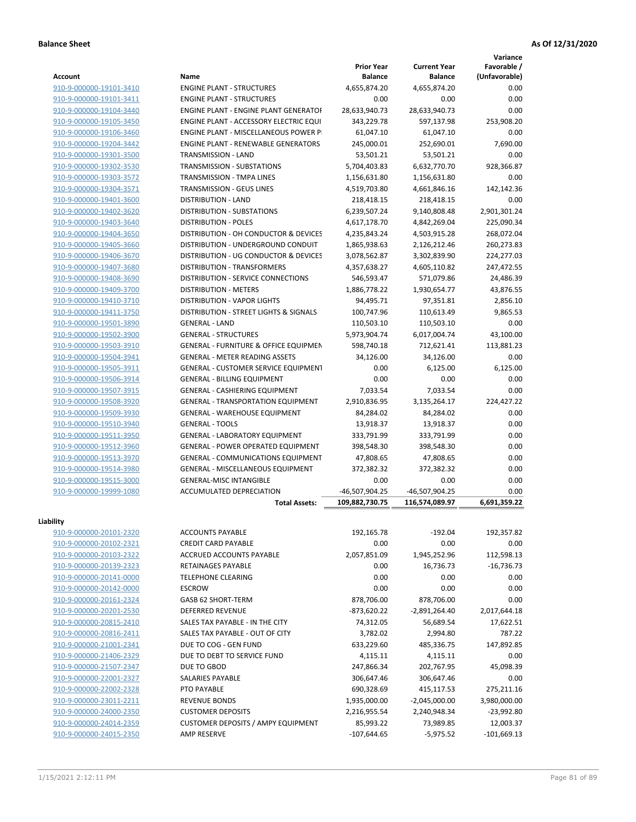**Variance**

| <b>Account</b>          | Name                                             | <b>Prior Year</b><br><b>Balance</b> | <b>Current Year</b><br><b>Balance</b> | Favorable /<br>(Unfavorable) |
|-------------------------|--------------------------------------------------|-------------------------------------|---------------------------------------|------------------------------|
| 910-9-000000-19101-3410 | <b>ENGINE PLANT - STRUCTURES</b>                 | 4,655,874.20                        | 4,655,874.20                          | 0.00                         |
| 910-9-000000-19101-3411 | <b>ENGINE PLANT - STRUCTURES</b>                 | 0.00                                | 0.00                                  | 0.00                         |
| 910-9-000000-19104-3440 | <b>ENGINE PLANT - ENGINE PLANT GENERATOF</b>     | 28,633,940.73                       | 28,633,940.73                         | 0.00                         |
| 910-9-000000-19105-3450 | ENGINE PLANT - ACCESSORY ELECTRIC EQUI           | 343,229.78                          | 597,137.98                            | 253,908.20                   |
| 910-9-000000-19106-3460 | ENGINE PLANT - MISCELLANEOUS POWER P             | 61,047.10                           | 61,047.10                             | 0.00                         |
| 910-9-000000-19204-3442 | <b>ENGINE PLANT - RENEWABLE GENERATORS</b>       | 245,000.01                          | 252,690.01                            | 7,690.00                     |
|                         | TRANSMISSION - LAND                              |                                     |                                       | 0.00                         |
| 910-9-000000-19301-3500 | <b>TRANSMISSION - SUBSTATIONS</b>                | 53,501.21                           | 53,501.21                             |                              |
| 910-9-000000-19302-3530 |                                                  | 5,704,403.83                        | 6,632,770.70                          | 928,366.87                   |
| 910-9-000000-19303-3572 | TRANSMISSION - TMPA LINES                        | 1,156,631.80                        | 1,156,631.80                          | 0.00                         |
| 910-9-000000-19304-3571 | TRANSMISSION - GEUS LINES                        | 4,519,703.80                        | 4,661,846.16                          | 142,142.36                   |
| 910-9-000000-19401-3600 | <b>DISTRIBUTION - LAND</b>                       | 218,418.15                          | 218,418.15                            | 0.00                         |
| 910-9-000000-19402-3620 | DISTRIBUTION - SUBSTATIONS                       | 6,239,507.24                        | 9,140,808.48                          | 2,901,301.24                 |
| 910-9-000000-19403-3640 | <b>DISTRIBUTION - POLES</b>                      | 4,617,178.70                        | 4,842,269.04                          | 225,090.34                   |
| 910-9-000000-19404-3650 | DISTRIBUTION - OH CONDUCTOR & DEVICES            | 4,235,843.24                        | 4,503,915.28                          | 268,072.04                   |
| 910-9-000000-19405-3660 | DISTRIBUTION - UNDERGROUND CONDUIT               | 1,865,938.63                        | 2,126,212.46                          | 260,273.83                   |
| 910-9-000000-19406-3670 | DISTRIBUTION - UG CONDUCTOR & DEVICES            | 3,078,562.87                        | 3,302,839.90                          | 224,277.03                   |
| 910-9-000000-19407-3680 | DISTRIBUTION - TRANSFORMERS                      | 4,357,638.27                        | 4,605,110.82                          | 247,472.55                   |
| 910-9-000000-19408-3690 | <b>DISTRIBUTION - SERVICE CONNECTIONS</b>        | 546,593.47                          | 571,079.86                            | 24,486.39                    |
| 910-9-000000-19409-3700 | <b>DISTRIBUTION - METERS</b>                     | 1,886,778.22                        | 1,930,654.77                          | 43,876.55                    |
| 910-9-000000-19410-3710 | <b>DISTRIBUTION - VAPOR LIGHTS</b>               | 94,495.71                           | 97,351.81                             | 2,856.10                     |
| 910-9-000000-19411-3750 | DISTRIBUTION - STREET LIGHTS & SIGNALS           | 100,747.96                          | 110,613.49                            | 9,865.53                     |
| 910-9-000000-19501-3890 | <b>GENERAL - LAND</b>                            | 110,503.10                          | 110,503.10                            | 0.00                         |
| 910-9-000000-19502-3900 | <b>GENERAL - STRUCTURES</b>                      | 5,973,904.74                        | 6,017,004.74                          | 43,100.00                    |
| 910-9-000000-19503-3910 | <b>GENERAL - FURNITURE &amp; OFFICE EQUIPMEN</b> | 598,740.18                          | 712,621.41                            | 113,881.23                   |
| 910-9-000000-19504-3941 | <b>GENERAL - METER READING ASSETS</b>            | 34,126.00                           | 34,126.00                             | 0.00                         |
| 910-9-000000-19505-3911 | <b>GENERAL - CUSTOMER SERVICE EQUIPMENT</b>      | 0.00                                | 6,125.00                              | 6,125.00                     |
| 910-9-000000-19506-3914 | <b>GENERAL - BILLING EQUIPMENT</b>               | 0.00                                | 0.00                                  | 0.00                         |
| 910-9-000000-19507-3915 | GENERAL - CASHIERING EQUIPMENT                   | 7,033.54                            | 7,033.54                              | 0.00                         |
| 910-9-000000-19508-3920 | <b>GENERAL - TRANSPORTATION EQUIPMENT</b>        | 2,910,836.95                        | 3,135,264.17                          | 224,427.22                   |
| 910-9-000000-19509-3930 | GENERAL - WAREHOUSE EQUIPMENT                    | 84,284.02                           | 84,284.02                             | 0.00                         |
| 910-9-000000-19510-3940 | <b>GENERAL - TOOLS</b>                           | 13,918.37                           | 13,918.37                             | 0.00                         |
| 910-9-000000-19511-3950 | <b>GENERAL - LABORATORY EQUIPMENT</b>            | 333,791.99                          | 333,791.99                            | 0.00                         |
| 910-9-000000-19512-3960 | <b>GENERAL - POWER OPERATED EQUIPMENT</b>        | 398,548.30                          | 398,548.30                            | 0.00                         |
| 910-9-000000-19513-3970 | GENERAL - COMMUNICATIONS EQUIPMENT               | 47,808.65                           | 47,808.65                             | 0.00                         |
| 910-9-000000-19514-3980 | GENERAL - MISCELLANEOUS EQUIPMENT                | 372,382.32                          | 372,382.32                            | 0.00                         |
| 910-9-000000-19515-3000 | <b>GENERAL-MISC INTANGIBLE</b>                   | 0.00                                | 0.00                                  | 0.00                         |
| 910-9-000000-19999-1080 | ACCUMULATED DEPRECIATION                         | -46,507,904.25                      | -46,507,904.25                        | 0.00                         |
|                         | <b>Total Assets:</b>                             | 109,882,730.75                      | 116,574,089.97                        | 6,691,359.22                 |
|                         |                                                  |                                     |                                       |                              |
| Liability               |                                                  |                                     |                                       |                              |
| 910-9-000000-20101-2320 | <b>ACCOUNTS PAYABLE</b>                          | 192,165.78                          | $-192.04$                             | 192,357.82                   |
| 910-9-000000-20102-2321 | <b>CREDIT CARD PAYABLE</b>                       | 0.00                                | 0.00                                  | 0.00                         |
| 910-9-000000-20103-2322 | ACCRUED ACCOUNTS PAYABLE                         | 2,057,851.09                        | 1,945,252.96                          | 112,598.13                   |
| 910-9-000000-20139-2323 | RETAINAGES PAYABLE                               | 0.00                                | 16,736.73                             | $-16,736.73$                 |
| 910-9-000000-20141-0000 | TELEPHONE CLEARING                               | 0.00                                | 0.00                                  | 0.00                         |
| 910-9-000000-20142-0000 | <b>ESCROW</b>                                    | 0.00                                | 0.00                                  | 0.00                         |
| 910-9-000000-20161-2324 | GASB 62 SHORT-TERM                               | 878,706.00                          | 878,706.00                            | 0.00                         |
| 910-9-000000-20201-2530 | <b>DEFERRED REVENUE</b>                          | -873,620.22                         | $-2,891,264.40$                       | 2,017,644.18                 |
| 910-9-000000-20815-2410 | SALES TAX PAYABLE - IN THE CITY                  | 74,312.05                           | 56,689.54                             | 17,622.51                    |
| 910-9-000000-20816-2411 | SALES TAX PAYABLE - OUT OF CITY                  | 3,782.02                            | 2,994.80                              | 787.22                       |
| 910-9-000000-21001-2341 | DUE TO COG - GEN FUND                            | 633,229.60                          | 485,336.75                            | 147,892.85                   |
| 910-9-000000-21406-2329 | DUE TO DEBT TO SERVICE FUND                      | 4,115.11                            | 4,115.11                              | 0.00                         |
| 910-9-000000-21507-2347 | DUE TO GBOD                                      | 247,866.34                          | 202,767.95                            | 45,098.39                    |
| 910-9-000000-22001-2327 | SALARIES PAYABLE                                 | 306,647.46                          | 306,647.46                            | 0.00                         |
| 910-9-000000-22002-2328 | PTO PAYABLE                                      | 690,328.69                          | 415,117.53                            | 275,211.16                   |
| 910-9-000000-23011-2211 | <b>REVENUE BONDS</b>                             | 1,935,000.00                        | $-2,045,000.00$                       | 3,980,000.00                 |
| 910-9-000000-24000-2350 | <b>CUSTOMER DEPOSITS</b>                         | 2,216,955.54                        | 2,240,948.34                          | $-23,992.80$                 |
| 910-9-000000-24014-2359 | <b>CUSTOMER DEPOSITS / AMPY EQUIPMENT</b>        | 85,993.22                           | 73,989.85                             | 12,003.37                    |
| 910-9-000000-24015-2350 | <b>AMP RESERVE</b>                               | $-107,644.65$                       | $-5,975.52$                           | $-101,669.13$                |
|                         |                                                  |                                     |                                       |                              |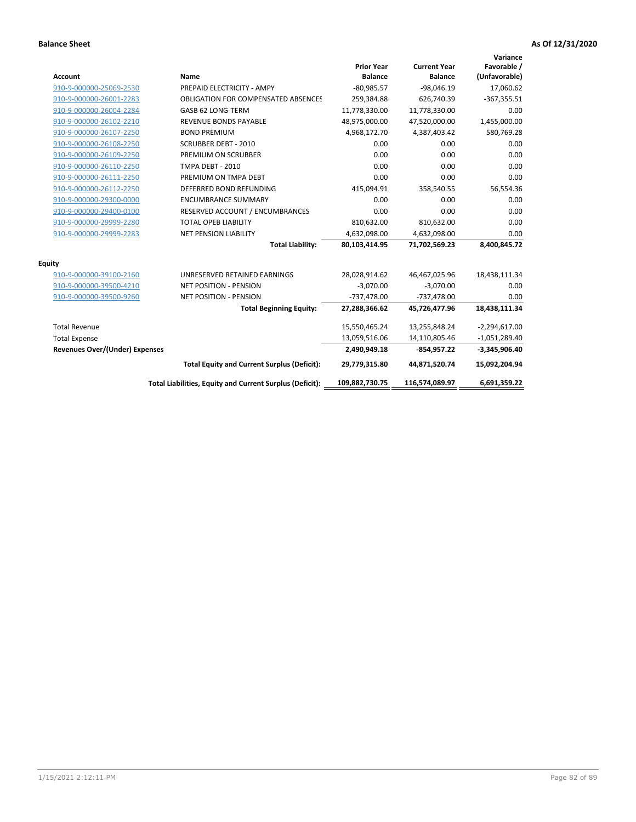| <b>Account</b>                        | <b>Name</b>                                              | <b>Prior Year</b><br><b>Balance</b> | <b>Current Year</b><br><b>Balance</b> | Variance<br>Favorable /<br>(Unfavorable) |
|---------------------------------------|----------------------------------------------------------|-------------------------------------|---------------------------------------|------------------------------------------|
| 910-9-000000-25069-2530               | PREPAID ELECTRICITY - AMPY                               | $-80,985.57$                        | $-98,046.19$                          | 17,060.62                                |
| 910-9-000000-26001-2283               | <b>OBLIGATION FOR COMPENSATED ABSENCES</b>               | 259,384.88                          | 626,740.39                            | $-367,355.51$                            |
| 910-9-000000-26004-2284               | GASB 62 LONG-TERM                                        | 11,778,330.00                       | 11,778,330.00                         | 0.00                                     |
| 910-9-000000-26102-2210               | <b>REVENUE BONDS PAYABLE</b>                             | 48,975,000.00                       | 47,520,000.00                         | 1,455,000.00                             |
| 910-9-000000-26107-2250               | <b>BOND PREMIUM</b>                                      | 4,968,172.70                        | 4,387,403.42                          | 580,769.28                               |
| 910-9-000000-26108-2250               | <b>SCRUBBER DEBT - 2010</b>                              | 0.00                                | 0.00                                  | 0.00                                     |
| 910-9-000000-26109-2250               | PREMIUM ON SCRUBBER                                      | 0.00                                | 0.00                                  | 0.00                                     |
| 910-9-000000-26110-2250               | <b>TMPA DEBT - 2010</b>                                  | 0.00                                | 0.00                                  | 0.00                                     |
| 910-9-000000-26111-2250               | PREMIUM ON TMPA DEBT                                     | 0.00                                | 0.00                                  | 0.00                                     |
| 910-9-000000-26112-2250               | DEFERRED BOND REFUNDING                                  | 415,094.91                          | 358,540.55                            | 56,554.36                                |
| 910-9-000000-29300-0000               | <b>ENCUMBRANCE SUMMARY</b>                               | 0.00                                | 0.00                                  | 0.00                                     |
| 910-9-000000-29400-0100               | RESERVED ACCOUNT / ENCUMBRANCES                          | 0.00                                | 0.00                                  | 0.00                                     |
| 910-9-000000-29999-2280               | <b>TOTAL OPEB LIABILITY</b>                              | 810,632.00                          | 810,632.00                            | 0.00                                     |
| 910-9-000000-29999-2283               | <b>NET PENSION LIABILITY</b>                             | 4,632,098.00                        | 4,632,098.00                          | 0.00                                     |
|                                       | <b>Total Liability:</b>                                  | 80,103,414.95                       | 71,702,569.23                         | 8,400,845.72                             |
| <b>Equity</b>                         |                                                          |                                     |                                       |                                          |
| 910-9-000000-39100-2160               | UNRESERVED RETAINED EARNINGS                             | 28,028,914.62                       | 46,467,025.96                         | 18,438,111.34                            |
| 910-9-000000-39500-4210               | <b>NET POSITION - PENSION</b>                            | $-3,070.00$                         | $-3,070.00$                           | 0.00                                     |
| 910-9-000000-39500-9260               | <b>NET POSITION - PENSION</b>                            | $-737,478.00$                       | $-737,478.00$                         | 0.00                                     |
|                                       | <b>Total Beginning Equity:</b>                           | 27,288,366.62                       | 45,726,477.96                         | 18,438,111.34                            |
| <b>Total Revenue</b>                  |                                                          | 15,550,465.24                       | 13,255,848.24                         | $-2,294,617.00$                          |
| <b>Total Expense</b>                  |                                                          | 13,059,516.06                       | 14,110,805.46                         | $-1,051,289.40$                          |
| <b>Revenues Over/(Under) Expenses</b> |                                                          | 2,490,949.18                        | $-854,957.22$                         | $-3,345,906.40$                          |
|                                       | <b>Total Equity and Current Surplus (Deficit):</b>       | 29,779,315.80                       | 44,871,520.74                         | 15,092,204.94                            |
|                                       | Total Liabilities, Equity and Current Surplus (Deficit): | 109,882,730.75                      | 116,574,089.97                        | 6,691,359.22                             |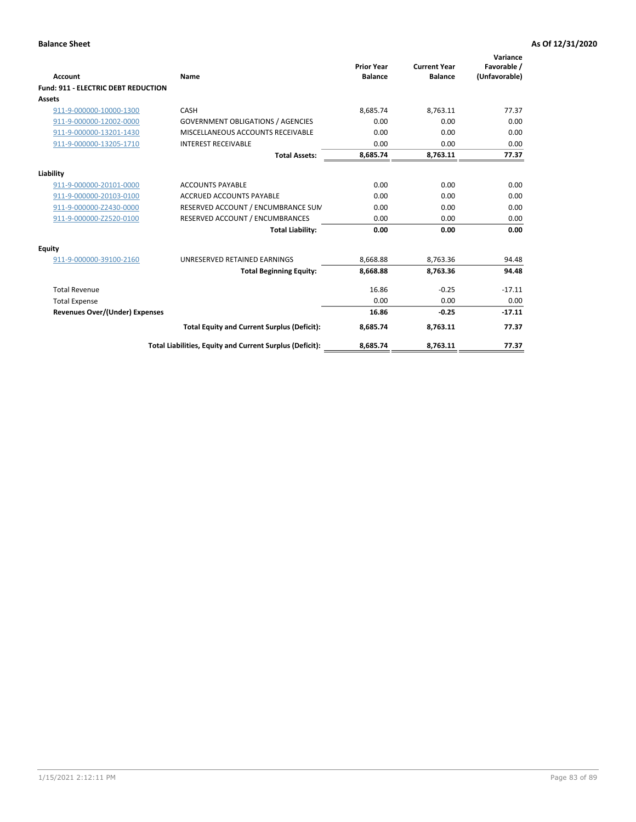| <b>Account</b>                             | Name                                                     | <b>Prior Year</b><br><b>Balance</b> | <b>Current Year</b><br><b>Balance</b> | Variance<br>Favorable /<br>(Unfavorable) |
|--------------------------------------------|----------------------------------------------------------|-------------------------------------|---------------------------------------|------------------------------------------|
| <b>Fund: 911 - ELECTRIC DEBT REDUCTION</b> |                                                          |                                     |                                       |                                          |
| <b>Assets</b>                              |                                                          |                                     |                                       |                                          |
| 911-9-000000-10000-1300                    | CASH                                                     | 8,685.74                            | 8,763.11                              | 77.37                                    |
| 911-9-000000-12002-0000                    | <b>GOVERNMENT OBLIGATIONS / AGENCIES</b>                 | 0.00                                | 0.00                                  | 0.00                                     |
| 911-9-000000-13201-1430                    | MISCELLANEOUS ACCOUNTS RECEIVABLE                        | 0.00                                | 0.00                                  | 0.00                                     |
| 911-9-000000-13205-1710                    | <b>INTEREST RECEIVABLE</b>                               | 0.00                                | 0.00                                  | 0.00                                     |
|                                            | <b>Total Assets:</b>                                     | 8,685.74                            | 8,763.11                              | 77.37                                    |
| Liability                                  |                                                          |                                     |                                       |                                          |
| 911-9-000000-20101-0000                    | <b>ACCOUNTS PAYABLE</b>                                  | 0.00                                | 0.00                                  | 0.00                                     |
| 911-9-000000-20103-0100                    | <b>ACCRUED ACCOUNTS PAYABLE</b>                          | 0.00                                | 0.00                                  | 0.00                                     |
| 911-9-000000-Z2430-0000                    | RESERVED ACCOUNT / ENCUMBRANCE SUM                       | 0.00                                | 0.00                                  | 0.00                                     |
| 911-9-000000-Z2520-0100                    | RESERVED ACCOUNT / ENCUMBRANCES                          | 0.00                                | 0.00                                  | 0.00                                     |
|                                            | <b>Total Liability:</b>                                  | 0.00                                | 0.00                                  | 0.00                                     |
| Equity                                     |                                                          |                                     |                                       |                                          |
| 911-9-000000-39100-2160                    | UNRESERVED RETAINED EARNINGS                             | 8,668.88                            | 8,763.36                              | 94.48                                    |
|                                            | <b>Total Beginning Equity:</b>                           | 8,668.88                            | 8.763.36                              | 94.48                                    |
| <b>Total Revenue</b>                       |                                                          | 16.86                               | $-0.25$                               | $-17.11$                                 |
| <b>Total Expense</b>                       |                                                          | 0.00                                | 0.00                                  | 0.00                                     |
| Revenues Over/(Under) Expenses             |                                                          | 16.86                               | $-0.25$                               | $-17.11$                                 |
|                                            | <b>Total Equity and Current Surplus (Deficit):</b>       | 8,685.74                            | 8,763.11                              | 77.37                                    |
|                                            | Total Liabilities, Equity and Current Surplus (Deficit): | 8,685.74                            | 8,763.11                              | 77.37                                    |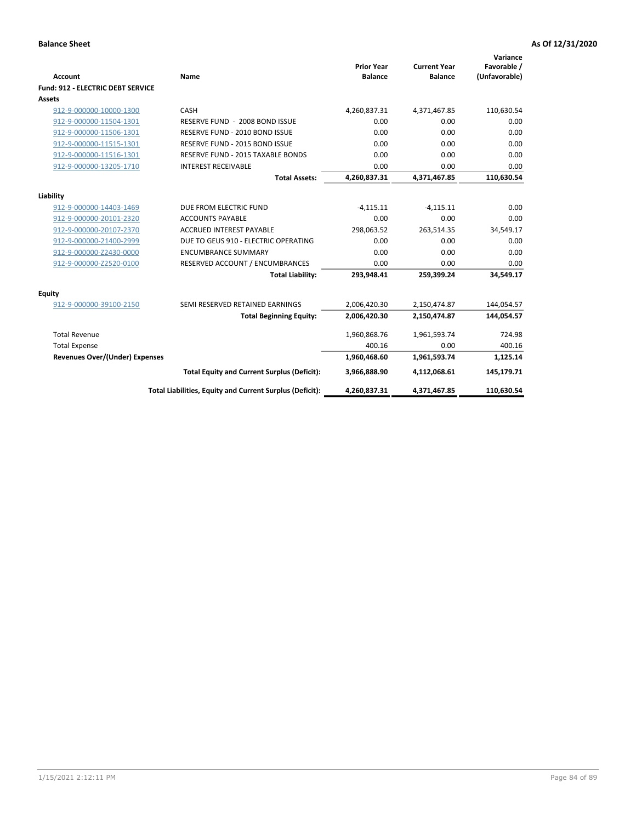| <b>Account</b>                           | <b>Name</b>                                              | <b>Prior Year</b><br><b>Balance</b> | <b>Current Year</b><br><b>Balance</b> | Variance<br>Favorable /<br>(Unfavorable) |
|------------------------------------------|----------------------------------------------------------|-------------------------------------|---------------------------------------|------------------------------------------|
| <b>Fund: 912 - ELECTRIC DEBT SERVICE</b> |                                                          |                                     |                                       |                                          |
| <b>Assets</b>                            |                                                          |                                     |                                       |                                          |
| 912-9-000000-10000-1300                  | CASH                                                     | 4,260,837.31                        | 4,371,467.85                          | 110,630.54                               |
| 912-9-000000-11504-1301                  | RESERVE FUND - 2008 BOND ISSUE                           | 0.00                                | 0.00                                  | 0.00                                     |
| 912-9-000000-11506-1301                  | RESERVE FUND - 2010 BOND ISSUE                           | 0.00                                | 0.00                                  | 0.00                                     |
| 912-9-000000-11515-1301                  | RESERVE FUND - 2015 BOND ISSUE                           | 0.00                                | 0.00                                  | 0.00                                     |
| 912-9-000000-11516-1301                  | <b>RESERVE FUND - 2015 TAXABLE BONDS</b>                 | 0.00                                | 0.00                                  | 0.00                                     |
| 912-9-000000-13205-1710                  | <b>INTEREST RECEIVABLE</b>                               | 0.00                                | 0.00                                  | 0.00                                     |
|                                          | <b>Total Assets:</b>                                     | 4,260,837.31                        | 4,371,467.85                          | 110,630.54                               |
|                                          |                                                          |                                     |                                       |                                          |
| Liability                                |                                                          |                                     |                                       |                                          |
| 912-9-000000-14403-1469                  | DUE FROM ELECTRIC FUND                                   | $-4,115.11$                         | $-4,115.11$<br>0.00                   | 0.00                                     |
| 912-9-000000-20101-2320                  | <b>ACCOUNTS PAYABLE</b>                                  | 0.00                                |                                       | 0.00                                     |
| 912-9-000000-20107-2370                  | <b>ACCRUED INTEREST PAYABLE</b>                          | 298,063.52                          | 263,514.35                            | 34,549.17                                |
| 912-9-000000-21400-2999                  | DUE TO GEUS 910 - ELECTRIC OPERATING                     | 0.00                                | 0.00                                  | 0.00                                     |
| 912-9-000000-Z2430-0000                  | <b>ENCUMBRANCE SUMMARY</b>                               | 0.00                                | 0.00                                  | 0.00                                     |
| 912-9-000000-Z2520-0100                  | RESERVED ACCOUNT / ENCUMBRANCES                          | 0.00                                | 0.00                                  | 0.00                                     |
|                                          | <b>Total Liability:</b>                                  | 293,948.41                          | 259,399.24                            | 34,549.17                                |
| Equity                                   |                                                          |                                     |                                       |                                          |
| 912-9-000000-39100-2150                  | SEMI RESERVED RETAINED EARNINGS                          | 2,006,420.30                        | 2,150,474.87                          | 144,054.57                               |
|                                          | <b>Total Beginning Equity:</b>                           | 2,006,420.30                        | 2,150,474.87                          | 144,054.57                               |
| <b>Total Revenue</b>                     |                                                          | 1,960,868.76                        | 1,961,593.74                          | 724.98                                   |
| <b>Total Expense</b>                     |                                                          | 400.16                              | 0.00                                  | 400.16                                   |
| <b>Revenues Over/(Under) Expenses</b>    |                                                          | 1,960,468.60                        | 1,961,593.74                          | 1,125.14                                 |
|                                          | <b>Total Equity and Current Surplus (Deficit):</b>       | 3,966,888.90                        | 4,112,068.61                          | 145,179.71                               |
|                                          | Total Liabilities, Equity and Current Surplus (Deficit): | 4,260,837.31                        | 4,371,467.85                          | 110,630.54                               |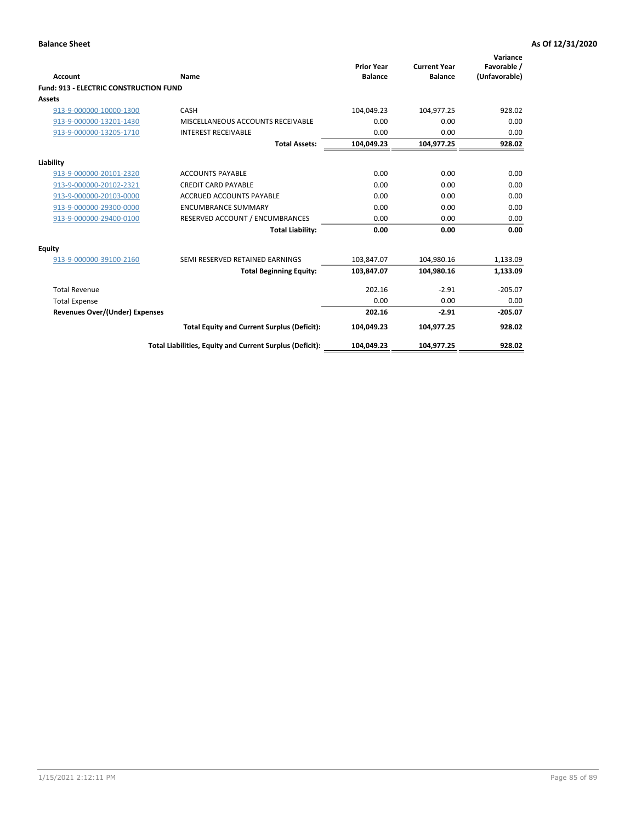| Account                                       | Name                                                     | <b>Prior Year</b><br><b>Balance</b> | <b>Current Year</b><br><b>Balance</b> | Variance<br>Favorable /<br>(Unfavorable) |
|-----------------------------------------------|----------------------------------------------------------|-------------------------------------|---------------------------------------|------------------------------------------|
| <b>Fund: 913 - ELECTRIC CONSTRUCTION FUND</b> |                                                          |                                     |                                       |                                          |
| <b>Assets</b>                                 |                                                          |                                     |                                       |                                          |
| 913-9-000000-10000-1300                       | CASH                                                     | 104,049.23                          | 104,977.25                            | 928.02                                   |
| 913-9-000000-13201-1430                       | MISCELLANEOUS ACCOUNTS RECEIVABLE                        | 0.00                                | 0.00                                  | 0.00                                     |
| 913-9-000000-13205-1710                       | <b>INTEREST RECEIVABLE</b>                               | 0.00                                | 0.00                                  | 0.00                                     |
|                                               | <b>Total Assets:</b>                                     | 104,049.23                          | 104,977.25                            | 928.02                                   |
| Liability                                     |                                                          |                                     |                                       |                                          |
| 913-9-000000-20101-2320                       | <b>ACCOUNTS PAYABLE</b>                                  | 0.00                                | 0.00                                  | 0.00                                     |
| 913-9-000000-20102-2321                       | <b>CREDIT CARD PAYABLE</b>                               | 0.00                                | 0.00                                  | 0.00                                     |
| 913-9-000000-20103-0000                       | <b>ACCRUED ACCOUNTS PAYABLE</b>                          | 0.00                                | 0.00                                  | 0.00                                     |
| 913-9-000000-29300-0000                       | <b>ENCUMBRANCE SUMMARY</b>                               | 0.00                                | 0.00                                  | 0.00                                     |
| 913-9-000000-29400-0100                       | RESERVED ACCOUNT / ENCUMBRANCES                          | 0.00                                | 0.00                                  | 0.00                                     |
|                                               | <b>Total Liability:</b>                                  | 0.00                                | 0.00                                  | 0.00                                     |
| Equity                                        |                                                          |                                     |                                       |                                          |
| 913-9-000000-39100-2160                       | SEMI RESERVED RETAINED EARNINGS                          | 103,847.07                          | 104,980.16                            | 1,133.09                                 |
|                                               | <b>Total Beginning Equity:</b>                           | 103,847.07                          | 104,980.16                            | 1,133.09                                 |
| <b>Total Revenue</b>                          |                                                          | 202.16                              | $-2.91$                               | $-205.07$                                |
| <b>Total Expense</b>                          |                                                          | 0.00                                | 0.00                                  | 0.00                                     |
| Revenues Over/(Under) Expenses                |                                                          | 202.16                              | $-2.91$                               | $-205.07$                                |
|                                               | <b>Total Equity and Current Surplus (Deficit):</b>       | 104,049.23                          | 104,977.25                            | 928.02                                   |
|                                               | Total Liabilities, Equity and Current Surplus (Deficit): | 104,049.23                          | 104,977.25                            | 928.02                                   |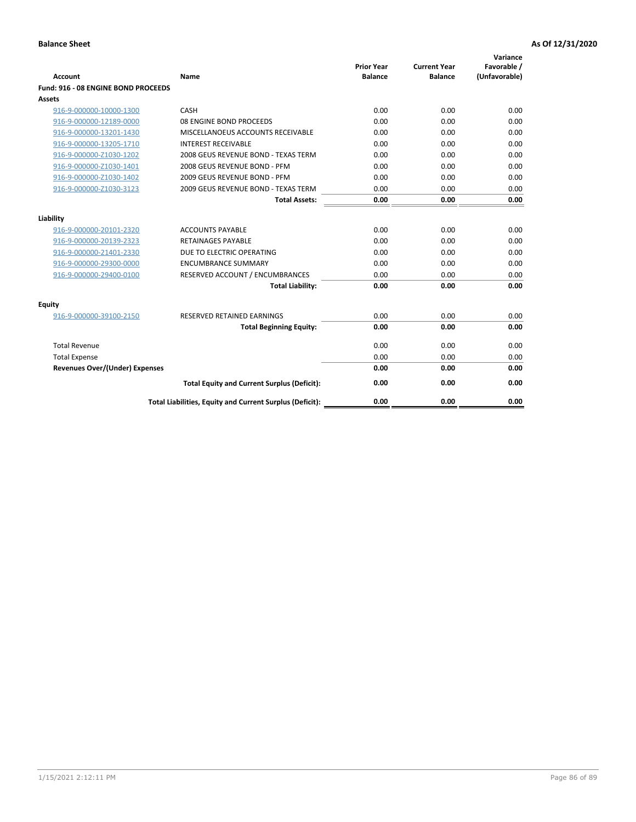| <b>Account</b>                        | Name                                                     | <b>Prior Year</b><br><b>Balance</b> | <b>Current Year</b><br><b>Balance</b> | Variance<br>Favorable /<br>(Unfavorable) |
|---------------------------------------|----------------------------------------------------------|-------------------------------------|---------------------------------------|------------------------------------------|
| Fund: 916 - 08 ENGINE BOND PROCEEDS   |                                                          |                                     |                                       |                                          |
| Assets                                |                                                          |                                     |                                       |                                          |
| 916-9-000000-10000-1300               | CASH                                                     | 0.00                                | 0.00                                  | 0.00                                     |
| 916-9-000000-12189-0000               | 08 ENGINE BOND PROCEEDS                                  | 0.00                                | 0.00                                  | 0.00                                     |
| 916-9-000000-13201-1430               | MISCELLANOEUS ACCOUNTS RECEIVABLE                        | 0.00                                | 0.00                                  | 0.00                                     |
| 916-9-000000-13205-1710               | <b>INTEREST RECEIVABLE</b>                               | 0.00                                | 0.00                                  | 0.00                                     |
| 916-9-000000-Z1030-1202               | 2008 GEUS REVENUE BOND - TEXAS TERM                      | 0.00                                | 0.00                                  | 0.00                                     |
| 916-9-000000-Z1030-1401               | 2008 GEUS REVENUE BOND - PFM                             | 0.00                                | 0.00                                  | 0.00                                     |
| 916-9-000000-Z1030-1402               | 2009 GEUS REVENUE BOND - PFM                             | 0.00                                | 0.00                                  | 0.00                                     |
| 916-9-000000-Z1030-3123               | 2009 GEUS REVENUE BOND - TEXAS TERM                      | 0.00                                | 0.00                                  | 0.00                                     |
|                                       | <b>Total Assets:</b>                                     | 0.00                                | 0.00                                  | 0.00                                     |
| Liability                             |                                                          |                                     |                                       |                                          |
| 916-9-000000-20101-2320               | <b>ACCOUNTS PAYABLE</b>                                  | 0.00                                | 0.00                                  | 0.00                                     |
| 916-9-000000-20139-2323               | <b>RETAINAGES PAYABLE</b>                                | 0.00                                | 0.00                                  | 0.00                                     |
| 916-9-000000-21401-2330               | DUE TO ELECTRIC OPERATING                                | 0.00                                | 0.00                                  | 0.00                                     |
| 916-9-000000-29300-0000               | <b>ENCUMBRANCE SUMMARY</b>                               | 0.00                                | 0.00                                  | 0.00                                     |
| 916-9-000000-29400-0100               | RESERVED ACCOUNT / ENCUMBRANCES                          | 0.00                                | 0.00                                  | 0.00                                     |
|                                       | <b>Total Liability:</b>                                  | 0.00                                | 0.00                                  | 0.00                                     |
| Equity                                |                                                          |                                     |                                       |                                          |
| 916-9-000000-39100-2150               | <b>RESERVED RETAINED EARNINGS</b>                        | 0.00                                | 0.00                                  | 0.00                                     |
|                                       | <b>Total Beginning Equity:</b>                           | 0.00                                | 0.00                                  | 0.00                                     |
| <b>Total Revenue</b>                  |                                                          | 0.00                                | 0.00                                  | 0.00                                     |
| <b>Total Expense</b>                  |                                                          | 0.00                                | 0.00                                  | 0.00                                     |
| <b>Revenues Over/(Under) Expenses</b> |                                                          | 0.00                                | 0.00                                  | 0.00                                     |
|                                       | <b>Total Equity and Current Surplus (Deficit):</b>       | 0.00                                | 0.00                                  | 0.00                                     |
|                                       | Total Liabilities, Equity and Current Surplus (Deficit): | 0.00                                | 0.00                                  | 0.00                                     |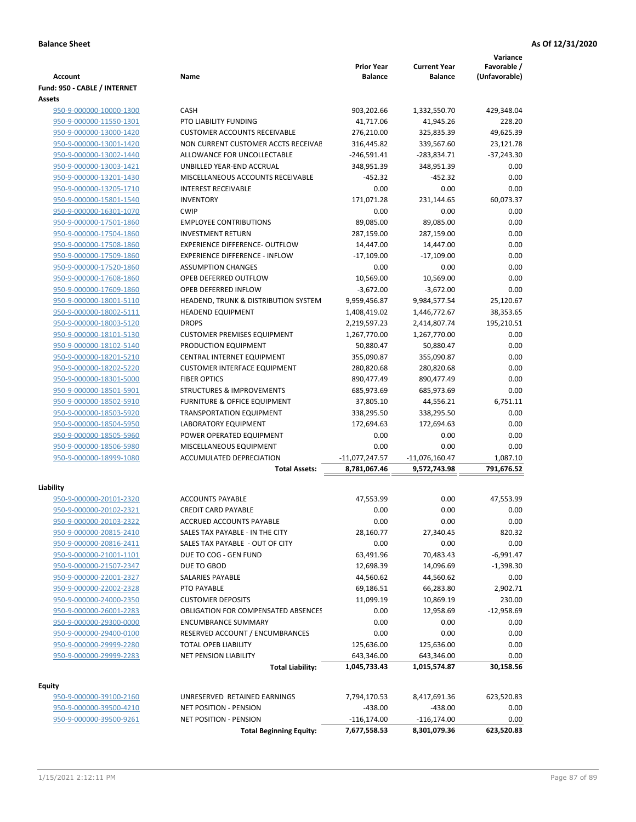| (Unfavorable)<br><b>Account</b><br>Name<br><b>Balance</b><br><b>Balance</b><br>Fund: 950 - CABLE / INTERNET<br>Assets<br>950-9-000000-10000-1300<br><b>CASH</b><br>903,202.66<br>429.348.04<br>1,332,550.70<br>PTO LIABILITY FUNDING<br>41,717.06<br>228.20<br>950-9-000000-11550-1301<br>41,945.26<br>49,625.39<br>950-9-000000-13000-1420<br><b>CUSTOMER ACCOUNTS RECEIVABLE</b><br>276,210.00<br>325,835.39<br>950-9-000000-13001-1420<br>NON CURRENT CUSTOMER ACCTS RECEIVAE<br>316,445.82<br>339,567.60<br>23,121.78<br>ALLOWANCE FOR UNCOLLECTABLE<br>$-246,591.41$<br>$-283,834.71$<br>$-37,243.30$<br>950-9-000000-13002-1440<br>950-9-000000-13003-1421<br>UNBILLED YEAR-END ACCRUAL<br>348,951.39<br>348,951.39<br>0.00<br>MISCELLANEOUS ACCOUNTS RECEIVABLE<br>0.00<br>950-9-000000-13201-1430<br>$-452.32$<br>$-452.32$<br>0.00<br>950-9-000000-13205-1710<br><b>INTEREST RECEIVABLE</b><br>0.00<br>0.00<br><b>INVENTORY</b><br>171,071.28<br>231,144.65<br>60,073.37<br>950-9-000000-15801-1540<br><b>CWIP</b><br>0.00<br>0.00<br>0.00<br>950-9-000000-16301-1070<br><b>EMPLOYEE CONTRIBUTIONS</b><br>89,085.00<br>89,085.00<br>0.00<br>950-9-000000-17501-1860<br>0.00<br>950-9-000000-17504-1860<br><b>INVESTMENT RETURN</b><br>287,159.00<br>287,159.00<br>0.00<br><b>EXPERIENCE DIFFERENCE- OUTFLOW</b><br>14,447.00<br>14,447.00<br>950-9-000000-17508-1860<br>0.00<br>950-9-000000-17509-1860<br><b>EXPERIENCE DIFFERENCE - INFLOW</b><br>$-17,109.00$<br>$-17,109.00$<br>0.00<br>0.00<br>0.00<br>950-9-000000-17520-1860<br><b>ASSUMPTION CHANGES</b><br>0.00<br>950-9-000000-17608-1860<br>OPEB DEFERRED OUTFLOW<br>10,569.00<br>10,569.00<br>950-9-000000-17609-1860<br>OPEB DEFERRED INFLOW<br>$-3,672.00$<br>$-3,672.00$<br>0.00<br>950-9-000000-18001-5110<br>HEADEND, TRUNK & DISTRIBUTION SYSTEM<br>9,959,456.87<br>9,984,577.54<br>25,120.67<br><b>HEADEND EQUIPMENT</b><br>1,408,419.02<br>1,446,772.67<br>38,353.65<br>950-9-000000-18002-5111<br><b>DROPS</b><br>2,219,597.23<br>195,210.51<br>950-9-000000-18003-5120<br>2,414,807.74<br>950-9-000000-18101-5130<br><b>CUSTOMER PREMISES EQUIPMENT</b><br>1,267,770.00<br>1,267,770.00<br>0.00<br>950-9-000000-18102-5140<br>PRODUCTION EQUIPMENT<br>50,880.47<br>50,880.47<br>0.00<br>0.00<br>950-9-000000-18201-5210<br>CENTRAL INTERNET EQUIPMENT<br>355,090.87<br>355,090.87<br>950-9-000000-18202-5220<br><b>CUSTOMER INTERFACE EQUIPMENT</b><br>280,820.68<br>280,820.68<br>0.00<br><b>FIBER OPTICS</b><br>890,477.49<br>890,477.49<br>0.00<br>950-9-000000-18301-5000<br>950-9-000000-18501-5901<br><b>STRUCTURES &amp; IMPROVEMENTS</b><br>685,973.69<br>685,973.69<br>0.00<br>950-9-000000-18502-5910<br><b>FURNITURE &amp; OFFICE EQUIPMENT</b><br>37,805.10<br>44,556.21<br>6,751.11<br>TRANSPORTATION EQUIPMENT<br>338,295.50<br>338,295.50<br>0.00<br>950-9-000000-18503-5920<br>0.00<br><b>LABORATORY EQUIPMENT</b><br>172,694.63<br>172,694.63<br>950-9-000000-18504-5950<br>0.00<br>0.00<br>0.00<br>950-9-000000-18505-5960<br>POWER OPERATED EQUIPMENT<br>950-9-000000-18506-5980<br>MISCELLANEOUS EQUIPMENT<br>0.00<br>0.00<br>0.00<br>950-9-000000-18999-1080<br><b>ACCUMULATED DEPRECIATION</b><br>$-11,077,247.57$<br>$-11,076,160.47$<br>1,087.10<br>791,676.52<br><b>Total Assets:</b><br>8,781,067.46<br>9,572,743.98<br>Liability<br><b>ACCOUNTS PAYABLE</b><br>950-9-000000-20101-2320<br>47,553.99<br>0.00<br>47,553.99<br>950-9-000000-20102-2321<br><b>CREDIT CARD PAYABLE</b><br>0.00<br>0.00<br>0.00<br>0.00<br>0.00<br>950-9-000000-20103-2322<br>ACCRUED ACCOUNTS PAYABLE<br>0.00<br>28,160.77<br>27,340.45<br>820.32<br>950-9-000000-20815-2410<br>SALES TAX PAYABLE - IN THE CITY<br>SALES TAX PAYABLE - OUT OF CITY<br>0.00<br>950-9-000000-20816-2411<br>0.00<br>0.00<br>950-9-000000-21001-1101<br>DUE TO COG - GEN FUND<br>63,491.96<br>70,483.43<br>$-6,991.47$<br>950-9-000000-21507-2347<br>DUE TO GBOD<br>12,698.39<br>14,096.69<br>$-1,398.30$<br>44,560.62<br>44,560.62<br>0.00<br>950-9-000000-22001-2327<br>SALARIES PAYABLE<br>950-9-000000-22002-2328<br>PTO PAYABLE<br>69,186.51<br>66,283.80<br>2,902.71<br>950-9-000000-24000-2350<br><b>CUSTOMER DEPOSITS</b><br>11,099.19<br>10,869.19<br>230.00<br>950-9-000000-26001-2283<br><b>OBLIGATION FOR COMPENSATED ABSENCES</b><br>0.00<br>12,958.69<br>$-12,958.69$<br>0.00<br>0.00<br>0.00<br>950-9-000000-29300-0000<br><b>ENCUMBRANCE SUMMARY</b><br>950-9-000000-29400-0100<br>RESERVED ACCOUNT / ENCUMBRANCES<br>0.00<br>0.00<br>0.00<br>950-9-000000-29999-2280<br>TOTAL OPEB LIABILITY<br>125,636.00<br>0.00<br>125,636.00<br>950-9-000000-29999-2283<br><b>NET PENSION LIABILITY</b><br>643,346.00<br>0.00<br>643,346.00<br><b>Total Liability:</b><br>30,158.56<br>1,045,733.43<br>1,015,574.87<br><b>Equity</b><br>UNRESERVED RETAINED EARNINGS<br>623,520.83<br>950-9-000000-39100-2160<br>7,794,170.53<br>8,417,691.36<br>950-9-000000-39500-4210<br>NET POSITION - PENSION<br>$-438.00$<br>$-438.00$<br>0.00<br>950-9-000000-39500-9261<br>NET POSITION - PENSION<br>$-116, 174.00$<br>$-116, 174.00$<br>0.00<br><b>Total Beginning Equity:</b><br>7,677,558.53<br>623,520.83<br>8,301,079.36 |  | <b>Prior Year</b> | <b>Current Year</b> | Variance<br>Favorable / |
|---------------------------------------------------------------------------------------------------------------------------------------------------------------------------------------------------------------------------------------------------------------------------------------------------------------------------------------------------------------------------------------------------------------------------------------------------------------------------------------------------------------------------------------------------------------------------------------------------------------------------------------------------------------------------------------------------------------------------------------------------------------------------------------------------------------------------------------------------------------------------------------------------------------------------------------------------------------------------------------------------------------------------------------------------------------------------------------------------------------------------------------------------------------------------------------------------------------------------------------------------------------------------------------------------------------------------------------------------------------------------------------------------------------------------------------------------------------------------------------------------------------------------------------------------------------------------------------------------------------------------------------------------------------------------------------------------------------------------------------------------------------------------------------------------------------------------------------------------------------------------------------------------------------------------------------------------------------------------------------------------------------------------------------------------------------------------------------------------------------------------------------------------------------------------------------------------------------------------------------------------------------------------------------------------------------------------------------------------------------------------------------------------------------------------------------------------------------------------------------------------------------------------------------------------------------------------------------------------------------------------------------------------------------------------------------------------------------------------------------------------------------------------------------------------------------------------------------------------------------------------------------------------------------------------------------------------------------------------------------------------------------------------------------------------------------------------------------------------------------------------------------------------------------------------------------------------------------------------------------------------------------------------------------------------------------------------------------------------------------------------------------------------------------------------------------------------------------------------------------------------------------------------------------------------------------------------------------------------------------------------------------------------------------------------------------------------------------------------------------------------------------------------------------------------------------------------------------------------------------------------------------------------------------------------------------------------------------------------------------------------------------------------------------------------------------------------------------------------------------------------------------------------------------------------------------------------------------------------------------------------------------------------------------------------------------------------------------------------------------------------------------------------------------------------------------------------------------------------------------------------------------------------------------------------------------------------------------------------------------------------------------------------------------------------------------------------------------------------------------------------------------------------------------------------------------------------------------------------------------------------------------------------------------------------------------------------------------------------------------------------------------------------------------------------------------------------------------------------------------------------------------------------------------------------------------------|--|-------------------|---------------------|-------------------------|
|                                                                                                                                                                                                                                                                                                                                                                                                                                                                                                                                                                                                                                                                                                                                                                                                                                                                                                                                                                                                                                                                                                                                                                                                                                                                                                                                                                                                                                                                                                                                                                                                                                                                                                                                                                                                                                                                                                                                                                                                                                                                                                                                                                                                                                                                                                                                                                                                                                                                                                                                                                                                                                                                                                                                                                                                                                                                                                                                                                                                                                                                                                                                                                                                                                                                                                                                                                                                                                                                                                                                                                                                                                                                                                                                                                                                                                                                                                                                                                                                                                                                                                                                                                                                                                                                                                                                                                                                                                                                                                                                                                                                                                                                                                                                                                                                                                                                                                                                                                                                                                                                                                                                                                                             |  |                   |                     |                         |
|                                                                                                                                                                                                                                                                                                                                                                                                                                                                                                                                                                                                                                                                                                                                                                                                                                                                                                                                                                                                                                                                                                                                                                                                                                                                                                                                                                                                                                                                                                                                                                                                                                                                                                                                                                                                                                                                                                                                                                                                                                                                                                                                                                                                                                                                                                                                                                                                                                                                                                                                                                                                                                                                                                                                                                                                                                                                                                                                                                                                                                                                                                                                                                                                                                                                                                                                                                                                                                                                                                                                                                                                                                                                                                                                                                                                                                                                                                                                                                                                                                                                                                                                                                                                                                                                                                                                                                                                                                                                                                                                                                                                                                                                                                                                                                                                                                                                                                                                                                                                                                                                                                                                                                                             |  |                   |                     |                         |
|                                                                                                                                                                                                                                                                                                                                                                                                                                                                                                                                                                                                                                                                                                                                                                                                                                                                                                                                                                                                                                                                                                                                                                                                                                                                                                                                                                                                                                                                                                                                                                                                                                                                                                                                                                                                                                                                                                                                                                                                                                                                                                                                                                                                                                                                                                                                                                                                                                                                                                                                                                                                                                                                                                                                                                                                                                                                                                                                                                                                                                                                                                                                                                                                                                                                                                                                                                                                                                                                                                                                                                                                                                                                                                                                                                                                                                                                                                                                                                                                                                                                                                                                                                                                                                                                                                                                                                                                                                                                                                                                                                                                                                                                                                                                                                                                                                                                                                                                                                                                                                                                                                                                                                                             |  |                   |                     |                         |
|                                                                                                                                                                                                                                                                                                                                                                                                                                                                                                                                                                                                                                                                                                                                                                                                                                                                                                                                                                                                                                                                                                                                                                                                                                                                                                                                                                                                                                                                                                                                                                                                                                                                                                                                                                                                                                                                                                                                                                                                                                                                                                                                                                                                                                                                                                                                                                                                                                                                                                                                                                                                                                                                                                                                                                                                                                                                                                                                                                                                                                                                                                                                                                                                                                                                                                                                                                                                                                                                                                                                                                                                                                                                                                                                                                                                                                                                                                                                                                                                                                                                                                                                                                                                                                                                                                                                                                                                                                                                                                                                                                                                                                                                                                                                                                                                                                                                                                                                                                                                                                                                                                                                                                                             |  |                   |                     |                         |
|                                                                                                                                                                                                                                                                                                                                                                                                                                                                                                                                                                                                                                                                                                                                                                                                                                                                                                                                                                                                                                                                                                                                                                                                                                                                                                                                                                                                                                                                                                                                                                                                                                                                                                                                                                                                                                                                                                                                                                                                                                                                                                                                                                                                                                                                                                                                                                                                                                                                                                                                                                                                                                                                                                                                                                                                                                                                                                                                                                                                                                                                                                                                                                                                                                                                                                                                                                                                                                                                                                                                                                                                                                                                                                                                                                                                                                                                                                                                                                                                                                                                                                                                                                                                                                                                                                                                                                                                                                                                                                                                                                                                                                                                                                                                                                                                                                                                                                                                                                                                                                                                                                                                                                                             |  |                   |                     |                         |
|                                                                                                                                                                                                                                                                                                                                                                                                                                                                                                                                                                                                                                                                                                                                                                                                                                                                                                                                                                                                                                                                                                                                                                                                                                                                                                                                                                                                                                                                                                                                                                                                                                                                                                                                                                                                                                                                                                                                                                                                                                                                                                                                                                                                                                                                                                                                                                                                                                                                                                                                                                                                                                                                                                                                                                                                                                                                                                                                                                                                                                                                                                                                                                                                                                                                                                                                                                                                                                                                                                                                                                                                                                                                                                                                                                                                                                                                                                                                                                                                                                                                                                                                                                                                                                                                                                                                                                                                                                                                                                                                                                                                                                                                                                                                                                                                                                                                                                                                                                                                                                                                                                                                                                                             |  |                   |                     |                         |
|                                                                                                                                                                                                                                                                                                                                                                                                                                                                                                                                                                                                                                                                                                                                                                                                                                                                                                                                                                                                                                                                                                                                                                                                                                                                                                                                                                                                                                                                                                                                                                                                                                                                                                                                                                                                                                                                                                                                                                                                                                                                                                                                                                                                                                                                                                                                                                                                                                                                                                                                                                                                                                                                                                                                                                                                                                                                                                                                                                                                                                                                                                                                                                                                                                                                                                                                                                                                                                                                                                                                                                                                                                                                                                                                                                                                                                                                                                                                                                                                                                                                                                                                                                                                                                                                                                                                                                                                                                                                                                                                                                                                                                                                                                                                                                                                                                                                                                                                                                                                                                                                                                                                                                                             |  |                   |                     |                         |
|                                                                                                                                                                                                                                                                                                                                                                                                                                                                                                                                                                                                                                                                                                                                                                                                                                                                                                                                                                                                                                                                                                                                                                                                                                                                                                                                                                                                                                                                                                                                                                                                                                                                                                                                                                                                                                                                                                                                                                                                                                                                                                                                                                                                                                                                                                                                                                                                                                                                                                                                                                                                                                                                                                                                                                                                                                                                                                                                                                                                                                                                                                                                                                                                                                                                                                                                                                                                                                                                                                                                                                                                                                                                                                                                                                                                                                                                                                                                                                                                                                                                                                                                                                                                                                                                                                                                                                                                                                                                                                                                                                                                                                                                                                                                                                                                                                                                                                                                                                                                                                                                                                                                                                                             |  |                   |                     |                         |
|                                                                                                                                                                                                                                                                                                                                                                                                                                                                                                                                                                                                                                                                                                                                                                                                                                                                                                                                                                                                                                                                                                                                                                                                                                                                                                                                                                                                                                                                                                                                                                                                                                                                                                                                                                                                                                                                                                                                                                                                                                                                                                                                                                                                                                                                                                                                                                                                                                                                                                                                                                                                                                                                                                                                                                                                                                                                                                                                                                                                                                                                                                                                                                                                                                                                                                                                                                                                                                                                                                                                                                                                                                                                                                                                                                                                                                                                                                                                                                                                                                                                                                                                                                                                                                                                                                                                                                                                                                                                                                                                                                                                                                                                                                                                                                                                                                                                                                                                                                                                                                                                                                                                                                                             |  |                   |                     |                         |
|                                                                                                                                                                                                                                                                                                                                                                                                                                                                                                                                                                                                                                                                                                                                                                                                                                                                                                                                                                                                                                                                                                                                                                                                                                                                                                                                                                                                                                                                                                                                                                                                                                                                                                                                                                                                                                                                                                                                                                                                                                                                                                                                                                                                                                                                                                                                                                                                                                                                                                                                                                                                                                                                                                                                                                                                                                                                                                                                                                                                                                                                                                                                                                                                                                                                                                                                                                                                                                                                                                                                                                                                                                                                                                                                                                                                                                                                                                                                                                                                                                                                                                                                                                                                                                                                                                                                                                                                                                                                                                                                                                                                                                                                                                                                                                                                                                                                                                                                                                                                                                                                                                                                                                                             |  |                   |                     |                         |
|                                                                                                                                                                                                                                                                                                                                                                                                                                                                                                                                                                                                                                                                                                                                                                                                                                                                                                                                                                                                                                                                                                                                                                                                                                                                                                                                                                                                                                                                                                                                                                                                                                                                                                                                                                                                                                                                                                                                                                                                                                                                                                                                                                                                                                                                                                                                                                                                                                                                                                                                                                                                                                                                                                                                                                                                                                                                                                                                                                                                                                                                                                                                                                                                                                                                                                                                                                                                                                                                                                                                                                                                                                                                                                                                                                                                                                                                                                                                                                                                                                                                                                                                                                                                                                                                                                                                                                                                                                                                                                                                                                                                                                                                                                                                                                                                                                                                                                                                                                                                                                                                                                                                                                                             |  |                   |                     |                         |
|                                                                                                                                                                                                                                                                                                                                                                                                                                                                                                                                                                                                                                                                                                                                                                                                                                                                                                                                                                                                                                                                                                                                                                                                                                                                                                                                                                                                                                                                                                                                                                                                                                                                                                                                                                                                                                                                                                                                                                                                                                                                                                                                                                                                                                                                                                                                                                                                                                                                                                                                                                                                                                                                                                                                                                                                                                                                                                                                                                                                                                                                                                                                                                                                                                                                                                                                                                                                                                                                                                                                                                                                                                                                                                                                                                                                                                                                                                                                                                                                                                                                                                                                                                                                                                                                                                                                                                                                                                                                                                                                                                                                                                                                                                                                                                                                                                                                                                                                                                                                                                                                                                                                                                                             |  |                   |                     |                         |
|                                                                                                                                                                                                                                                                                                                                                                                                                                                                                                                                                                                                                                                                                                                                                                                                                                                                                                                                                                                                                                                                                                                                                                                                                                                                                                                                                                                                                                                                                                                                                                                                                                                                                                                                                                                                                                                                                                                                                                                                                                                                                                                                                                                                                                                                                                                                                                                                                                                                                                                                                                                                                                                                                                                                                                                                                                                                                                                                                                                                                                                                                                                                                                                                                                                                                                                                                                                                                                                                                                                                                                                                                                                                                                                                                                                                                                                                                                                                                                                                                                                                                                                                                                                                                                                                                                                                                                                                                                                                                                                                                                                                                                                                                                                                                                                                                                                                                                                                                                                                                                                                                                                                                                                             |  |                   |                     |                         |
|                                                                                                                                                                                                                                                                                                                                                                                                                                                                                                                                                                                                                                                                                                                                                                                                                                                                                                                                                                                                                                                                                                                                                                                                                                                                                                                                                                                                                                                                                                                                                                                                                                                                                                                                                                                                                                                                                                                                                                                                                                                                                                                                                                                                                                                                                                                                                                                                                                                                                                                                                                                                                                                                                                                                                                                                                                                                                                                                                                                                                                                                                                                                                                                                                                                                                                                                                                                                                                                                                                                                                                                                                                                                                                                                                                                                                                                                                                                                                                                                                                                                                                                                                                                                                                                                                                                                                                                                                                                                                                                                                                                                                                                                                                                                                                                                                                                                                                                                                                                                                                                                                                                                                                                             |  |                   |                     |                         |
|                                                                                                                                                                                                                                                                                                                                                                                                                                                                                                                                                                                                                                                                                                                                                                                                                                                                                                                                                                                                                                                                                                                                                                                                                                                                                                                                                                                                                                                                                                                                                                                                                                                                                                                                                                                                                                                                                                                                                                                                                                                                                                                                                                                                                                                                                                                                                                                                                                                                                                                                                                                                                                                                                                                                                                                                                                                                                                                                                                                                                                                                                                                                                                                                                                                                                                                                                                                                                                                                                                                                                                                                                                                                                                                                                                                                                                                                                                                                                                                                                                                                                                                                                                                                                                                                                                                                                                                                                                                                                                                                                                                                                                                                                                                                                                                                                                                                                                                                                                                                                                                                                                                                                                                             |  |                   |                     |                         |
|                                                                                                                                                                                                                                                                                                                                                                                                                                                                                                                                                                                                                                                                                                                                                                                                                                                                                                                                                                                                                                                                                                                                                                                                                                                                                                                                                                                                                                                                                                                                                                                                                                                                                                                                                                                                                                                                                                                                                                                                                                                                                                                                                                                                                                                                                                                                                                                                                                                                                                                                                                                                                                                                                                                                                                                                                                                                                                                                                                                                                                                                                                                                                                                                                                                                                                                                                                                                                                                                                                                                                                                                                                                                                                                                                                                                                                                                                                                                                                                                                                                                                                                                                                                                                                                                                                                                                                                                                                                                                                                                                                                                                                                                                                                                                                                                                                                                                                                                                                                                                                                                                                                                                                                             |  |                   |                     |                         |
|                                                                                                                                                                                                                                                                                                                                                                                                                                                                                                                                                                                                                                                                                                                                                                                                                                                                                                                                                                                                                                                                                                                                                                                                                                                                                                                                                                                                                                                                                                                                                                                                                                                                                                                                                                                                                                                                                                                                                                                                                                                                                                                                                                                                                                                                                                                                                                                                                                                                                                                                                                                                                                                                                                                                                                                                                                                                                                                                                                                                                                                                                                                                                                                                                                                                                                                                                                                                                                                                                                                                                                                                                                                                                                                                                                                                                                                                                                                                                                                                                                                                                                                                                                                                                                                                                                                                                                                                                                                                                                                                                                                                                                                                                                                                                                                                                                                                                                                                                                                                                                                                                                                                                                                             |  |                   |                     |                         |
|                                                                                                                                                                                                                                                                                                                                                                                                                                                                                                                                                                                                                                                                                                                                                                                                                                                                                                                                                                                                                                                                                                                                                                                                                                                                                                                                                                                                                                                                                                                                                                                                                                                                                                                                                                                                                                                                                                                                                                                                                                                                                                                                                                                                                                                                                                                                                                                                                                                                                                                                                                                                                                                                                                                                                                                                                                                                                                                                                                                                                                                                                                                                                                                                                                                                                                                                                                                                                                                                                                                                                                                                                                                                                                                                                                                                                                                                                                                                                                                                                                                                                                                                                                                                                                                                                                                                                                                                                                                                                                                                                                                                                                                                                                                                                                                                                                                                                                                                                                                                                                                                                                                                                                                             |  |                   |                     |                         |
|                                                                                                                                                                                                                                                                                                                                                                                                                                                                                                                                                                                                                                                                                                                                                                                                                                                                                                                                                                                                                                                                                                                                                                                                                                                                                                                                                                                                                                                                                                                                                                                                                                                                                                                                                                                                                                                                                                                                                                                                                                                                                                                                                                                                                                                                                                                                                                                                                                                                                                                                                                                                                                                                                                                                                                                                                                                                                                                                                                                                                                                                                                                                                                                                                                                                                                                                                                                                                                                                                                                                                                                                                                                                                                                                                                                                                                                                                                                                                                                                                                                                                                                                                                                                                                                                                                                                                                                                                                                                                                                                                                                                                                                                                                                                                                                                                                                                                                                                                                                                                                                                                                                                                                                             |  |                   |                     |                         |
|                                                                                                                                                                                                                                                                                                                                                                                                                                                                                                                                                                                                                                                                                                                                                                                                                                                                                                                                                                                                                                                                                                                                                                                                                                                                                                                                                                                                                                                                                                                                                                                                                                                                                                                                                                                                                                                                                                                                                                                                                                                                                                                                                                                                                                                                                                                                                                                                                                                                                                                                                                                                                                                                                                                                                                                                                                                                                                                                                                                                                                                                                                                                                                                                                                                                                                                                                                                                                                                                                                                                                                                                                                                                                                                                                                                                                                                                                                                                                                                                                                                                                                                                                                                                                                                                                                                                                                                                                                                                                                                                                                                                                                                                                                                                                                                                                                                                                                                                                                                                                                                                                                                                                                                             |  |                   |                     |                         |
|                                                                                                                                                                                                                                                                                                                                                                                                                                                                                                                                                                                                                                                                                                                                                                                                                                                                                                                                                                                                                                                                                                                                                                                                                                                                                                                                                                                                                                                                                                                                                                                                                                                                                                                                                                                                                                                                                                                                                                                                                                                                                                                                                                                                                                                                                                                                                                                                                                                                                                                                                                                                                                                                                                                                                                                                                                                                                                                                                                                                                                                                                                                                                                                                                                                                                                                                                                                                                                                                                                                                                                                                                                                                                                                                                                                                                                                                                                                                                                                                                                                                                                                                                                                                                                                                                                                                                                                                                                                                                                                                                                                                                                                                                                                                                                                                                                                                                                                                                                                                                                                                                                                                                                                             |  |                   |                     |                         |
|                                                                                                                                                                                                                                                                                                                                                                                                                                                                                                                                                                                                                                                                                                                                                                                                                                                                                                                                                                                                                                                                                                                                                                                                                                                                                                                                                                                                                                                                                                                                                                                                                                                                                                                                                                                                                                                                                                                                                                                                                                                                                                                                                                                                                                                                                                                                                                                                                                                                                                                                                                                                                                                                                                                                                                                                                                                                                                                                                                                                                                                                                                                                                                                                                                                                                                                                                                                                                                                                                                                                                                                                                                                                                                                                                                                                                                                                                                                                                                                                                                                                                                                                                                                                                                                                                                                                                                                                                                                                                                                                                                                                                                                                                                                                                                                                                                                                                                                                                                                                                                                                                                                                                                                             |  |                   |                     |                         |
|                                                                                                                                                                                                                                                                                                                                                                                                                                                                                                                                                                                                                                                                                                                                                                                                                                                                                                                                                                                                                                                                                                                                                                                                                                                                                                                                                                                                                                                                                                                                                                                                                                                                                                                                                                                                                                                                                                                                                                                                                                                                                                                                                                                                                                                                                                                                                                                                                                                                                                                                                                                                                                                                                                                                                                                                                                                                                                                                                                                                                                                                                                                                                                                                                                                                                                                                                                                                                                                                                                                                                                                                                                                                                                                                                                                                                                                                                                                                                                                                                                                                                                                                                                                                                                                                                                                                                                                                                                                                                                                                                                                                                                                                                                                                                                                                                                                                                                                                                                                                                                                                                                                                                                                             |  |                   |                     |                         |
|                                                                                                                                                                                                                                                                                                                                                                                                                                                                                                                                                                                                                                                                                                                                                                                                                                                                                                                                                                                                                                                                                                                                                                                                                                                                                                                                                                                                                                                                                                                                                                                                                                                                                                                                                                                                                                                                                                                                                                                                                                                                                                                                                                                                                                                                                                                                                                                                                                                                                                                                                                                                                                                                                                                                                                                                                                                                                                                                                                                                                                                                                                                                                                                                                                                                                                                                                                                                                                                                                                                                                                                                                                                                                                                                                                                                                                                                                                                                                                                                                                                                                                                                                                                                                                                                                                                                                                                                                                                                                                                                                                                                                                                                                                                                                                                                                                                                                                                                                                                                                                                                                                                                                                                             |  |                   |                     |                         |
|                                                                                                                                                                                                                                                                                                                                                                                                                                                                                                                                                                                                                                                                                                                                                                                                                                                                                                                                                                                                                                                                                                                                                                                                                                                                                                                                                                                                                                                                                                                                                                                                                                                                                                                                                                                                                                                                                                                                                                                                                                                                                                                                                                                                                                                                                                                                                                                                                                                                                                                                                                                                                                                                                                                                                                                                                                                                                                                                                                                                                                                                                                                                                                                                                                                                                                                                                                                                                                                                                                                                                                                                                                                                                                                                                                                                                                                                                                                                                                                                                                                                                                                                                                                                                                                                                                                                                                                                                                                                                                                                                                                                                                                                                                                                                                                                                                                                                                                                                                                                                                                                                                                                                                                             |  |                   |                     |                         |
|                                                                                                                                                                                                                                                                                                                                                                                                                                                                                                                                                                                                                                                                                                                                                                                                                                                                                                                                                                                                                                                                                                                                                                                                                                                                                                                                                                                                                                                                                                                                                                                                                                                                                                                                                                                                                                                                                                                                                                                                                                                                                                                                                                                                                                                                                                                                                                                                                                                                                                                                                                                                                                                                                                                                                                                                                                                                                                                                                                                                                                                                                                                                                                                                                                                                                                                                                                                                                                                                                                                                                                                                                                                                                                                                                                                                                                                                                                                                                                                                                                                                                                                                                                                                                                                                                                                                                                                                                                                                                                                                                                                                                                                                                                                                                                                                                                                                                                                                                                                                                                                                                                                                                                                             |  |                   |                     |                         |
|                                                                                                                                                                                                                                                                                                                                                                                                                                                                                                                                                                                                                                                                                                                                                                                                                                                                                                                                                                                                                                                                                                                                                                                                                                                                                                                                                                                                                                                                                                                                                                                                                                                                                                                                                                                                                                                                                                                                                                                                                                                                                                                                                                                                                                                                                                                                                                                                                                                                                                                                                                                                                                                                                                                                                                                                                                                                                                                                                                                                                                                                                                                                                                                                                                                                                                                                                                                                                                                                                                                                                                                                                                                                                                                                                                                                                                                                                                                                                                                                                                                                                                                                                                                                                                                                                                                                                                                                                                                                                                                                                                                                                                                                                                                                                                                                                                                                                                                                                                                                                                                                                                                                                                                             |  |                   |                     |                         |
|                                                                                                                                                                                                                                                                                                                                                                                                                                                                                                                                                                                                                                                                                                                                                                                                                                                                                                                                                                                                                                                                                                                                                                                                                                                                                                                                                                                                                                                                                                                                                                                                                                                                                                                                                                                                                                                                                                                                                                                                                                                                                                                                                                                                                                                                                                                                                                                                                                                                                                                                                                                                                                                                                                                                                                                                                                                                                                                                                                                                                                                                                                                                                                                                                                                                                                                                                                                                                                                                                                                                                                                                                                                                                                                                                                                                                                                                                                                                                                                                                                                                                                                                                                                                                                                                                                                                                                                                                                                                                                                                                                                                                                                                                                                                                                                                                                                                                                                                                                                                                                                                                                                                                                                             |  |                   |                     |                         |
|                                                                                                                                                                                                                                                                                                                                                                                                                                                                                                                                                                                                                                                                                                                                                                                                                                                                                                                                                                                                                                                                                                                                                                                                                                                                                                                                                                                                                                                                                                                                                                                                                                                                                                                                                                                                                                                                                                                                                                                                                                                                                                                                                                                                                                                                                                                                                                                                                                                                                                                                                                                                                                                                                                                                                                                                                                                                                                                                                                                                                                                                                                                                                                                                                                                                                                                                                                                                                                                                                                                                                                                                                                                                                                                                                                                                                                                                                                                                                                                                                                                                                                                                                                                                                                                                                                                                                                                                                                                                                                                                                                                                                                                                                                                                                                                                                                                                                                                                                                                                                                                                                                                                                                                             |  |                   |                     |                         |
|                                                                                                                                                                                                                                                                                                                                                                                                                                                                                                                                                                                                                                                                                                                                                                                                                                                                                                                                                                                                                                                                                                                                                                                                                                                                                                                                                                                                                                                                                                                                                                                                                                                                                                                                                                                                                                                                                                                                                                                                                                                                                                                                                                                                                                                                                                                                                                                                                                                                                                                                                                                                                                                                                                                                                                                                                                                                                                                                                                                                                                                                                                                                                                                                                                                                                                                                                                                                                                                                                                                                                                                                                                                                                                                                                                                                                                                                                                                                                                                                                                                                                                                                                                                                                                                                                                                                                                                                                                                                                                                                                                                                                                                                                                                                                                                                                                                                                                                                                                                                                                                                                                                                                                                             |  |                   |                     |                         |
|                                                                                                                                                                                                                                                                                                                                                                                                                                                                                                                                                                                                                                                                                                                                                                                                                                                                                                                                                                                                                                                                                                                                                                                                                                                                                                                                                                                                                                                                                                                                                                                                                                                                                                                                                                                                                                                                                                                                                                                                                                                                                                                                                                                                                                                                                                                                                                                                                                                                                                                                                                                                                                                                                                                                                                                                                                                                                                                                                                                                                                                                                                                                                                                                                                                                                                                                                                                                                                                                                                                                                                                                                                                                                                                                                                                                                                                                                                                                                                                                                                                                                                                                                                                                                                                                                                                                                                                                                                                                                                                                                                                                                                                                                                                                                                                                                                                                                                                                                                                                                                                                                                                                                                                             |  |                   |                     |                         |
|                                                                                                                                                                                                                                                                                                                                                                                                                                                                                                                                                                                                                                                                                                                                                                                                                                                                                                                                                                                                                                                                                                                                                                                                                                                                                                                                                                                                                                                                                                                                                                                                                                                                                                                                                                                                                                                                                                                                                                                                                                                                                                                                                                                                                                                                                                                                                                                                                                                                                                                                                                                                                                                                                                                                                                                                                                                                                                                                                                                                                                                                                                                                                                                                                                                                                                                                                                                                                                                                                                                                                                                                                                                                                                                                                                                                                                                                                                                                                                                                                                                                                                                                                                                                                                                                                                                                                                                                                                                                                                                                                                                                                                                                                                                                                                                                                                                                                                                                                                                                                                                                                                                                                                                             |  |                   |                     |                         |
|                                                                                                                                                                                                                                                                                                                                                                                                                                                                                                                                                                                                                                                                                                                                                                                                                                                                                                                                                                                                                                                                                                                                                                                                                                                                                                                                                                                                                                                                                                                                                                                                                                                                                                                                                                                                                                                                                                                                                                                                                                                                                                                                                                                                                                                                                                                                                                                                                                                                                                                                                                                                                                                                                                                                                                                                                                                                                                                                                                                                                                                                                                                                                                                                                                                                                                                                                                                                                                                                                                                                                                                                                                                                                                                                                                                                                                                                                                                                                                                                                                                                                                                                                                                                                                                                                                                                                                                                                                                                                                                                                                                                                                                                                                                                                                                                                                                                                                                                                                                                                                                                                                                                                                                             |  |                   |                     |                         |
|                                                                                                                                                                                                                                                                                                                                                                                                                                                                                                                                                                                                                                                                                                                                                                                                                                                                                                                                                                                                                                                                                                                                                                                                                                                                                                                                                                                                                                                                                                                                                                                                                                                                                                                                                                                                                                                                                                                                                                                                                                                                                                                                                                                                                                                                                                                                                                                                                                                                                                                                                                                                                                                                                                                                                                                                                                                                                                                                                                                                                                                                                                                                                                                                                                                                                                                                                                                                                                                                                                                                                                                                                                                                                                                                                                                                                                                                                                                                                                                                                                                                                                                                                                                                                                                                                                                                                                                                                                                                                                                                                                                                                                                                                                                                                                                                                                                                                                                                                                                                                                                                                                                                                                                             |  |                   |                     |                         |
|                                                                                                                                                                                                                                                                                                                                                                                                                                                                                                                                                                                                                                                                                                                                                                                                                                                                                                                                                                                                                                                                                                                                                                                                                                                                                                                                                                                                                                                                                                                                                                                                                                                                                                                                                                                                                                                                                                                                                                                                                                                                                                                                                                                                                                                                                                                                                                                                                                                                                                                                                                                                                                                                                                                                                                                                                                                                                                                                                                                                                                                                                                                                                                                                                                                                                                                                                                                                                                                                                                                                                                                                                                                                                                                                                                                                                                                                                                                                                                                                                                                                                                                                                                                                                                                                                                                                                                                                                                                                                                                                                                                                                                                                                                                                                                                                                                                                                                                                                                                                                                                                                                                                                                                             |  |                   |                     |                         |
|                                                                                                                                                                                                                                                                                                                                                                                                                                                                                                                                                                                                                                                                                                                                                                                                                                                                                                                                                                                                                                                                                                                                                                                                                                                                                                                                                                                                                                                                                                                                                                                                                                                                                                                                                                                                                                                                                                                                                                                                                                                                                                                                                                                                                                                                                                                                                                                                                                                                                                                                                                                                                                                                                                                                                                                                                                                                                                                                                                                                                                                                                                                                                                                                                                                                                                                                                                                                                                                                                                                                                                                                                                                                                                                                                                                                                                                                                                                                                                                                                                                                                                                                                                                                                                                                                                                                                                                                                                                                                                                                                                                                                                                                                                                                                                                                                                                                                                                                                                                                                                                                                                                                                                                             |  |                   |                     |                         |
|                                                                                                                                                                                                                                                                                                                                                                                                                                                                                                                                                                                                                                                                                                                                                                                                                                                                                                                                                                                                                                                                                                                                                                                                                                                                                                                                                                                                                                                                                                                                                                                                                                                                                                                                                                                                                                                                                                                                                                                                                                                                                                                                                                                                                                                                                                                                                                                                                                                                                                                                                                                                                                                                                                                                                                                                                                                                                                                                                                                                                                                                                                                                                                                                                                                                                                                                                                                                                                                                                                                                                                                                                                                                                                                                                                                                                                                                                                                                                                                                                                                                                                                                                                                                                                                                                                                                                                                                                                                                                                                                                                                                                                                                                                                                                                                                                                                                                                                                                                                                                                                                                                                                                                                             |  |                   |                     |                         |
|                                                                                                                                                                                                                                                                                                                                                                                                                                                                                                                                                                                                                                                                                                                                                                                                                                                                                                                                                                                                                                                                                                                                                                                                                                                                                                                                                                                                                                                                                                                                                                                                                                                                                                                                                                                                                                                                                                                                                                                                                                                                                                                                                                                                                                                                                                                                                                                                                                                                                                                                                                                                                                                                                                                                                                                                                                                                                                                                                                                                                                                                                                                                                                                                                                                                                                                                                                                                                                                                                                                                                                                                                                                                                                                                                                                                                                                                                                                                                                                                                                                                                                                                                                                                                                                                                                                                                                                                                                                                                                                                                                                                                                                                                                                                                                                                                                                                                                                                                                                                                                                                                                                                                                                             |  |                   |                     |                         |
|                                                                                                                                                                                                                                                                                                                                                                                                                                                                                                                                                                                                                                                                                                                                                                                                                                                                                                                                                                                                                                                                                                                                                                                                                                                                                                                                                                                                                                                                                                                                                                                                                                                                                                                                                                                                                                                                                                                                                                                                                                                                                                                                                                                                                                                                                                                                                                                                                                                                                                                                                                                                                                                                                                                                                                                                                                                                                                                                                                                                                                                                                                                                                                                                                                                                                                                                                                                                                                                                                                                                                                                                                                                                                                                                                                                                                                                                                                                                                                                                                                                                                                                                                                                                                                                                                                                                                                                                                                                                                                                                                                                                                                                                                                                                                                                                                                                                                                                                                                                                                                                                                                                                                                                             |  |                   |                     |                         |
|                                                                                                                                                                                                                                                                                                                                                                                                                                                                                                                                                                                                                                                                                                                                                                                                                                                                                                                                                                                                                                                                                                                                                                                                                                                                                                                                                                                                                                                                                                                                                                                                                                                                                                                                                                                                                                                                                                                                                                                                                                                                                                                                                                                                                                                                                                                                                                                                                                                                                                                                                                                                                                                                                                                                                                                                                                                                                                                                                                                                                                                                                                                                                                                                                                                                                                                                                                                                                                                                                                                                                                                                                                                                                                                                                                                                                                                                                                                                                                                                                                                                                                                                                                                                                                                                                                                                                                                                                                                                                                                                                                                                                                                                                                                                                                                                                                                                                                                                                                                                                                                                                                                                                                                             |  |                   |                     |                         |
|                                                                                                                                                                                                                                                                                                                                                                                                                                                                                                                                                                                                                                                                                                                                                                                                                                                                                                                                                                                                                                                                                                                                                                                                                                                                                                                                                                                                                                                                                                                                                                                                                                                                                                                                                                                                                                                                                                                                                                                                                                                                                                                                                                                                                                                                                                                                                                                                                                                                                                                                                                                                                                                                                                                                                                                                                                                                                                                                                                                                                                                                                                                                                                                                                                                                                                                                                                                                                                                                                                                                                                                                                                                                                                                                                                                                                                                                                                                                                                                                                                                                                                                                                                                                                                                                                                                                                                                                                                                                                                                                                                                                                                                                                                                                                                                                                                                                                                                                                                                                                                                                                                                                                                                             |  |                   |                     |                         |
|                                                                                                                                                                                                                                                                                                                                                                                                                                                                                                                                                                                                                                                                                                                                                                                                                                                                                                                                                                                                                                                                                                                                                                                                                                                                                                                                                                                                                                                                                                                                                                                                                                                                                                                                                                                                                                                                                                                                                                                                                                                                                                                                                                                                                                                                                                                                                                                                                                                                                                                                                                                                                                                                                                                                                                                                                                                                                                                                                                                                                                                                                                                                                                                                                                                                                                                                                                                                                                                                                                                                                                                                                                                                                                                                                                                                                                                                                                                                                                                                                                                                                                                                                                                                                                                                                                                                                                                                                                                                                                                                                                                                                                                                                                                                                                                                                                                                                                                                                                                                                                                                                                                                                                                             |  |                   |                     |                         |
|                                                                                                                                                                                                                                                                                                                                                                                                                                                                                                                                                                                                                                                                                                                                                                                                                                                                                                                                                                                                                                                                                                                                                                                                                                                                                                                                                                                                                                                                                                                                                                                                                                                                                                                                                                                                                                                                                                                                                                                                                                                                                                                                                                                                                                                                                                                                                                                                                                                                                                                                                                                                                                                                                                                                                                                                                                                                                                                                                                                                                                                                                                                                                                                                                                                                                                                                                                                                                                                                                                                                                                                                                                                                                                                                                                                                                                                                                                                                                                                                                                                                                                                                                                                                                                                                                                                                                                                                                                                                                                                                                                                                                                                                                                                                                                                                                                                                                                                                                                                                                                                                                                                                                                                             |  |                   |                     |                         |
|                                                                                                                                                                                                                                                                                                                                                                                                                                                                                                                                                                                                                                                                                                                                                                                                                                                                                                                                                                                                                                                                                                                                                                                                                                                                                                                                                                                                                                                                                                                                                                                                                                                                                                                                                                                                                                                                                                                                                                                                                                                                                                                                                                                                                                                                                                                                                                                                                                                                                                                                                                                                                                                                                                                                                                                                                                                                                                                                                                                                                                                                                                                                                                                                                                                                                                                                                                                                                                                                                                                                                                                                                                                                                                                                                                                                                                                                                                                                                                                                                                                                                                                                                                                                                                                                                                                                                                                                                                                                                                                                                                                                                                                                                                                                                                                                                                                                                                                                                                                                                                                                                                                                                                                             |  |                   |                     |                         |
|                                                                                                                                                                                                                                                                                                                                                                                                                                                                                                                                                                                                                                                                                                                                                                                                                                                                                                                                                                                                                                                                                                                                                                                                                                                                                                                                                                                                                                                                                                                                                                                                                                                                                                                                                                                                                                                                                                                                                                                                                                                                                                                                                                                                                                                                                                                                                                                                                                                                                                                                                                                                                                                                                                                                                                                                                                                                                                                                                                                                                                                                                                                                                                                                                                                                                                                                                                                                                                                                                                                                                                                                                                                                                                                                                                                                                                                                                                                                                                                                                                                                                                                                                                                                                                                                                                                                                                                                                                                                                                                                                                                                                                                                                                                                                                                                                                                                                                                                                                                                                                                                                                                                                                                             |  |                   |                     |                         |
|                                                                                                                                                                                                                                                                                                                                                                                                                                                                                                                                                                                                                                                                                                                                                                                                                                                                                                                                                                                                                                                                                                                                                                                                                                                                                                                                                                                                                                                                                                                                                                                                                                                                                                                                                                                                                                                                                                                                                                                                                                                                                                                                                                                                                                                                                                                                                                                                                                                                                                                                                                                                                                                                                                                                                                                                                                                                                                                                                                                                                                                                                                                                                                                                                                                                                                                                                                                                                                                                                                                                                                                                                                                                                                                                                                                                                                                                                                                                                                                                                                                                                                                                                                                                                                                                                                                                                                                                                                                                                                                                                                                                                                                                                                                                                                                                                                                                                                                                                                                                                                                                                                                                                                                             |  |                   |                     |                         |
|                                                                                                                                                                                                                                                                                                                                                                                                                                                                                                                                                                                                                                                                                                                                                                                                                                                                                                                                                                                                                                                                                                                                                                                                                                                                                                                                                                                                                                                                                                                                                                                                                                                                                                                                                                                                                                                                                                                                                                                                                                                                                                                                                                                                                                                                                                                                                                                                                                                                                                                                                                                                                                                                                                                                                                                                                                                                                                                                                                                                                                                                                                                                                                                                                                                                                                                                                                                                                                                                                                                                                                                                                                                                                                                                                                                                                                                                                                                                                                                                                                                                                                                                                                                                                                                                                                                                                                                                                                                                                                                                                                                                                                                                                                                                                                                                                                                                                                                                                                                                                                                                                                                                                                                             |  |                   |                     |                         |
|                                                                                                                                                                                                                                                                                                                                                                                                                                                                                                                                                                                                                                                                                                                                                                                                                                                                                                                                                                                                                                                                                                                                                                                                                                                                                                                                                                                                                                                                                                                                                                                                                                                                                                                                                                                                                                                                                                                                                                                                                                                                                                                                                                                                                                                                                                                                                                                                                                                                                                                                                                                                                                                                                                                                                                                                                                                                                                                                                                                                                                                                                                                                                                                                                                                                                                                                                                                                                                                                                                                                                                                                                                                                                                                                                                                                                                                                                                                                                                                                                                                                                                                                                                                                                                                                                                                                                                                                                                                                                                                                                                                                                                                                                                                                                                                                                                                                                                                                                                                                                                                                                                                                                                                             |  |                   |                     |                         |
|                                                                                                                                                                                                                                                                                                                                                                                                                                                                                                                                                                                                                                                                                                                                                                                                                                                                                                                                                                                                                                                                                                                                                                                                                                                                                                                                                                                                                                                                                                                                                                                                                                                                                                                                                                                                                                                                                                                                                                                                                                                                                                                                                                                                                                                                                                                                                                                                                                                                                                                                                                                                                                                                                                                                                                                                                                                                                                                                                                                                                                                                                                                                                                                                                                                                                                                                                                                                                                                                                                                                                                                                                                                                                                                                                                                                                                                                                                                                                                                                                                                                                                                                                                                                                                                                                                                                                                                                                                                                                                                                                                                                                                                                                                                                                                                                                                                                                                                                                                                                                                                                                                                                                                                             |  |                   |                     |                         |
|                                                                                                                                                                                                                                                                                                                                                                                                                                                                                                                                                                                                                                                                                                                                                                                                                                                                                                                                                                                                                                                                                                                                                                                                                                                                                                                                                                                                                                                                                                                                                                                                                                                                                                                                                                                                                                                                                                                                                                                                                                                                                                                                                                                                                                                                                                                                                                                                                                                                                                                                                                                                                                                                                                                                                                                                                                                                                                                                                                                                                                                                                                                                                                                                                                                                                                                                                                                                                                                                                                                                                                                                                                                                                                                                                                                                                                                                                                                                                                                                                                                                                                                                                                                                                                                                                                                                                                                                                                                                                                                                                                                                                                                                                                                                                                                                                                                                                                                                                                                                                                                                                                                                                                                             |  |                   |                     |                         |
|                                                                                                                                                                                                                                                                                                                                                                                                                                                                                                                                                                                                                                                                                                                                                                                                                                                                                                                                                                                                                                                                                                                                                                                                                                                                                                                                                                                                                                                                                                                                                                                                                                                                                                                                                                                                                                                                                                                                                                                                                                                                                                                                                                                                                                                                                                                                                                                                                                                                                                                                                                                                                                                                                                                                                                                                                                                                                                                                                                                                                                                                                                                                                                                                                                                                                                                                                                                                                                                                                                                                                                                                                                                                                                                                                                                                                                                                                                                                                                                                                                                                                                                                                                                                                                                                                                                                                                                                                                                                                                                                                                                                                                                                                                                                                                                                                                                                                                                                                                                                                                                                                                                                                                                             |  |                   |                     |                         |
|                                                                                                                                                                                                                                                                                                                                                                                                                                                                                                                                                                                                                                                                                                                                                                                                                                                                                                                                                                                                                                                                                                                                                                                                                                                                                                                                                                                                                                                                                                                                                                                                                                                                                                                                                                                                                                                                                                                                                                                                                                                                                                                                                                                                                                                                                                                                                                                                                                                                                                                                                                                                                                                                                                                                                                                                                                                                                                                                                                                                                                                                                                                                                                                                                                                                                                                                                                                                                                                                                                                                                                                                                                                                                                                                                                                                                                                                                                                                                                                                                                                                                                                                                                                                                                                                                                                                                                                                                                                                                                                                                                                                                                                                                                                                                                                                                                                                                                                                                                                                                                                                                                                                                                                             |  |                   |                     |                         |
|                                                                                                                                                                                                                                                                                                                                                                                                                                                                                                                                                                                                                                                                                                                                                                                                                                                                                                                                                                                                                                                                                                                                                                                                                                                                                                                                                                                                                                                                                                                                                                                                                                                                                                                                                                                                                                                                                                                                                                                                                                                                                                                                                                                                                                                                                                                                                                                                                                                                                                                                                                                                                                                                                                                                                                                                                                                                                                                                                                                                                                                                                                                                                                                                                                                                                                                                                                                                                                                                                                                                                                                                                                                                                                                                                                                                                                                                                                                                                                                                                                                                                                                                                                                                                                                                                                                                                                                                                                                                                                                                                                                                                                                                                                                                                                                                                                                                                                                                                                                                                                                                                                                                                                                             |  |                   |                     |                         |
|                                                                                                                                                                                                                                                                                                                                                                                                                                                                                                                                                                                                                                                                                                                                                                                                                                                                                                                                                                                                                                                                                                                                                                                                                                                                                                                                                                                                                                                                                                                                                                                                                                                                                                                                                                                                                                                                                                                                                                                                                                                                                                                                                                                                                                                                                                                                                                                                                                                                                                                                                                                                                                                                                                                                                                                                                                                                                                                                                                                                                                                                                                                                                                                                                                                                                                                                                                                                                                                                                                                                                                                                                                                                                                                                                                                                                                                                                                                                                                                                                                                                                                                                                                                                                                                                                                                                                                                                                                                                                                                                                                                                                                                                                                                                                                                                                                                                                                                                                                                                                                                                                                                                                                                             |  |                   |                     |                         |
|                                                                                                                                                                                                                                                                                                                                                                                                                                                                                                                                                                                                                                                                                                                                                                                                                                                                                                                                                                                                                                                                                                                                                                                                                                                                                                                                                                                                                                                                                                                                                                                                                                                                                                                                                                                                                                                                                                                                                                                                                                                                                                                                                                                                                                                                                                                                                                                                                                                                                                                                                                                                                                                                                                                                                                                                                                                                                                                                                                                                                                                                                                                                                                                                                                                                                                                                                                                                                                                                                                                                                                                                                                                                                                                                                                                                                                                                                                                                                                                                                                                                                                                                                                                                                                                                                                                                                                                                                                                                                                                                                                                                                                                                                                                                                                                                                                                                                                                                                                                                                                                                                                                                                                                             |  |                   |                     |                         |
|                                                                                                                                                                                                                                                                                                                                                                                                                                                                                                                                                                                                                                                                                                                                                                                                                                                                                                                                                                                                                                                                                                                                                                                                                                                                                                                                                                                                                                                                                                                                                                                                                                                                                                                                                                                                                                                                                                                                                                                                                                                                                                                                                                                                                                                                                                                                                                                                                                                                                                                                                                                                                                                                                                                                                                                                                                                                                                                                                                                                                                                                                                                                                                                                                                                                                                                                                                                                                                                                                                                                                                                                                                                                                                                                                                                                                                                                                                                                                                                                                                                                                                                                                                                                                                                                                                                                                                                                                                                                                                                                                                                                                                                                                                                                                                                                                                                                                                                                                                                                                                                                                                                                                                                             |  |                   |                     |                         |
|                                                                                                                                                                                                                                                                                                                                                                                                                                                                                                                                                                                                                                                                                                                                                                                                                                                                                                                                                                                                                                                                                                                                                                                                                                                                                                                                                                                                                                                                                                                                                                                                                                                                                                                                                                                                                                                                                                                                                                                                                                                                                                                                                                                                                                                                                                                                                                                                                                                                                                                                                                                                                                                                                                                                                                                                                                                                                                                                                                                                                                                                                                                                                                                                                                                                                                                                                                                                                                                                                                                                                                                                                                                                                                                                                                                                                                                                                                                                                                                                                                                                                                                                                                                                                                                                                                                                                                                                                                                                                                                                                                                                                                                                                                                                                                                                                                                                                                                                                                                                                                                                                                                                                                                             |  |                   |                     |                         |
|                                                                                                                                                                                                                                                                                                                                                                                                                                                                                                                                                                                                                                                                                                                                                                                                                                                                                                                                                                                                                                                                                                                                                                                                                                                                                                                                                                                                                                                                                                                                                                                                                                                                                                                                                                                                                                                                                                                                                                                                                                                                                                                                                                                                                                                                                                                                                                                                                                                                                                                                                                                                                                                                                                                                                                                                                                                                                                                                                                                                                                                                                                                                                                                                                                                                                                                                                                                                                                                                                                                                                                                                                                                                                                                                                                                                                                                                                                                                                                                                                                                                                                                                                                                                                                                                                                                                                                                                                                                                                                                                                                                                                                                                                                                                                                                                                                                                                                                                                                                                                                                                                                                                                                                             |  |                   |                     |                         |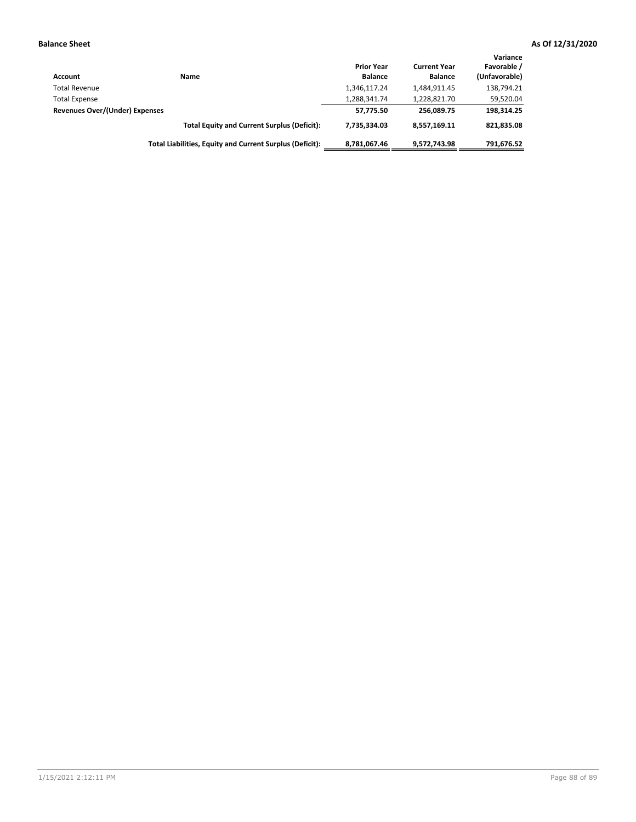| Account                        | Name                                                     | <b>Prior Year</b><br><b>Balance</b> | <b>Current Year</b><br><b>Balance</b> | Variance<br>Favorable /<br>(Unfavorable) |
|--------------------------------|----------------------------------------------------------|-------------------------------------|---------------------------------------|------------------------------------------|
| <b>Total Revenue</b>           |                                                          | 1,346,117.24                        | 1,484,911.45                          | 138,794.21                               |
| <b>Total Expense</b>           |                                                          | 1,288,341.74                        | 1,228,821.70                          | 59,520.04                                |
| Revenues Over/(Under) Expenses |                                                          | 57.775.50                           | 256.089.75                            | 198.314.25                               |
|                                | <b>Total Equity and Current Surplus (Deficit):</b>       | 7.735.334.03                        | 8,557,169.11                          | 821,835.08                               |
|                                | Total Liabilities, Equity and Current Surplus (Deficit): | 8,781,067.46                        | 9,572,743.98                          | 791,676.52                               |